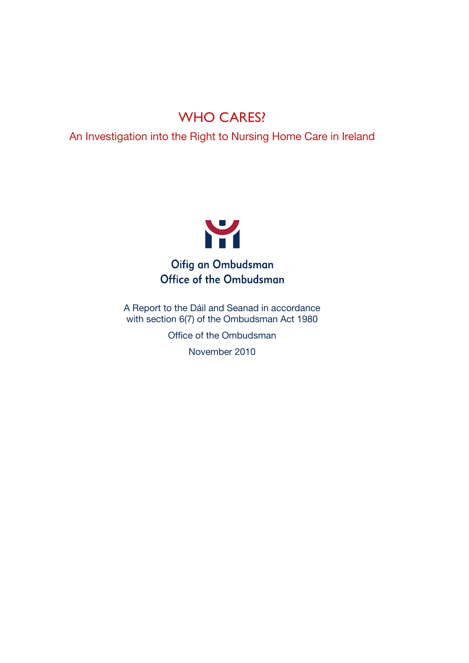# WHO CARES?

An Investigation into the Right to Nursing Home Care in Ireland



Office of the Ombudsman

A Report to the Dáil and Seanad in accordance with section 6(7) of the Ombudsman Act 1980

Office of the Ombudsman

November 2010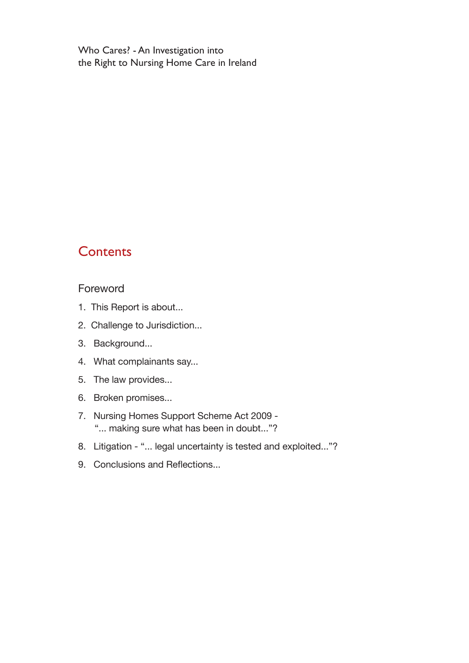Who Cares? - An Investigation into the Right to Nursing Home Care in Ireland

# **Contents**

### Foreword

- 1. This Report is about...
- 2. Challenge to Jurisdiction...
- 3. Background...
- 4. What complainants say...
- 5. The law provides...
- 6. Broken promises...
- 7. Nursing Homes Support Scheme Act 2009 "... making sure what has been in doubt..."?
- 8. Litigation "... legal uncertainty is tested and exploited..."?
- 9. Conclusions and Reflections...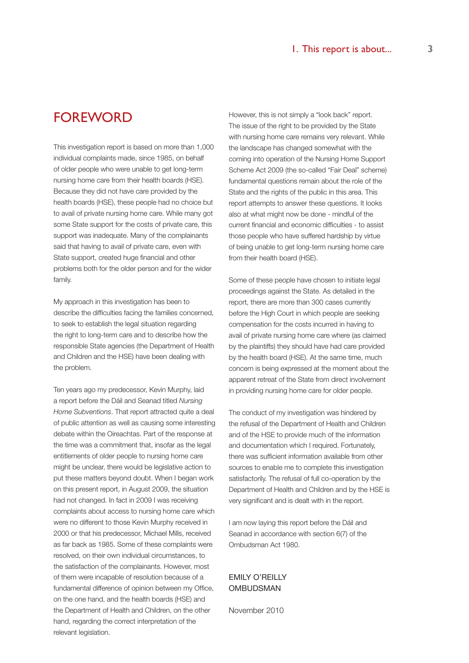# FOREWORD

This investigation report is based on more than 1,000 individual complaints made, since 1985, on behalf of older people who were unable to get long-term nursing home care from their health boards (HSE). Because they did not have care provided by the health boards (HSE), these people had no choice but to avail of private nursing home care. While many got some State support for the costs of private care, this support was inadequate. Many of the complainants said that having to avail of private care, even with State support, created huge financial and other problems both for the older person and for the wider family.

My approach in this investigation has been to describe the difficulties facing the families concerned, to seek to establish the legal situation regarding the right to long-term care and to describe how the responsible State agencies (the Department of Health and Children and the HSE) have been dealing with the problem.

Ten years ago my predecessor, Kevin Murphy, laid a report before the Dáil and Seanad titled *Nursing Home Subventions*. That report attracted quite a deal of public attention as well as causing some interesting debate within the Oireachtas. Part of the response at the time was a commitment that, insofar as the legal entitlements of older people to nursing home care might be unclear, there would be legislative action to put these matters beyond doubt. When I began work on this present report, in August 2009, the situation had not changed. In fact in 2009 I was receiving complaints about access to nursing home care which were no different to those Kevin Murphy received in 2000 or that his predecessor, Michael Mills, received as far back as 1985. Some of these complaints were resolved, on their own individual circumstances, to the satisfaction of the complainants. However, most of them were incapable of resolution because of a fundamental difference of opinion between my Office, on the one hand, and the health boards (HSE) and the Department of Health and Children, on the other hand, regarding the correct interpretation of the relevant legislation.

However, this is not simply a "look back" report. The issue of the right to be provided by the State with nursing home care remains very relevant. While the landscape has changed somewhat with the coming into operation of the Nursing Home Support Scheme Act 2009 (the so-called "Fair Deal" scheme) fundamental questions remain about the role of the State and the rights of the public in this area. This report attempts to answer these questions. It looks also at what might now be done - mindful of the current financial and economic difficulties - to assist those people who have suffered hardship by virtue of being unable to get long-term nursing home care from their health board (HSE).

Some of these people have chosen to initiate legal proceedings against the State. As detailed in the report, there are more than 300 cases currently before the High Court in which people are seeking compensation for the costs incurred in having to avail of private nursing home care where (as claimed by the plaintiffs) they should have had care provided by the health board (HSE). At the same time, much concern is being expressed at the moment about the apparent retreat of the State from direct involvement in providing nursing home care for older people.

The conduct of my investigation was hindered by the refusal of the Department of Health and Children and of the HSE to provide much of the information and documentation which I required. Fortunately, there was sufficient information available from other sources to enable me to complete this investigation satisfactorily. The refusal of full co-operation by the Department of Health and Children and by the HSE is very significant and is dealt with in the report.

I am now laying this report before the Dáil and Seanad in accordance with section 6(7) of the Ombudsman Act 1980.

### EMILY O'REILLY **OMBUDSMAN**

November 2010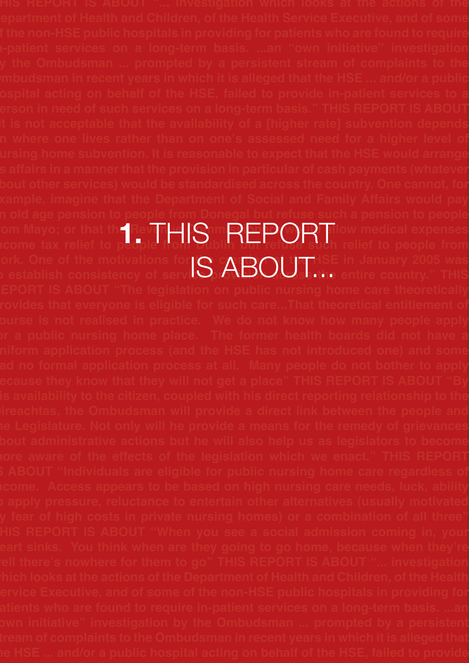**i-patient services on a long-term basis. ...an "own initiative" investigation y** the Ombudsman ... prompted by a persistent stream of complaints to the **This Report is About "... investigation which looks at the actions of the Department of Health and Children, of the Health Service Executive, and of some from Mayo; or that the Reven<del>ue</del> Commission and Mayo, allow medical expenses** om Mayo; or that the Revert HIS mREPORTIlow medical expenses<br>icome tax relief to people from Dublin Jut refuse such relief to people from **Cork. One of the motivations for i⊙ c∧ ⊇∩I tiघ⊣**SE in January 2005 was ork. One of the motivations for IS ABOUTHSE in January 2005 was<br>b establish consistency of servic**e, ABOUssine** entire country." THIS **Oireachtas, the Ombudsman will provide a direct link between the people and is About "Individuals are eligible for public nursing home care regardless of the apply pressure, reluctance to entertain other alternatives (usually motions) the HSE ... and/or a public hospital acting on behalf of the HSE, failed to provide**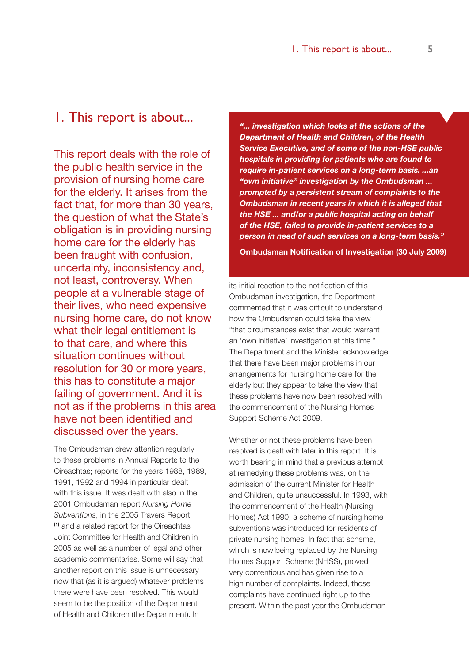# 1. This report is about...

This report deals with the role of the public health service in the provision of nursing home care for the elderly. It arises from the fact that, for more than 30 years, the question of what the State's obligation is in providing nursing home care for the elderly has been fraught with confusion, uncertainty, inconsistency and, not least, controversy. When people at a vulnerable stage of their lives, who need expensive nursing home care, do not know what their legal entitlement is to that care, and where this situation continues without resolution for 30 or more years, this has to constitute a major failing of government. And it is not as if the problems in this area have not been identified and discussed over the years.

The Ombudsman drew attention regularly to these problems in Annual Reports to the Oireachtas; reports for the years 1988, 1989, 1991, 1992 and 1994 in particular dealt with this issue. It was dealt with also in the 2001 Ombudsman report *Nursing Home Subventions*, in the 2005 Travers Report **(1)** and a related report for the Oireachtas Joint Committee for Health and Children in 2005 as well as a number of legal and other academic commentaries. Some will say that another report on this issue is unnecessary now that (as it is argued) whatever problems there were have been resolved. This would seem to be the position of the Department of Health and Children (the Department). In

*"... investigation which looks at the actions of the Department of Health and Children, of the Health Service Executive, and of some of the non-HSE public hospitals in providing for patients who are found to require in-patient services on a long-term basis. ...an "own initiative" investigation by the Ombudsman ... prompted by a persistent stream of complaints to the Ombudsman in recent years in which it is alleged that the HSE ... and/or a public hospital acting on behalf of the HSE, failed to provide in-patient services to a person in need of such services on a long-term basis."* 

**Ombudsman Notification of Investigation (30 July 2009)**

its initial reaction to the notification of this Ombudsman investigation, the Department commented that it was difficult to understand how the Ombudsman could take the view "that circumstances exist that would warrant an 'own initiative' investigation at this time." The Department and the Minister acknowledge that there have been major problems in our arrangements for nursing home care for the elderly but they appear to take the view that these problems have now been resolved with the commencement of the Nursing Homes Support Scheme Act 2009.

Whether or not these problems have been resolved is dealt with later in this report. It is worth bearing in mind that a previous attempt at remedying these problems was, on the admission of the current Minister for Health and Children, quite unsuccessful. In 1993, with the commencement of the Health (Nursing Homes) Act 1990, a scheme of nursing home subventions was introduced for residents of private nursing homes. In fact that scheme, which is now being replaced by the Nursing Homes Support Scheme (NHSS), proved very contentious and has given rise to a high number of complaints. Indeed, those complaints have continued right up to the present. Within the past year the Ombudsman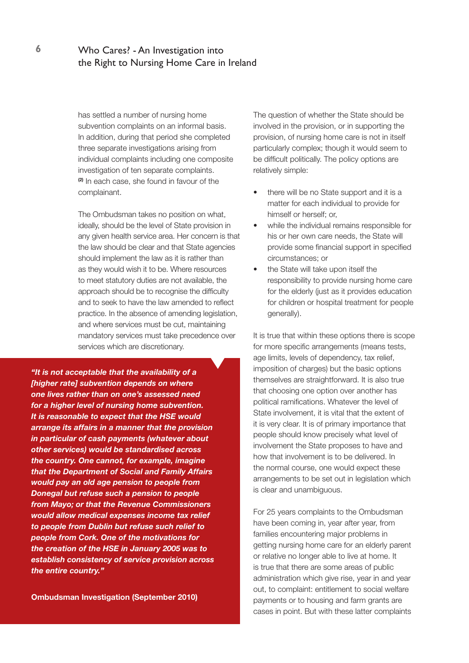# **6** Who Cares? - An Investigation into the Right to Nursing Home Care in Ireland

has settled a number of nursing home subvention complaints on an informal basis. In addition, during that period she completed three separate investigations arising from individual complaints including one composite investigation of ten separate complaints. **(2)** In each case, she found in favour of the complainant.

The Ombudsman takes no position on what, ideally, should be the level of State provision in any given health service area. Her concern is that the law should be clear and that State agencies should implement the law as it is rather than as they would wish it to be. Where resources to meet statutory duties are not available, the approach should be to recognise the difficulty and to seek to have the law amended to reflect practice. In the absence of amending legislation, and where services must be cut, maintaining mandatory services must take precedence over services which are discretionary.

*"It is not acceptable that the availability of a [higher rate] subvention depends on where one lives rather than on one's assessed need for a higher level of nursing home subvention. It is reasonable to expect that the HSE would arrange its affairs in a manner that the provision in particular of cash payments (whatever about other services) would be standardised across the country. One cannot, for example, imagine that the Department of Social and Family Affairs would pay an old age pension to people from Donegal but refuse such a pension to people from Mayo; or that the Revenue Commissioners would allow medical expenses income tax relief to people from Dublin but refuse such relief to people from Cork. One of the motivations for the creation of the HSE in January 2005 was to establish consistency of service provision across the entire country."*

**Ombudsman Investigation (September 2010)**

The question of whether the State should be involved in the provision, or in supporting the provision, of nursing home care is not in itself particularly complex; though it would seem to be difficult politically. The policy options are relatively simple:

- there will be no State support and it is a matter for each individual to provide for himself or herself; or,
- while the individual remains responsible for his or her own care needs, the State will provide some financial support in specified circumstances; or
- the State will take upon itself the responsibility to provide nursing home care for the elderly (just as it provides education for children or hospital treatment for people generally).

It is true that within these options there is scope for more specific arrangements (means tests, age limits, levels of dependency, tax relief, imposition of charges) but the basic options themselves are straightforward. It is also true that choosing one option over another has political ramifications. Whatever the level of State involvement, it is vital that the extent of it is very clear. It is of primary importance that people should know precisely what level of involvement the State proposes to have and how that involvement is to be delivered. In the normal course, one would expect these arrangements to be set out in legislation which is clear and unambiguous.

For 25 years complaints to the Ombudsman have been coming in, year after year, from families encountering major problems in getting nursing home care for an elderly parent or relative no longer able to live at home. It is true that there are some areas of public administration which give rise, year in and year out, to complaint: entitlement to social welfare payments or to housing and farm grants are cases in point. But with these latter complaints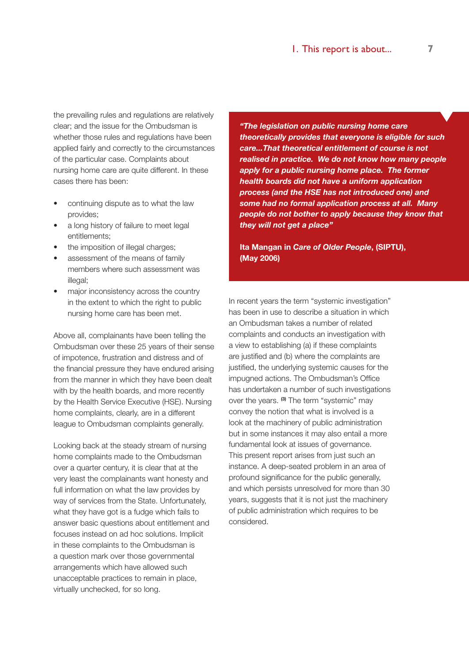the prevailing rules and regulations are relatively clear; and the issue for the Ombudsman is whether those rules and regulations have been applied fairly and correctly to the circumstances of the particular case. Complaints about nursing home care are quite different. In these cases there has been:

- continuing dispute as to what the law provides;
- a long history of failure to meet legal entitlements;
- the imposition of illegal charges;
- assessment of the means of family members where such assessment was illegal;
- major inconsistency across the country in the extent to which the right to public nursing home care has been met.

Above all, complainants have been telling the Ombudsman over these 25 years of their sense of impotence, frustration and distress and of the financial pressure they have endured arising from the manner in which they have been dealt with by the health boards, and more recently by the Health Service Executive (HSE). Nursing home complaints, clearly, are in a different league to Ombudsman complaints generally.

Looking back at the steady stream of nursing home complaints made to the Ombudsman over a quarter century, it is clear that at the very least the complainants want honesty and full information on what the law provides by way of services from the State. Unfortunately, what they have got is a fudge which fails to answer basic questions about entitlement and focuses instead on ad hoc solutions. Implicit in these complaints to the Ombudsman is a question mark over those governmental arrangements which have allowed such unacceptable practices to remain in place, virtually unchecked, for so long.

*"The legislation on public nursing home care theoretically provides that everyone is eligible for such care...That theoretical entitlement of course is not realised in practice. We do not know how many people apply for a public nursing home place. The former health boards did not have a uniform application process (and the HSE has not introduced one) and some had no formal application process at all. Many people do not bother to apply because they know that they will not get a place"*

**Ita Mangan in** *Care of Older People***, (SIPTU), (May 2006)**

In recent years the term "systemic investigation" has been in use to describe a situation in which an Ombudsman takes a number of related complaints and conducts an investigation with a view to establishing (a) if these complaints are justified and (b) where the complaints are justified, the underlying systemic causes for the impugned actions. The Ombudsman's Office has undertaken a number of such investigations over the years. **(3)** The term "systemic" may convey the notion that what is involved is a look at the machinery of public administration but in some instances it may also entail a more fundamental look at issues of governance. This present report arises from just such an instance. A deep-seated problem in an area of profound significance for the public generally, and which persists unresolved for more than 30 years, suggests that it is not just the machinery of public administration which requires to be considered.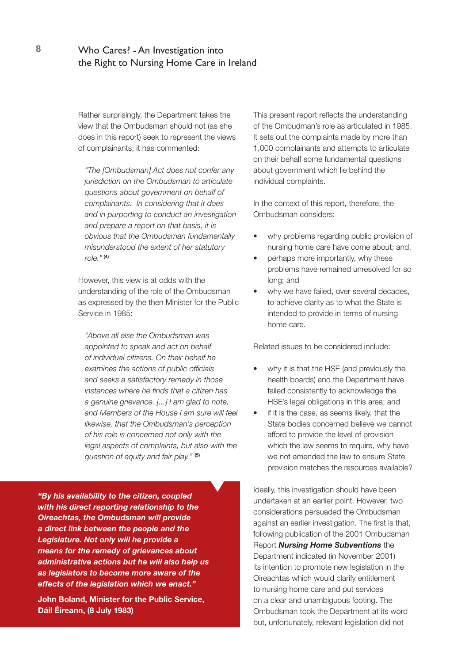# **8** Who Cares? - An Investigation into the Right to Nursing Home Care in Ireland

Rather surprisingly, the Department takes the view that the Ombudsman should not (as she does in this report) seek to represent the views of complainants; it has commented:

*"The [Ombudsman] Act does not confer any jurisdiction on the Ombudsman to articulate questions about government on behalf of complainants. In considering that it does and in purporting to conduct an investigation and prepare a report on that basis, it is obvious that the Ombudsman fundamentally misunderstood the extent of her statutory role."***(4)**

However, this view is at odds with the understanding of the role of the Ombudsman as expressed by the then Minister for the Public Service in 1985:

*"Above all else the Ombudsman was appointed to speak and act on behalf of individual citizens. On their behalf he examines the actions of public officials and seeks a satisfactory remedy in those instances where he finds that a citizen has a genuine grievance. [...] I am glad to note, and Members of the House I am sure will feel likewise, that the Ombudsman's perception of his role is concerned not only with the legal aspects of complaints, but also with the question of equity and fair play."* **(5)**

*"By his availability to the citizen, coupled with his direct reporting relationship to the Oireachtas, the Ombudsman will provide a direct link between the people and the Legislature. Not only will he provide a means for the remedy of grievances about administrative actions but he will also help us as legislators to become more aware of the effects of the legislation which we enact."* 

**John Boland, Minister for the Public Service, Dáil Éireann, (8 July 1983)**

This present report reflects the understanding of the Ombudman's role as articulated in 1985. It sets out the complaints made by more than 1,000 complainants and attempts to articulate on their behalf some fundamental questions about government which lie behind the individual complaints.

In the context of this report, therefore, the Ombudsman considers:

- why problems regarding public provision of nursing home care have come about; and,
- perhaps more importantly, why these problems have remained unresolved for so long; and
- why we have failed, over several decades, to achieve clarity as to what the State is intended to provide in terms of nursing home care.

Related issues to be considered include:

- why it is that the HSE (and previously the health boards) and the Department have failed consistently to acknowledge the HSE's legal obligations in this area; and
- if it is the case, as seems likely, that the State bodies concerned believe we cannot afford to provide the level of provision which the law seems to require, why have we not amended the law to ensure State provision matches the resources available?

Ideally, this investigation should have been undertaken at an earlier point. However, two considerations persuaded the Ombudsman against an earlier investigation. The first is that, following publication of the 2001 Ombudsman Report *Nursing Home Subventions* the Department indicated (in November 2001) its intention to promote new legislation in the Oireachtas which would clarify entitlement to nursing home care and put services on a clear and unambiguous footing. The Ombudsman took the Department at its word but, unfortunately, relevant legislation did not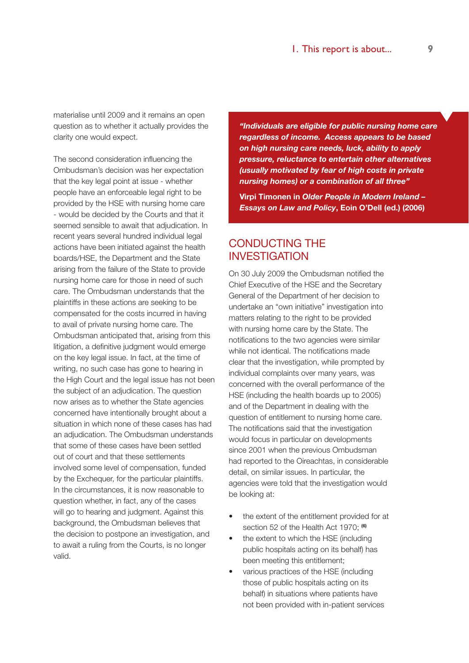materialise until 2009 and it remains an open question as to whether it actually provides the clarity one would expect.

The second consideration influencing the Ombudsman's decision was her expectation that the key legal point at issue - whether people have an enforceable legal right to be provided by the HSE with nursing home care - would be decided by the Courts and that it seemed sensible to await that adjudication. In recent years several hundred individual legal actions have been initiated against the health boards/HSE, the Department and the State arising from the failure of the State to provide nursing home care for those in need of such care. The Ombudsman understands that the plaintiffs in these actions are seeking to be compensated for the costs incurred in having to avail of private nursing home care. The Ombudsman anticipated that, arising from this litigation, a definitive judgment would emerge on the key legal issue. In fact, at the time of writing, no such case has gone to hearing in the High Court and the legal issue has not been the subject of an adjudication. The question now arises as to whether the State agencies concerned have intentionally brought about a situation in which none of these cases has had an adjudication. The Ombudsman understands that some of these cases have been settled out of court and that these settlements involved some level of compensation, funded by the Exchequer, for the particular plaintiffs. In the circumstances, it is now reasonable to question whether, in fact, any of the cases will go to hearing and judgment. Against this background, the Ombudsman believes that the decision to postpone an investigation, and to await a ruling from the Courts, is no longer valid.

*"Individuals are eligible for public nursing home care regardless of income. Access appears to be based on high nursing care needs, luck, ability to apply pressure, reluctance to entertain other alternatives (usually motivated by fear of high costs in private nursing homes) or a combination of all three"* 

**Virpi Timonen in** *Older People in Modern Ireland – Essays on Law and Policy***, Eoin O'Dell (ed.) (2006)**

# CONDUCTING THE INVESTIGATION

On 30 July 2009 the Ombudsman notified the Chief Executive of the HSE and the Secretary General of the Department of her decision to undertake an "own initiative" investigation into matters relating to the right to be provided with nursing home care by the State. The notifications to the two agencies were similar while not identical. The notifications made clear that the investigation, while prompted by individual complaints over many years, was concerned with the overall performance of the HSE (including the health boards up to 2005) and of the Department in dealing with the question of entitlement to nursing home care. The notifications said that the investigation would focus in particular on developments since 2001 when the previous Ombudsman had reported to the Oireachtas, in considerable detail, on similar issues. In particular, the agencies were told that the investigation would be looking at:

- the extent of the entitlement provided for at section 52 of the Health Act 1970; **(6)**
- the extent to which the HSE (including public hospitals acting on its behalf) has been meeting this entitlement;
- various practices of the HSE (including those of public hospitals acting on its behalf) in situations where patients have not been provided with in-patient services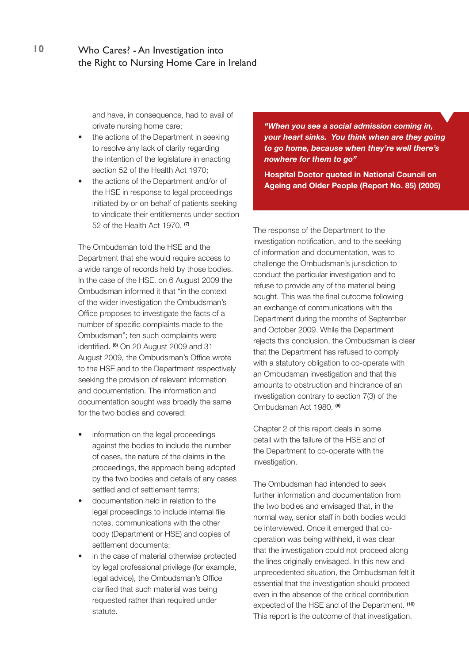and have, in consequence, had to avail of private nursing home care;

- the actions of the Department in seeking to resolve any lack of clarity regarding the intention of the legislature in enacting section 52 of the Health Act 1970;
- the actions of the Department and/or of the HSE in response to legal proceedings initiated by or on behalf of patients seeking to vindicate their entitlements under section 52 of the Health Act 1970. **(7)**

The Ombudsman told the HSE and the Department that she would require access to a wide range of records held by those bodies. In the case of the HSE, on 6 August 2009 the Ombudsman informed it that "in the context of the wider investigation the Ombudsman's Office proposes to investigate the facts of a number of specific complaints made to the Ombudsman"; ten such complaints were identified. **(8)** On 20 August 2009 and 31 August 2009, the Ombudsman's Office wrote to the HSE and to the Department respectively seeking the provision of relevant information and documentation. The information and documentation sought was broadly the same for the two bodies and covered:

- information on the legal proceedings against the bodies to include the number of cases, the nature of the claims in the proceedings, the approach being adopted by the two bodies and details of any cases settled and of settlement terms;
- documentation held in relation to the legal proceedings to include internal file notes, communications with the other body (Department or HSE) and copies of settlement documents;
- in the case of material otherwise protected by legal professional privilege (for example, legal advice), the Ombudsman's Office clarified that such material was being requested rather than required under statute.

*"When you see a social admission coming in, your heart sinks. You think when are they going to go home, because when they're well there's nowhere for them to go"*

**Hospital Doctor quoted in National Council on Ageing and Older People (Report No. 85) (2005)**

The response of the Department to the investigation notification, and to the seeking of information and documentation, was to challenge the Ombudsman's jurisdiction to conduct the particular investigation and to refuse to provide any of the material being sought. This was the final outcome following an exchange of communications with the Department during the months of September and October 2009. While the Department rejects this conclusion, the Ombudsman is clear that the Department has refused to comply with a statutory obligation to co-operate with an Ombudsman investigation and that this amounts to obstruction and hindrance of an investigation contrary to section 7(3) of the Ombudsman Act 1980. **(9)**

Chapter 2 of this report deals in some detail with the failure of the HSE and of the Department to co-operate with the investigation.

The Ombudsman had intended to seek further information and documentation from the two bodies and envisaged that, in the normal way, senior staff in both bodies would be interviewed. Once it emerged that cooperation was being withheld, it was clear that the investigation could not proceed along the lines originally envisaged. In this new and unprecedented situation, the Ombudsman felt it essential that the investigation should proceed even in the absence of the critical contribution expected of the HSE and of the Department. **(10)** This report is the outcome of that investigation.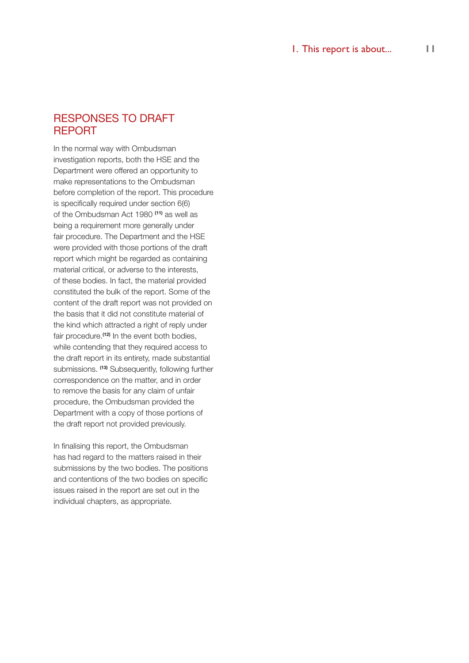# RESPONSES TO DRAFT REPORT

In the normal way with Ombudsman investigation reports, both the HSE and the Department were offered an opportunity to make representations to the Ombudsman before completion of the report. This procedure is specifically required under section 6(6) of the Ombudsman Act 1980 **(11)** as well as being a requirement more generally under fair procedure. The Department and the HSE were provided with those portions of the draft report which might be regarded as containing material critical, or adverse to the interests, of these bodies. In fact, the material provided constituted the bulk of the report. Some of the content of the draft report was not provided on the basis that it did not constitute material of the kind which attracted a right of reply under fair procedure.**(12)** In the event both bodies, while contending that they required access to the draft report in its entirety, made substantial submissions. **(13)** Subsequently, following further correspondence on the matter, and in order to remove the basis for any claim of unfair procedure, the Ombudsman provided the Department with a copy of those portions of the draft report not provided previously.

In finalising this report, the Ombudsman has had regard to the matters raised in their submissions by the two bodies. The positions and contentions of the two bodies on specific issues raised in the report are set out in the individual chapters, as appropriate.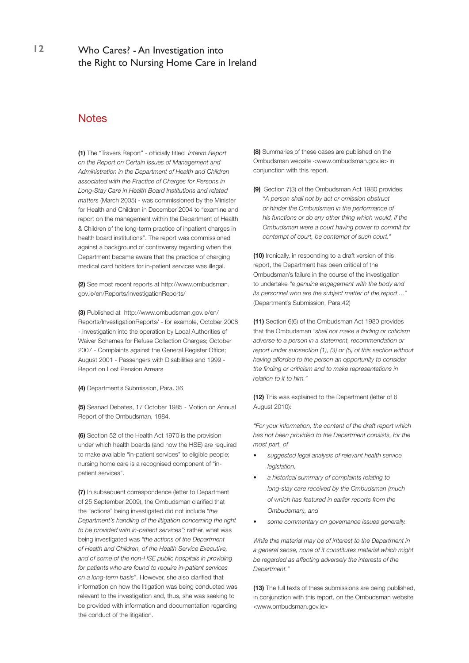# **12** Who Cares? - An Investigation into the Right to Nursing Home Care in Ireland

### **Notes**

**(1)** The "Travers Report" - officially titled *Interim Report on the Report on Certain Issues of Management and Administration in the Department of Health and Children associated with the Practice of Charges for Persons in Long-Stay Care in Health Board Institutions and related matters* (March 2005) - was commissioned by the Minister for Health and Children in December 2004 to "examine and report on the management within the Department of Health & Children of the long-term practice of inpatient charges in health board institutions". The report was commissioned against a background of controversy regarding when the Department became aware that the practice of charging medical card holders for in-patient services was illegal.

**(2)** See most recent reports at http://www.ombudsman. gov.ie/en/Reports/InvestigationReports/

**(3)** Published at http://www.ombudsman.gov.ie/en/ Reports/InvestigationReports/ - for example, October 2008 - Investigation into the operation by Local Authorities of Waiver Schemes for Refuse Collection Charges; October 2007 - Complaints against the General Register Office; August 2001 - Passengers with Disabilities and 1999 - Report on Lost Pension Arrears

**(4)** Department's Submission, Para. 36

**(5)** Seanad Debates, 17 October 1985 - Motion on Annual Report of the Ombudsman, 1984.

**(6)** Section 52 of the Health Act 1970 is the provision under which health boards (and now the HSE) are required to make available "in-patient services" to eligible people; nursing home care is a recognised component of "inpatient services".

**(7)** In subsequent correspondence (letter to Department of 25 September 2009), the Ombudsman clarified that the "actions" being investigated did not include *"the Department's handling of the litigation concerning the right to be provided with in-patient services";* rather, what was being investigated was *"the actions of the Department of Health and Children, of the Health Service Executive, and of some of the non-HSE public hospitals in providing for patients who are found to require in-patient services on a long-term basis"*. However, she also clarified that information on how the litigation was being conducted was relevant to the investigation and, thus, she was seeking to be provided with information and documentation regarding the conduct of the litigation.

**(8)** Summaries of these cases are published on the Ombudsman website <www.ombudsman.gov.ie> in conjunction with this report.

**(9)** Section 7(3) of the Ombudsman Act 1980 provides: *"A person shall not by act or omission obstruct or hinder the Ombudsman in the performance of his functions or do any other thing which would, if the Ombudsman were a court having power to commit for contempt of court, be contempt of such court."*

**(10)** Ironically, in responding to a draft version of this report, the Department has been critical of the Ombudsman's failure in the course of the investigation to undertake *"a genuine engagement with the body and its personnel who are the subject matter of the report ..."* (Department's Submission, Para.42)

**(11)** Section 6(6) of the Ombudsman Act 1980 provides that the Ombudsman *"shall not make a finding or criticism adverse to a person in a statement, recommendation or report under subsection (1), (3) or (5) of this section without having afforded to the person an opportunity to consider the finding or criticism and to make representations in relation to it to him."*

**(12)** This was explained to the Department (letter of 6 August 2010):

*"For your information, the content of the draft report which has not been provided to the Department consists, for the most part, of*

- *• suggested legal analysis of relevant health service legislation,*
- *• a historical summary of complaints relating to long-stay care received by the Ombudsman (much of which has featured in earlier reports from the Ombudsman), and*
- some commentary on governance issues generally.

*While this material may be of interest to the Department in a general sense, none of it constitutes material which might be regarded as affecting adversely the interests of the Department."*

**(13)** The full texts of these submissions are being published, in conjunction with this report, on the Ombudsman website <www.ombudsman.gov.ie>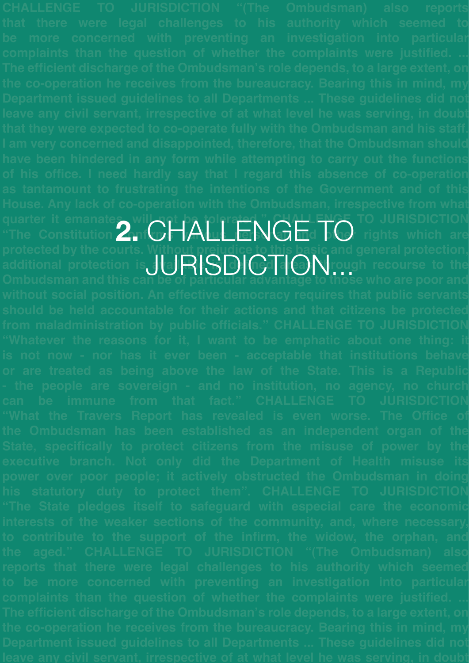quarter it emanates, will art be tolerated." Challenge to JURISDICTION The Constitution 2. CHALLENGE TO rights which are **protected by the courts. Without prejudice to this basic and general protection,**  additional protection is **allain in the interpretional protection** is aller in definitional protection is **aller Ombudsman and this can be of particular advantage to those who are poor and**  JURISDICTION...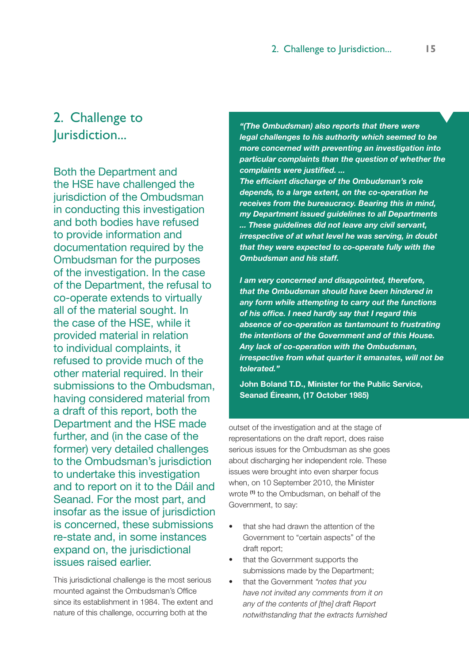# 2. Challenge to Jurisdiction...

Both the Department and the HSE have challenged the jurisdiction of the Ombudsman in conducting this investigation and both bodies have refused to provide information and documentation required by the Ombudsman for the purposes of the investigation. In the case of the Department, the refusal to co-operate extends to virtually all of the material sought. In the case of the HSE, while it provided material in relation to individual complaints, it refused to provide much of the other material required. In their submissions to the Ombudsman, having considered material from a draft of this report, both the Department and the HSE made further, and (in the case of the former) very detailed challenges to the Ombudsman's jurisdiction to undertake this investigation and to report on it to the Dáil and Seanad. For the most part, and insofar as the issue of jurisdiction is concerned, these submissions re-state and, in some instances expand on, the jurisdictional issues raised earlier.

This jurisdictional challenge is the most serious mounted against the Ombudsman's Office since its establishment in 1984. The extent and nature of this challenge, occurring both at the

*"(The Ombudsman) also reports that there were legal challenges to his authority which seemed to be more concerned with preventing an investigation into particular complaints than the question of whether the complaints were justified. ...*

*The efficient discharge of the Ombudsman's role depends, to a large extent, on the co-operation he receives from the bureaucracy. Bearing this in mind, my Department issued guidelines to all Departments ... These guidelines did not leave any civil servant, irrespective of at what level he was serving, in doubt that they were expected to co-operate fully with the Ombudsman and his staff.*

*I am very concerned and disappointed, therefore, that the Ombudsman should have been hindered in any form while attempting to carry out the functions of his office. I need hardly say that I regard this absence of co-operation as tantamount to frustrating the intentions of the Government and of this House. Any lack of co-operation with the Ombudsman, irrespective from what quarter it emanates, will not be tolerated."*

**John Boland T.D., Minister for the Public Service, Seanad Éireann, (17 October 1985)**

outset of the investigation and at the stage of representations on the draft report, does raise serious issues for the Ombudsman as she goes about discharging her independent role. These issues were brought into even sharper focus when, on 10 September 2010, the Minister wrote **(1)** to the Ombudsman, on behalf of the Government, to say:

- that she had drawn the attention of the Government to "certain aspects" of the draft report;
- that the Government supports the submissions made by the Department;
- that the Government *"notes that you have not invited any comments from it on any of the contents of [the] draft Report notwithstanding that the extracts furnished*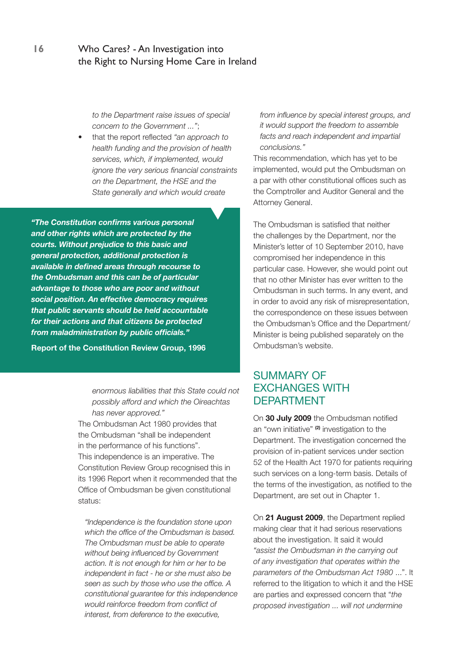*to the Department raise issues of special concern to the Government ..."*;

that the report reflected "an approach to *health funding and the provision of health services, which, if implemented, would ignore the very serious financial constraints on the Department, the HSE and the State generally and which would create* 

*"The Constitution confirms various personal and other rights which are protected by the courts. Without prejudice to this basic and general protection, additional protection is available in defined areas through recourse to the Ombudsman and this can be of particular advantage to those who are poor and without social position. An effective democracy requires that public servants should be held accountable for their actions and that citizens be protected from maladministration by public officials."* 

**Report of the Constitution Review Group, 1996**

*enormous liabilities that this State could not possibly afford and which the Oireachtas has never approved."*

The Ombudsman Act 1980 provides that the Ombudsman "shall be independent in the performance of his functions". This independence is an imperative. The Constitution Review Group recognised this in its 1996 Report when it recommended that the Office of Ombudsman be given constitutional status:

*"Independence is the foundation stone upon which the office of the Ombudsman is based. The Ombudsman must be able to operate without being influenced by Government action. It is not enough for him or her to be independent in fact - he or she must also be seen as such by those who use the office. A constitutional guarantee for this independence would reinforce freedom from conflict of interest, from deference to the executive,* 

*from influence by special interest groups, and it would support the freedom to assemble facts and reach independent and impartial conclusions."*

This recommendation, which has yet to be implemented, would put the Ombudsman on a par with other constitutional offices such as the Comptroller and Auditor General and the Attorney General.

The Ombudsman is satisfied that neither the challenges by the Department, nor the Minister's letter of 10 September 2010, have compromised her independence in this particular case. However, she would point out that no other Minister has ever written to the Ombudsman in such terms. In any event, and in order to avoid any risk of misrepresentation, the correspondence on these issues between the Ombudsman's Office and the Department/ Minister is being published separately on the Ombudsman's website.

## SUMMARY OF EXCHANGES WITH DEPARTMENT

On **30 July 2009** the Ombudsman notified an "own initiative" **(2)** investigation to the Department. The investigation concerned the provision of in-patient services under section 52 of the Health Act 1970 for patients requiring such services on a long-term basis. Details of the terms of the investigation, as notified to the Department, are set out in Chapter 1.

On **21 August 2009**, the Department replied making clear that it had serious reservations about the investigation. It said it would *"assist the Ombudsman in the carrying out of any investigation that operates within the parameters of the Ombudsman Act 1980* ...". It referred to the litigation to which it and the HSE are parties and expressed concern that "*the proposed investigation ... will not undermine*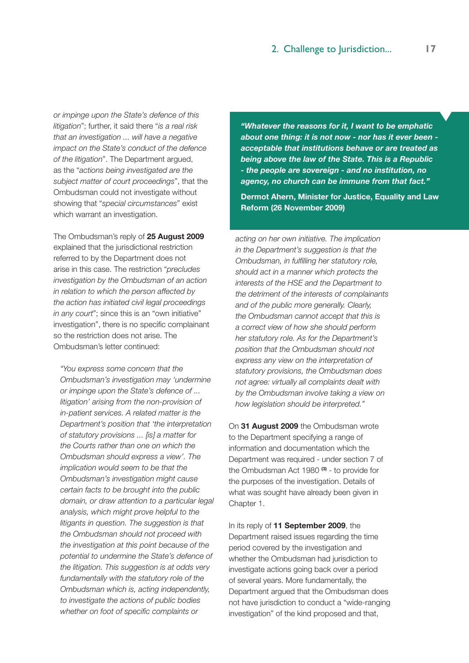*or impinge upon the State's defence of this litigation*"; further, it said there "*is a real risk that an investigation ... will have a negative impact on the State's conduct of the defence of the litigation*". The Department argued, as the "*actions being investigated are the subject matter of court proceedings*", that the Ombudsman could not investigate without showing that "*special circumstances*" exist which warrant an investigation.

The Ombudsman's reply of **25 August 2009**  explained that the jurisdictional restriction referred to by the Department does not arise in this case. The restriction "*precludes investigation by the Ombudsman of an action in relation to which the person affected by the action has initiated civil legal proceedings in any court*"; since this is an "own initiative" investigation", there is no specific complainant so the restriction does not arise. The Ombudsman's letter continued:

*"You express some concern that the Ombudsman's investigation may 'undermine or impinge upon the State's defence of ... litigation' arising from the non-provision of in-patient services. A related matter is the Department's position that 'the interpretation of statutory provisions ... [is] a matter for the Courts rather than one on which the Ombudsman should express a view'. The implication would seem to be that the Ombudsman's investigation might cause certain facts to be brought into the public domain, or draw attention to a particular legal analysis, which might prove helpful to the litigants in question. The suggestion is that the Ombudsman should not proceed with the investigation at this point because of the potential to undermine the State's defence of the litigation. This suggestion is at odds very fundamentally with the statutory role of the Ombudsman which is, acting independently, to investigate the actions of public bodies whether on foot of specific complaints or* 

*"Whatever the reasons for it, I want to be emphatic about one thing: it is not now - nor has it ever been acceptable that institutions behave or are treated as being above the law of the State. This is a Republic - the people are sovereign - and no institution, no agency, no church can be immune from that fact."*

**Dermot Ahern, Minister for Justice, Equality and Law Reform (26 November 2009)** 

*acting on her own initiative. The implication in the Department's suggestion is that the Ombudsman, in fulfilling her statutory role, should act in a manner which protects the interests of the HSE and the Department to the detriment of the interests of complainants and of the public more generally. Clearly, the Ombudsman cannot accept that this is a correct view of how she should perform her statutory role. As for the Department's position that the Ombudsman should not express any view on the interpretation of statutory provisions, the Ombudsman does not agree: virtually all complaints dealt with by the Ombudsman involve taking a view on how legislation should be interpreted."*

On **31 August 2009** the Ombudsman wrote to the Department specifying a range of information and documentation which the Department was required - under section 7 of the Ombudsman Act 1980 **(3)** - to provide for the purposes of the investigation. Details of what was sought have already been given in Chapter 1.

In its reply of **11 September 2009**, the Department raised issues regarding the time period covered by the investigation and whether the Ombudsman had jurisdiction to investigate actions going back over a period of several years. More fundamentally, the Department argued that the Ombudsman does not have jurisdiction to conduct a "wide-ranging investigation" of the kind proposed and that,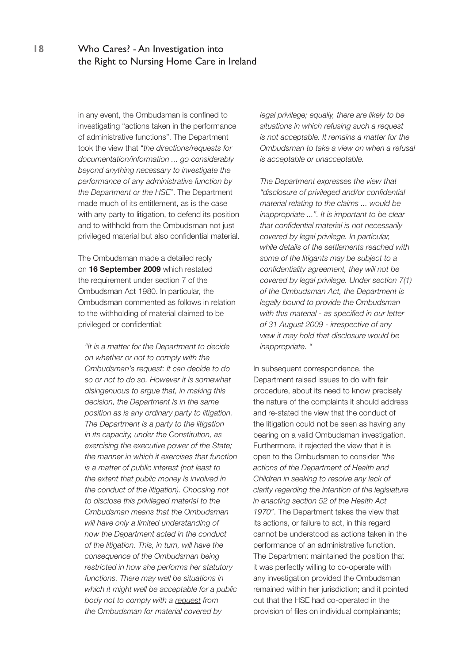in any event, the Ombudsman is confined to investigating "actions taken in the performance of administrative functions". The Department took the view that "*the directions/requests for documentation/information ... go considerably beyond anything necessary to investigate the performance of any administrative function by the Department or the HSE*". The Department made much of its entitlement, as is the case with any party to litigation, to defend its position and to withhold from the Ombudsman not just privileged material but also confidential material.

The Ombudsman made a detailed reply on **16 September 2009** which restated the requirement under section 7 of the Ombudsman Act 1980. In particular, the Ombudsman commented as follows in relation to the withholding of material claimed to be privileged or confidential:

*"It is a matter for the Department to decide on whether or not to comply with the Ombudsman's request: it can decide to do so or not to do so. However it is somewhat disingenuous to argue that, in making this decision, the Department is in the same position as is any ordinary party to litigation. The Department is a party to the litigation in its capacity, under the Constitution, as exercising the executive power of the State; the manner in which it exercises that function is a matter of public interest (not least to the extent that public money is involved in the conduct of the litigation). Choosing not to disclose this privileged material to the Ombudsman means that the Ombudsman will have only a limited understanding of how the Department acted in the conduct of the litigation. This, in turn, will have the consequence of the Ombudsman being restricted in how she performs her statutory functions. There may well be situations in which it might well be acceptable for a public body not to comply with a request from the Ombudsman for material covered by* 

*legal privilege; equally, there are likely to be situations in which refusing such a request is not acceptable. It remains a matter for the Ombudsman to take a view on when a refusal is acceptable or unacceptable.* 

*The Department expresses the view that "disclosure of privileged and/or confidential material relating to the claims ... would be inappropriate ...". It is important to be clear that confidential material is not necessarily covered by legal privilege. In particular, while details of the settlements reached with some of the litigants may be subject to a confidentiality agreement, they will not be covered by legal privilege. Under section 7(1) of the Ombudsman Act, the Department is legally bound to provide the Ombudsman with this material - as specified in our letter of 31 August 2009 - irrespective of any view it may hold that disclosure would be inappropriate. "*

In subsequent correspondence, the Department raised issues to do with fair procedure, about its need to know precisely the nature of the complaints it should address and re-stated the view that the conduct of the litigation could not be seen as having any bearing on a valid Ombudsman investigation. Furthermore, it rejected the view that it is open to the Ombudsman to consider *"the actions of the Department of Health and Children in seeking to resolve any lack of clarity regarding the intention of the legislature in enacting section 52 of the Health Act 1970"*. The Department takes the view that its actions, or failure to act, in this regard cannot be understood as actions taken in the performance of an administrative function. The Department maintained the position that it was perfectly willing to co-operate with any investigation provided the Ombudsman remained within her jurisdiction; and it pointed out that the HSE had co-operated in the provision of files on individual complainants;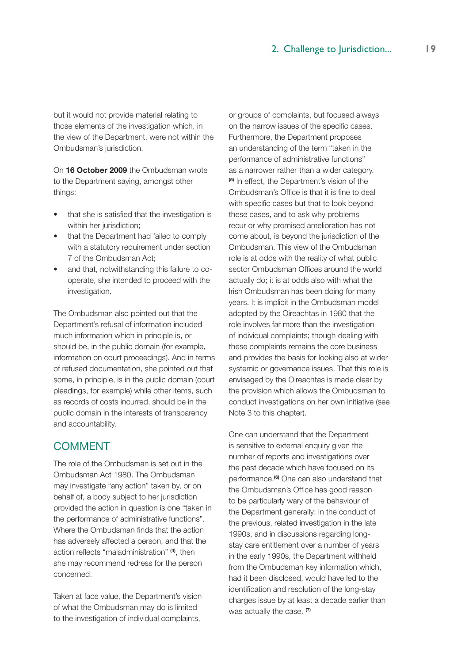but it would not provide material relating to those elements of the investigation which, in the view of the Department, were not within the Ombudsman's jurisdiction.

On **16 October 2009** the Ombudsman wrote to the Department saying, amongst other things:

- that she is satisfied that the investigation is within her jurisdiction:
- that the Department had failed to comply with a statutory requirement under section 7 of the Ombudsman Act;
- and that, notwithstanding this failure to cooperate, she intended to proceed with the investigation.

The Ombudsman also pointed out that the Department's refusal of information included much information which in principle is, or should be, in the public domain (for example, information on court proceedings). And in terms of refused documentation, she pointed out that some, in principle, is in the public domain (court pleadings, for example) while other items, such as records of costs incurred, should be in the public domain in the interests of transparency and accountability.

## **COMMENT**

The role of the Ombudsman is set out in the Ombudsman Act 1980. The Ombudsman may investigate "any action" taken by, or on behalf of, a body subject to her jurisdiction provided the action in question is one "taken in the performance of administrative functions". Where the Ombudsman finds that the action has adversely affected a person, and that the action reflects "maladministration" **(4)**, then she may recommend redress for the person concerned.

Taken at face value, the Department's vision of what the Ombudsman may do is limited to the investigation of individual complaints,

or groups of complaints, but focused always on the narrow issues of the specific cases. Furthermore, the Department proposes an understanding of the term "taken in the performance of administrative functions" as a narrower rather than a wider category. **(5)** In effect, the Department's vision of the Ombudsman's Office is that it is fine to deal with specific cases but that to look beyond these cases, and to ask why problems recur or why promised amelioration has not come about, is beyond the jurisdiction of the Ombudsman. This view of the Ombudsman role is at odds with the reality of what public sector Ombudsman Offices around the world actually do; it is at odds also with what the Irish Ombudsman has been doing for many years. It is implicit in the Ombudsman model adopted by the Oireachtas in 1980 that the role involves far more than the investigation of individual complaints; though dealing with these complaints remains the core business and provides the basis for looking also at wider systemic or governance issues. That this role is envisaged by the Oireachtas is made clear by the provision which allows the Ombudsman to conduct investigations on her own initiative (see Note 3 to this chapter).

One can understand that the Department is sensitive to external enquiry given the number of reports and investigations over the past decade which have focused on its performance.**(6)** One can also understand that the Ombudsman's Office has good reason to be particularly wary of the behaviour of the Department generally: in the conduct of the previous, related investigation in the late 1990s, and in discussions regarding longstay care entitlement over a number of years in the early 1990s, the Department withheld from the Ombudsman key information which, had it been disclosed, would have led to the identification and resolution of the long-stay charges issue by at least a decade earlier than was actually the case. **(7)**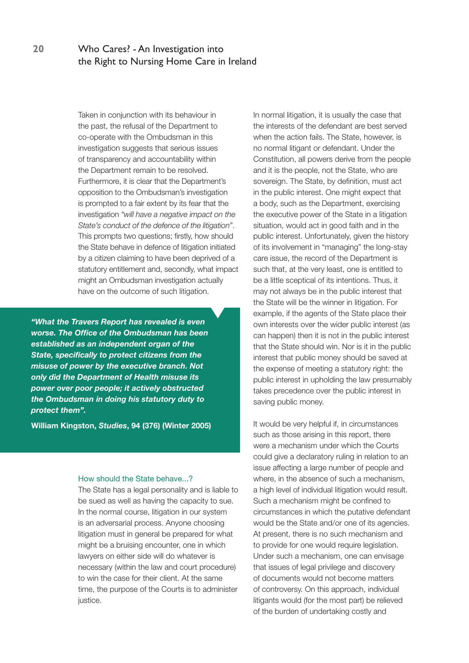Taken in conjunction with its behaviour in the past, the refusal of the Department to co-operate with the Ombudsman in this investigation suggests that serious issues of transparency and accountability within the Department remain to be resolved. Furthermore, it is clear that the Department's opposition to the Ombudsman's investigation is prompted to a fair extent by its fear that the investigation *"will have a negative impact on the State's conduct of the defence of the litigation"*. This prompts two questions; firstly, how should the State behave in defence of litigation initiated by a citizen claiming to have been deprived of a statutory entitlement and, secondly, what impact might an Ombudsman investigation actually have on the outcome of such litigation.

*"What the Travers Report has revealed is even worse. The Office of the Ombudsman has been established as an independent organ of the State, specifically to protect citizens from the misuse of power by the executive branch. Not only did the Department of Health misuse its power over poor people; it actively obstructed the Ombudsman in doing his statutory duty to protect them".* 

**William Kingston,** *Studies***, 94 (376) (Winter 2005)**

### How should the State behave...?

The State has a legal personality and is liable to be sued as well as having the capacity to sue. In the normal course, litigation in our system is an adversarial process. Anyone choosing litigation must in general be prepared for what might be a bruising encounter, one in which lawyers on either side will do whatever is necessary (within the law and court procedure) to win the case for their client. At the same time, the purpose of the Courts is to administer justice.

In normal litigation, it is usually the case that the interests of the defendant are best served when the action fails. The State, however, is no normal litigant or defendant. Under the Constitution, all powers derive from the people and it is the people, not the State, who are sovereign. The State, by definition, must act in the public interest. One might expect that a body, such as the Department, exercising the executive power of the State in a litigation situation, would act in good faith and in the public interest. Unfortunately, given the history of its involvement in "managing" the long-stay care issue, the record of the Department is such that, at the very least, one is entitled to be a little sceptical of its intentions. Thus, it may not always be in the public interest that the State will be the winner in litigation. For example, if the agents of the State place their own interests over the wider public interest (as can happen) then it is not in the public interest that the State should win. Nor is it in the public interest that public money should be saved at the expense of meeting a statutory right: the public interest in upholding the law presumably takes precedence over the public interest in saving public money.

It would be very helpful if, in circumstances such as those arising in this report, there were a mechanism under which the Courts could give a declaratory ruling in relation to an issue affecting a large number of people and where, in the absence of such a mechanism, a high level of individual litigation would result. Such a mechanism might be confined to circumstances in which the putative defendant would be the State and/or one of its agencies. At present, there is no such mechanism and to provide for one would require legislation. Under such a mechanism, one can envisage that issues of legal privilege and discovery of documents would not become matters of controversy. On this approach, individual litigants would (for the most part) be relieved of the burden of undertaking costly and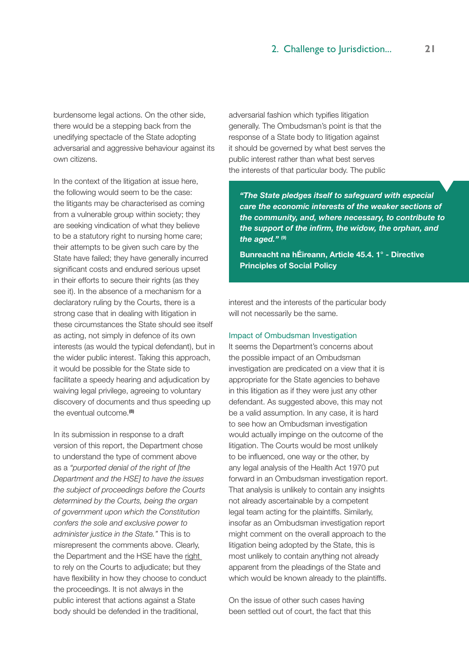burdensome legal actions. On the other side, there would be a stepping back from the unedifying spectacle of the State adopting adversarial and aggressive behaviour against its own citizens.

In the context of the litigation at issue here, the following would seem to be the case: the litigants may be characterised as coming from a vulnerable group within society; they are seeking vindication of what they believe to be a statutory right to nursing home care; their attempts to be given such care by the State have failed; they have generally incurred significant costs and endured serious upset in their efforts to secure their rights (as they see it). In the absence of a mechanism for a declaratory ruling by the Courts, there is a strong case that in dealing with litigation in these circumstances the State should see itself as acting, not simply in defence of its own interests (as would the typical defendant), but in the wider public interest. Taking this approach, it would be possible for the State side to facilitate a speedy hearing and adjudication by waiving legal privilege, agreeing to voluntary discovery of documents and thus speeding up the eventual outcome.**(8)**

In its submission in response to a draft version of this report, the Department chose to understand the type of comment above as a *"purported denial of the right of [the Department and the HSE] to have the issues the subject of proceedings before the Courts determined by the Courts, being the organ of government upon which the Constitution confers the sole and exclusive power to administer justice in the State."* This is to misrepresent the comments above. Clearly, the Department and the HSE have the right to rely on the Courts to adjudicate; but they have flexibility in how they choose to conduct the proceedings. It is not always in the public interest that actions against a State body should be defended in the traditional,

adversarial fashion which typifies litigation generally. The Ombudsman's point is that the response of a State body to litigation against it should be governed by what best serves the public interest rather than what best serves the interests of that particular body. The public

*"The State pledges itself to safeguard with especial care the economic interests of the weaker sections of the community, and, where necessary, to contribute to the support of the infirm, the widow, the orphan, and the aged."* **(9)**

**Bunreacht na hÉireann, Article 45.4. 1° - Directive Principles of Social Policy** 

interest and the interests of the particular body will not necessarily be the same.

### Impact of Ombudsman Investigation

It seems the Department's concerns about the possible impact of an Ombudsman investigation are predicated on a view that it is appropriate for the State agencies to behave in this litigation as if they were just any other defendant. As suggested above, this may not be a valid assumption. In any case, it is hard to see how an Ombudsman investigation would actually impinge on the outcome of the litigation. The Courts would be most unlikely to be influenced, one way or the other, by any legal analysis of the Health Act 1970 put forward in an Ombudsman investigation report. That analysis is unlikely to contain any insights not already ascertainable by a competent legal team acting for the plaintiffs. Similarly, insofar as an Ombudsman investigation report might comment on the overall approach to the litigation being adopted by the State, this is most unlikely to contain anything not already apparent from the pleadings of the State and which would be known already to the plaintiffs.

On the issue of other such cases having been settled out of court, the fact that this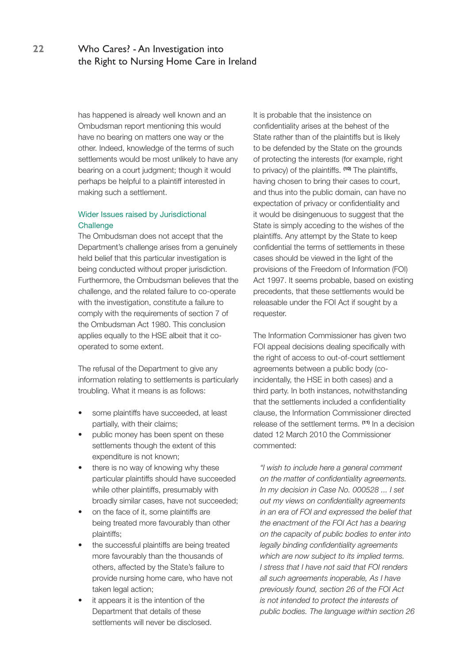has happened is already well known and an Ombudsman report mentioning this would have no bearing on matters one way or the other. Indeed, knowledge of the terms of such settlements would be most unlikely to have any bearing on a court judgment; though it would perhaps be helpful to a plaintiff interested in making such a settlement.

### Wider Issues raised by Jurisdictional **Challenge**

The Ombudsman does not accept that the Department's challenge arises from a genuinely held belief that this particular investigation is being conducted without proper jurisdiction. Furthermore, the Ombudsman believes that the challenge, and the related failure to co-operate with the investigation, constitute a failure to comply with the requirements of section 7 of the Ombudsman Act 1980. This conclusion applies equally to the HSE albeit that it cooperated to some extent.

The refusal of the Department to give any information relating to settlements is particularly troubling. What it means is as follows:

- some plaintiffs have succeeded, at least partially, with their claims;
- public money has been spent on these settlements though the extent of this expenditure is not known;
- there is no way of knowing why these particular plaintiffs should have succeeded while other plaintiffs, presumably with broadly similar cases, have not succeeded;
- on the face of it, some plaintiffs are being treated more favourably than other plaintiffs;
- the successful plaintiffs are being treated more favourably than the thousands of others, affected by the State's failure to provide nursing home care, who have not taken legal action;
- it appears it is the intention of the Department that details of these settlements will never be disclosed.

It is probable that the insistence on confidentiality arises at the behest of the State rather than of the plaintiffs but is likely to be defended by the State on the grounds of protecting the interests (for example, right to privacy) of the plaintiffs. **(10)** The plaintiffs, having chosen to bring their cases to court, and thus into the public domain, can have no expectation of privacy or confidentiality and it would be disingenuous to suggest that the State is simply acceding to the wishes of the plaintiffs. Any attempt by the State to keep confidential the terms of settlements in these cases should be viewed in the light of the provisions of the Freedom of Information (FOI) Act 1997. It seems probable, based on existing precedents, that these settlements would be releasable under the FOI Act if sought by a requester.

The Information Commissioner has given two FOI appeal decisions dealing specifically with the right of access to out-of-court settlement agreements between a public body (coincidentally, the HSE in both cases) and a third party. In both instances, notwithstanding that the settlements included a confidentiality clause, the Information Commissioner directed release of the settlement terms. **(11)** In a decision dated 12 March 2010 the Commissioner commented:

*"I wish to include here a general comment on the matter of confidentiality agreements. In my decision in Case No. 000528 ... I set out my views on confidentiality agreements in an era of FOI and expressed the belief that the enactment of the FOI Act has a bearing on the capacity of public bodies to enter into legally binding confidentiality agreements which are now subject to its implied terms. I stress that I have not said that FOI renders all such agreements inoperable, As I have previously found, section 26 of the FOI Act is not intended to protect the interests of public bodies. The language within section 26*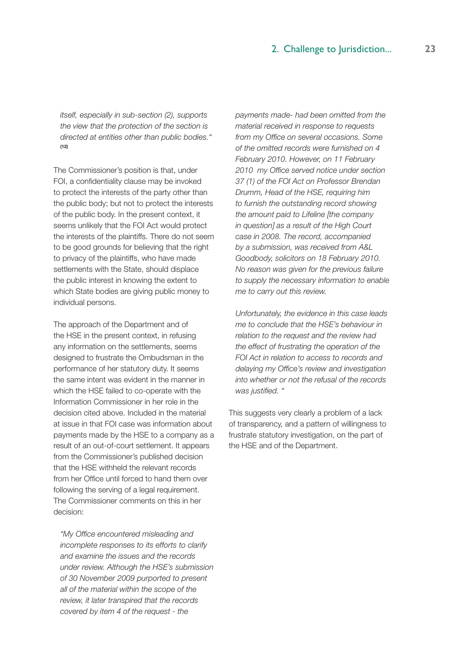*itself, especially in sub-section (2), supports the view that the protection of the section is directed at entities other than public bodies."*  **(12)**

The Commissioner's position is that, under FOI, a confidentiality clause may be invoked to protect the interests of the party other than the public body; but not to protect the interests of the public body. In the present context, it seems unlikely that the FOI Act would protect the interests of the plaintiffs. There do not seem to be good grounds for believing that the right to privacy of the plaintiffs, who have made settlements with the State, should displace the public interest in knowing the extent to which State bodies are giving public money to individual persons.

The approach of the Department and of the HSE in the present context, in refusing any information on the settlements, seems designed to frustrate the Ombudsman in the performance of her statutory duty. It seems the same intent was evident in the manner in which the HSE failed to co-operate with the Information Commissioner in her role in the decision cited above. Included in the material at issue in that FOI case was information about payments made by the HSE to a company as a result of an out-of-court settlement. It appears from the Commissioner's published decision that the HSE withheld the relevant records from her Office until forced to hand them over following the serving of a legal requirement. The Commissioner comments on this in her decision:

*"My Office encountered misleading and incomplete responses to its efforts to clarify and examine the issues and the records under review. Although the HSE's submission of 30 November 2009 purported to present all of the material within the scope of the review, it later transpired that the records covered by item 4 of the request - the* 

*payments made- had been omitted from the material received in response to requests from my Office on several occasions. Some of the omitted records were furnished on 4 February 2010. However, on 11 February 2010 my Office served notice under section 37 (1) of the FOI Act on Professor Brendan Drumm, Head of the HSE, requiring him to furnish the outstanding record showing the amount paid to Lifeline [the company in question] as a result of the High Court case in 2008. The record, accompanied by a submission, was received from A&L Goodbody, solicitors on 18 February 2010. No reason was given for the previous failure to supply the necessary information to enable me to carry out this review.*

*Unfortunately, the evidence in this case leads me to conclude that the HSE's behaviour in relation to the request and the review had the effect of frustrating the operation of the FOI Act in relation to access to records and delaying my Office's review and investigation into whether or not the refusal of the records was justified. "*

This suggests very clearly a problem of a lack of transparency, and a pattern of willingness to frustrate statutory investigation, on the part of the HSE and of the Department.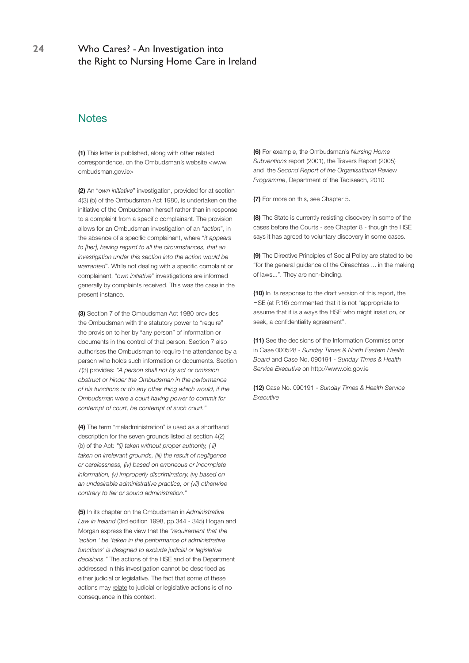**24** Who Cares? - An Investigation into the Right to Nursing Home Care in Ireland

### **Notes**

**(1)** This letter is published, along with other related correspondence, on the Ombudsman's website <www. ombudsman.gov.ie>

**(2)** An "*own initiative*" investigation, provided for at section 4(3) (b) of the Ombudsman Act 1980, is undertaken on the initiative of the Ombudsman herself rather than in response to a complaint from a specific complainant. The provision allows for an Ombudsman investigation of an "*action*", in the absence of a specific complainant, where "*it appears to [her], having regard to all the circumstances, that an investigation under this section into the action would be warranted*". While not dealing with a specific complaint or complainant, "*own initiative*" investigations are informed generally by complaints received. This was the case in the present instance.

**(3)** Section 7 of the Ombudsman Act 1980 provides the Ombudsman with the statutory power to "require" the provision to her by "any person" of information or documents in the control of that person. Section 7 also authorises the Ombudsman to require the attendance by a person who holds such information or documents. Section 7(3) provides: *"A person shall not by act or omission obstruct or hinder the Ombudsman in the performance of his functions or do any other thing which would, if the Ombudsman were a court having power to commit for contempt of court, be contempt of such court."*

**(4)** The term "maladministration" is used as a shorthand description for the seven grounds listed at section 4(2) (b) of the Act: *"(i) taken without proper authority, ( ii) taken on irrelevant grounds, (iii) the result of negligence or carelessness, (iv) based on erroneous or incomplete information, (v) improperly discriminatory, (vi) based on an undesirable administrative practice, or (vii) otherwise contrary to fair or sound administration."*

**(5)** In its chapter on the Ombudsman in *Administrative Law in Ireland* (3rd edition 1998, pp.344 - 345) Hogan and Morgan express the view that the *"requirement that the 'action ' be 'taken in the performance of administrative functions' is designed to exclude judicial or legislative decisions."* The actions of the HSE and of the Department addressed in this investigation cannot be described as either judicial or legislative. The fact that some of these actions may relate to judicial or legislative actions is of no consequence in this context.

**(6)** For example, the Ombudsman's *Nursing Home Subventions* report (2001), the Travers Report (2005) and the *Second Report of the Organisational Review Programme*, Department of the Taoiseach, 2010

**(7)** For more on this, see Chapter 5.

**(8)** The State is currently resisting discovery in some of the cases before the Courts - see Chapter 8 - though the HSE says it has agreed to voluntary discovery in some cases.

**(9)** The Directive Principles of Social Policy are stated to be "for the general guidance of the Oireachtas ... in the making of laws...". They are non-binding.

**(10)** In its response to the draft version of this report, the HSE (at P.16) commented that it is not "appropriate to assume that it is always the HSE who might insist on, or seek, a confidentiality agreement".

**(11)** See the decisions of the Information Commissioner in Case 000528 - *Sunday Times & North Eastern Health Board* and Case No. 090191 - *Sunday Times & Health Service Executive* on http://www.oic.gov.ie

**(12)** Case No. 090191 - *Sunday Times & Health Service Executive*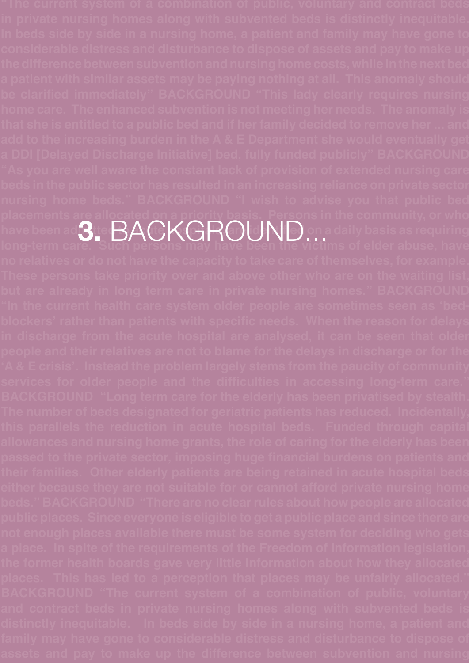**placements are allocated on a priority basis. Persons in the community, or who**  have been ad $\mathbf{3}_{\mathbb{C}}\,\mathsf{BA}(\cdot\mathsf{K}(\cdot\mathsf{H}\,\!\mathsf{C})$ (a) [d] [N][e) on a daily basis as requiring **3.** Background...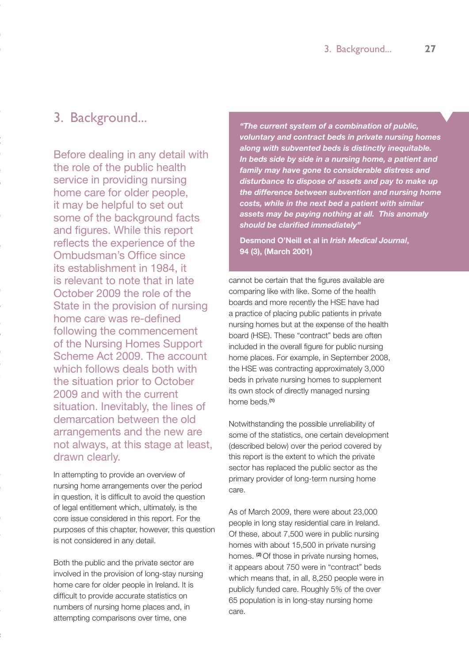# 3. Background...

**"The current system of a combination of public, voluntary and contract beds** 

**In beds side by side in a nursing home, a patient and family may have gone to considerable distress and disturbance to dispose of assets and pay to make up** 

**home care. The enhanced subvention is not meeting her needs. The anomaly is** 

**add to the increasing burden in the A & E Department she would eventually get** 

**"As you are well aware the constant lack of provision of extended nursing care beds in the public sector has resulted in an increasing reliance on private sector** 

**placements are allocated on a priority basis. Persons in the community, or who** 

**long-term care. Such persons may have been the victims of elder abuse, have** 

**"In the current health care system older people are sometimes seen as 'bedblockers' rather than patients with specific needs. When the reason for delays** 

**people and their relatives are not to blame for the delays in discharge or for the 'A & E crisis'. Instead the problem largely stems from the paucity of community** 

**their families. Other elderly patients are being retained in acute hospital beds either because they are not suitable for or cannot afford private nursing home** 

**public places. Since everyone is eligible to get a public place and since there are not enough places available there must be some system for deciding who gets** 

**BACKGROUND "The current system of a combination of public, voluntary and contract beds in private nursing homes along with subvented beds is** 

**family may have gone to considerable distress and disturbance to dispose of** 

Before dealing in any detail with the role of the public health service in providing nursing home care for older people, it may be helpful to set out some of the background facts and figures. While this report reflects the experience of the Ombudsman's Office since its establishment in 1984, it is relevant to note that in late October 2009 the role of the State in the provision of nursing home care was re-defined following the commencement of the Nursing Homes Support Scheme Act 2009. The account which follows deals both with the situation prior to October 2009 and with the current situation. Inevitably, the lines of demarcation between the old arrangements and the new are not always, at this stage at least, drawn clearly.

In attempting to provide an overview of nursing home arrangements over the period in question, it is difficult to avoid the question of legal entitlement which, ultimately, is the core issue considered in this report. For the purposes of this chapter, however, this question is not considered in any detail.

Both the public and the private sector are involved in the provision of long-stay nursing home care for older people in Ireland. It is difficult to provide accurate statistics on numbers of nursing home places and, in attempting comparisons over time, one

*"The current system of a combination of public, voluntary and contract beds in private nursing homes along with subvented beds is distinctly inequitable. In beds side by side in a nursing home, a patient and family may have gone to considerable distress and disturbance to dispose of assets and pay to make up the difference between subvention and nursing home costs, while in the next bed a patient with similar assets may be paying nothing at all. This anomaly should be clarified immediately"*

**Desmond O'Neill et al in** *Irish Medical Journal***, 94 (3), (March 2001)**

cannot be certain that the figures available are comparing like with like. Some of the health boards and more recently the HSE have had a practice of placing public patients in private nursing homes but at the expense of the health board (HSE). These "contract" beds are often included in the overall figure for public nursing home places. For example, in September 2008, the HSE was contracting approximately 3,000 beds in private nursing homes to supplement its own stock of directly managed nursing home beds.**(1)**

Notwithstanding the possible unreliability of some of the statistics, one certain development (described below) over the period covered by this report is the extent to which the private sector has replaced the public sector as the primary provider of long-term nursing home care.

As of March 2009, there were about 23,000 people in long stay residential care in Ireland. Of these, about 7,500 were in public nursing homes with about 15,500 in private nursing homes. **(2)** Of those in private nursing homes, it appears about 750 were in "contract" beds which means that, in all, 8,250 people were in publicly funded care. Roughly 5% of the over 65 population is in long-stay nursing home care.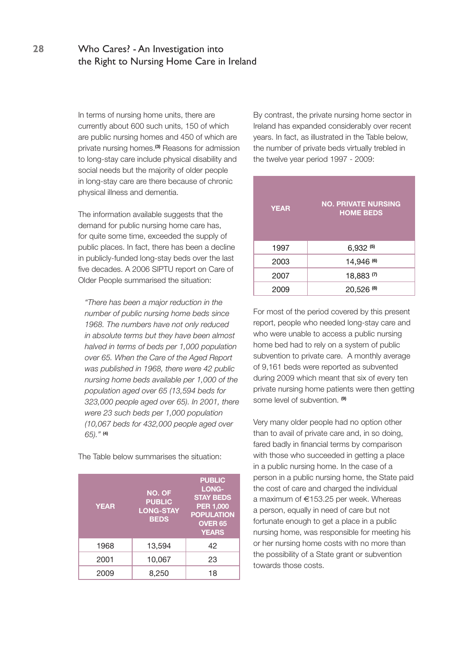In terms of nursing home units, there are currently about 600 such units, 150 of which are public nursing homes and 450 of which are private nursing homes.**(3)** Reasons for admission to long-stay care include physical disability and social needs but the majority of older people in long-stay care are there because of chronic physical illness and dementia.

The information available suggests that the demand for public nursing home care has, for quite some time, exceeded the supply of public places. In fact, there has been a decline in publicly-funded long-stay beds over the last five decades. A 2006 SIPTU report on Care of Older People summarised the situation:

*"There has been a major reduction in the number of public nursing home beds since 1968. The numbers have not only reduced in absolute terms but they have been almost halved in terms of beds per 1,000 population over 65. When the Care of the Aged Report was published in 1968, there were 42 public nursing home beds available per 1,000 of the population aged over 65 (13,594 beds for 323,000 people aged over 65). In 2001, there were 23 such beds per 1,000 population (10,067 beds for 432,000 people aged over 65)."* **(4)**

The Table below summarises the situation:

| <b>YEAR</b> | <b>NO. OF</b><br><b>PUBLIC</b><br><b>LONG-STAY</b><br><b>BEDS</b> | <b>PUBLIC</b><br>LONG-<br><b>STAY BEDS</b><br><b>PER 1,000</b><br><b>POPULATION</b><br><b>OVER 65</b><br><b>YEARS</b> |
|-------------|-------------------------------------------------------------------|-----------------------------------------------------------------------------------------------------------------------|
| 1968        | 13,594                                                            | 42                                                                                                                    |
| 2001        | 10,067                                                            | 23                                                                                                                    |
| 2009        | 8,250                                                             | 18                                                                                                                    |

By contrast, the private nursing home sector in Ireland has expanded considerably over recent years. In fact, as illustrated in the Table below, the number of private beds virtually trebled in the twelve year period 1997 - 2009:

| <b>YEAR</b> | <b>NO. PRIVATE NURSING</b><br><b>HOME BEDS</b> |
|-------------|------------------------------------------------|
| 1997        | $6,932^{(5)}$                                  |
| 2003        | 14,946 (6)                                     |
| 2007        | 18,883(7)                                      |
| 2009        | 20,526 (8)                                     |

For most of the period covered by this present report, people who needed long-stay care and who were unable to access a public nursing home bed had to rely on a system of public subvention to private care. A monthly average of 9,161 beds were reported as subvented during 2009 which meant that six of every ten private nursing home patients were then getting some level of subvention. **(9)**

Very many older people had no option other than to avail of private care and, in so doing, fared badly in financial terms by comparison with those who succeeded in getting a place in a public nursing home. In the case of a person in a public nursing home, the State paid the cost of care and charged the individual a maximum of  $\epsilon$ 153.25 per week. Whereas a person, equally in need of care but not fortunate enough to get a place in a public nursing home, was responsible for meeting his or her nursing home costs with no more than the possibility of a State grant or subvention towards those costs.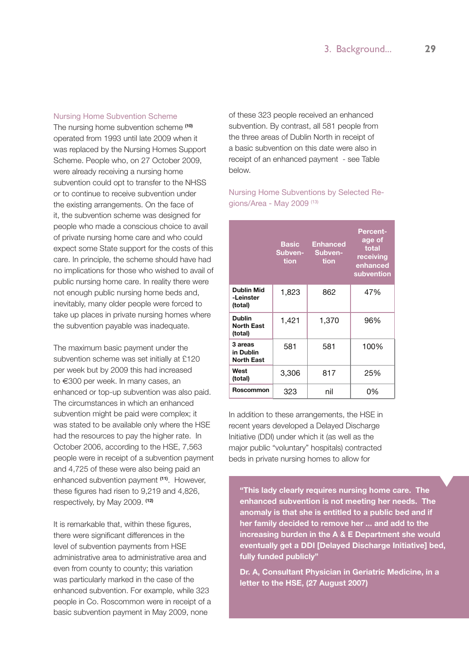### Nursing Home Subvention Scheme

The nursing home subvention scheme **(10)** operated from 1993 until late 2009 when it was replaced by the Nursing Homes Support Scheme. People who, on 27 October 2009, were already receiving a nursing home subvention could opt to transfer to the NHSS or to continue to receive subvention under the existing arrangements. On the face of it, the subvention scheme was designed for people who made a conscious choice to avail of private nursing home care and who could expect some State support for the costs of this care. In principle, the scheme should have had no implications for those who wished to avail of public nursing home care. In reality there were not enough public nursing home beds and, inevitably, many older people were forced to take up places in private nursing homes where the subvention payable was inadequate.

The maximum basic payment under the subvention scheme was set initially at £120 per week but by 2009 this had increased to €300 per week. In many cases, an enhanced or top-up subvention was also paid. The circumstances in which an enhanced subvention might be paid were complex; it was stated to be available only where the HSE had the resources to pay the higher rate. In October 2006, according to the HSE, 7,563 people were in receipt of a subvention payment and 4,725 of these were also being paid an enhanced subvention payment **(11)**. However, these figures had risen to 9,219 and 4,826, respectively, by May 2009. **(12)**

It is remarkable that, within these figures, there were significant differences in the level of subvention payments from HSE administrative area to administrative area and even from county to county; this variation was particularly marked in the case of the enhanced subvention. For example, while 323 people in Co. Roscommon were in receipt of a basic subvention payment in May 2009, none

of these 323 people received an enhanced subvention. By contrast, all 581 people from the three areas of Dublin North in receipt of a basic subvention on this date were also in receipt of an enhanced payment - see Table below.

### Nursing Home Subventions by Selected Regions/Area - May 2009 (13)

|                                               | Basic<br>Subven-<br>tion | <b>Enhanced</b><br>Subven-<br>tion | <b>Percent-</b><br>age of<br>total<br>receiving<br>enhanced<br>subvention |
|-----------------------------------------------|--------------------------|------------------------------------|---------------------------------------------------------------------------|
| <b>Dublin Mid</b><br>-Leinster<br>(total)     | 1,823                    | 862                                | 47%                                                                       |
| <b>Dublin</b><br><b>North East</b><br>(total) | 1,421                    | 1,370                              | 96%                                                                       |
| 3 areas<br>in Dublin<br><b>North East</b>     | 581                      | 581                                | 100%                                                                      |
| West<br>(total)                               | 3,306                    | 817                                | 25%                                                                       |
| Roscommon                                     | 323                      | nil                                | 0%                                                                        |

In addition to these arrangements, the HSE in recent years developed a Delayed Discharge Initiative (DDI) under which it (as well as the major public "voluntary" hospitals) contracted beds in private nursing homes to allow for

**"This lady clearly requires nursing home care. The enhanced subvention is not meeting her needs. The anomaly is that she is entitled to a public bed and if her family decided to remove her ... and add to the increasing burden in the A & E Department she would eventually get a DDI [Delayed Discharge Initiative] bed, fully funded publicly"**

**Dr. A, Consultant Physician in Geriatric Medicine, in a letter to the HSE, (27 August 2007)**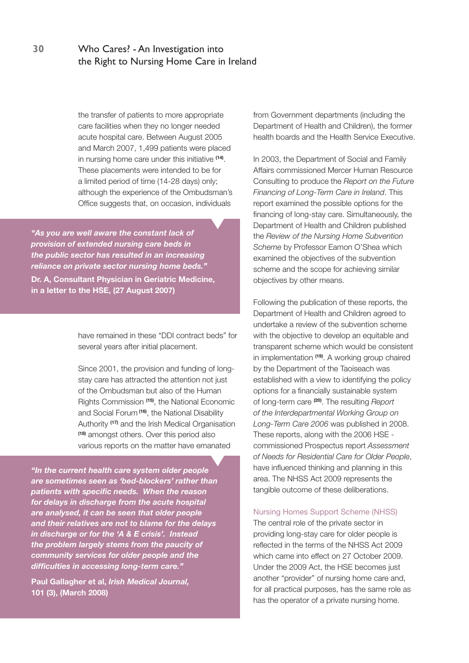the transfer of patients to more appropriate care facilities when they no longer needed acute hospital care. Between August 2005 and March 2007, 1,499 patients were placed in nursing home care under this initiative **(14)**. These placements were intended to be for a limited period of time (14-28 days) only; although the experience of the Ombudsman's Office suggests that, on occasion, individuals

*"As you are well aware the constant lack of provision of extended nursing care beds in the public sector has resulted in an increasing reliance on private sector nursing home beds."* **Dr. A, Consultant Physician in Geriatric Medicine, in a letter to the HSE, (27 August 2007)**

> have remained in these "DDI contract beds" for several years after initial placement.

> Since 2001, the provision and funding of longstay care has attracted the attention not just of the Ombudsman but also of the Human Rights Commission **(15)**, the National Economic and Social Forum **(16)**, the National Disability Authority **(17)** and the Irish Medical Organisation **(18)** amongst others. Over this period also various reports on the matter have emanated

*"In the current health care system older people are sometimes seen as 'bed-blockers' rather than patients with specific needs. When the reason for delays in discharge from the acute hospital are analysed, it can be seen that older people and their relatives are not to blame for the delays in discharge or for the 'A & E crisis'. Instead the problem largely stems from the paucity of community services for older people and the difficulties in accessing long-term care."*

**Paul Gallagher et al,** *Irish Medical Journal,* **101 (3), (March 2008)**

from Government departments (including the Department of Health and Children), the former health boards and the Health Service Executive.

In 2003, the Department of Social and Family Affairs commissioned Mercer Human Resource Consulting to produce the *Report on the Future Financing of Long-Term Care in Ireland*. This report examined the possible options for the financing of long-stay care. Simultaneously, the Department of Health and Children published the *Review of the Nursing Home Subvention Scheme* by Professor Eamon O'Shea which examined the objectives of the subvention scheme and the scope for achieving similar objectives by other means.

Following the publication of these reports, the Department of Health and Children agreed to undertake a review of the subvention scheme with the objective to develop an equitable and transparent scheme which would be consistent in implementation **(19)**. A working group chaired by the Department of the Taoiseach was established with a view to identifying the policy options for a financially sustainable system of long-term care **(20)**. The resulting *Report of the Interdepartmental Working Group on Long-Term Care 2006* was published in 2008. These reports, along with the 2006 HSE commissioned Prospectus report *Assessment of Needs for Residential Care for Older People*, have influenced thinking and planning in this area. The NHSS Act 2009 represents the tangible outcome of these deliberations.

### Nursing Homes Support Scheme (NHSS)

The central role of the private sector in providing long-stay care for older people is reflected in the terms of the NHSS Act 2009 which came into effect on 27 October 2009. Under the 2009 Act, the HSE becomes just another "provider" of nursing home care and, for all practical purposes, has the same role as has the operator of a private nursing home.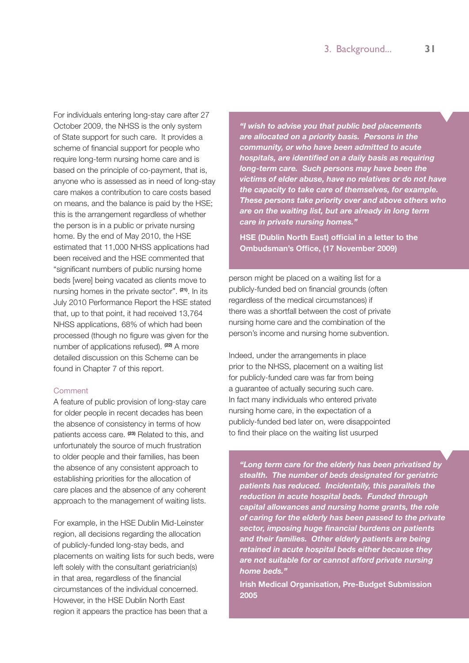For individuals entering long-stay care after 27 October 2009, the NHSS is the only system of State support for such care. It provides a scheme of financial support for people who require long-term nursing home care and is based on the principle of co-payment, that is, anyone who is assessed as in need of long-stay care makes a contribution to care costs based on means, and the balance is paid by the HSE; this is the arrangement regardless of whether the person is in a public or private nursing home. By the end of May 2010, the HSE estimated that 11,000 NHSS applications had been received and the HSE commented that "significant numbers of public nursing home beds [were] being vacated as clients move to nursing homes in the private sector". **(21)**. In its July 2010 Performance Report the HSE stated that, up to that point, it had received 13,764 NHSS applications, 68% of which had been processed (though no figure was given for the number of applications refused). **(22)** A more detailed discussion on this Scheme can be found in Chapter 7 of this report.

### **Comment**

A feature of public provision of long-stay care for older people in recent decades has been the absence of consistency in terms of how patients access care. **(23)** Related to this, and unfortunately the source of much frustration to older people and their families, has been the absence of any consistent approach to establishing priorities for the allocation of care places and the absence of any coherent approach to the management of waiting lists.

For example, in the HSE Dublin Mid-Leinster region, all decisions regarding the allocation of publicly-funded long-stay beds, and placements on waiting lists for such beds, were left solely with the consultant geriatrician(s) in that area, regardless of the financial circumstances of the individual concerned. However, in the HSE Dublin North East region it appears the practice has been that a

*"I wish to advise you that public bed placements are allocated on a priority basis. Persons in the community, or who have been admitted to acute hospitals, are identified on a daily basis as requiring long-term care. Such persons may have been the victims of elder abuse, have no relatives or do not have the capacity to take care of themselves, for example. These persons take priority over and above others who are on the waiting list, but are already in long term care in private nursing homes."*

**HSE (Dublin North East) official in a letter to the Ombudsman's Office, (17 November 2009)**

person might be placed on a waiting list for a publicly-funded bed on financial grounds (often regardless of the medical circumstances) if there was a shortfall between the cost of private nursing home care and the combination of the person's income and nursing home subvention.

Indeed, under the arrangements in place prior to the NHSS, placement on a waiting list for publicly-funded care was far from being a guarantee of actually securing such care. In fact many individuals who entered private nursing home care, in the expectation of a publicly-funded bed later on, were disappointed to find their place on the waiting list usurped

*"Long term care for the elderly has been privatised by stealth. The number of beds designated for geriatric patients has reduced. Incidentally, this parallels the reduction in acute hospital beds. Funded through capital allowances and nursing home grants, the role of caring for the elderly has been passed to the private sector, imposing huge financial burdens on patients and their families. Other elderly patients are being retained in acute hospital beds either because they are not suitable for or cannot afford private nursing home beds."*

**Irish Medical Organisation, Pre-Budget Submission 2005**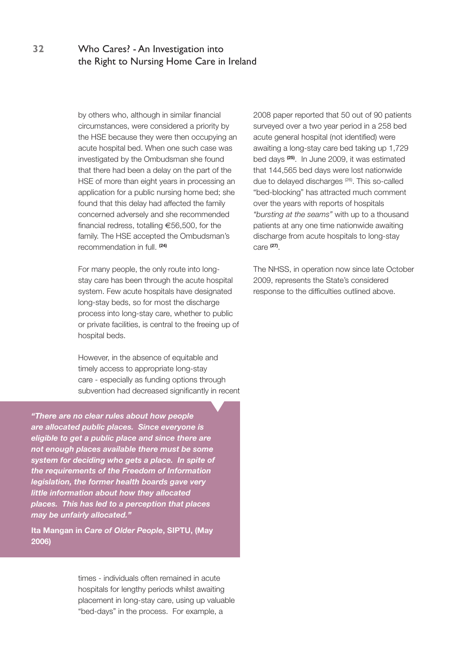by others who, although in similar financial circumstances, were considered a priority by the HSE because they were then occupying an acute hospital bed. When one such case was investigated by the Ombudsman she found that there had been a delay on the part of the HSE of more than eight years in processing an application for a public nursing home bed; she found that this delay had affected the family concerned adversely and she recommended financial redress, totalling  $\epsilon$ 56,500, for the family. The HSE accepted the Ombudsman's recommendation in full. **(24)**

For many people, the only route into longstay care has been through the acute hospital system. Few acute hospitals have designated long-stay beds, so for most the discharge process into long-stay care, whether to public or private facilities, is central to the freeing up of hospital beds.

However, in the absence of equitable and timely access to appropriate long-stay care - especially as funding options through subvention had decreased significantly in recent

*"There are no clear rules about how people are allocated public places. Since everyone is eligible to get a public place and since there are not enough places available there must be some system for deciding who gets a place. In spite of the requirements of the Freedom of Information legislation, the former health boards gave very little information about how they allocated places. This has led to a perception that places may be unfairly allocated."*

**Ita Mangan in** *Care of Older People***, SIPTU, (May 2006)**

> times - individuals often remained in acute hospitals for lengthy periods whilst awaiting placement in long-stay care, using up valuable "bed-days" in the process. For example, a

2008 paper reported that 50 out of 90 patients surveyed over a two year period in a 258 bed acute general hospital (not identified) were awaiting a long-stay care bed taking up 1,729 bed days **(25)**. In June 2009, it was estimated that 144,565 bed days were lost nationwide due to delayed discharges (26). This so-called "bed-blocking" has attracted much comment over the years with reports of hospitals *"bursting at the seams"* with up to a thousand patients at any one time nationwide awaiting discharge from acute hospitals to long-stay care **(27)**.

The NHSS, in operation now since late October 2009, represents the State's considered response to the difficulties outlined above.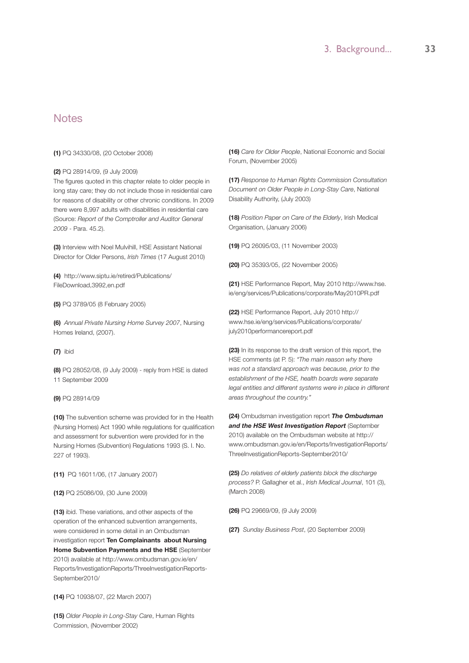# **Notes**

### **(1)** PQ 34330/08, (20 October 2008)

### **(2)** PQ 28914/09, (9 July 2009)

The figures quoted in this chapter relate to older people in long stay care; they do not include those in residential care for reasons of disability or other chronic conditions. In 2009 there were 8,997 adults with disabilities in residential care (Source: *Report of the Comptroller and Auditor General 2009* - Para. 45.2).

**(3)** Interview with Noel Mulvihill, HSE Assistant National Director for Older Persons, *Irish Times* (17 August 2010)

**(4)** http://www.siptu.ie/retired/Publications/ FileDownload,3992,en.pdf

**(5)** PQ 3789/05 (8 February 2005)

**(6)** *Annual Private Nursing Home Survey 2007*, Nursing Homes Ireland, (2007).

**(7)** ibid

**(8)** PQ 28052/08, (9 July 2009) - reply from HSE is dated 11 September 2009

### **(9)** PQ 28914/09

**(10)** The subvention scheme was provided for in the Health (Nursing Homes) Act 1990 while regulations for qualification and assessment for subvention were provided for in the Nursing Homes (Subvention) Regulations 1993 (S. I. No. 227 of 1993).

**(11)** PQ 16011/06, (17 January 2007)

#### **(12)** PQ 25086/09, (30 June 2009)

**(13)** ibid. These variations, and other aspects of the operation of the enhanced subvention arrangements, were considered in some detail in an Ombudsman investigation report **Ten Complainants about Nursing Home Subvention Payments and the HSE** (September 2010) available at http://www.ombudsman.gov.ie/en/ Reports/InvestigationReports/ThreeInvestigationReports-September2010/

**(14)** PQ 10938/07, (22 March 2007)

**(15)** *Older People in Long-Stay Care*, Human Rights Commission, (November 2002)

**(16)** *Care for Older People*, National Economic and Social Forum, (November 2005)

**(17)** *Response to Human Rights Commission Consultation Document on Older People in Long-Stay Care*, National Disability Authority, (July 2003)

**(18)** *Position Paper on Care of the Elderly*, Irish Medical Organisation, (January 2006)

**(19)** PQ 26095/03, (11 November 2003)

**(20)** PQ 35393/05, (22 November 2005)

**(21)** HSE Performance Report, May 2010 http://www.hse. ie/eng/services/Publications/corporate/May2010PR.pdf

**(22)** HSE Performance Report, July 2010 http:// www.hse.ie/eng/services/Publications/corporate/ july2010performancereport.pdf

**(23)** In its response to the draft version of this report, the HSE comments (at P. 5): *"The main reason why there was not a standard approach was because, prior to the establishment of the HSE, health boards were separate*  legal entities and different systems were in place in different *areas throughout the country."*

**(24)** Ombudsman investigation report *The Ombudsman and the HSE West Investigation Report* (September 2010) available on the Ombudsman website at http:// www.ombudsman.gov.ie/en/Reports/InvestigationReports/ ThreeInvestigationReports-September2010/

**(25)** *Do relatives of elderly patients block the discharge process?* P. Gallagher et al., *Irish Medical Journal*, 101 (3), (March 2008)

**(26)** PQ 29669/09, (9 July 2009)

**(27)** *Sunday Business Post*, (20 September 2009)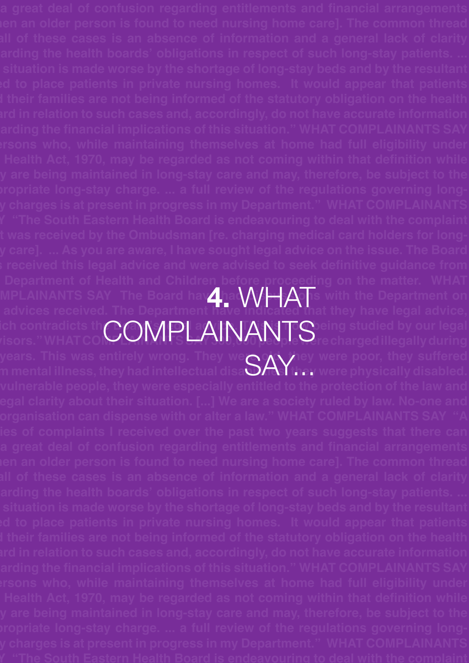**the Department of Health and Children before proceeding on the matter. WHAT MPLAINANTS** SAY The Board have had  $\Lambda$   $\rightarrow$   $\Lambda$  is with the Department on  $\Lambda$ **the advices received. The Department have indicated that they have legal advice,**  ich contradicts th $\bigcap\{\|\mathcal{A}\|$  and  $\mathcal{A}\|\mathcal{A}\|\mathcal{A}\|$  and  $\mathcal{A}\|$  and  $\mathcal{A}\|$  and  $\mathcal{A}\|$ ich contradicts th**COMPLAINANTS** eing studied by our legal<br>visors." WHAT CO**OMPLAINANTS** recharged illegally during years. This was entirely wrong. They were of they were poor, they suffered years. This was entirely wrong. They weGAY.ey were poor, they suffered<br>m mental illness, they had intellectual disaSAY.hey were physically disabled. **4.** WHAT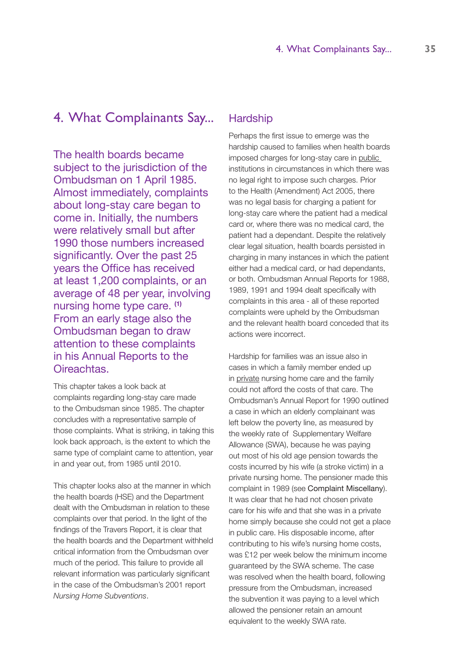# 4. What Complainants Say...

The health boards became subject to the jurisdiction of the Ombudsman on 1 April 1985. Almost immediately, complaints about long-stay care began to come in. Initially, the numbers were relatively small but after 1990 those numbers increased significantly. Over the past 25 years the Office has received at least 1,200 complaints, or an average of 48 per year, involving nursing home type care. **(1)** From an early stage also the Ombudsman began to draw attention to these complaints in his Annual Reports to the Oireachtas.

This chapter takes a look back at complaints regarding long-stay care made to the Ombudsman since 1985. The chapter concludes with a representative sample of those complaints. What is striking, in taking this look back approach, is the extent to which the same type of complaint came to attention, year in and year out, from 1985 until 2010.

This chapter looks also at the manner in which the health boards (HSE) and the Department dealt with the Ombudsman in relation to these complaints over that period. In the light of the findings of the Travers Report, it is clear that the health boards and the Department withheld critical information from the Ombudsman over much of the period. This failure to provide all relevant information was particularly significant in the case of the Ombudsman's 2001 report *Nursing Home Subventions*.

### **Hardship**

Perhaps the first issue to emerge was the hardship caused to families when health boards imposed charges for long-stay care in public institutions in circumstances in which there was no legal right to impose such charges. Prior to the Health (Amendment) Act 2005, there was no legal basis for charging a patient for long-stay care where the patient had a medical card or, where there was no medical card, the patient had a dependant. Despite the relatively clear legal situation, health boards persisted in charging in many instances in which the patient either had a medical card, or had dependants, or both. Ombudsman Annual Reports for 1988, 1989, 1991 and 1994 dealt specifically with complaints in this area - all of these reported complaints were upheld by the Ombudsman and the relevant health board conceded that its actions were incorrect.

Hardship for families was an issue also in cases in which a family member ended up in private nursing home care and the family could not afford the costs of that care. The Ombudsman's Annual Report for 1990 outlined a case in which an elderly complainant was left below the poverty line, as measured by the weekly rate of Supplementary Welfare Allowance (SWA), because he was paying out most of his old age pension towards the costs incurred by his wife (a stroke victim) in a private nursing home. The pensioner made this complaint in 1989 (see Complaint Miscellany). It was clear that he had not chosen private care for his wife and that she was in a private home simply because she could not get a place in public care. His disposable income, after contributing to his wife's nursing home costs, was £12 per week below the minimum income guaranteed by the SWA scheme. The case was resolved when the health board, following pressure from the Ombudsman, increased the subvention it was paying to a level which allowed the pensioner retain an amount equivalent to the weekly SWA rate.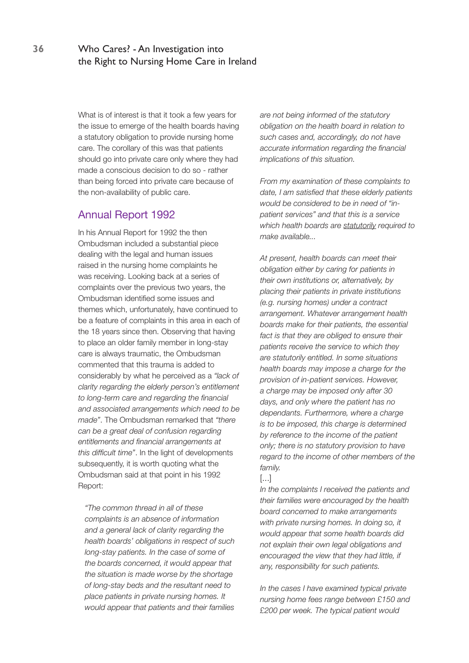What is of interest is that it took a few years for the issue to emerge of the health boards having a statutory obligation to provide nursing home care. The corollary of this was that patients should go into private care only where they had made a conscious decision to do so - rather than being forced into private care because of the non-availability of public care.

## Annual Report 1992

In his Annual Report for 1992 the then Ombudsman included a substantial piece dealing with the legal and human issues raised in the nursing home complaints he was receiving. Looking back at a series of complaints over the previous two years, the Ombudsman identified some issues and themes which, unfortunately, have continued to be a feature of complaints in this area in each of the 18 years since then. Observing that having to place an older family member in long-stay care is always traumatic, the Ombudsman commented that this trauma is added to considerably by what he perceived as a *"lack of clarity regarding the elderly person's entitlement to long-term care and regarding the financial and associated arrangements which need to be made"*. The Ombudsman remarked that *"there can be a great deal of confusion regarding entitlements and financial arrangements at this difficult time"*. In the light of developments subsequently, it is worth quoting what the Ombudsman said at that point in his 1992 Report:

*"The common thread in all of these complaints is an absence of information and a general lack of clarity regarding the health boards' obligations in respect of such long-stay patients. In the case of some of the boards concerned, it would appear that the situation is made worse by the shortage of long-stay beds and the resultant need to place patients in private nursing homes. It would appear that patients and their families* 

*are not being informed of the statutory obligation on the health board in relation to such cases and, accordingly, do not have accurate information regarding the financial implications of this situation.* 

*From my examination of these complaints to date, I am satisfied that these elderly patients would be considered to be in need of "inpatient services" and that this is a service which health boards are statutorily required to make available...*

*At present, health boards can meet their obligation either by caring for patients in their own institutions or, alternatively, by placing their patients in private institutions (e.g. nursing homes) under a contract arrangement. Whatever arrangement health boards make for their patients, the essential fact is that they are obliged to ensure their patients receive the service to which they are statutorily entitled. In some situations health boards may impose a charge for the provision of in-patient services. However, a charge may be imposed only after 30 days, and only where the patient has no dependants. Furthermore, where a charge is to be imposed, this charge is determined by reference to the income of the patient only; there is no statutory provision to have regard to the income of other members of the family.*

[...]

*In the complaints I received the patients and their families were encouraged by the health board concerned to make arrangements with private nursing homes. In doing so, it would appear that some health boards did not explain their own legal obligations and encouraged the view that they had little, if any, responsibility for such patients.* 

*In the cases I have examined typical private nursing home fees range between £150 and £200 per week. The typical patient would*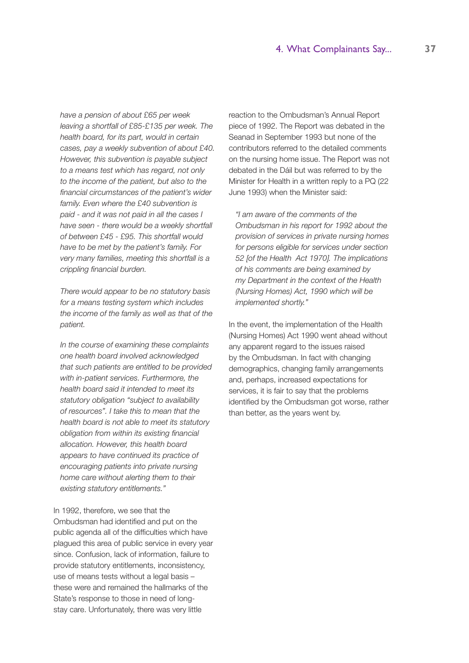*have a pension of about £65 per week leaving a shortfall of £85-£135 per week. The health board, for its part, would in certain cases, pay a weekly subvention of about £40. However, this subvention is payable subject to a means test which has regard, not only to the income of the patient, but also to the financial circumstances of the patient's wider family. Even where the £40 subvention is paid - and it was not paid in all the cases I have seen - there would be a weekly shortfall of between £45 - £95. This shortfall would have to be met by the patient's family. For very many families, meeting this shortfall is a crippling financial burden.* 

*There would appear to be no statutory basis for a means testing system which includes the income of the family as well as that of the patient.* 

*In the course of examining these complaints one health board involved acknowledged that such patients are entitled to be provided with in-patient services. Furthermore, the health board said it intended to meet its statutory obligation "subject to availability of resources". I take this to mean that the health board is not able to meet its statutory obligation from within its existing financial allocation. However, this health board appears to have continued its practice of encouraging patients into private nursing home care without alerting them to their existing statutory entitlements."* 

In 1992, therefore, we see that the Ombudsman had identified and put on the public agenda all of the difficulties which have plagued this area of public service in every year since. Confusion, lack of information, failure to provide statutory entitlements, inconsistency, use of means tests without a legal basis these were and remained the hallmarks of the State's response to those in need of longstay care. Unfortunately, there was very little

reaction to the Ombudsman's Annual Report piece of 1992. The Report was debated in the Seanad in September 1993 but none of the contributors referred to the detailed comments on the nursing home issue. The Report was not debated in the Dáil but was referred to by the Minister for Health in a written reply to a PQ (22 June 1993) when the Minister said:

*"I am aware of the comments of the Ombudsman in his report for 1992 about the provision of services in private nursing homes for persons eligible for services under section 52 [of the Health Act 1970]. The implications of his comments are being examined by my Department in the context of the Health (Nursing Homes) Act, 1990 which will be implemented shortly."*

In the event, the implementation of the Health (Nursing Homes) Act 1990 went ahead without any apparent regard to the issues raised by the Ombudsman. In fact with changing demographics, changing family arrangements and, perhaps, increased expectations for services, it is fair to say that the problems identified by the Ombudsman got worse, rather than better, as the years went by.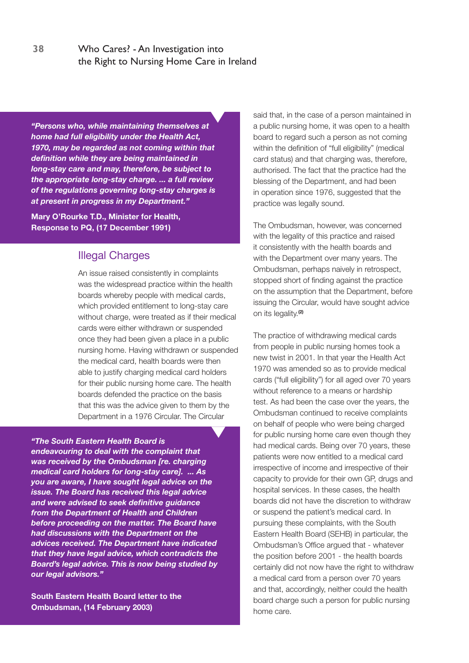*"Persons who, while maintaining themselves at home had full eligibility under the Health Act, 1970, may be regarded as not coming within that definition while they are being maintained in long-stay care and may, therefore, be subject to the appropriate long-stay charge. ... a full review of the regulations governing long-stay charges is at present in progress in my Department."*

**Mary O'Rourke T.D., Minister for Health, Response to PQ, (17 December 1991)** 

# Illegal Charges

An issue raised consistently in complaints was the widespread practice within the health boards whereby people with medical cards, which provided entitlement to long-stay care without charge, were treated as if their medical cards were either withdrawn or suspended once they had been given a place in a public nursing home. Having withdrawn or suspended the medical card, health boards were then able to justify charging medical card holders for their public nursing home care. The health boards defended the practice on the basis that this was the advice given to them by the Department in a 1976 Circular. The Circular

# *"The South Eastern Health Board is*

*endeavouring to deal with the complaint that was received by the Ombudsman [re. charging medical card holders for long-stay care]. ... As you are aware, I have sought legal advice on the issue. The Board has received this legal advice and were advised to seek definitive guidance from the Department of Health and Children before proceeding on the matter. The Board have had discussions with the Department on the advices received. The Department have indicated that they have legal advice, which contradicts the Board's legal advice. This is now being studied by our legal advisors."*

**South Eastern Health Board letter to the Ombudsman, (14 February 2003)** 

said that, in the case of a person maintained in a public nursing home, it was open to a health board to regard such a person as not coming within the definition of "full eligibility" (medical card status) and that charging was, therefore, authorised. The fact that the practice had the blessing of the Department, and had been in operation since 1976, suggested that the practice was legally sound.

The Ombudsman, however, was concerned with the legality of this practice and raised it consistently with the health boards and with the Department over many years. The Ombudsman, perhaps naively in retrospect, stopped short of finding against the practice on the assumption that the Department, before issuing the Circular, would have sought advice on its legality.**(2)**

The practice of withdrawing medical cards from people in public nursing homes took a new twist in 2001. In that year the Health Act 1970 was amended so as to provide medical cards ("full eligibility") for all aged over 70 years without reference to a means or hardship test. As had been the case over the years, the Ombudsman continued to receive complaints on behalf of people who were being charged for public nursing home care even though they had medical cards. Being over 70 years, these patients were now entitled to a medical card irrespective of income and irrespective of their capacity to provide for their own GP, drugs and hospital services. In these cases, the health boards did not have the discretion to withdraw or suspend the patient's medical card. In pursuing these complaints, with the South Eastern Health Board (SEHB) in particular, the Ombudsman's Office argued that - whatever the position before 2001 - the health boards certainly did not now have the right to withdraw a medical card from a person over 70 years and that, accordingly, neither could the health board charge such a person for public nursing home care.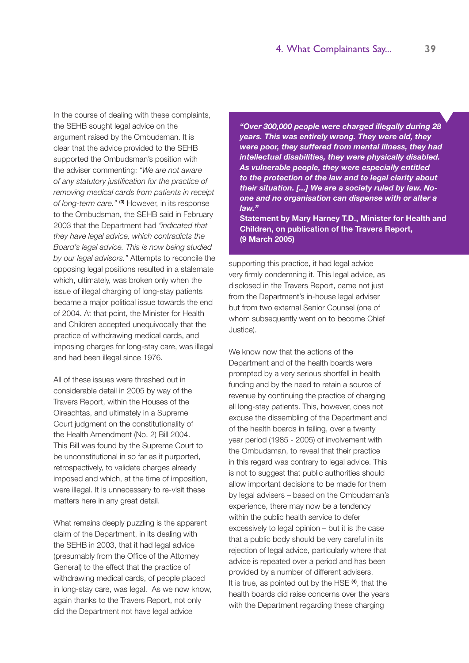In the course of dealing with these complaints, the SEHB sought legal advice on the argument raised by the Ombudsman. It is clear that the advice provided to the SEHB supported the Ombudsman's position with the adviser commenting: *"We are not aware of any statutory justification for the practice of removing medical cards from patients in receipt of long-term care."* **(3)** However, in its response to the Ombudsman, the SEHB said in February 2003 that the Department had *"indicated that they have legal advice, which contradicts the Board's legal advice. This is now being studied by our legal advisors."* Attempts to reconcile the opposing legal positions resulted in a stalemate which, ultimately, was broken only when the issue of illegal charging of long-stay patients became a major political issue towards the end of 2004. At that point, the Minister for Health and Children accepted unequivocally that the practice of withdrawing medical cards, and imposing charges for long-stay care, was illegal and had been illegal since 1976.

All of these issues were thrashed out in considerable detail in 2005 by way of the Travers Report, within the Houses of the Oireachtas, and ultimately in a Supreme Court judgment on the constitutionality of the Health Amendment (No. 2) Bill 2004. This Bill was found by the Supreme Court to be unconstitutional in so far as it purported, retrospectively, to validate charges already imposed and which, at the time of imposition, were illegal. It is unnecessary to re-visit these matters here in any great detail.

What remains deeply puzzling is the apparent claim of the Department, in its dealing with the SEHB in 2003, that it had legal advice (presumably from the Office of the Attorney General) to the effect that the practice of withdrawing medical cards, of people placed in long-stay care, was legal. As we now know, again thanks to the Travers Report, not only did the Department not have legal advice

*"Over 300,000 people were charged illegally during 28 years. This was entirely wrong. They were old, they were poor, they suffered from mental illness, they had intellectual disabilities, they were physically disabled. As vulnerable people, they were especially entitled to the protection of the law and to legal clarity about their situation. [...] We are a society ruled by law. Noone and no organisation can dispense with or alter a law."*

**Statement by Mary Harney T.D., Minister for Health and Children, on publication of the Travers Report, (9 March 2005)**

supporting this practice, it had legal advice very firmly condemning it. This legal advice, as disclosed in the Travers Report, came not just from the Department's in-house legal adviser but from two external Senior Counsel (one of whom subsequently went on to become Chief Justice).

We know now that the actions of the Department and of the health boards were prompted by a very serious shortfall in health funding and by the need to retain a source of revenue by continuing the practice of charging all long-stay patients. This, however, does not excuse the dissembling of the Department and of the health boards in failing, over a twenty year period (1985 - 2005) of involvement with the Ombudsman, to reveal that their practice in this regard was contrary to legal advice. This is not to suggest that public authorities should allow important decisions to be made for them by legal advisers – based on the Ombudsman's experience, there may now be a tendency within the public health service to defer excessively to legal opinion – but it is the case that a public body should be very careful in its rejection of legal advice, particularly where that advice is repeated over a period and has been provided by a number of different advisers. It is true, as pointed out by the HSE **(4)**, that the health boards did raise concerns over the years with the Department regarding these charging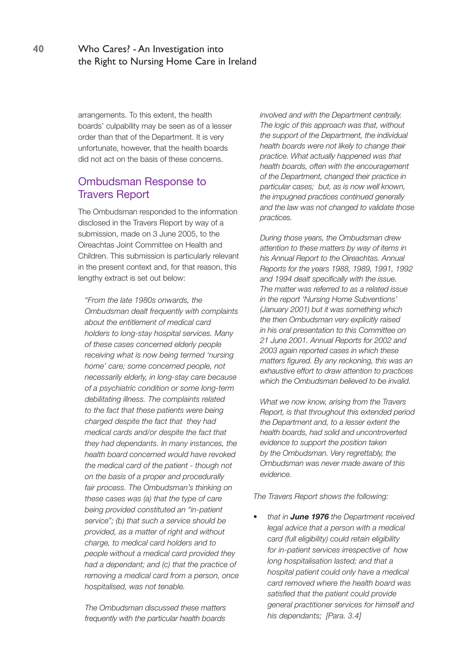arrangements. To this extent, the health boards' culpability may be seen as of a lesser order than that of the Department. It is very unfortunate, however, that the health boards did not act on the basis of these concerns.

# Ombudsman Response to Travers Report

The Ombudsman responded to the information disclosed in the Travers Report by way of a submission, made on 3 June 2005, to the Oireachtas Joint Committee on Health and Children. This submission is particularly relevant in the present context and, for that reason, this lengthy extract is set out below:

*"From the late 1980s onwards, the Ombudsman dealt frequently with complaints about the entitlement of medical card holders to long-stay hospital services. Many of these cases concerned elderly people receiving what is now being termed 'nursing home' care; some concerned people, not necessarily elderly, in long-stay care because of a psychiatric condition or some long-term debilitating illness. The complaints related to the fact that these patients were being charged despite the fact that they had medical cards and/or despite the fact that they had dependants. In many instances, the health board concerned would have revoked the medical card of the patient - though not on the basis of a proper and procedurally fair process. The Ombudsman's thinking on these cases was (a) that the type of care being provided constituted an "in-patient service"; (b) that such a service should be provided, as a matter of right and without charge, to medical card holders and to people without a medical card provided they had a dependant; and (c) that the practice of removing a medical card from a person, once hospitalised, was not tenable.* 

*The Ombudsman discussed these matters frequently with the particular health boards*  *involved and with the Department centrally. The logic of this approach was that, without the support of the Department, the individual health boards were not likely to change their practice. What actually happened was that health boards, often with the encouragement of the Department, changed their practice in particular cases; but, as is now well known, the impugned practices continued generally and the law was not changed to validate those practices.* 

*During those years, the Ombudsman drew attention to these matters by way of items in his Annual Report to the Oireachtas. Annual Reports for the years 1988, 1989, 1991, 1992 and 1994 dealt specifically with the issue. The matter was referred to as a related issue in the report 'Nursing Home Subventions' (January 2001) but it was something which the then Ombudsman very explicitly raised in his oral presentation to this Committee on 21 June 2001. Annual Reports for 2002 and 2003 again reported cases in which these matters figured. By any reckoning, this was an exhaustive effort to draw attention to practices which the Ombudsman believed to be invalid.* 

*What we now know, arising from the Travers Report, is that throughout this extended period the Department and, to a lesser extent the health boards, had solid and uncontroverted evidence to support the position taken by the Ombudsman. Very regrettably, the Ombudsman was never made aware of this evidence.*

*The Travers Report shows the following:* 

*• that in June 1976 the Department received legal advice that a person with a medical card (full eligibility) could retain eligibility for in-patient services irrespective of how long hospitalisation lasted; and that a hospital patient could only have a medical card removed where the health board was satisfied that the patient could provide general practitioner services for himself and his dependants; [Para. 3.4]*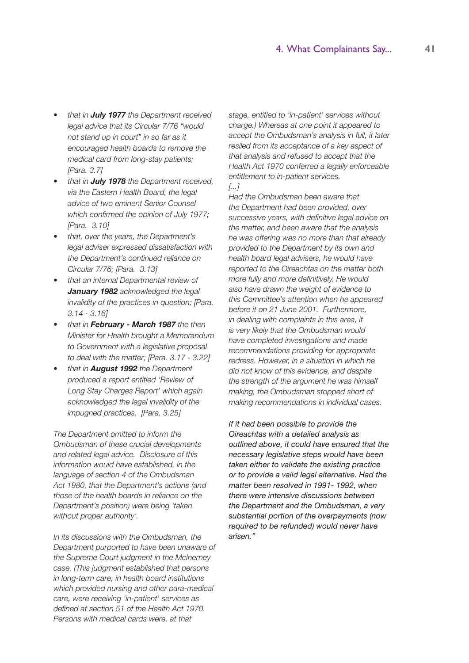- *• that in July 1977 the Department received legal advice that its Circular 7/76 "would not stand up in court" in so far as it encouraged health boards to remove the medical card from long-stay patients; [Para. 3.7]*
- *• that in July 1978 the Department received, via the Eastern Health Board, the legal advice of two eminent Senior Counsel which confirmed the opinion of July 1977; [Para. 3.10]*
- *• that, over the years, the Department's legal adviser expressed dissatisfaction with the Department's continued reliance on Circular 7/76; [Para. 3.13]*
- *• that an internal Departmental review of January 1982 acknowledged the legal invalidity of the practices in question; [Para. 3.14 - 3.16]*
- **that in February March 1987** the then *Minister for Health brought a Memorandum to Government with a legislative proposal to deal with the matter; [Para. 3.17 - 3.22]*
- *• that in August 1992 the Department produced a report entitled 'Review of Long Stay Charges Report' which again acknowledged the legal invalidity of the impugned practices. [Para. 3.25]*

*The Department omitted to inform the Ombudsman of these crucial developments and related legal advice. Disclosure of this information would have established, in the language of section 4 of the Ombudsman Act 1980, that the Department's actions (and those of the health boards in reliance on the Department's position) were being 'taken without proper authority'.* 

*In its discussions with the Ombudsman, the Department purported to have been unaware of the Supreme Court judgment in the McInerney case. (This judgment established that persons in long-term care, in health board institutions which provided nursing and other para-medical care, were receiving 'in-patient' services as defined at section 51 of the Health Act 1970. Persons with medical cards were, at that* 

*stage, entitled to 'in-patient' services without charge.) Whereas at one point it appeared to accept the Ombudsman's analysis in full, it later resiled from its acceptance of a key aspect of that analysis and refused to accept that the Health Act 1970 conferred a legally enforceable entitlement to in-patient services. [...]*

*Had the Ombudsman been aware that the Department had been provided, over successive years, with definitive legal advice on the matter, and been aware that the analysis he was offering was no more than that already provided to the Department by its own and health board legal advisers, he would have reported to the Oireachtas on the matter both more fully and more definitively. He would also have drawn the weight of evidence to this Committee's attention when he appeared before it on 21 June 2001. Furthermore, in dealing with complaints in this area, it is very likely that the Ombudsman would have completed investigations and made recommendations providing for appropriate redress. However, in a situation in which he did not know of this evidence, and despite the strength of the argument he was himself making, the Ombudsman stopped short of making recommendations in individual cases.* 

*If it had been possible to provide the Oireachtas with a detailed analysis as outlined above, it could have ensured that the necessary legislative steps would have been taken either to validate the existing practice or to provide a valid legal alternative. Had the matter been resolved in 1991- 1992, when there were intensive discussions between the Department and the Ombudsman, a very substantial portion of the overpayments (now required to be refunded) would never have arisen."*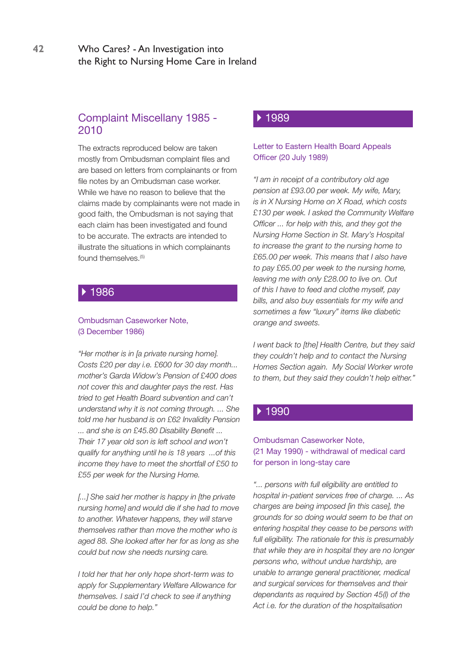# Complaint Miscellany 1985 - 2010

The extracts reproduced below are taken mostly from Ombudsman complaint files and are based on letters from complainants or from file notes by an Ombudsman case worker. While we have no reason to believe that the claims made by complainants were not made in good faith, the Ombudsman is not saying that each claim has been investigated and found to be accurate. The extracts are intended to illustrate the situations in which complainants found themselves.<sup>(5)</sup>

### ▶ 1986

#### Ombudsman Caseworker Note, (3 December 1986)

*"Her mother is in [a private nursing home]. Costs £20 per day i.e. £600 for 30 day month... mother's Garda Widow's Pension of £400 does not cover this and daughter pays the rest. Has tried to get Health Board subvention and can't understand why it is not coming through. ... She told me her husband is on £62 Invalidity Pension ... and she is on £45.80 Disability Benefit ... Their 17 year old son is left school and won't qualify for anything until he is 18 years ...of this income they have to meet the shortfall of £50 to £55 per week for the Nursing Home.* 

*[...] She said her mother is happy in [the private nursing home] and would die if she had to move to another. Whatever happens, they will starve themselves rather than move the mother who is aged 88. She looked after her for as long as she could but now she needs nursing care.* 

*I told her that her only hope short-term was to apply for Supplementary Welfare Allowance for themselves. I said I'd check to see if anything could be done to help."* 

### 1989

#### Letter to Eastern Health Board Appeals Officer (20 July 1989)

*"I am in receipt of a contributory old age pension at £93.00 per week. My wife, Mary, is in X Nursing Home on X Road, which costs £130 per week. I asked the Community Welfare Officer ... for help with this, and they got the Nursing Home Section in St. Mary's Hospital to increase the grant to the nursing home to £65.00 per week. This means that I also have to pay £65.00 per week to the nursing home, leaving me with only £28.00 to live on. Out of this I have to feed and clothe myself, pay bills, and also buy essentials for my wife and sometimes a few "luxury" items like diabetic orange and sweets.*

*I went back to [the] Health Centre, but they said they couldn't help and to contact the Nursing Homes Section again. My Social Worker wrote to them, but they said they couldn't help either."*

#### ▶ 1990

#### Ombudsman Caseworker Note, (21 May 1990) - withdrawal of medical card for person in long-stay care

*"... persons with full eligibility are entitled to hospital in-patient services free of charge. ... As charges are being imposed [in this case], the grounds for so doing would seem to be that on entering hospital they cease to be persons with full eligibility. The rationale for this is presumably that while they are in hospital they are no longer persons who, without undue hardship, are unable to arrange general practitioner, medical and surgical services for themselves and their dependants as required by Section 45(l) of the Act i.e. for the duration of the hospitalisation*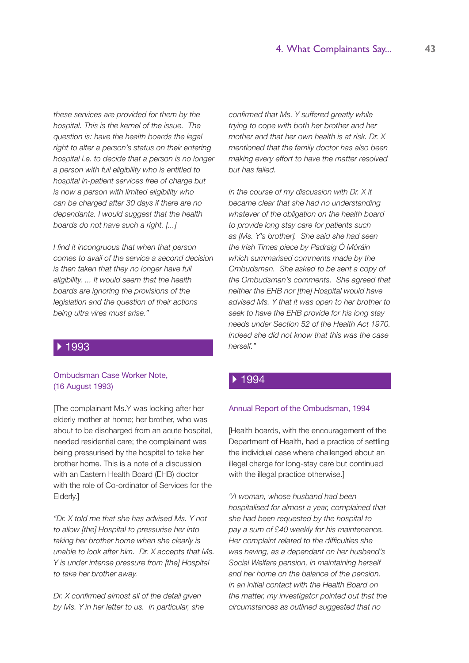*these services are provided for them by the hospital. This is the kernel of the issue. The question is: have the health boards the legal right to alter a person's status on their entering hospital i.e. to decide that a person is no longer a person with full eligibility who is entitled to hospital in-patient services free of charge but is now a person with limited eligibility who can be charged after 30 days if there are no dependants. I would suggest that the health boards do not have such a right. [...]*

*I find it incongruous that when that person comes to avail of the service a second decision is then taken that they no longer have full eligibility. ... It would seem that the health boards are ignoring the provisions of the legislation and the question of their actions being ultra vires must arise."*

#### 1993

#### Ombudsman Case Worker Note, (16 August 1993)

[The complainant Ms.Y was looking after her elderly mother at home; her brother, who was about to be discharged from an acute hospital, needed residential care; the complainant was being pressurised by the hospital to take her brother home. This is a note of a discussion with an Eastern Health Board (EHB) doctor with the role of Co-ordinator of Services for the Elderly.]

*"Dr. X told me that she has advised Ms. Y not to allow [the] Hospital to pressurise her into taking her brother home when she clearly is unable to look after him. Dr. X accepts that Ms. Y is under intense pressure from [the] Hospital to take her brother away.*

*Dr. X confirmed almost all of the detail given by Ms. Y in her letter to us. In particular, she*  *confirmed that Ms. Y suffered greatly while trying to cope with both her brother and her mother and that her own health is at risk. Dr. X mentioned that the family doctor has also been making every effort to have the matter resolved but has failed.*

*In the course of my discussion with Dr. X it became clear that she had no understanding whatever of the obligation on the health board to provide long stay care for patients such as [Ms. Y's brother]. She said she had seen the Irish Times piece by Padraig Ó Móráin which summarised comments made by the Ombudsman. She asked to be sent a copy of the Ombudsman's comments. She agreed that neither the EHB nor [the] Hospital would have advised Ms. Y that it was open to her brother to seek to have the EHB provide for his long stay needs under Section 52 of the Health Act 1970. Indeed she did not know that this was the case herself."*

#### ▶ 1994

#### Annual Report of the Ombudsman, 1994

[Health boards, with the encouragement of the Department of Health, had a practice of settling the individual case where challenged about an illegal charge for long-stay care but continued with the illegal practice otherwise.]

*"A woman, whose husband had been hospitalised for almost a year, complained that she had been requested by the hospital to pay a sum of £40 weekly for his maintenance. Her complaint related to the difficulties she was having, as a dependant on her husband's Social Welfare pension, in maintaining herself and her home on the balance of the pension. In an initial contact with the Health Board on the matter, my investigator pointed out that the circumstances as outlined suggested that no*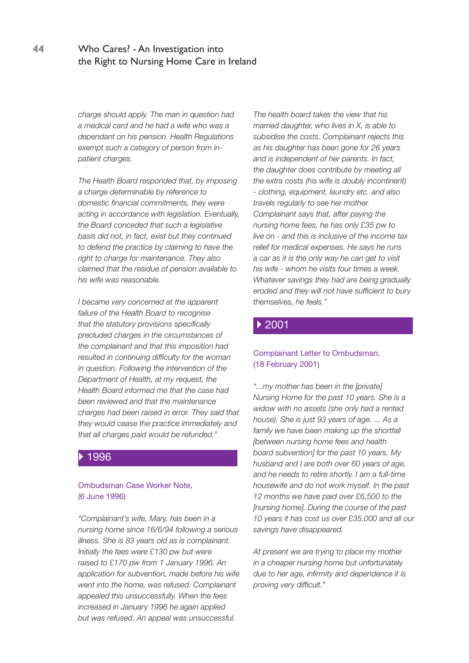*charge should apply. The man in question had a medical card and he had a wife who was a dependant on his pension. Health Regulations exempt such a category of person from inpatient charges.* 

*The Health Board responded that, by imposing a charge determinable by reference to domestic financial commitments, they were acting in accordance with legislation. Eventually, the Board conceded that such a legislative basis did not, in fact, exist but they continued to defend the practice by claiming to have the right to charge for maintenance. They also claimed that the residue of pension available to his wife was reasonable.* 

*I became very concerned at the apparent failure of the Health Board to recognise that the statutory provisions specifically precluded charges in the circumstances of the complainant and that this imposition had resulted in continuing difficulty for the woman in question. Following the intervention of the Department of Health, at my request, the Health Board informed me that the case had been reviewed and that the maintenance charges had been raised in error. They said that they would cease the practice immediately and that all charges paid would be refunded."* 

#### 1996

#### Ombudsman Case Worker Note, (6 June 1996)

*"Complainant's wife, Mary, has been in a nursing home since 16/6/94 following a serious illness. She is 83 years old as is complainant. Initially the fees were £130 pw but were raised to £170 pw from 1 January 1996. An application for subvention, made before his wife went into the home, was refused. Complainant appealed this unsuccessfully. When the fees increased in January 1996 he again applied but was refused. An appeal was unsuccessful.* 

*The health board takes the view that his married daughter, who lives in X, is able to subsidise the costs. Complainant rejects this as his daughter has been gone for 26 years and is independent of her parents. In fact, the daughter does contribute by meeting all the extra costs (his wife is doubly incontinent) - clothing, equipment, laundry etc. and also travels regularly to see her mother. Complainant says that, after paying the nursing home fees, he has only £35 pw to live on - and this is inclusive of the income tax relief for medical expenses. He says he runs a car as it is the only way he can get to visit his wife - whom he visits four times a week. Whatever savings they had are being gradually eroded and they will not have sufficient to bury themselves, he feels."* 

#### ▶ 2001

#### Complainant Letter to Ombudsman, (18 February 2001)

*"...my mother has been in the [private] Nursing Home for the past 10 years. She is a widow with no assets (she only had a rented house). She is just 93 years of age. ... As a family we have been making up the shortfall [between nursing home fees and health board subvention] for the past 10 years. My husband and I are both over 60 years of age, and he needs to retire shortly. I am a full-time housewife and do not work myself. In the past 12 months we have paid over £6,500 to the [nursing home]. During the course of the past 10 years it has cost us over £35,000 and all our savings have disappeared.*

*At present we are trying to place my mother in a cheaper nursing home but unfortunately due to her age, infirmity and dependence it is proving very difficult."*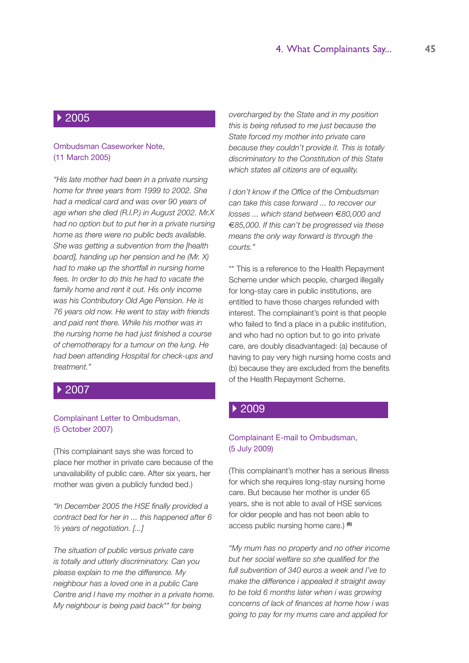### ▶ 2005

#### Ombudsman Caseworker Note, (11 March 2005)

*"His late mother had been in a private nursing home for three years from 1999 to 2002. She had a medical card and was over 90 years of age when she died (R.I.P.) in August 2002. Mr.X had no option but to put her in a private nursing home as there were no public beds available. She was getting a subvention from the [health board], handing up her pension and he (Mr. X) had to make up the shortfall in nursing home fees. In order to do this he had to vacate the family home and rent it out. His only income was his Contributory Old Age Pension. He is 76 years old now. He went to stay with friends and paid rent there. While his mother was in the nursing home he had just finished a course of chemotherapy for a tumour on the lung. He had been attending Hospital for check-ups and treatment."*

#### 2007

#### Complainant Letter to Ombudsman, (5 October 2007)

(This complainant says she was forced to place her mother in private care because of the unavailability of public care. After six years, her mother was given a publicly funded bed.)

*"In December 2005 the HSE finally provided a contract bed for her in ... this happened after 6 ½ years of negotiation. [...]* 

*The situation of public versus private care is totally and utterly discriminatory. Can you please explain to me the difference. My neighbour has a loved one in a public Care Centre and I have my mother in a private home. My neighbour is being paid back\*\* for being* 

*overcharged by the State and in my position this is being refused to me just because the State forced my mother into private care because they couldn't provide it. This is totally discriminatory to the Constitution of this State which states all citizens are of equality.*

*I don't know if the Office of the Ombudsman can take this case forward ... to recover our losses ... which stand between* €*80,000 and* €*85,000. If this can't be progressed via these means the only way forward is through the courts."*

\*\* This is a reference to the Health Repayment Scheme under which people, charged illegally for long-stay care in public institutions, are entitled to have those charges refunded with interest. The complainant's point is that people who failed to find a place in a public institution, and who had no option but to go into private care, are doubly disadvantaged: (a) because of having to pay very high nursing home costs and (b) because they are excluded from the benefits of the Health Repayment Scheme.

#### 2009

#### Complainant E-mail to Ombudsman, (5 July 2009)

(This complainant's mother has a serious illness for which she requires long-stay nursing home care. But because her mother is under 65 years, she is not able to avail of HSE services for older people and has not been able to access public nursing home care.) **(6)**

*"My mum has no property and no other income but her social welfare so she qualified for the full subvention of 340 euros a week and I've to make the difference i appealed it straight away to be told 6 months later when i was growing concerns of lack of finances at home how i was going to pay for my mums care and applied for*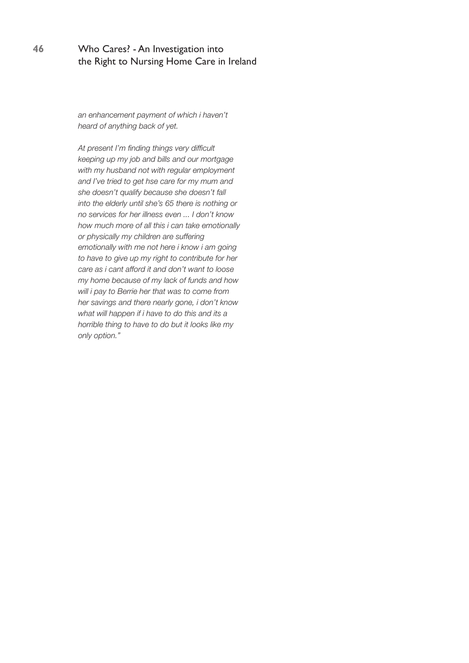*an enhancement payment of which i haven't heard of anything back of yet.*

*At present I'm finding things very difficult keeping up my job and bills and our mortgage with my husband not with regular employment and I've tried to get hse care for my mum and she doesn't qualify because she doesn't fall into the elderly until she's 65 there is nothing or no services for her illness even ... I don't know how much more of all this i can take emotionally or physically my children are suffering emotionally with me not here i know i am going to have to give up my right to contribute for her care as i cant afford it and don't want to loose my home because of my lack of funds and how will i pay to Berrie her that was to come from her savings and there nearly gone, i don't know what will happen if i have to do this and its a horrible thing to have to do but it looks like my only option."*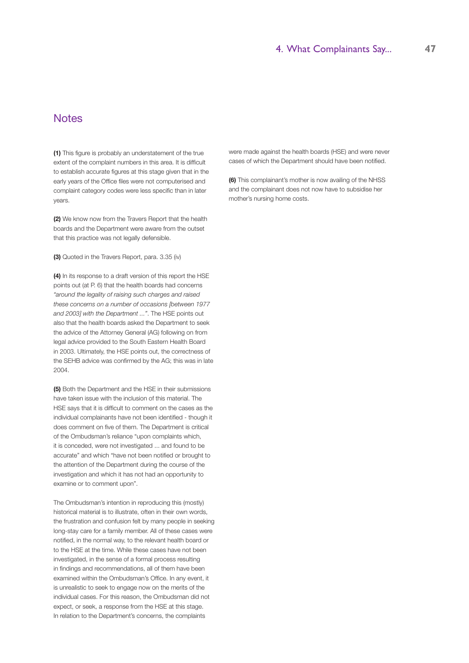# **Notes**

**(1)** This figure is probably an understatement of the true extent of the complaint numbers in this area. It is difficult to establish accurate figures at this stage given that in the early years of the Office files were not computerised and complaint category codes were less specific than in later years.

**(2)** We know now from the Travers Report that the health boards and the Department were aware from the outset that this practice was not legally defensible.

**(3)** Quoted in the Travers Report, para. 3.35 (iv)

**(4)** In its response to a draft version of this report the HSE points out (at P. 6) that the health boards had concerns *"around the legality of raising such charges and raised these concerns on a number of occasions [between 1977 and 2003] with the Department ..."*. The HSE points out also that the health boards asked the Department to seek the advice of the Attorney General (AG) following on from legal advice provided to the South Eastern Health Board in 2003. Ultimately, the HSE points out, the correctness of the SEHB advice was confirmed by the AG; this was in late 2004.

**(5)** Both the Department and the HSE in their submissions have taken issue with the inclusion of this material. The HSE says that it is difficult to comment on the cases as the individual complainants have not been identified - though it does comment on five of them. The Department is critical of the Ombudsman's reliance "upon complaints which, it is conceded, were not investigated ... and found to be accurate" and which "have not been notified or brought to the attention of the Department during the course of the investigation and which it has not had an opportunity to examine or to comment upon".

The Ombudsman's intention in reproducing this (mostly) historical material is to illustrate, often in their own words, the frustration and confusion felt by many people in seeking long-stay care for a family member. All of these cases were notified, in the normal way, to the relevant health board or to the HSE at the time. While these cases have not been investigated, in the sense of a formal process resulting in findings and recommendations, all of them have been examined within the Ombudsman's Office. In any event, it is unrealistic to seek to engage now on the merits of the individual cases. For this reason, the Ombudsman did not expect, or seek, a response from the HSE at this stage. In relation to the Department's concerns, the complaints

were made against the health boards (HSE) and were never cases of which the Department should have been notified.

**(6)** This complainant's mother is now availing of the NHSS and the complainant does not now have to subsidise her mother's nursing home costs.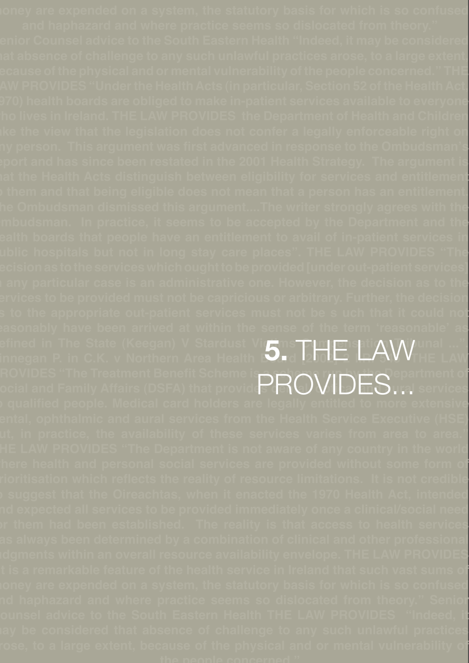**money are expended on a system, the statutory basis for which is so confused Senior Counsel advice to the South Eastern Health "Indeed, it may be considered that absence of challenge to any such unlawful practices arose, to a large extent, LAW PROVIDES "Under the Health Acts (in particular, Section 52 of the Health Act, 1970) health boards are obliged to make in-patient services available to everyone who lives in Ireland. THE LAW PROVIDES the Department of Health and Children the the view that the legislation does not confer a legally enforceable right on any person. This argument was first advanced in response to the Ombudsman's report and has since been restated in the 2001 Health Strategy. The argument is that the Health Acts distinguish between eligibility for services and entitlement them and that being eligible does not mean that a person has an entitlement. The Ombudsman dismissed this argument....The writer strongly agrees with the Ombudsman. In practice, it seems to be accepted by the Department and the health boards that people have an entitlement to avail of in-patient services in public hospitals but not in long stay care places". THE LAW PROVIDES "The decision as to the services which ought to be provided [under out-patient services] i** any particular case is an administrative one. However, the decision as to th**e services to be provided must not be capricious or arbitrary. Further, the decision as to the appropriate out-patient services must not be s uch that it could not reasonably have been arrived at within the sense of the term 'reasonable' as**  efined in The State (Keegan) V Stardust Vi*r* ms┳Шင Sptim(V), Unal ...". **Finnegan P. in C.K. v Northern Area Health Board [2002] 2 I.R. 545 THE LAW ROVIDES "The Treatment Benefit Scheme is DDAN /IDFA <sup>epartment of**</sup> **Social and Family Affairs (DSFA) that provides dental, optical and aural services to qualified people. Medical card holders are legally entitled to more extensive dental, ophthalmic and aural services from the Health Service Executive (HSE) but, in practice, the availability of these services varies from area to area." THE LAW PROVIDES "The Department is not aware of any country in the world where health and personal social services are provided without some form of prioritisation which reflects the reality of resource limitations. It is not credible to suggest that the Oireachtas, when it enacted the 1970 Health Act, intended and expected all services to be provided immediately once a clinical/social need for them had been established. The reality is that access to health services has always been determined by a combination of clinical and other professional "It is a remarkable feature of the health service in Ireland that such vast sums of money are expended on a system, the statutory basis for which is so confused and haphazard and where practice seems so dislocated from theory." Senior Counsel advice to the South Eastern Health THE LAW PROVIDES "Indeed, it may be considered that absence of challenge to any such unlawful practices arose, to a large extent, because of the physical and or mental vulnerability of 5. THE LAY** Provides...

**"It is a remarkable feature of the health service in Ireland that such vast sums of**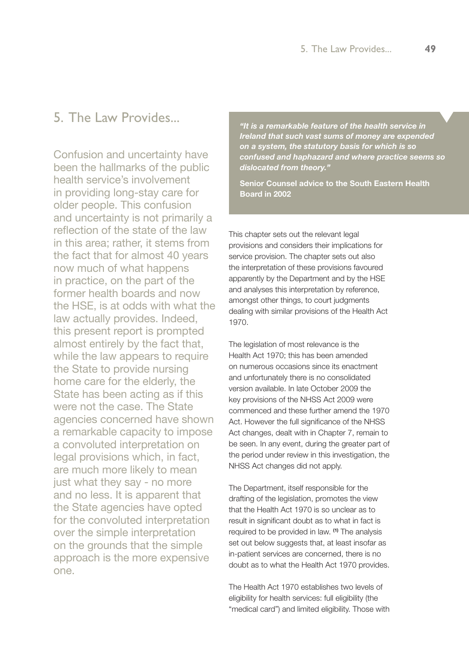# 5. The Law Provides...

Confusion and uncertainty have been the hallmarks of the public health service's involvement in providing long-stay care for older people. This confusion and uncertainty is not primarily a reflection of the state of the law in this area; rather, it stems from the fact that for almost 40 years now much of what happens in practice, on the part of the former health boards and now the HSE, is at odds with what the law actually provides. Indeed, this present report is prompted almost entirely by the fact that, while the law appears to require the State to provide nursing home care for the elderly, the State has been acting as if this were not the case. The State agencies concerned have shown a remarkable capacity to impose a convoluted interpretation on legal provisions which, in fact, are much more likely to mean just what they say - no more and no less. It is apparent that the State agencies have opted for the convoluted interpretation over the simple interpretation on the grounds that the simple approach is the more expensive one.

*"It is a remarkable feature of the health service in Ireland that such vast sums of money are expended on a system, the statutory basis for which is so confused and haphazard and where practice seems so dislocated from theory."* 

**Senior Counsel advice to the South Eastern Health Board in 2002**

This chapter sets out the relevant legal provisions and considers their implications for service provision. The chapter sets out also the interpretation of these provisions favoured apparently by the Department and by the HSE and analyses this interpretation by reference, amongst other things, to court judgments dealing with similar provisions of the Health Act 1970.

The legislation of most relevance is the Health Act 1970; this has been amended on numerous occasions since its enactment and unfortunately there is no consolidated version available. In late October 2009 the key provisions of the NHSS Act 2009 were commenced and these further amend the 1970 Act. However the full significance of the NHSS Act changes, dealt with in Chapter 7, remain to be seen. In any event, during the greater part of the period under review in this investigation, the NHSS Act changes did not apply.

The Department, itself responsible for the drafting of the legislation, promotes the view that the Health Act 1970 is so unclear as to result in significant doubt as to what in fact is required to be provided in law. **(1)** The analysis set out below suggests that, at least insofar as in-patient services are concerned, there is no doubt as to what the Health Act 1970 provides.

The Health Act 1970 establishes two levels of eligibility for health services: full eligibility (the "medical card") and limited eligibility. Those with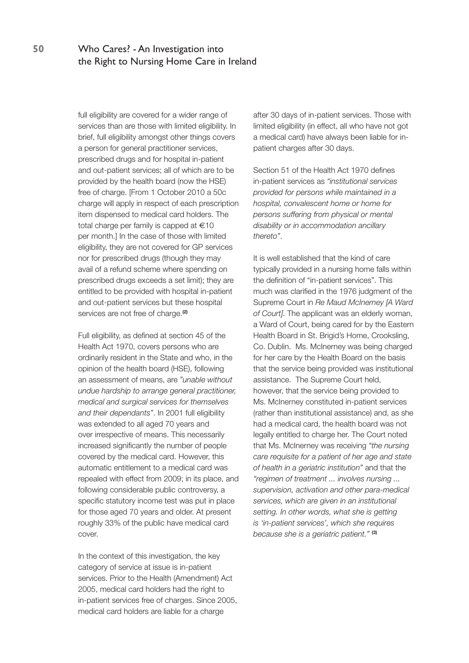full eligibility are covered for a wider range of services than are those with limited eligibility. In brief, full eligibility amongst other things covers a person for general practitioner services, prescribed drugs and for hospital in-patient and out-patient services; all of which are to be provided by the health board (now the HSE) free of charge. [From 1 October 2010 a 50c charge will apply in respect of each prescription item dispensed to medical card holders. The total charge per family is capped at €10 per month.] In the case of those with limited eligibility, they are not covered for GP services nor for prescribed drugs (though they may avail of a refund scheme where spending on prescribed drugs exceeds a set limit); they are entitled to be provided with hospital in-patient and out-patient services but these hospital services are not free of charge.**(2)**

Full eligibility, as defined at section 45 of the Health Act 1970, covers persons who are ordinarily resident in the State and who, in the opinion of the health board (HSE), following an assessment of means, are *"unable without undue hardship to arrange general practitioner, medical and surgical services for themselves and their dependants"*. In 2001 full eligibility was extended to all aged 70 years and over irrespective of means. This necessarily increased significantly the number of people covered by the medical card. However, this automatic entitlement to a medical card was repealed with effect from 2009; in its place, and following considerable public controversy, a specific statutory income test was put in place for those aged 70 years and older. At present roughly 33% of the public have medical card cover.

In the context of this investigation, the key category of service at issue is in-patient services. Prior to the Health (Amendment) Act 2005, medical card holders had the right to in-patient services free of charges. Since 2005, medical card holders are liable for a charge

after 30 days of in-patient services. Those with limited eligibility (in effect, all who have not got a medical card) have always been liable for inpatient charges after 30 days.

Section 51 of the Health Act 1970 defines in-patient services as *"institutional services provided for persons while maintained in a hospital, convalescent home or home for persons suffering from physical or mental disability or in accommodation ancillary thereto"*.

It is well established that the kind of care typically provided in a nursing home falls within the definition of "in-patient services". This much was clarified in the 1976 judgment of the Supreme Court in *Re Maud McInerney [A Ward of Court]*. The applicant was an elderly woman, a Ward of Court, being cared for by the Eastern Health Board in St. Brigid's Home, Crooksling, Co. Dublin. Ms. McInerney was being charged for her care by the Health Board on the basis that the service being provided was institutional assistance. The Supreme Court held, however, that the service being provided to Ms. McInerney constituted in-patient services (rather than institutional assistance) and, as she had a medical card, the health board was not legally entitled to charge her. The Court noted that Ms. McInerney was receiving *"the nursing care requisite for a patient of her age and state of health in a geriatric institution"* and that the *"regimen of treatment ... involves nursing ... supervision, activation and other para-medical services, which are given in an institutional setting. In other words, what she is getting is 'in-patient services', which she requires because she is a geriatric patient."* **(3)**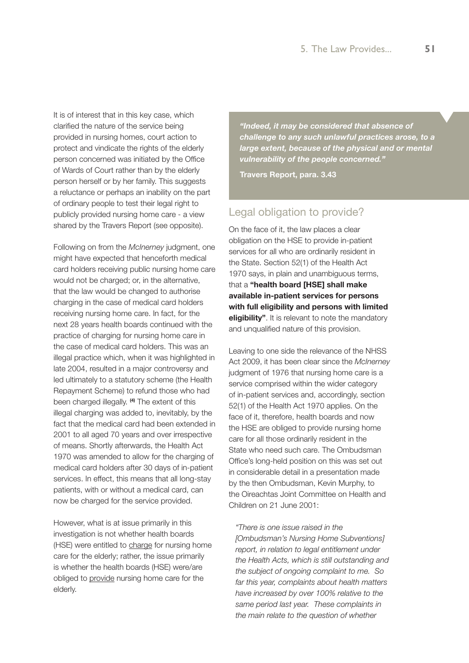It is of interest that in this key case, which clarified the nature of the service being provided in nursing homes, court action to protect and vindicate the rights of the elderly person concerned was initiated by the Office of Wards of Court rather than by the elderly person herself or by her family. This suggests a reluctance or perhaps an inability on the part of ordinary people to test their legal right to publicly provided nursing home care - a view shared by the Travers Report (see opposite).

Following on from the *McInerney* judgment, one might have expected that henceforth medical card holders receiving public nursing home care would not be charged; or, in the alternative, that the law would be changed to authorise charging in the case of medical card holders receiving nursing home care. In fact, for the next 28 years health boards continued with the practice of charging for nursing home care in the case of medical card holders. This was an illegal practice which, when it was highlighted in late 2004, resulted in a major controversy and led ultimately to a statutory scheme (the Health Repayment Scheme) to refund those who had been charged illegally. **(4)** The extent of this illegal charging was added to, inevitably, by the fact that the medical card had been extended in 2001 to all aged 70 years and over irrespective of means. Shortly afterwards, the Health Act 1970 was amended to allow for the charging of medical card holders after 30 days of in-patient services. In effect, this means that all long-stay patients, with or without a medical card, can now be charged for the service provided.

However, what is at issue primarily in this investigation is not whether health boards (HSE) were entitled to charge for nursing home care for the elderly; rather, the issue primarily is whether the health boards (HSE) were/are obliged to provide nursing home care for the elderly.

*"Indeed, it may be considered that absence of challenge to any such unlawful practices arose, to a large extent, because of the physical and or mental vulnerability of the people concerned."*

**Travers Report, para. 3.43**

### Legal obligation to provide?

On the face of it, the law places a clear obligation on the HSE to provide in-patient services for all who are ordinarily resident in the State. Section 52(1) of the Health Act 1970 says, in plain and unambiguous terms, that a **"health board [HSE] shall make available in-patient services for persons with full eligibility and persons with limited eligibility"**. It is relevant to note the mandatory and unqualified nature of this provision.

Leaving to one side the relevance of the NHSS Act 2009, it has been clear since the *McInerney* judgment of 1976 that nursing home care is a service comprised within the wider category of in-patient services and, accordingly, section 52(1) of the Health Act 1970 applies. On the face of it, therefore, health boards and now the HSE are obliged to provide nursing home care for all those ordinarily resident in the State who need such care. The Ombudsman Office's long-held position on this was set out in considerable detail in a presentation made by the then Ombudsman, Kevin Murphy, to the Oireachtas Joint Committee on Health and Children on 21 June 2001:

#### *"There is one issue raised in the*

*[Ombudsman's Nursing Home Subventions] report, in relation to legal entitlement under the Health Acts, which is still outstanding and the subject of ongoing complaint to me. So far this year, complaints about health matters have increased by over 100% relative to the same period last year. These complaints in the main relate to the question of whether*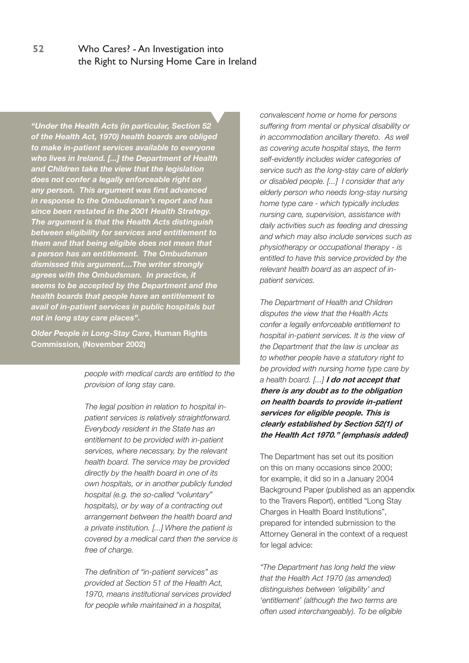*"Under the Health Acts (in particular, Section 52 of the Health Act, 1970) health boards are obliged to make in-patient services available to everyone who lives in Ireland. [...] the Department of Health and Children take the view that the legislation does not confer a legally enforceable right on any person. This argument was first advanced in response to the Ombudsman's report and has since been restated in the 2001 Health Strategy. The argument is that the Health Acts distinguish between eligibility for services and entitlement to them and that being eligible does not mean that a person has an entitlement. The Ombudsman dismissed this argument....The writer strongly agrees with the Ombudsman. In practice, it seems to be accepted by the Department and the health boards that people have an entitlement to avail of in-patient services in public hospitals but not in long stay care places".*

*Older People in Long-Stay Care***, Human Rights Commission, (November 2002)**

> *people with medical cards are entitled to the provision of long stay care.*

*The legal position in relation to hospital inpatient services is relatively straightforward. Everybody resident in the State has an entitlement to be provided with in-patient services, where necessary, by the relevant health board. The service may be provided directly by the health board in one of its own hospitals, or in another publicly funded hospital (e.g. the so-called "voluntary" hospitals), or by way of a contracting out arrangement between the health board and a private institution. [...] Where the patient is covered by a medical card then the service is free of charge.*

*The definition of "in-patient services" as provided at Section 51 of the Health Act, 1970, means institutional services provided for people while maintained in a hospital,* 

*convalescent home or home for persons suffering from mental or physical disability or in accommodation ancillary thereto. As well as covering acute hospital stays, the term self-evidently includes wider categories of service such as the long-stay care of elderly or disabled people. [...] I consider that any elderly person who needs long-stay nursing home type care - which typically includes nursing care, supervision, assistance with daily activities such as feeding and dressing and which may also include services such as physiotherapy or occupational therapy - is entitled to have this service provided by the relevant health board as an aspect of inpatient services.* 

*The Department of Health and Children disputes the view that the Health Acts confer a legally enforceable entitlement to hospital in-patient services. It is the view of the Department that the law is unclear as to whether people have a statutory right to be provided with nursing home type care by a health board. [...]* **I do not accept that there is any doubt as to the obligation on health boards to provide in-patient services for eligible people. This is clearly established by Section 52(1) of the Health Act 1970." (emphasis added)**

The Department has set out its position on this on many occasions since 2000; for example, it did so in a January 2004 Background Paper (published as an appendix to the Travers Report), entitled "Long Stay Charges in Health Board Institutions", prepared for intended submission to the Attorney General in the context of a request for legal advice:

*"The Department has long held the view that the Health Act 1970 (as amended) distinguishes between 'eligibility' and 'entitlement' (although the two terms are often used interchangeably). To be eligible*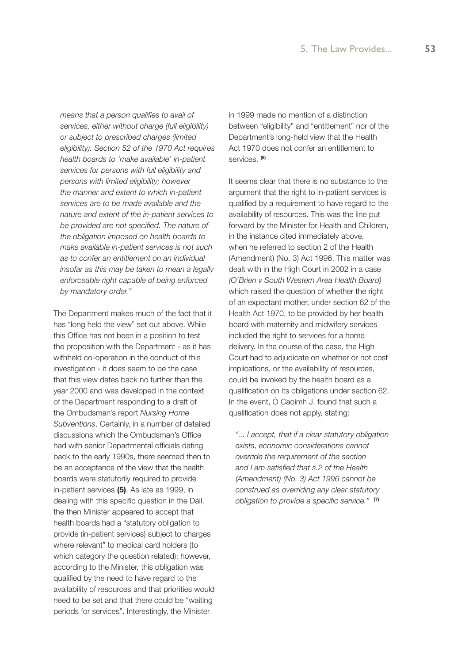*means that a person qualifies to avail of services, either without charge (full eligibility) or subject to prescribed charges (limited eligibility). Section 52 of the 1970 Act requires health boards to 'make available' in-patient services for persons with full eligibility and persons with limited eligibility; however the manner and extent to which in-patient services are to be made available and the nature and extent of the in-patient services to be provided are not specified. The nature of the obligation imposed on health boards to make available in-patient services is not such as to confer an entitlement on an individual insofar as this may be taken to mean a legally enforceable right capable of being enforced by mandatory order."*

The Department makes much of the fact that it has "long held the view" set out above. While this Office has not been in a position to test the proposition with the Department - as it has withheld co-operation in the conduct of this investigation - it does seem to be the case that this view dates back no further than the year 2000 and was developed in the context of the Department responding to a draft of the Ombudsman's report *Nursing Home Subventions*. Certainly, in a number of detailed discussions which the Ombudsman's Office had with senior Departmental officials dating back to the early 1990s, there seemed then to be an acceptance of the view that the health boards were statutorily required to provide in-patient services **(5)**. As late as 1999, in dealing with this specific question in the Dáil, the then Minister appeared to accept that health boards had a "statutory obligation to provide (in-patient services) subject to charges where relevant" to medical card holders (to which category the question related); however, according to the Minister, this obligation was qualified by the need to have regard to the availability of resources and that priorities would need to be set and that there could be "waiting periods for services". Interestingly, the Minister

in 1999 made no mention of a distinction between "eligibility" and "entitlement" nor of the Department's long-held view that the Health Act 1970 does not confer an entitlement to services. **(6)**

It seems clear that there is no substance to the argument that the right to in-patient services is qualified by a requirement to have regard to the availability of resources. This was the line put forward by the Minister for Health and Children, in the instance cited immediately above, when he referred to section 2 of the Health (Amendment) (No. 3) Act 1996. This matter was dealt with in the High Court in 2002 in a case *(O'Brien v South Western Area Health Board)* which raised the question of whether the right of an expectant mother, under section 62 of the Health Act 1970, to be provided by her health board with maternity and midwifery services included the right to services for a home delivery. In the course of the case, the High Court had to adjudicate on whether or not cost implications, or the availability of resources, could be invoked by the health board as a qualification on its obligations under section 62. In the event, Ó Caoimh J. found that such a qualification does not apply, stating:

*"... I accept, that if a clear statutory obligation exists, economic considerations cannot override the requirement of the section and I am satisfied that s.2 of the Health (Amendment) (No. 3) Act 1996 cannot be construed as overriding any clear statutory obligation to provide a specific service."* **(7)**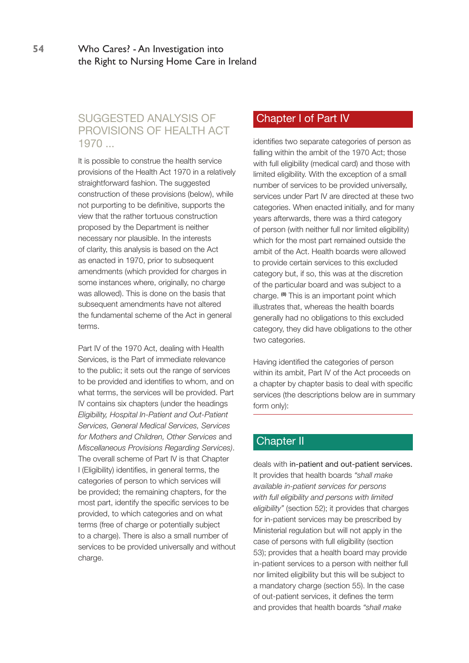# SUGGESTED ANALYSIS OF PROVISIONS OF HEALTH ACT 1970 ...

It is possible to construe the health service provisions of the Health Act 1970 in a relatively straightforward fashion. The suggested construction of these provisions (below), while not purporting to be definitive, supports the view that the rather tortuous construction proposed by the Department is neither necessary nor plausible. In the interests of clarity, this analysis is based on the Act as enacted in 1970, prior to subsequent amendments (which provided for charges in some instances where, originally, no charge was allowed). This is done on the basis that subsequent amendments have not altered the fundamental scheme of the Act in general terms.

Part IV of the 1970 Act, dealing with Health Services, is the Part of immediate relevance to the public; it sets out the range of services to be provided and identifies to whom, and on what terms, the services will be provided. Part IV contains six chapters (under the headings *Eligibility, Hospital In-Patient and Out-Patient Services, General Medical Services, Services for Mothers and Children, Other Services* and *Miscellaneous Provisions Regarding Services)*. The overall scheme of Part IV is that Chapter I (Eligibility) identifies, in general terms, the categories of person to which services will be provided; the remaining chapters, for the most part, identify the specific services to be provided, to which categories and on what terms (free of charge or potentially subject to a charge). There is also a small number of services to be provided universally and without charge.

## Chapter I of Part IV

identifies two separate categories of person as falling within the ambit of the 1970 Act; those with full eligibility (medical card) and those with limited eligibility. With the exception of a small number of services to be provided universally, services under Part IV are directed at these two categories. When enacted initially, and for many years afterwards, there was a third category of person (with neither full nor limited eligibility) which for the most part remained outside the ambit of the Act. Health boards were allowed to provide certain services to this excluded category but, if so, this was at the discretion of the particular board and was subject to a charge. **(8)** This is an important point which illustrates that, whereas the health boards generally had no obligations to this excluded category, they did have obligations to the other two categories.

Having identified the categories of person within its ambit, Part IV of the Act proceeds on a chapter by chapter basis to deal with specific services (the descriptions below are in summary form only):

# Chapter II

deals with in-patient and out-patient services. It provides that health boards *"shall make available in-patient services for persons with full eligibility and persons with limited eligibility"* (section 52); it provides that charges for in-patient services may be prescribed by Ministerial regulation but will not apply in the case of persons with full eligibility (section 53); provides that a health board may provide in-patient services to a person with neither full nor limited eligibility but this will be subject to a mandatory charge (section 55). In the case of out-patient services, it defines the term and provides that health boards *"shall make*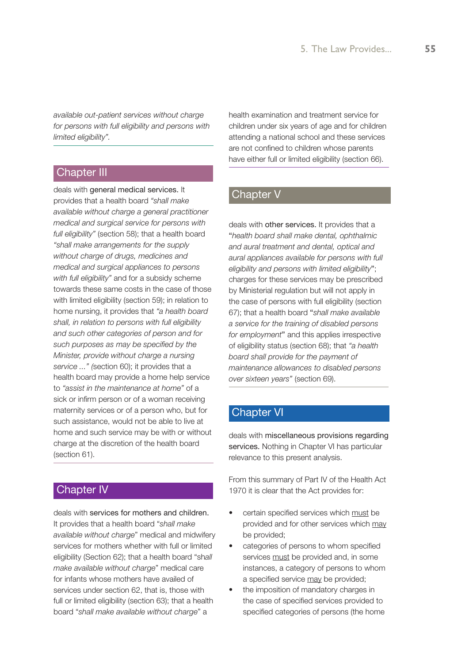*available out-patient services without charge for persons with full eligibility and persons with limited eligibility".* 

#### Chapter III

deals with general medical services. It provides that a health board *"shall make available without charge a general practitioner medical and surgical service for persons with full eligibility"* (section 58); that a health board *"shall make arrangements for the supply without charge of drugs, medicines and medical and surgical appliances to persons with full eligibility"* and for a subsidy scheme towards these same costs in the case of those with limited eligibility (section 59); in relation to home nursing, it provides that *"a health board shall, in relation to persons with full eligibility and such other categories of person and for such purposes as may be specified by the Minister, provide without charge a nursing service ..." (*section 60); it provides that a health board may provide a home help service to *"assist in the maintenance at home"* of a sick or infirm person or of a woman receiving maternity services or of a person who, but for such assistance, would not be able to live at home and such service may be with or without charge at the discretion of the health board (section 61).

### Chapter IV

deals with services for mothers and children. It provides that a health board "*shall make available without charge*" medical and midwifery services for mothers whether with full or limited eligibility (Section 62); that a health board "sh*all make available without charge*" medical care for infants whose mothers have availed of services under section 62, that is, those with full or limited eligibility (section 63); that a health board "*shall make available without charge*" a

health examination and treatment service for children under six years of age and for children attending a national school and these services are not confined to children whose parents have either full or limited eligibility (section 66).

#### Chapter V

deals with other services. It provides that a "*health board shall make dental, ophthalmic and aural treatment and dental, optical and aural appliances available for persons with full eligibility and persons with limited eligibility*"; charges for these services may be prescribed by Ministerial regulation but will not apply in the case of persons with full eligibility (section 67); that a health board "*shall make available a service for the training of disabled persons for employment*" and this applies irrespective of eligibility status (section 68); that *"a health board shall provide for the payment of maintenance allowances to disabled persons over sixteen years"* (section 69).

# Chapter VI

deals with miscellaneous provisions regarding services. Nothing in Chapter VI has particular relevance to this present analysis.

From this summary of Part IV of the Health Act 1970 it is clear that the Act provides for:

- certain specified services which must be provided and for other services which may be provided;
- categories of persons to whom specified services must be provided and, in some instances, a category of persons to whom a specified service may be provided;
- the imposition of mandatory charges in the case of specified services provided to specified categories of persons (the home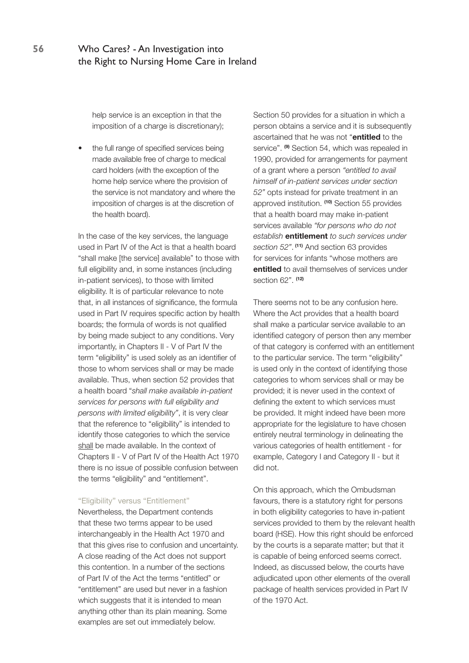help service is an exception in that the imposition of a charge is discretionary);

the full range of specified services being made available free of charge to medical card holders (with the exception of the home help service where the provision of the service is not mandatory and where the imposition of charges is at the discretion of the health board).

In the case of the key services, the language used in Part IV of the Act is that a health board "shall make [the service] available" to those with full eligibility and, in some instances (including in-patient services), to those with limited eligibility. It is of particular relevance to note that, in all instances of significance, the formula used in Part IV requires specific action by health boards; the formula of words is not qualified by being made subject to any conditions. Very importantly, in Chapters II - V of Part IV the term "eligibility" is used solely as an identifier of those to whom services shall or may be made available. Thus, when section 52 provides that a health board "*shall make available in-patient services for persons with full eligibility and persons with limited eligibility"*, it is very clear that the reference to "eligibility" is intended to identify those categories to which the service shall be made available. In the context of Chapters II - V of Part IV of the Health Act 1970 there is no issue of possible confusion between the terms "eligibility" and "entitlement".

#### "Eligibility" versus "Entitlement"

Nevertheless, the Department contends that these two terms appear to be used interchangeably in the Health Act 1970 and that this gives rise to confusion and uncertainty. A close reading of the Act does not support this contention. In a number of the sections of Part IV of the Act the terms "entitled" or "entitlement" are used but never in a fashion which suggests that it is intended to mean anything other than its plain meaning. Some examples are set out immediately below.

Section 50 provides for a situation in which a person obtains a service and it is subsequently ascertained that he was not "**entitled** to the service". **(9)** Section 54, which was repealed in 1990, provided for arrangements for payment of a grant where a person *"entitled to avail himself of in-patient services under section 52"* opts instead for private treatment in an approved institution. **(10)** Section 55 provides that a health board may make in-patient services available *"for persons who do not establish* **entitlement** *to such services under section 52"*. **(11)** And section 63 provides for services for infants "whose mothers are **entitled** to avail themselves of services under section 62". **(12)**

There seems not to be any confusion here. Where the Act provides that a health board shall make a particular service available to an identified category of person then any member of that category is conferred with an entitlement to the particular service. The term "eligibility" is used only in the context of identifying those categories to whom services shall or may be provided; it is never used in the context of defining the extent to which services must be provided. It might indeed have been more appropriate for the legislature to have chosen entirely neutral terminology in delineating the various categories of health entitlement - for example, Category I and Category II - but it did not.

On this approach, which the Ombudsman favours, there is a statutory right for persons in both eligibility categories to have in-patient services provided to them by the relevant health board (HSE). How this right should be enforced by the courts is a separate matter; but that it is capable of being enforced seems correct. Indeed, as discussed below, the courts have adjudicated upon other elements of the overall package of health services provided in Part IV of the 1970 Act.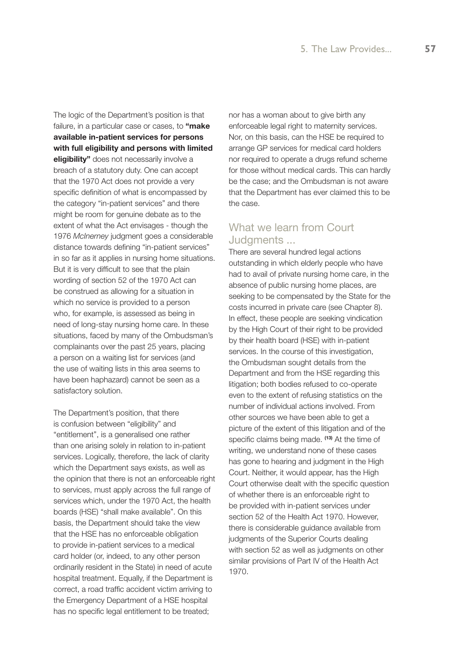The logic of the Department's position is that failure, in a particular case or cases, to **"make available in-patient services for persons with full eligibility and persons with limited eligibility"** does not necessarily involve a breach of a statutory duty. One can accept that the 1970 Act does not provide a very specific definition of what is encompassed by the category "in-patient services" and there might be room for genuine debate as to the extent of what the Act envisages - though the 1976 *McInerney* judgment goes a considerable distance towards defining "in-patient services" in so far as it applies in nursing home situations. But it is very difficult to see that the plain wording of section 52 of the 1970 Act can be construed as allowing for a situation in which no service is provided to a person who, for example, is assessed as being in need of long-stay nursing home care. In these situations, faced by many of the Ombudsman's complainants over the past 25 years, placing a person on a waiting list for services (and the use of waiting lists in this area seems to have been haphazard) cannot be seen as a satisfactory solution.

The Department's position, that there is confusion between "eligibility" and "entitlement", is a generalised one rather than one arising solely in relation to in-patient services. Logically, therefore, the lack of clarity which the Department says exists, as well as the opinion that there is not an enforceable right to services, must apply across the full range of services which, under the 1970 Act, the health boards (HSE) "shall make available". On this basis, the Department should take the view that the HSE has no enforceable obligation to provide in-patient services to a medical card holder (or, indeed, to any other person ordinarily resident in the State) in need of acute hospital treatment. Equally, if the Department is correct, a road traffic accident victim arriving to the Emergency Department of a HSE hospital has no specific legal entitlement to be treated;

nor has a woman about to give birth any enforceable legal right to maternity services. Nor, on this basis, can the HSE be required to arrange GP services for medical card holders nor required to operate a drugs refund scheme for those without medical cards. This can hardly be the case; and the Ombudsman is not aware that the Department has ever claimed this to be the case.

# What we learn from Court Judgments ...

There are several hundred legal actions outstanding in which elderly people who have had to avail of private nursing home care, in the absence of public nursing home places, are seeking to be compensated by the State for the costs incurred in private care (see Chapter 8). In effect, these people are seeking vindication by the High Court of their right to be provided by their health board (HSE) with in-patient services. In the course of this investigation, the Ombudsman sought details from the Department and from the HSE regarding this litigation; both bodies refused to co-operate even to the extent of refusing statistics on the number of individual actions involved. From other sources we have been able to get a picture of the extent of this litigation and of the specific claims being made. **(13)** At the time of writing, we understand none of these cases has gone to hearing and judgment in the High Court. Neither, it would appear, has the High Court otherwise dealt with the specific question of whether there is an enforceable right to be provided with in-patient services under section 52 of the Health Act 1970. However, there is considerable guidance available from judgments of the Superior Courts dealing with section 52 as well as judgments on other similar provisions of Part IV of the Health Act 1970.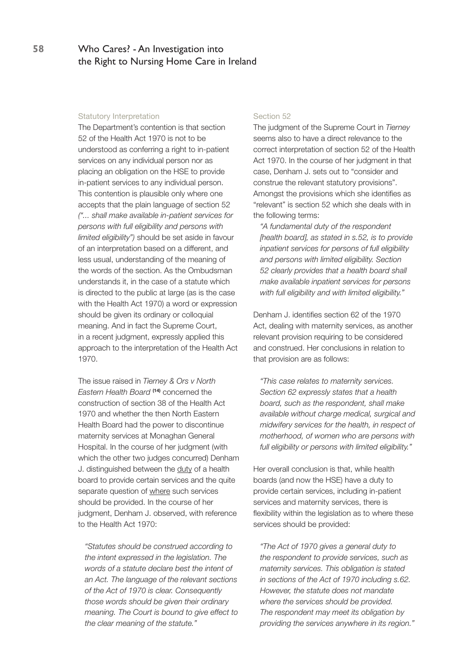#### Statutory Interpretation

The Department's contention is that section 52 of the Health Act 1970 is not to be understood as conferring a right to in-patient services on any individual person nor as placing an obligation on the HSE to provide in-patient services to any individual person. This contention is plausible only where one accepts that the plain language of section 52 *("... shall make available in-patient services for persons with full eligibility and persons with limited eligibility")* should be set aside in favour of an interpretation based on a different, and less usual, understanding of the meaning of the words of the section. As the Ombudsman understands it, in the case of a statute which is directed to the public at large (as is the case with the Health Act 1970) a word or expression should be given its ordinary or colloquial meaning. And in fact the Supreme Court, in a recent judgment, expressly applied this approach to the interpretation of the Health Act 1970.

The issue raised in *Tierney & Ors v North Eastern Health Board* **(14)** concerned the construction of section 38 of the Health Act 1970 and whether the then North Eastern Health Board had the power to discontinue maternity services at Monaghan General Hospital. In the course of her judgment (with which the other two judges concurred) Denham J. distinguished between the duty of a health board to provide certain services and the quite separate question of where such services should be provided. In the course of her judgment, Denham J. observed, with reference to the Health Act 1970:

*"Statutes should be construed according to the intent expressed in the legislation. The words of a statute declare best the intent of an Act. The language of the relevant sections of the Act of 1970 is clear. Consequently those words should be given their ordinary meaning. The Court is bound to give effect to the clear meaning of the statute."*

#### Section 52

The judgment of the Supreme Court in *Tierney* seems also to have a direct relevance to the correct interpretation of section 52 of the Health Act 1970. In the course of her judgment in that case, Denham J. sets out to "consider and construe the relevant statutory provisions". Amongst the provisions which she identifies as "relevant" is section 52 which she deals with in the following terms:

*"A fundamental duty of the respondent [health board], as stated in s.52, is to provide inpatient services for persons of full eligibility and persons with limited eligibility. Section 52 clearly provides that a health board shall make available inpatient services for persons with full eligibility and with limited eligibility."*

Denham J. identifies section 62 of the 1970 Act, dealing with maternity services, as another relevant provision requiring to be considered and construed. Her conclusions in relation to that provision are as follows:

*"This case relates to maternity services. Section 62 expressly states that a health board, such as the respondent, shall make available without charge medical, surgical and midwifery services for the health, in respect of motherhood, of women who are persons with full eligibility or persons with limited eligibility."*

Her overall conclusion is that, while health boards (and now the HSE) have a duty to provide certain services, including in-patient services and maternity services, there is flexibility within the legislation as to where these services should be provided:

*"The Act of 1970 gives a general duty to the respondent to provide services, such as maternity services. This obligation is stated in sections of the Act of 1970 including s.62. However, the statute does not mandate where the services should be provided. The respondent may meet its obligation by providing the services anywhere in its region."*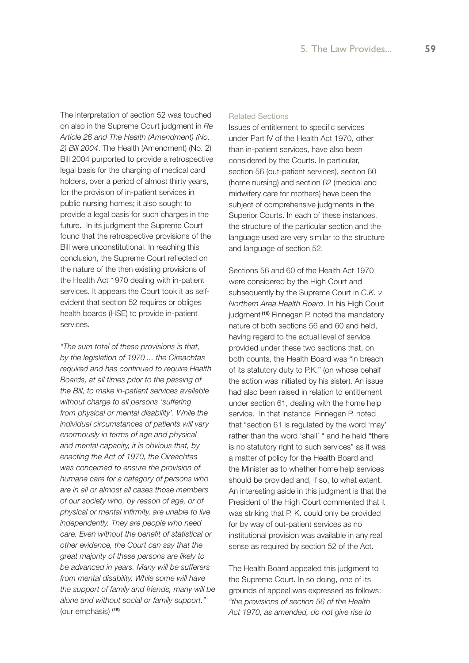The interpretation of section 52 was touched on also in the Supreme Court judgment in *Re Article 26 and The Health (Amendment) (No. 2) Bill 2004*. The Health (Amendment) (No. 2) Bill 2004 purported to provide a retrospective legal basis for the charging of medical card holders, over a period of almost thirty years, for the provision of in-patient services in public nursing homes; it also sought to provide a legal basis for such charges in the future. In its judgment the Supreme Court found that the retrospective provisions of the Bill were unconstitutional. In reaching this conclusion, the Supreme Court reflected on the nature of the then existing provisions of the Health Act 1970 dealing with in-patient services. It appears the Court took it as selfevident that section 52 requires or obliges health boards (HSE) to provide in-patient services.

*"The sum total of these provisions is that, by the legislation of 1970 ... the Oireachtas required and has continued to require Health Boards, at all times prior to the passing of the Bill, to make in-patient services available without charge to all persons 'suffering from physical or mental disability'. While the individual circumstances of patients will vary enormously in terms of age and physical and mental capacity, it is obvious that, by enacting the Act of 1970, the Oireachtas was concerned to ensure the provision of humane care for a category of persons who are in all or almost all cases those members of our society who, by reason of age, or of physical or mental infirmity, are unable to live independently. They are people who need care. Even without the benefit of statistical or other evidence, the Court can say that the great majority of these persons are likely to be advanced in years. Many will be sufferers from mental disability. While some will have the support of family and friends, many will be alone and without social or family support."*  (our emphasis) **(15)**

#### Related Sections

Issues of entitlement to specific services under Part IV of the Health Act 1970, other than in-patient services, have also been considered by the Courts. In particular, section 56 (out-patient services), section 60 (home nursing) and section 62 (medical and midwifery care for mothers) have been the subject of comprehensive judgments in the Superior Courts. In each of these instances, the structure of the particular section and the language used are very similar to the structure and language of section 52.

Sections 56 and 60 of the Health Act 1970 were considered by the High Court and subsequently by the Supreme Court in *C.K. v Northern Area Health Board*. In his High Court judgment **(16)** Finnegan P. noted the mandatory nature of both sections 56 and 60 and held, having regard to the actual level of service provided under these two sections that, on both counts, the Health Board was "in breach of its statutory duty to P.K." (on whose behalf the action was initiated by his sister). An issue had also been raised in relation to entitlement under section 61, dealing with the home help service. In that instance Finnegan P. noted that "section 61 is regulated by the word 'may' rather than the word 'shall' " and he held "there is no statutory right to such services" as it was a matter of policy for the Health Board and the Minister as to whether home help services should be provided and, if so, to what extent. An interesting aside in this judgment is that the President of the High Court commented that it was striking that P. K. could only be provided for by way of out-patient services as no institutional provision was available in any real sense as required by section 52 of the Act.

The Health Board appealed this judgment to the Supreme Court. In so doing, one of its grounds of appeal was expressed as follows: *"the provisions of section 56 of the Health Act 1970, as amended, do not give rise to*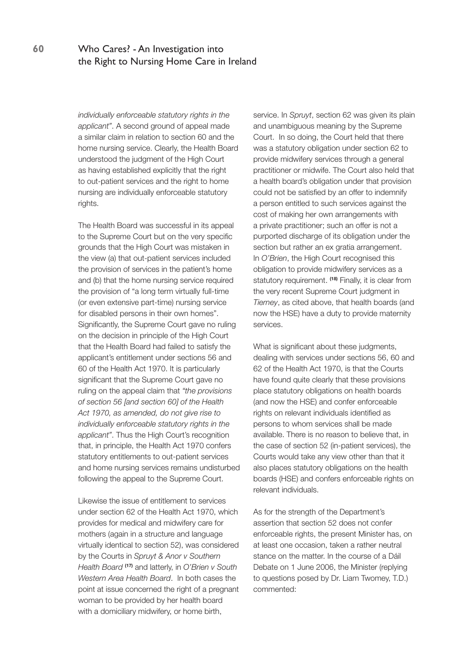*individually enforceable statutory rights in the applicant"*. A second ground of appeal made a similar claim in relation to section 60 and the home nursing service. Clearly, the Health Board understood the judgment of the High Court as having established explicitly that the right to out-patient services and the right to home nursing are individually enforceable statutory rights.

The Health Board was successful in its appeal to the Supreme Court but on the very specific grounds that the High Court was mistaken in the view (a) that out-patient services included the provision of services in the patient's home and (b) that the home nursing service required the provision of "a long term virtually full-time (or even extensive part-time) nursing service for disabled persons in their own homes". Significantly, the Supreme Court gave no ruling on the decision in principle of the High Court that the Health Board had failed to satisfy the applicant's entitlement under sections 56 and 60 of the Health Act 1970. It is particularly significant that the Supreme Court gave no ruling on the appeal claim that *"the provisions of section 56 [and section 60] of the Health Act 1970, as amended, do not give rise to individually enforceable statutory rights in the applicant"*. Thus the High Court's recognition that, in principle, the Health Act 1970 confers statutory entitlements to out-patient services and home nursing services remains undisturbed following the appeal to the Supreme Court.

Likewise the issue of entitlement to services under section 62 of the Health Act 1970, which provides for medical and midwifery care for mothers (again in a structure and language virtually identical to section 52), was considered by the Courts in *Spruyt & Anor v Southern Health Board* **(17)** and latterly, in *O'Brien v South Western Area Health Board*. In both cases the point at issue concerned the right of a pregnant woman to be provided by her health board with a domiciliary midwifery, or home birth,

service. In *Spruyt*, section 62 was given its plain and unambiguous meaning by the Supreme Court. In so doing, the Court held that there was a statutory obligation under section 62 to provide midwifery services through a general practitioner or midwife. The Court also held that a health board's obligation under that provision could not be satisfied by an offer to indemnify a person entitled to such services against the cost of making her own arrangements with a private practitioner; such an offer is not a purported discharge of its obligation under the section but rather an ex gratia arrangement. In *O'Brien*, the High Court recognised this obligation to provide midwifery services as a statutory requirement. **(18)** Finally, it is clear from the very recent Supreme Court judgment in *Tierney*, as cited above, that health boards (and now the HSE) have a duty to provide maternity services.

What is significant about these judgments, dealing with services under sections 56, 60 and 62 of the Health Act 1970, is that the Courts have found quite clearly that these provisions place statutory obligations on health boards (and now the HSE) and confer enforceable rights on relevant individuals identified as persons to whom services shall be made available. There is no reason to believe that, in the case of section 52 (in-patient services), the Courts would take any view other than that it also places statutory obligations on the health boards (HSE) and confers enforceable rights on relevant individuals.

As for the strength of the Department's assertion that section 52 does not confer enforceable rights, the present Minister has, on at least one occasion, taken a rather neutral stance on the matter. In the course of a Dáil Debate on 1 June 2006, the Minister (replying to questions posed by Dr. Liam Twomey, T.D.) commented: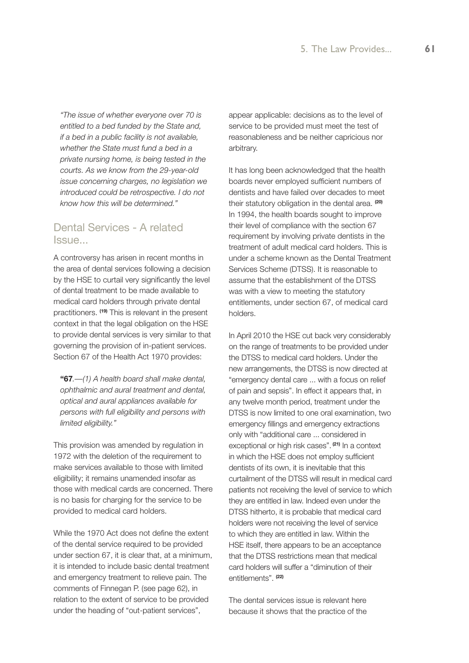*"The issue of whether everyone over 70 is entitled to a bed funded by the State and, if a bed in a public facility is not available, whether the State must fund a bed in a private nursing home, is being tested in the courts. As we know from the 29-year-old issue concerning charges, no legislation we introduced could be retrospective. I do not know how this will be determined."*

# Dental Services - A related Issue...

A controversy has arisen in recent months in the area of dental services following a decision by the HSE to curtail very significantly the level of dental treatment to be made available to medical card holders through private dental practitioners. **(19)** This is relevant in the present context in that the legal obligation on the HSE to provide dental services is very similar to that governing the provision of in-patient services. Section 67 of the Health Act 1970 provides:

**"67***.—(1) A health board shall make dental, ophthalmic and aural treatment and dental, optical and aural appliances available for persons with full eligibility and persons with limited eligibility."*

This provision was amended by regulation in 1972 with the deletion of the requirement to make services available to those with limited eligibility; it remains unamended insofar as those with medical cards are concerned. There is no basis for charging for the service to be provided to medical card holders.

While the 1970 Act does not define the extent of the dental service required to be provided under section 67, it is clear that, at a minimum, it is intended to include basic dental treatment and emergency treatment to relieve pain. The comments of Finnegan P. (see page 62), in relation to the extent of service to be provided under the heading of "out-patient services",

appear applicable: decisions as to the level of service to be provided must meet the test of reasonableness and be neither capricious nor arbitrary.

It has long been acknowledged that the health boards never employed sufficient numbers of dentists and have failed over decades to meet their statutory obligation in the dental area. **(20)** In 1994, the health boards sought to improve their level of compliance with the section 67 requirement by involving private dentists in the treatment of adult medical card holders. This is under a scheme known as the Dental Treatment Services Scheme (DTSS). It is reasonable to assume that the establishment of the DTSS was with a view to meeting the statutory entitlements, under section 67, of medical card holders.

In April 2010 the HSE cut back very considerably on the range of treatments to be provided under the DTSS to medical card holders. Under the new arrangements, the DTSS is now directed at "emergency dental care ... with a focus on relief of pain and sepsis". In effect it appears that, in any twelve month period, treatment under the DTSS is now limited to one oral examination, two emergency fillings and emergency extractions only with "additional care ... considered in exceptional or high risk cases". **(21)** In a context in which the HSE does not employ sufficient dentists of its own, it is inevitable that this curtailment of the DTSS will result in medical card patients not receiving the level of service to which they are entitled in law. Indeed even under the DTSS hitherto, it is probable that medical card holders were not receiving the level of service to which they are entitled in law. Within the HSE itself, there appears to be an acceptance that the DTSS restrictions mean that medical card holders will suffer a "diminution of their entitlements". **(22)**

The dental services issue is relevant here because it shows that the practice of the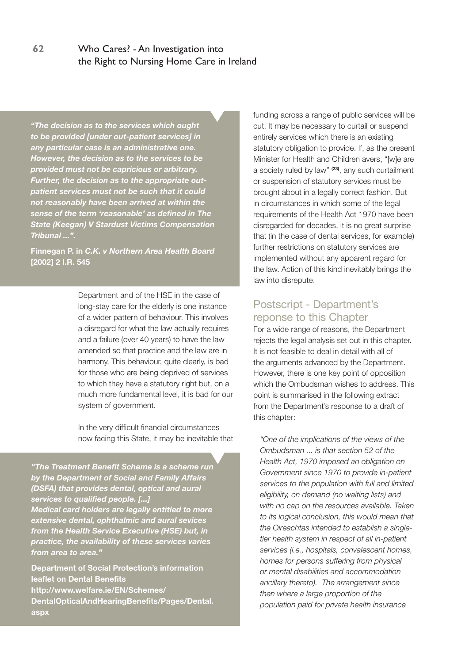*"The decision as to the services which ought to be provided [under out-patient services] in any particular case is an administrative one. However, the decision as to the services to be provided must not be capricious or arbitrary. Further, the decision as to the appropriate outpatient services must not be such that it could not reasonably have been arrived at within the sense of the term 'reasonable' as defined in The State (Keegan) V Stardust Victims Compensation Tribunal ...".*

**Finnegan P. in** *C.K. v Northern Area Health Board* **[2002] 2 I.R. 545** 

> Department and of the HSE in the case of long-stay care for the elderly is one instance of a wider pattern of behaviour. This involves a disregard for what the law actually requires and a failure (over 40 years) to have the law amended so that practice and the law are in harmony. This behaviour, quite clearly, is bad for those who are being deprived of services to which they have a statutory right but, on a much more fundamental level, it is bad for our system of government.

> In the very difficult financial circumstances now facing this State, it may be inevitable that

*"The Treatment Benefit Scheme is a scheme run by the Department of Social and Family Affairs (DSFA) that provides dental, optical and aural services to qualified people. [...] Medical card holders are legally entitled to more extensive dental, ophthalmic and aural sevices from the Health Service Executive (HSE) but, in practice, the availability of these services varies from area to area."*

**Department of Social Protection's information leaflet on Dental Benefits http://www.welfare.ie/EN/Schemes/ DentalOpticalAndHearingBenefits/Pages/Dental. aspx**

funding across a range of public services will be cut. It may be necessary to curtail or suspend entirely services which there is an existing statutory obligation to provide. If, as the present Minister for Health and Children avers, "[w]e are a society ruled by law" **(23)**, any such curtailment or suspension of statutory services must be brought about in a legally correct fashion. But in circumstances in which some of the legal requirements of the Health Act 1970 have been disregarded for decades, it is no great surprise that (in the case of dental services, for example) further restrictions on statutory services are implemented without any apparent regard for the law. Action of this kind inevitably brings the law into disrepute.

# Postscript - Department's reponse to this Chapter

For a wide range of reasons, the Department rejects the legal analysis set out in this chapter. It is not feasible to deal in detail with all of the arguments advanced by the Department. However, there is one key point of opposition which the Ombudsman wishes to address. This point is summarised in the following extract from the Department's response to a draft of this chapter:

*"One of the implications of the views of the Ombudsman ... is that section 52 of the Health Act, 1970 imposed an obligation on Government since 1970 to provide in-patient services to the population with full and limited eligibility, on demand (no waiting lists) and with no cap on the resources available. Taken to its logical conclusion, this would mean that the Oireachtas intended to establish a singletier health system in respect of all in-patient services (i.e., hospitals, convalescent homes, homes for persons suffering from physical or mental disabilities and accommodation ancillary thereto). The arrangement since then where a large proportion of the population paid for private health insurance*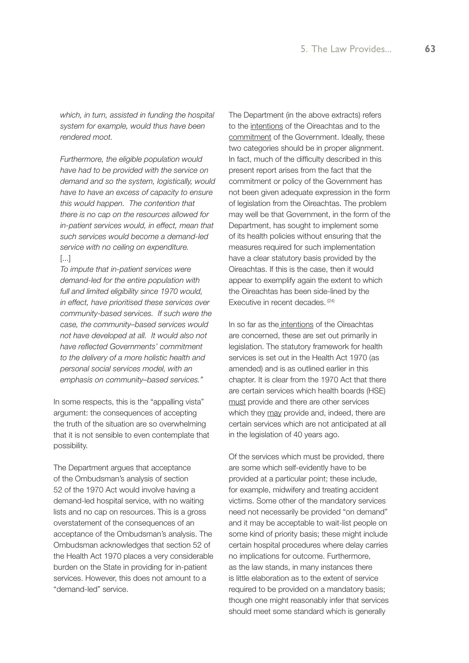*which, in turn, assisted in funding the hospital system for example, would thus have been rendered moot.*

*Furthermore, the eligible population would have had to be provided with the service on demand and so the system, logistically, would have to have an excess of capacity to ensure this would happen. The contention that there is no cap on the resources allowed for in-patient services would, in effect, mean that such services would become a demand-led service with no ceiling on expenditure.* [...]

*To impute that in-patient services were demand-led for the entire population with full and limited eligibility since 1970 would, in effect, have prioritised these services over community-based services. If such were the case, the community–based services would not have developed at all. It would also not have reflected Governments' commitment to the delivery of a more holistic health and personal social services model, with an emphasis on community–based services."*

In some respects, this is the "appalling vista" argument: the consequences of accepting the truth of the situation are so overwhelming that it is not sensible to even contemplate that possibility.

The Department argues that acceptance of the Ombudsman's analysis of section 52 of the 1970 Act would involve having a demand-led hospital service, with no waiting lists and no cap on resources. This is a gross overstatement of the consequences of an acceptance of the Ombudsman's analysis. The Ombudsman acknowledges that section 52 of the Health Act 1970 places a very considerable burden on the State in providing for in-patient services. However, this does not amount to a "demand-led" service.

The Department (in the above extracts) refers to the intentions of the Oireachtas and to the commitment of the Government. Ideally, these two categories should be in proper alignment. In fact, much of the difficulty described in this present report arises from the fact that the commitment or policy of the Government has not been given adequate expression in the form of legislation from the Oireachtas. The problem may well be that Government, in the form of the Department, has sought to implement some of its health policies without ensuring that the measures required for such implementation have a clear statutory basis provided by the Oireachtas. If this is the case, then it would appear to exemplify again the extent to which the Oireachtas has been side-lined by the Executive in recent decades. <sup>(24)</sup>

In so far as the intentions of the Oireachtas are concerned, these are set out primarily in legislation. The statutory framework for health services is set out in the Health Act 1970 (as amended) and is as outlined earlier in this chapter. It is clear from the 1970 Act that there are certain services which health boards (HSE) must provide and there are other services which they may provide and, indeed, there are certain services which are not anticipated at all in the legislation of 40 years ago.

Of the services which must be provided, there are some which self-evidently have to be provided at a particular point; these include, for example, midwifery and treating accident victims. Some other of the mandatory services need not necessarily be provided "on demand" and it may be acceptable to wait-list people on some kind of priority basis; these might include certain hospital procedures where delay carries no implications for outcome. Furthermore, as the law stands, in many instances there is little elaboration as to the extent of service required to be provided on a mandatory basis; though one might reasonably infer that services should meet some standard which is generally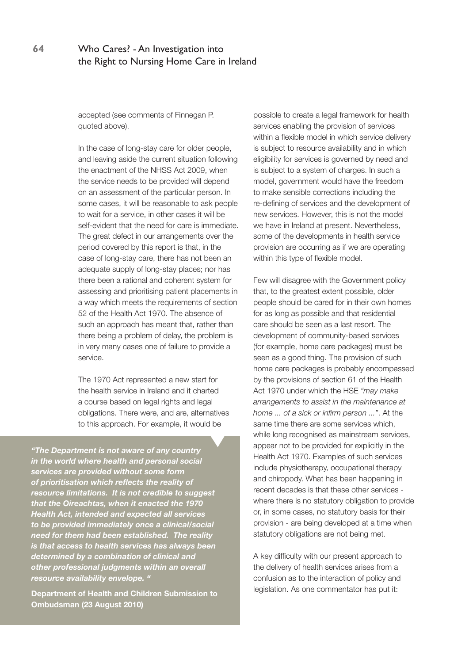accepted (see comments of Finnegan P. quoted above).

In the case of long-stay care for older people, and leaving aside the current situation following the enactment of the NHSS Act 2009, when the service needs to be provided will depend on an assessment of the particular person. In some cases, it will be reasonable to ask people to wait for a service, in other cases it will be self-evident that the need for care is immediate. The great defect in our arrangements over the period covered by this report is that, in the case of long-stay care, there has not been an adequate supply of long-stay places; nor has there been a rational and coherent system for assessing and prioritising patient placements in a way which meets the requirements of section 52 of the Health Act 1970. The absence of such an approach has meant that, rather than there being a problem of delay, the problem is in very many cases one of failure to provide a service.

The 1970 Act represented a new start for the health service in Ireland and it charted a course based on legal rights and legal obligations. There were, and are, alternatives to this approach. For example, it would be

*"The Department is not aware of any country in the world where health and personal social services are provided without some form of prioritisation which reflects the reality of resource limitations. It is not credible to suggest that the Oireachtas, when it enacted the 1970 Health Act, intended and expected all services to be provided immediately once a clinical/social need for them had been established. The reality is that access to health services has always been determined by a combination of clinical and other professional judgments within an overall resource availability envelope. "* 

**Department of Health and Children Submission to Ombudsman (23 August 2010)**

possible to create a legal framework for health services enabling the provision of services within a flexible model in which service delivery is subject to resource availability and in which eligibility for services is governed by need and is subject to a system of charges. In such a model, government would have the freedom to make sensible corrections including the re-defining of services and the development of new services. However, this is not the model we have in Ireland at present. Nevertheless, some of the developments in health service provision are occurring as if we are operating within this type of flexible model.

Few will disagree with the Government policy that, to the greatest extent possible, older people should be cared for in their own homes for as long as possible and that residential care should be seen as a last resort. The development of community-based services (for example, home care packages) must be seen as a good thing. The provision of such home care packages is probably encompassed by the provisions of section 61 of the Health Act 1970 under which the HSE *"may make arrangements to assist in the maintenance at home ... of a sick or infirm person ..."*. At the same time there are some services which, while long recognised as mainstream services, appear not to be provided for explicitly in the Health Act 1970. Examples of such services include physiotherapy, occupational therapy and chiropody. What has been happening in recent decades is that these other services where there is no statutory obligation to provide or, in some cases, no statutory basis for their provision - are being developed at a time when statutory obligations are not being met.

A key difficulty with our present approach to the delivery of health services arises from a confusion as to the interaction of policy and legislation. As one commentator has put it: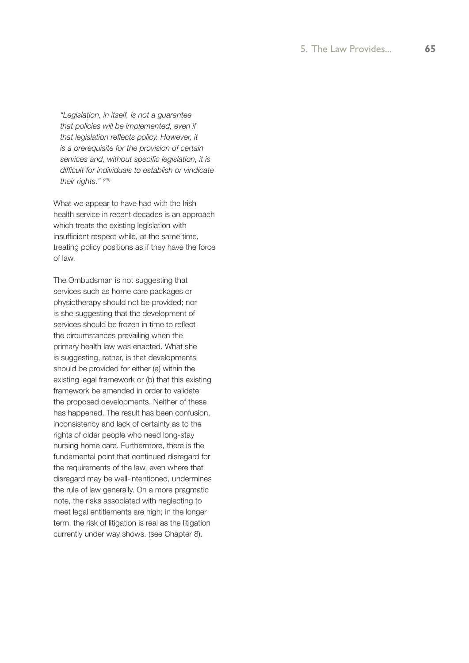*"Legislation, in itself, is not a guarantee that policies will be implemented, even if that legislation reflects policy. However, it is a prerequisite for the provision of certain services and, without specific legislation, it is difficult for individuals to establish or vindicate their rights." (25)*

What we appear to have had with the Irish health service in recent decades is an approach which treats the existing legislation with insufficient respect while, at the same time, treating policy positions as if they have the force of law.

The Ombudsman is not suggesting that services such as home care packages or physiotherapy should not be provided; nor is she suggesting that the development of services should be frozen in time to reflect the circumstances prevailing when the primary health law was enacted. What she is suggesting, rather, is that developments should be provided for either (a) within the existing legal framework or (b) that this existing framework be amended in order to validate the proposed developments. Neither of these has happened. The result has been confusion, inconsistency and lack of certainty as to the rights of older people who need long-stay nursing home care. Furthermore, there is the fundamental point that continued disregard for the requirements of the law, even where that disregard may be well-intentioned, undermines the rule of law generally. On a more pragmatic note, the risks associated with neglecting to meet legal entitlements are high; in the longer term, the risk of litigation is real as the litigation currently under way shows. (see Chapter 8).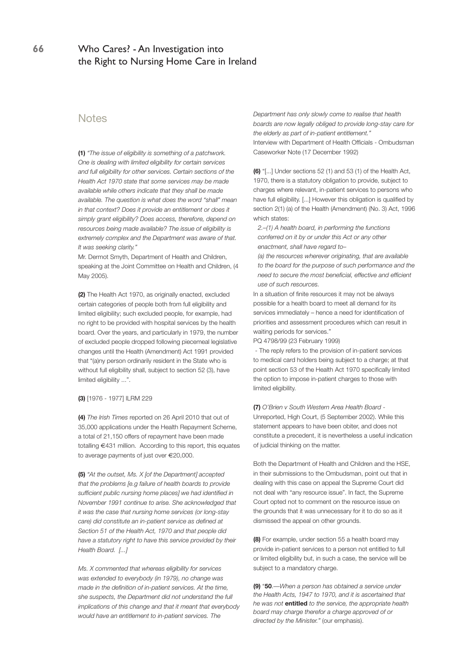#### Notes

**(1)** *"The issue of eligibility is something of a patchwork. One is dealing with limited eligibility for certain services and full eligibility for other services. Certain sections of the Health Act 1970 state that some services may be made available while others indicate that they shall be made available. The question is what does the word "shall" mean in that context? Does it provide an entitlement or does it simply grant eligibility? Does access, therefore, depend on resources being made available? The issue of eligibility is extremely complex and the Department was aware of that. It was seeking clarity."*

Mr. Dermot Smyth, Department of Health and Children, speaking at the Joint Committee on Health and Children, (4 May 2005).

**(2)** The Health Act 1970, as originally enacted, excluded certain categories of people both from full eligibility and limited eligibility; such excluded people, for example, had no right to be provided with hospital services by the health board. Over the years, and particularly in 1979, the number of excluded people dropped following piecemeal legislative changes until the Health (Amendment) Act 1991 provided that "(a)ny person ordinarily resident in the State who is without full eligibility shall, subject to section 52 (3), have limited eligibility ...".

#### **(3)** [1976 - 1977] ILRM 229

**(4)** *The Irish Times* reported on 26 April 2010 that out of 35,000 applications under the Health Repayment Scheme, a total of 21,150 offers of repayment have been made totalling €431 million. According to this report, this equates to average payments of just over €20,000.

**(5)** *"At the outset, Ms. X [of the Department] accepted that the problems [e.g failure of health boards to provide sufficient public nursing home places] we had identified in November 1991 continue to arise. She acknowledged that it was the case that nursing home services (or long-stay care) did constitute an in-patient service as defined at Section 51 of the Health Act, 1970 and that people did have a statutory right to have this service provided by their Health Board. [...]*

*Ms. X commented that whereas eligibility for services was extended to everybody (in 1979), no change was made in the definition of in-patient services. At the time, she suspects, the Department did not understand the full implications of this change and that it meant that everybody would have an entitlement to in-patient services. The* 

*Department has only slowly come to realise that health boards are now legally obliged to provide long-stay care for the elderly as part of in-patient entitlement."* Interview with Department of Health Officials - Ombudsman Caseworker Note (17 December 1992)

**(6)** "[...] Under sections 52 (1) and 53 (1) of the Health Act, 1970, there is a statutory obligation to provide, subject to charges where relevant, in-patient services to persons who have full eligibility. [...] However this obligation is qualified by section 2(1) (a) of the Health (Amendment) (No. 3) Act, 1996 which states:

*2.–(1) A health board, in performing the functions conferred on it by or under this Act or any other enactment, shall have regard to–*

*(a) the resources wherever originating, that are available to the board for the purpose of such performance and the need to secure the most beneficial, effective and efficient use of such resources.*

In a situation of finite resources it may not be always possible for a health board to meet all demand for its services immediately – hence a need for identification of priorities and assessment procedures which can result in waiting periods for services."

PQ 4798/99 (23 February 1999)

 - The reply refers to the provision of in-patient services to medical card holders being subject to a charge; at that point section 53 of the Health Act 1970 specifically limited the option to impose in-patient charges to those with limited eligibility.

**(7)** *O'Brien v South Western Area Health Board* - Unreported, High Court, (5 September 2002). While this statement appears to have been obiter, and does not constitute a precedent, it is nevertheless a useful indication of judicial thinking on the matter.

Both the Department of Health and Children and the HSE, in their submissions to the Ombudsman, point out that in dealing with this case on appeal the Supreme Court did not deal with "any resource issue". In fact, the Supreme Court opted not to comment on the resource issue on the grounds that it was unnecessary for it to do so as it dismissed the appeal on other grounds.

**(8)** For example, under section 55 a health board may provide in-patient services to a person not entitled to full or limited eligibility but, in such a case, the service will be subject to a mandatory charge.

**(9)** "**50**.—*When a person has obtained a service under the Health Acts, 1947 to 1970, and it is ascertained that he was not* **entitled** *to the service, the appropriate health board may charge therefor a charge approved of or directed by the Minister."* (our emphasis).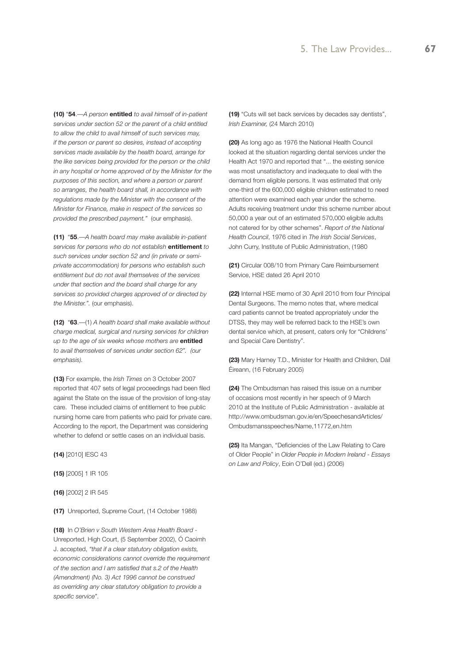**(10)** "**54**.—*A person* **entitled** *to avail himself of in-patient services under section 52 or the parent of a child entitled to allow the child to avail himself of such services may, if the person or parent so desires, instead of accepting services made available by the health board, arrange for the like services being provided for the person or the child in any hospital or home approved of by the Minister for the purposes of this section, and where a person or parent so arranges, the health board shall, in accordance with regulations made by the Minister with the consent of the Minister for Finance, make in respect of the services so provided the prescribed payment."* (our emphasis).

**(11)** "**55**.—*A health board may make available in-patient services for persons who do not establish* **entitlement** *to such services under section 52 and (in private or semiprivate accommodation) for persons who establish such entitlement but do not avail themselves of the services under that section and the board shall charge for any services so provided charges approved of or directed by the Minister.".* (our emphasis).

**(12)** "**63**.—(1) *A health board shall make available without charge medical, surgical and nursing services for children up to the age of six weeks whose mothers are* **entitled** *to avail themselves of services under section 62". (our emphasis).*

**(13)** For example, the *Irish Times* on 3 October 2007 reported that 407 sets of legal proceedings had been filed against the State on the issue of the provision of long-stay care. These included claims of entitlement to free public nursing home care from patients who paid for private care. According to the report, the Department was considering whether to defend or settle cases on an individual basis.

**(14)** [2010] IESC 43

**(15)** [2005] 1 IR 105

**(16)** [2002] 2 IR 545

**(17)** Unreported, Supreme Court, (14 October 1988)

**(18)** In *O'Brien v South Western Area Health Board* - Unreported, High Court, (5 September 2002), Ó Caoimh J. accepted, *"that if a clear statutory obligation exists, economic considerations cannot override the requirement of the section and I am satisfied that s.2 of the Health (Amendment) (No. 3) Act 1996 cannot be construed as overriding any clear statutory obligation to provide a specific service"*.

**(19)** "Cuts will set back services by decades say dentists", *Irish Examiner,* (24 March 2010)

**(20)** As long ago as 1976 the National Health Council looked at the situation regarding dental services under the Health Act 1970 and reported that "... the existing service was most unsatisfactory and inadequate to deal with the demand from eligible persons. It was estimated that only one-third of the 600,000 eligible children estimated to need attention were examined each year under the scheme. Adults receiving treatment under this scheme number about 50,000 a year out of an estimated 570,000 eligible adults not catered for by other schemes". *Report of the National Health Council*, 1976 cited in *The Irish Social Services*, John Curry, Institute of Public Administration, (1980

**(21)** Circular 008/10 from Primary Care Reimbursement Service, HSE dated 26 April 2010

**(22)** Internal HSE memo of 30 April 2010 from four Principal Dental Surgeons. The memo notes that, where medical card patients cannot be treated appropriately under the DTSS, they may well be referred back to the HSE's own dental service which, at present, caters only for "Childrens' and Special Care Dentistry".

**(23)** Mary Harney T.D., Minister for Health and Children, Dáil Éireann, (16 February 2005)

**(24)** The Ombudsman has raised this issue on a number of occasions most recently in her speech of 9 March 2010 at the Institute of Public Administration - available at http://www.ombudsman.gov.ie/en/SpeechesandArticles/ Ombudsmansspeeches/Name,11772,en.htm

**(25)** Ita Mangan, "Deficiencies of the Law Relating to Care of Older People" in *Older People in Modern Ireland - Essays on Law and Policy*, Eoin O'Dell (ed.) (2006)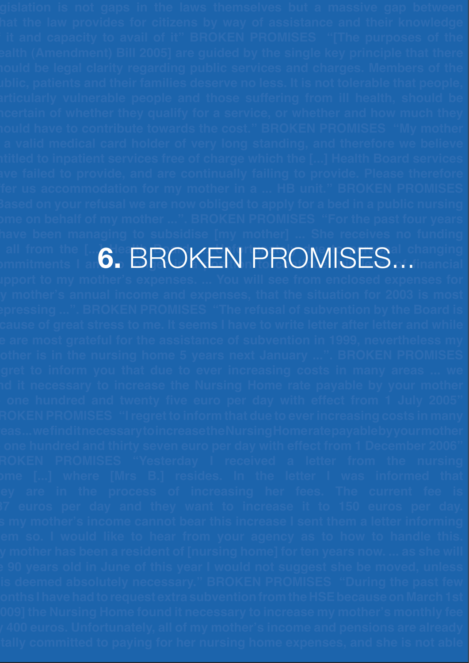**all from the [...]**  $\bullet$  **Bobard Board Board Board. ... In France Call changing Religion the LG. BROKEN PROMISES... Anging**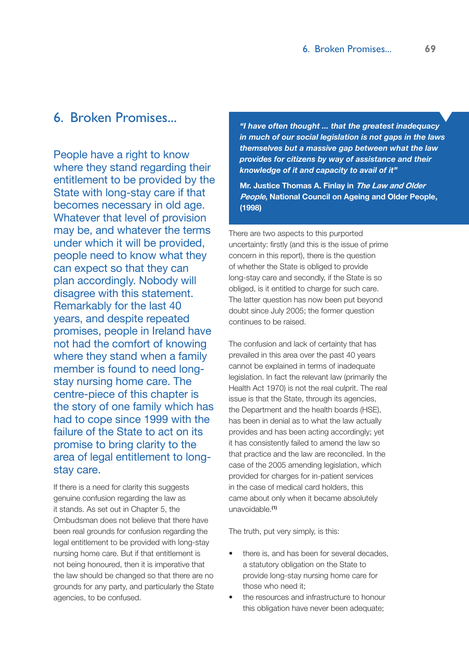# 6. Broken Promises...

People have a right to know where they stand regarding their entitlement to be provided by the State with long-stay care if that becomes necessary in old age. Whatever that level of provision may be, and whatever the terms under which it will be provided, people need to know what they can expect so that they can plan accordingly. Nobody will disagree with this statement. Remarkably for the last 40 years, and despite repeated promises, people in Ireland have not had the comfort of knowing where they stand when a family member is found to need longstay nursing home care. The centre-piece of this chapter is the story of one family which has had to cope since 1999 with the failure of the State to act on its promise to bring clarity to the area of legal entitlement to longstay care.

If there is a need for clarity this suggests genuine confusion regarding the law as it stands. As set out in Chapter 5, the Ombudsman does not believe that there have been real grounds for confusion regarding the legal entitlement to be provided with long-stay nursing home care. But if that entitlement is not being honoured, then it is imperative that the law should be changed so that there are no grounds for any party, and particularly the State agencies, to be confused.

*"I have often thought ... that the greatest inadequacy in much of our social legislation is not gaps in the laws themselves but a massive gap between what the law provides for citizens by way of assistance and their knowledge of it and capacity to avail of it"*

**Mr. Justice Thomas A. Finlay in The Law and Older People, National Council on Ageing and Older People, (1998)**

There are two aspects to this purported uncertainty: firstly (and this is the issue of prime concern in this report), there is the question of whether the State is obliged to provide long-stay care and secondly, if the State is so obliged, is it entitled to charge for such care. The latter question has now been put beyond doubt since July 2005; the former question continues to be raised.

The confusion and lack of certainty that has prevailed in this area over the past 40 years cannot be explained in terms of inadequate legislation. In fact the relevant law (primarily the Health Act 1970) is not the real culprit. The real issue is that the State, through its agencies, the Department and the health boards (HSE), has been in denial as to what the law actually provides and has been acting accordingly; yet it has consistently failed to amend the law so that practice and the law are reconciled. In the case of the 2005 amending legislation, which provided for charges for in-patient services in the case of medical card holders, this came about only when it became absolutely unavoidable.**(1)**

The truth, put very simply, is this:

- there is, and has been for several decades, a statutory obligation on the State to provide long-stay nursing home care for those who need it;
- the resources and infrastructure to honour this obligation have never been adequate;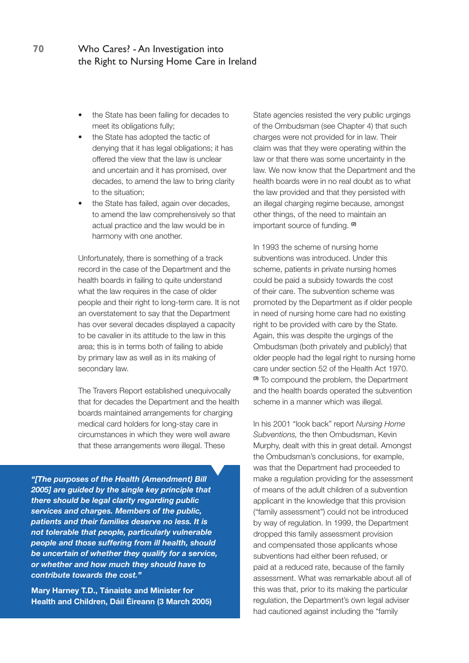- the State has been failing for decades to meet its obligations fully;
- the State has adopted the tactic of denying that it has legal obligations; it has offered the view that the law is unclear and uncertain and it has promised, over decades, to amend the law to bring clarity to the situation;
- the State has failed, again over decades, to amend the law comprehensively so that actual practice and the law would be in harmony with one another.

Unfortunately, there is something of a track record in the case of the Department and the health boards in failing to quite understand what the law requires in the case of older people and their right to long-term care. It is not an overstatement to say that the Department has over several decades displayed a capacity to be cavalier in its attitude to the law in this area; this is in terms both of failing to abide by primary law as well as in its making of secondary law.

The Travers Report established unequivocally that for decades the Department and the health boards maintained arrangements for charging medical card holders for long-stay care in circumstances in which they were well aware that these arrangements were illegal. These

*"[The purposes of the Health (Amendment) Bill 2005] are guided by the single key principle that there should be legal clarity regarding public services and charges. Members of the public, patients and their families deserve no less. It is not tolerable that people, particularly vulnerable people and those suffering from ill health, should be uncertain of whether they qualify for a service, or whether and how much they should have to contribute towards the cost."*

**Mary Harney T.D., Tánaiste and Minister for Health and Children, Dáil Éireann (3 March 2005)** State agencies resisted the very public urgings of the Ombudsman (see Chapter 4) that such charges were not provided for in law. Their claim was that they were operating within the law or that there was some uncertainty in the law. We now know that the Department and the health boards were in no real doubt as to what the law provided and that they persisted with an illegal charging regime because, amongst other things, of the need to maintain an important source of funding. **(2)**

In 1993 the scheme of nursing home subventions was introduced. Under this scheme, patients in private nursing homes could be paid a subsidy towards the cost of their care. The subvention scheme was promoted by the Department as if older people in need of nursing home care had no existing right to be provided with care by the State. Again, this was despite the urgings of the Ombudsman (both privately and publicly) that older people had the legal right to nursing home care under section 52 of the Health Act 1970. **(3)** To compound the problem, the Department and the health boards operated the subvention scheme in a manner which was illegal.

In his 2001 "look back" report *Nursing Home Subventions,* the then Ombudsman, Kevin Murphy, dealt with this in great detail. Amongst the Ombudsman's conclusions, for example, was that the Department had proceeded to make a regulation providing for the assessment of means of the adult children of a subvention applicant in the knowledge that this provision ("family assessment") could not be introduced by way of regulation. In 1999, the Department dropped this family assessment provision and compensated those applicants whose subventions had either been refused, or paid at a reduced rate, because of the family assessment. What was remarkable about all of this was that, prior to its making the particular regulation, the Department's own legal adviser had cautioned against including the "family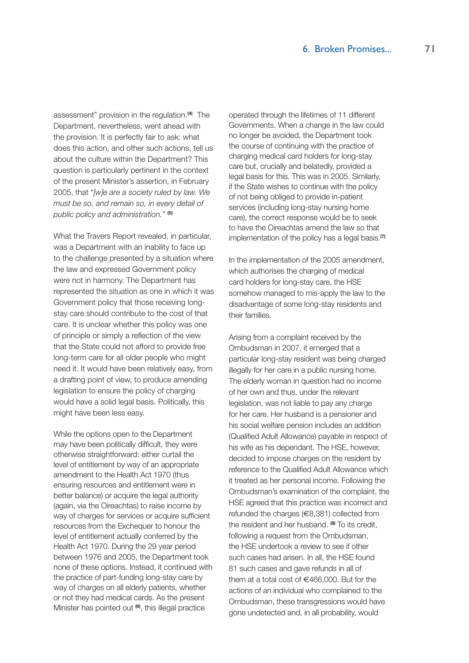assessment" provision in the regulation.**(4)** The Department, nevertheless, went ahead with the provision. It is perfectly fair to ask: what does this action, and other such actions, tell us about the culture within the Department? This question is particularly pertinent in the context of the present Minister's assertion, in February 2005, that "*[w]e are a society ruled by law. We must be so, and remain so, in every detail of public policy and administration.*" **(5)**

What the Travers Report revealed, in particular, was a Department with an inability to face up to the challenge presented by a situation where the law and expressed Government policy were not in harmony. The Department has represented the situation as one in which it was Government policy that those receiving longstay care should contribute to the cost of that care. It is unclear whether this policy was one of principle or simply a reflection of the view that the State could not afford to provide free long-term care for all older people who might need it. It would have been relatively easy, from a drafting point of view, to produce amending legislation to ensure the policy of charging would have a solid legal basis. Politically, this might have been less easy.

While the options open to the Department may have been politically difficult, they were otherwise straightforward: either curtail the level of entitlement by way of an appropriate amendment to the Health Act 1970 (thus ensuring resources and entitlement were in better balance) or acquire the legal authority (again, via the Oireachtas) to raise income by way of charges for services or acquire sufficient resources from the Exchequer to honour the level of entitlement actually conferred by the Health Act 1970. During the 29 year period between 1976 and 2005, the Department took none of these options. Instead, it continued with the practice of part-funding long-stay care by way of charges on all elderly patients, whether or not they had medical cards. As the present Minister has pointed out **(6)**, this illegal practice

operated through the lifetimes of 11 different Governments. When a change in the law could no longer be avoided, the Department took the course of continuing with the practice of charging medical card holders for long-stay care but, crucially and belatedly, provided a legal basis for this. This was in 2005. Similarly, if the State wishes to continue with the policy of not being obliged to provide in-patient services (including long-stay nursing home care), the correct response would be to seek to have the Oireachtas amend the law so that implementation of the policy has a legal basis.**(7)**

In the implementation of the 2005 amendment, which authorises the charging of medical card holders for long-stay care, the HSE somehow managed to mis-apply the law to the disadvantage of some long-stay residents and their families.

Arising from a complaint received by the Ombudsman in 2007, it emerged that a particular long-stay resident was being charged illegally for her care in a public nursing home. The elderly woman in question had no income of her own and thus, under the relevant legislation, was not liable to pay any charge for her care. Her husband is a pensioner and his social welfare pension includes an addition (Qualified Adult Allowance) payable in respect of his wife as his dependant. The HSE, however, decided to impose charges on the resident by reference to the Qualified Adult Allowance which it treated as her personal income. Following the Ombudsman's examination of the complaint, the HSE agreed that this practice was incorrect and refunded the charges (€8,381) collected from the resident and her husband. **(8)** To its credit, following a request from the Ombudsman, the HSE undertook a review to see if other such cases had arisen. In all, the HSE found 81 such cases and gave refunds in all of them at a total cost of €466,000. But for the actions of an individual who complained to the Ombudsman, these transgressions would have gone undetected and, in all probability, would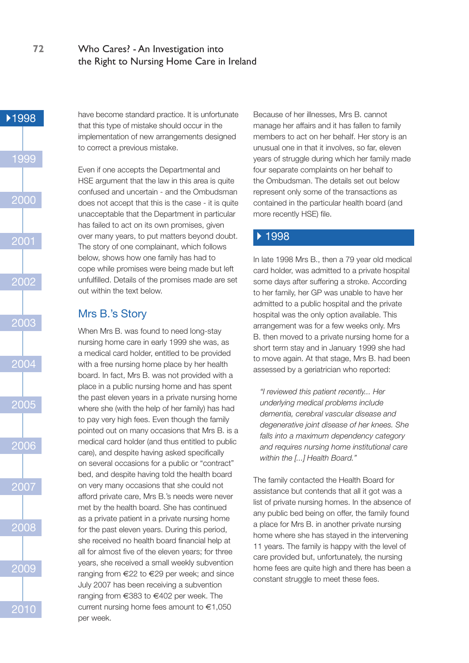

have become standard practice. It is unfortunate that this type of mistake should occur in the implementation of new arrangements designed to correct a previous mistake.

Even if one accepts the Departmental and HSE argument that the law in this area is quite confused and uncertain - and the Ombudsman does not accept that this is the case - it is quite unacceptable that the Department in particular has failed to act on its own promises, given over many years, to put matters beyond doubt. The story of one complainant, which follows below, shows how one family has had to cope while promises were being made but left unfulfilled. Details of the promises made are set out within the text below.

# Mrs B.'s Story

When Mrs B. was found to need long-stay nursing home care in early 1999 she was, as a medical card holder, entitled to be provided with a free nursing home place by her health board. In fact, Mrs B. was not provided with a place in a public nursing home and has spent the past eleven years in a private nursing home where she (with the help of her family) has had to pay very high fees. Even though the family pointed out on many occasions that Mrs B. is a medical card holder (and thus entitled to public care), and despite having asked specifically on several occasions for a public or "contract" bed, and despite having told the health board on very many occasions that she could not afford private care, Mrs B.'s needs were never met by the health board. She has continued as a private patient in a private nursing home for the past eleven years. During this period, she received no health board financial help at all for almost five of the eleven years; for three years, she received a small weekly subvention ranging from €22 to €29 per week; and since July 2007 has been receiving a subvention ranging from €383 to €402 per week. The current nursing home fees amount to €1,050 per week.

Because of her illnesses, Mrs B. cannot manage her affairs and it has fallen to family members to act on her behalf. Her story is an unusual one in that it involves, so far, eleven years of struggle during which her family made four separate complaints on her behalf to the Ombudsman. The details set out below represent only some of the transactions as contained in the particular health board (and more recently HSE) file.

# ▶ 1998

In late 1998 Mrs B., then a 79 year old medical card holder, was admitted to a private hospital some days after suffering a stroke. According to her family, her GP was unable to have her admitted to a public hospital and the private hospital was the only option available. This arrangement was for a few weeks only. Mrs B. then moved to a private nursing home for a short term stay and in January 1999 she had to move again. At that stage, Mrs B. had been assessed by a geriatrician who reported:

*"I reviewed this patient recently... Her underlying medical problems include dementia, cerebral vascular disease and degenerative joint disease of her knees. She falls into a maximum dependency category and requires nursing home institutional care within the [...] Health Board."* 

The family contacted the Health Board for assistance but contends that all it got was a list of private nursing homes. In the absence of any public bed being on offer, the family found a place for Mrs B. in another private nursing home where she has stayed in the intervening 11 years. The family is happy with the level of care provided but, unfortunately, the nursing home fees are quite high and there has been a constant struggle to meet these fees.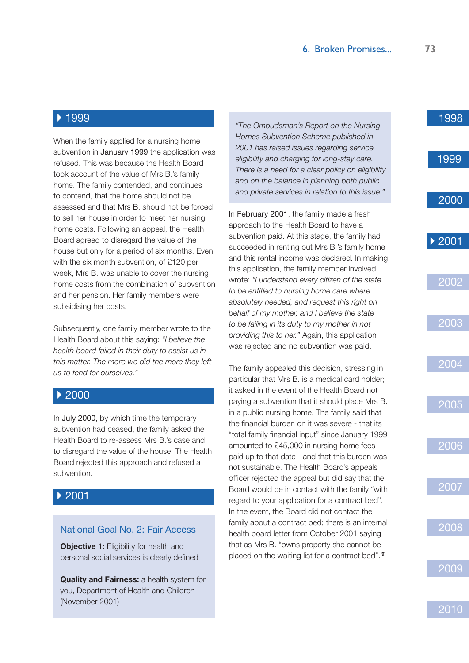When the family applied for a nursing home subvention in January 1999 the application was refused. This was because the Health Board took account of the value of Mrs B.'s family home. The family contended, and continues to contend, that the home should not be assessed and that Mrs B. should not be forced to sell her house in order to meet her nursing home costs. Following an appeal, the Health Board agreed to disregard the value of the house but only for a period of six months. Even with the six month subvention, of £120 per week, Mrs B. was unable to cover the nursing home costs from the combination of subvention and her pension. Her family members were subsidising her costs.

Subsequently, one family member wrote to the Health Board about this saying: *"I believe the health board failed in their duty to assist us in this matter. The more we did the more they left us to fend for ourselves."*

# ▶ 2000

In July 2000, by which time the temporary subvention had ceased, the family asked the Health Board to re-assess Mrs B.'s case and to disregard the value of the house. The Health Board rejected this approach and refused a subvention.

# 2001

#### National Goal No. 2: Fair Access

**Objective 1:** Eligibility for health and personal social services is clearly defined

**Quality and Fairness:** a health system for you, Department of Health and Children (November 2001)

*"The Ombudsman's Report on the Nursing Homes Subvention Scheme published in 2001 has raised issues regarding service eligibility and charging for long-stay care. There is a need for a clear policy on eligibility and on the balance in planning both public and private services in relation to this issue."* 

In February 2001, the family made a fresh approach to the Health Board to have a subvention paid. At this stage, the family had succeeded in renting out Mrs B.'s family home and this rental income was declared. In making this application, the family member involved wrote: *"I understand every citizen of the state to be entitled to nursing home care where absolutely needed, and request this right on behalf of my mother, and I believe the state to be failing in its duty to my mother in not providing this to her."* Again, this application was rejected and no subvention was paid.

The family appealed this decision, stressing in particular that Mrs B. is a medical card holder; it asked in the event of the Health Board not paying a subvention that it should place Mrs B. in a public nursing home. The family said that the financial burden on it was severe - that its "total family financial input" since January 1999 amounted to £45,000 in nursing home fees paid up to that date - and that this burden was not sustainable. The Health Board's appeals officer rejected the appeal but did say that the Board would be in contact with the family "with regard to your application for a contract bed". In the event, the Board did not contact the family about a contract bed; there is an internal health board letter from October 2001 saying that as Mrs B. "owns property she cannot be placed on the waiting list for a contract bed".**(9)**

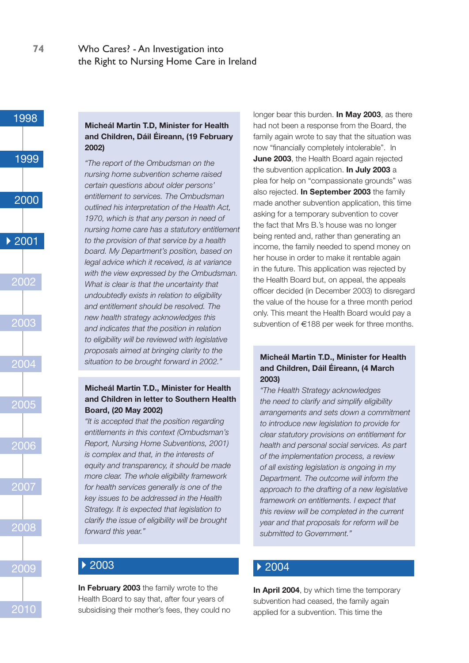

#### **Micheál Martin T.D, Minister for Health and Children, Dáil Éireann, (19 February 2002)**

*"The report of the Ombudsman on the nursing home subvention scheme raised certain questions about older persons' entitlement to services. The Ombudsman outlined his interpretation of the Health Act, 1970, which is that any person in need of nursing home care has a statutory entitlement to the provision of that service by a health board. My Department's position, based on legal advice which it received, is at variance with the view expressed by the Ombudsman. What is clear is that the uncertainty that undoubtedly exists in relation to eligibility and entitlement should be resolved. The new health strategy acknowledges this and indicates that the position in relation to eligibility will be reviewed with legislative proposals aimed at bringing clarity to the situation to be brought forward in 2002."*

#### **Micheál Martin T.D., Minister for Health and Children in letter to Southern Health Board, (20 May 2002)**

*"It is accepted that the position regarding entitlements in this context (Ombudsman's Report, Nursing Home Subventions, 2001) is complex and that, in the interests of equity and transparency, it should be made more clear. The whole eligibility framework for health services generally is one of the key issues to be addressed in the Health Strategy. It is expected that legislation to clarify the issue of eligibility will be brought forward this year."*

# ▶ 2003

**In February 2003** the family wrote to the Health Board to say that, after four years of subsidising their mother's fees, they could no longer bear this burden. **In May 2003**, as there had not been a response from the Board, the family again wrote to say that the situation was now "financially completely intolerable". In **June 2003**, the Health Board again rejected the subvention application. **In July 2003** a plea for help on "compassionate grounds" was also rejected. **In September 2003** the family made another subvention application, this time asking for a temporary subvention to cover the fact that Mrs B.'s house was no longer being rented and, rather than generating an income, the family needed to spend money on her house in order to make it rentable again in the future. This application was rejected by the Health Board but, on appeal, the appeals officer decided (in December 2003) to disregard the value of the house for a three month period only. This meant the Health Board would pay a subvention of €188 per week for three months.

#### **Micheál Martin T.D., Minister for Health and Children, Dáil Éireann, (4 March 2003)**

*"The Health Strategy acknowledges the need to clarify and simplify eligibility arrangements and sets down a commitment to introduce new legislation to provide for clear statutory provisions on entitlement for health and personal social services. As part of the implementation process, a review of all existing legislation is ongoing in my Department. The outcome will inform the approach to the drafting of a new legislative framework on entitlements. I expect that this review will be completed in the current year and that proposals for reform will be submitted to Government."*

# $\triangleright$  2004

**In April 2004**, by which time the temporary subvention had ceased, the family again applied for a subvention. This time the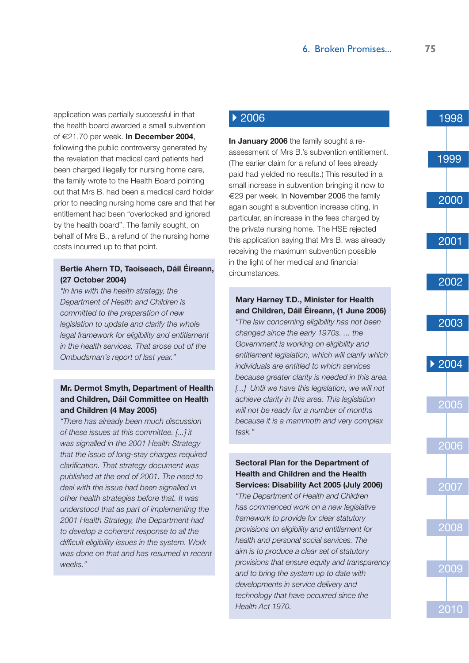application was partially successful in that the health board awarded a small subvention of €21.70 per week. **In December 2004**, following the public controversy generated by the revelation that medical card patients had been charged illegally for nursing home care, the family wrote to the Health Board pointing out that Mrs B. had been a medical card holder prior to needing nursing home care and that her entitlement had been "overlooked and ignored by the health board". The family sought, on behalf of Mrs B., a refund of the nursing home costs incurred up to that point.

#### **Bertie Ahern TD, Taoiseach, Dáil Éireann, (27 October 2004)**

*"In line with the health strategy, the Department of Health and Children is committed to the preparation of new legislation to update and clarify the whole legal framework for eligibility and entitlement in the health services. That arose out of the Ombudsman's report of last year."*

#### **Mr. Dermot Smyth, Department of Health and Children, Dáil Committee on Health and Children (4 May 2005)**

*"There has already been much discussion of these issues at this committee. [...] it was signalled in the 2001 Health Strategy that the issue of long-stay charges required clarification. That strategy document was published at the end of 2001. The need to deal with the issue had been signalled in other health strategies before that. It was understood that as part of implementing the 2001 Health Strategy, the Department had to develop a coherent response to all the difficult eligibility issues in the system. Work was done on that and has resumed in recent weeks."*

# ▶ 2006

**In January 2006** the family sought a reassessment of Mrs B.'s subvention entitlement. (The earlier claim for a refund of fees already paid had yielded no results.) This resulted in a small increase in subvention bringing it now to €29 per week. In November 2006 the family again sought a subvention increase citing, in particular, an increase in the fees charged by the private nursing home. The HSE rejected this application saying that Mrs B. was already receiving the maximum subvention possible in the light of her medical and financial circumstances.

#### **Mary Harney T.D., Minister for Health and Children, Dáil Éireann, (1 June 2006)**

*"The law concerning eligibility has not been changed since the early 1970s. ... the Government is working on eligibility and entitlement legislation, which will clarify which individuals are entitled to which services because greater clarity is needed in this area.* [...] Until we have this legislation, we will not *achieve clarity in this area. This legislation will not be ready for a number of months because it is a mammoth and very complex task."*

#### **Sectoral Plan for the Department of Health and Children and the Health Services: Disability Act 2005 (July 2006)**

*"The Department of Health and Children has commenced work on a new legislative framework to provide for clear statutory provisions on eligibility and entitlement for health and personal social services. The aim is to produce a clear set of statutory provisions that ensure equity and transparency and to bring the system up to date with developments in service delivery and technology that have occurred since the Health Act 1970.*

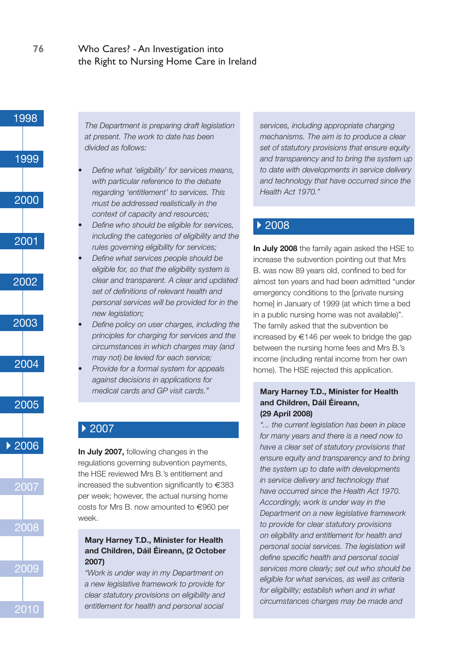

*The Department is preparing draft legislation at present. The work to date has been divided as follows:*

- *• Define what 'eligibility' for services means, with particular reference to the debate regarding 'entitlement' to services. This must be addressed realistically in the context of capacity and resources;*
- *• Define who should be eligible for services, including the categories of eligibility and the rules governing eligibility for services;*
- *• Define what services people should be eligible for, so that the eligibility system is clear and transparent. A clear and updated set of definitions of relevant health and personal services will be provided for in the new legislation;*
- *• Define policy on user charges, including the principles for charging for services and the circumstances in which charges may (and may not) be levied for each service;*
- *• Provide for a formal system for appeals against decisions in applications for medical cards and GP visit cards."*

# ▶ 2007

**In July 2007,** following changes in the regulations governing subvention payments, the HSE reviewed Mrs B.'s entitlement and increased the subvention significantly to €383 per week; however, the actual nursing home costs for Mrs B. now amounted to €960 per week.

#### **Mary Harney T.D., Minister for Health and Children, Dáil Éireann, (2 October 2007)**

*"Work is under way in my Department on a new legislative framework to provide for clear statutory provisions on eligibility and entitlement for health and personal social* 

*services, including appropriate charging mechanisms. The aim is to produce a clear set of statutory provisions that ensure equity and transparency and to bring the system up to date with developments in service delivery and technology that have occurred since the Health Act 1970."*

# ▶ 2008

**In July 2008** the family again asked the HSE to increase the subvention pointing out that Mrs B. was now 89 years old, confined to bed for almost ten years and had been admitted "under emergency conditions to the [private nursing home] in January of 1999 (at which time a bed in a public nursing home was not available)". The family asked that the subvention be increased by  $\epsilon$ 146 per week to bridge the gap between the nursing home fees and Mrs B.'s income (including rental income from her own home). The HSE rejected this application.

#### **Mary Harney T.D., Minister for Health and Children, Dáil Éireann, (29 April 2008)**

*"... the current legislation has been in place for many years and there is a need now to have a clear set of statutory provisions that ensure equity and transparency and to bring the system up to date with developments in service delivery and technology that have occurred since the Health Act 1970. Accordingly, work is under way in the Department on a new legislative framework to provide for clear statutory provisions on eligibility and entitlement for health and personal social services. The legislation will define specific health and personal social services more clearly; set out who should be eligible for what services, as well as criteria for eligibility; establish when and in what circumstances charges may be made and*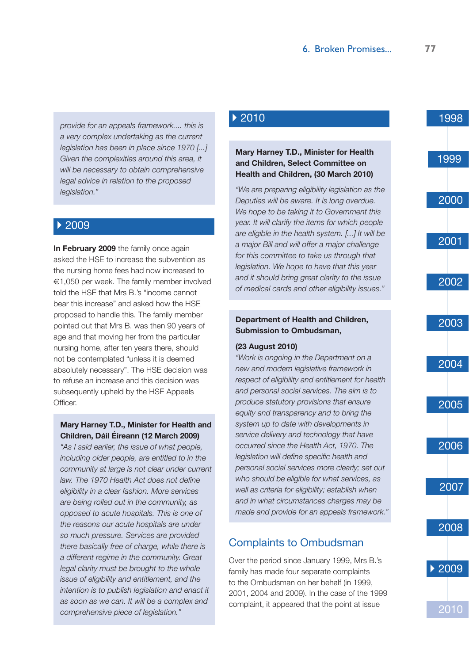*provide for an appeals framework.... this is a very complex undertaking as the current legislation has been in place since 1970 [...] Given the complexities around this area, it will be necessary to obtain comprehensive legal advice in relation to the proposed legislation."*

## ▶ 2009

**In February 2009** the family once again asked the HSE to increase the subvention as the nursing home fees had now increased to €1,050 per week. The family member involved told the HSE that Mrs B.'s "income cannot bear this increase" and asked how the HSE proposed to handle this. The family member pointed out that Mrs B. was then 90 years of age and that moving her from the particular nursing home, after ten years there, should not be contemplated "unless it is deemed absolutely necessary". The HSE decision was to refuse an increase and this decision was subsequently upheld by the HSE Appeals **Officer** 

#### **Mary Harney T.D., Minister for Health and Children, Dáil Éireann (12 March 2009)**

*"As I said earlier, the issue of what people, including older people, are entitled to in the community at large is not clear under current law. The 1970 Health Act does not define eligibility in a clear fashion. More services are being rolled out in the community, as opposed to acute hospitals. This is one of the reasons our acute hospitals are under so much pressure. Services are provided there basically free of charge, while there is a different regime in the community. Great legal clarity must be brought to the whole issue of eligibility and entitlement, and the intention is to publish legislation and enact it as soon as we can. It will be a complex and comprehensive piece of legislation."*

# ▶ 2010

#### **Mary Harney T.D., Minister for Health and Children, Select Committee on Health and Children, (30 March 2010)**

*"We are preparing eligibility legislation as the Deputies will be aware. It is long overdue. We hope to be taking it to Government this year. It will clarify the items for which people are eligible in the health system. [...] It will be a major Bill and will offer a major challenge for this committee to take us through that legislation. We hope to have that this year and it should bring great clarity to the issue of medical cards and other eligibility issues."*

#### **Department of Health and Children, Submission to Ombudsman,**

#### **(23 August 2010)**

*"Work is ongoing in the Department on a new and modern legislative framework in respect of eligibility and entitlement for health and personal social services. The aim is to produce statutory provisions that ensure equity and transparency and to bring the system up to date with developments in service delivery and technology that have occurred since the Health Act, 1970. The legislation will define specific health and personal social services more clearly; set out who should be eligible for what services, as well as criteria for eligibility; establish when and in what circumstances charges may be made and provide for an appeals framework."*

# Complaints to Ombudsman

Over the period since January 1999, Mrs B.'s family has made four separate complaints to the Ombudsman on her behalf (in 1999, 2001, 2004 and 2009). In the case of the 1999 complaint, it appeared that the point at issue

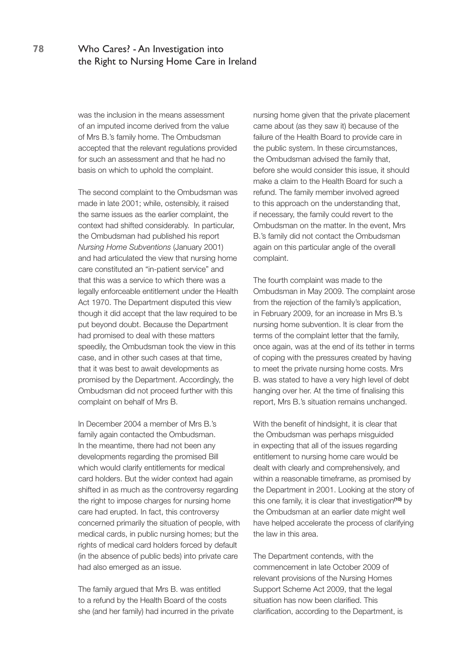was the inclusion in the means assessment of an imputed income derived from the value of Mrs B.'s family home. The Ombudsman accepted that the relevant regulations provided for such an assessment and that he had no basis on which to uphold the complaint.

The second complaint to the Ombudsman was made in late 2001; while, ostensibly, it raised the same issues as the earlier complaint, the context had shifted considerably. In particular, the Ombudsman had published his report *Nursing Home Subventions* (January 2001) and had articulated the view that nursing home care constituted an "in-patient service" and that this was a service to which there was a legally enforceable entitlement under the Health Act 1970. The Department disputed this view though it did accept that the law required to be put beyond doubt. Because the Department had promised to deal with these matters speedily, the Ombudsman took the view in this case, and in other such cases at that time, that it was best to await developments as promised by the Department. Accordingly, the Ombudsman did not proceed further with this complaint on behalf of Mrs B.

In December 2004 a member of Mrs B.'s family again contacted the Ombudsman. In the meantime, there had not been any developments regarding the promised Bill which would clarify entitlements for medical card holders. But the wider context had again shifted in as much as the controversy regarding the right to impose charges for nursing home care had erupted. In fact, this controversy concerned primarily the situation of people, with medical cards, in public nursing homes; but the rights of medical card holders forced by default (in the absence of public beds) into private care had also emerged as an issue.

The family argued that Mrs B. was entitled to a refund by the Health Board of the costs she (and her family) had incurred in the private nursing home given that the private placement came about (as they saw it) because of the failure of the Health Board to provide care in the public system. In these circumstances, the Ombudsman advised the family that, before she would consider this issue, it should make a claim to the Health Board for such a refund. The family member involved agreed to this approach on the understanding that, if necessary, the family could revert to the Ombudsman on the matter. In the event, Mrs B.'s family did not contact the Ombudsman again on this particular angle of the overall complaint.

The fourth complaint was made to the Ombudsman in May 2009. The complaint arose from the rejection of the family's application, in February 2009, for an increase in Mrs B.'s nursing home subvention. It is clear from the terms of the complaint letter that the family, once again, was at the end of its tether in terms of coping with the pressures created by having to meet the private nursing home costs. Mrs B. was stated to have a very high level of debt hanging over her. At the time of finalising this report, Mrs B.'s situation remains unchanged.

With the benefit of hindsight, it is clear that the Ombudsman was perhaps misguided in expecting that all of the issues regarding entitlement to nursing home care would be dealt with clearly and comprehensively, and within a reasonable timeframe, as promised by the Department in 2001. Looking at the story of this one family, it is clear that investigation**(10)** by the Ombudsman at an earlier date might well have helped accelerate the process of clarifying the law in this area.

The Department contends, with the commencement in late October 2009 of relevant provisions of the Nursing Homes Support Scheme Act 2009, that the legal situation has now been clarified. This clarification, according to the Department, is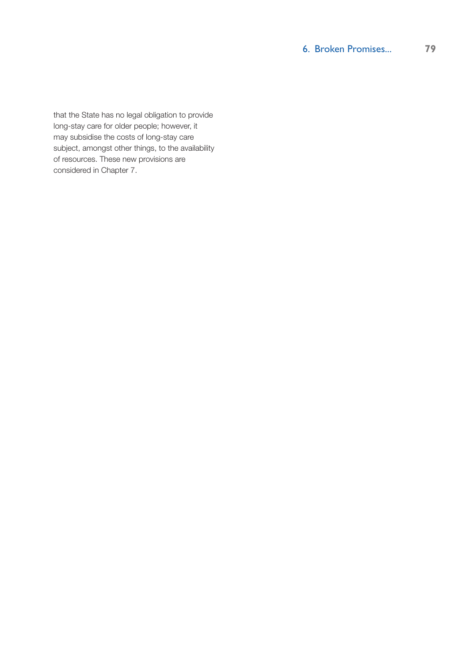that the State has no legal obligation to provide long-stay care for older people; however, it may subsidise the costs of long-stay care subject, amongst other things, to the availability of resources. These new provisions are considered in Chapter 7.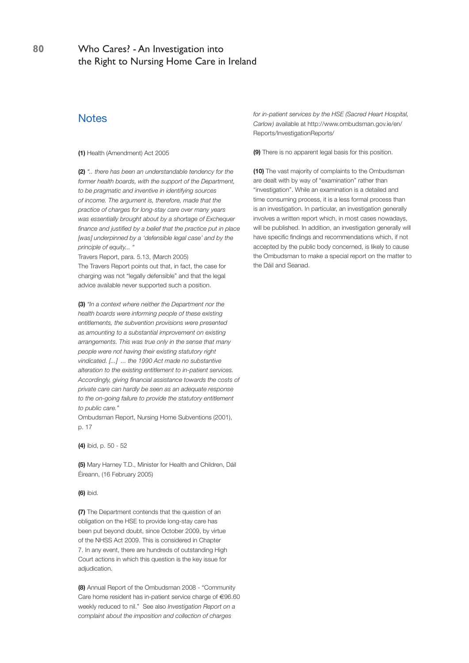# **Notes**

**(1)** Health (Amendment) Act 2005

**(2)** *".. there has been an understandable tendency for the former health boards, with the support of the Department, to be pragmatic and inventive in identifying sources of income. The argument is, therefore, made that the practice of charges for long-stay care over many years was essentially brought about by a shortage of Exchequer finance and justified by a belief that the practice put in place [was] underpinned by a 'defensible legal case' and by the principle of equity... "*

Travers Report, para. 5.13, (March 2005) The Travers Report points out that, in fact, the case for charging was not "legally defensible" and that the legal advice available never supported such a position.

**(3)** *"In a context where neither the Department nor the health boards were informing people of these existing entitlements, the subvention provisions were presented as amounting to a substantial improvement on existing arrangements. This was true only in the sense that many people were not having their existing statutory right vindicated. [...] ... the 1990 Act made no substantive alteration to the existing entitlement to in-patient services. Accordingly, giving financial assistance towards the costs of private care can hardly be seen as an adequate response to the on-going failure to provide the statutory entitlement to public care."*

Ombudsman Report, Nursing Home Subventions (2001), p. 17

**(4)** ibid, p. 50 - 52

**(5)** Mary Harney T.D., Minister for Health and Children, Dáil Éireann, (16 February 2005)

#### **(6)** ibid.

**(7)** The Department contends that the question of an obligation on the HSE to provide long-stay care has been put beyond doubt, since October 2009, by virtue of the NHSS Act 2009. This is considered in Chapter 7. In any event, there are hundreds of outstanding High Court actions in which this question is the key issue for adjudication.

**(8)** Annual Report of the Ombudsman 2008 - "Community Care home resident has in-patient service charge of €96.60 weekly reduced to nil." See also *Investigation Report on a complaint about the imposition and collection of charges* 

*for in-patient services by the HSE (Sacred Heart Hospital, Carlow)* available at http://www.ombudsman.gov.ie/en/ Reports/InvestigationReports/

**(9)** There is no apparent legal basis for this position.

**(10)** The vast majority of complaints to the Ombudsman are dealt with by way of "examination" rather than "investigation". While an examination is a detailed and time consuming process, it is a less formal process than is an investigation. In particular, an investigation generally involves a written report which, in most cases nowadays, will be published. In addition, an investigation generally will have specific findings and recommendations which, if not accepted by the public body concerned, is likely to cause the Ombudsman to make a special report on the matter to the Dáil and Seanad.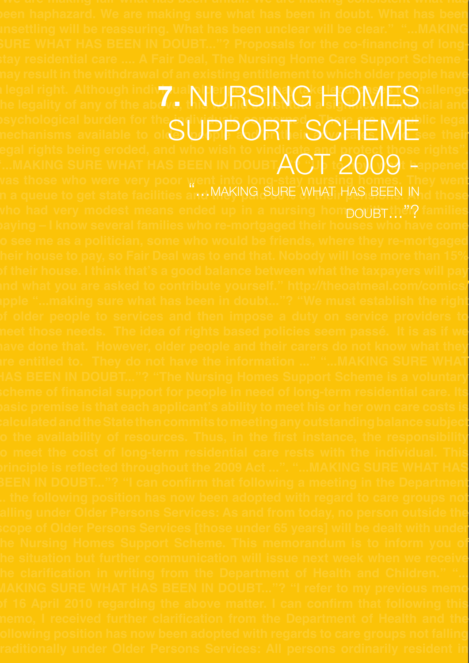**"We are making fair what has been unfair. We are making consistent what has been haphazard. We are making sure what has been in doubt. What has been sure what has been in doubt..."? Proposals for the co-financing of longstay residential care .... A Fair Deal, The Nursing Home Care Support Scheme may result in the withdrawal of an existing entitlement to which older people have a legal right. Although individual older people may take legal cases to challenge the legal right. Although indivizual NURSING as OMES allenge in the legality of any of the about, this URSING as psychological burden for the individuals concerned. There are no public legal**  psychological purgen for the SUPPORT SCHEME<sup>IIC legal</sup><br>nechanisms available to of SUPPORT iSCHEMEsee their **legal rights being eroded, and who wish to vindicate and protect those rights". "...making sure what has been in doubt..."? "Up to now what happened was those who were very poor went into long-stay nursing homes. They went**  vas those who were very poor w<br>n a queue to get state facilities an MAKING SURE WHAT HAS BEEN IN d those who had very modest means ended up in a nursing hompouBTthen? families **paying – I know several families who re-mortgaged their houses who have come to see me as a politician, some who would be friends, where they re-mortgaged their house to pay, so Fair Deal was to end that. Nobody will lose more than 15% of their house. I think that's a good balance between what the taxpayers will pay and what you are asked to contribute yourself." http://theoatmeal.com/comics/ apple "...making sure what has been in doubt..."? "We must establish the right of older people to services and then impose a duty on service providers to meet those needs. The idea of rights based policies seem passé. It is as if we have done that. However, older people and their carers do not know what they has been in doubt..."? "The Nursing Homes Support Scheme is a voluntary scheme of financial support for people in need of long-term residential care. Its basic premise is that each applicant's ability to meet his or her own care costs is calculated and the State then commits to meeting any outstanding balance subject to the availability of resources. Thus, in the first instance, the responsibility to meet the cost of long-term residential care rests with the individual. This been in doubt..."? "I can confirm that following a meeting in the Department ... the following position has now been adopted with regard to care groups not falling under Older Persons Services: As and from today, no person outside the scope of Older Persons Services [those under 65 years] will be dealt with under the Nursing Homes Support Scheme. This memorandum is to inform you of the situation but further communication will issue next week when we receive making sure what has been in doubt..."? "I refer to my previous memo of 16 April 2010 regarding the above matter. I can confirm that following this memo, I received further clarification from the Department of Health and the following position has now been adopted with regards to care groups not falling traditionally under Older Persons Services: All persons ordinarily resident in**  Act 2009 -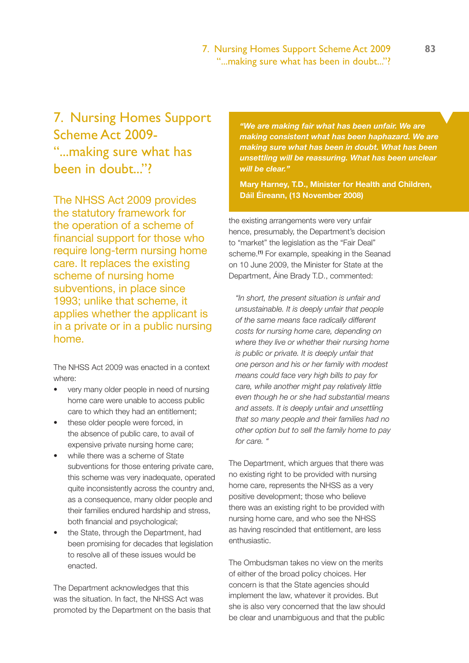#### 7. Nursing Homes Support Scheme Act 2009 **83** "...making sure what has been in doubt..."?

# 7. Nursing Homes Support Scheme Act 2009- "...making sure what has been in doubt..."?

The NHSS Act 2009 provides the statutory framework for the operation of a scheme of financial support for those who require long-term nursing home care. It replaces the existing scheme of nursing home subventions, in place since 1993; unlike that scheme, it applies whether the applicant is in a private or in a public nursing home.

The NHSS Act 2009 was enacted in a context where:

- very many older people in need of nursing home care were unable to access public care to which they had an entitlement;
- these older people were forced, in the absence of public care, to avail of expensive private nursing home care;
- while there was a scheme of State subventions for those entering private care, this scheme was very inadequate, operated quite inconsistently across the country and, as a consequence, many older people and their families endured hardship and stress, both financial and psychological;
- the State, through the Department, had been promising for decades that legislation to resolve all of these issues would be enacted.

The Department acknowledges that this was the situation. In fact, the NHSS Act was promoted by the Department on the basis that *"We are making fair what has been unfair. We are making consistent what has been haphazard. We are making sure what has been in doubt. What has been unsettling will be reassuring. What has been unclear will be clear."* 

**Mary Harney, T.D., Minister for Health and Children, Dáil Éireann, (13 November 2008)** 

the existing arrangements were very unfair hence, presumably, the Department's decision to "market" the legislation as the "Fair Deal" scheme.**(1)** For example, speaking in the Seanad on 10 June 2009, the Minister for State at the Department, Áine Brady T.D., commented:

*"In short, the present situation is unfair and unsustainable. It is deeply unfair that people of the same means face radically different costs for nursing home care, depending on where they live or whether their nursing home is public or private. It is deeply unfair that one person and his or her family with modest means could face very high bills to pay for care, while another might pay relatively little even though he or she had substantial means and assets. It is deeply unfair and unsettling that so many people and their families had no other option but to sell the family home to pay for care. "* 

The Department, which argues that there was no existing right to be provided with nursing home care, represents the NHSS as a very positive development; those who believe there was an existing right to be provided with nursing home care, and who see the NHSS as having rescinded that entitlement, are less enthusiastic.

The Ombudsman takes no view on the merits of either of the broad policy choices. Her concern is that the State agencies should implement the law, whatever it provides. But she is also very concerned that the law should be clear and unambiguous and that the public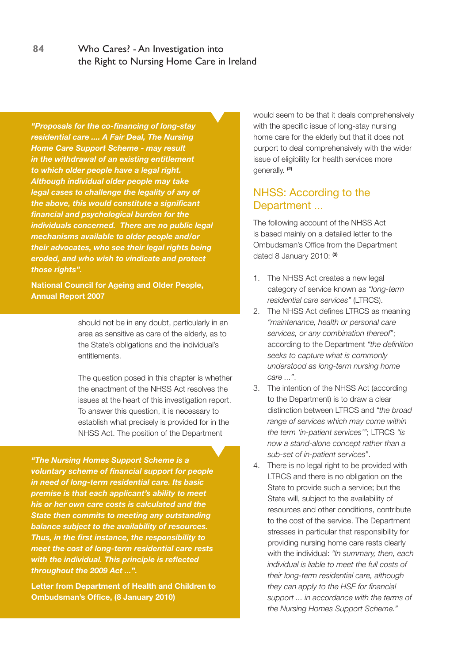*"Proposals for the co-financing of long-stay residential care .... A Fair Deal, The Nursing Home Care Support Scheme - may result in the withdrawal of an existing entitlement to which older people have a legal right. Although individual older people may take legal cases to challenge the legality of any of the above, this would constitute a significant financial and psychological burden for the individuals concerned. There are no public legal mechanisms available to older people and/or their advocates, who see their legal rights being eroded, and who wish to vindicate and protect those rights".*

**National Council for Ageing and Older People, Annual Report 2007**

> should not be in any doubt, particularly in an area as sensitive as care of the elderly, as to the State's obligations and the individual's entitlements.

The question posed in this chapter is whether the enactment of the NHSS Act resolves the issues at the heart of this investigation report. To answer this question, it is necessary to establish what precisely is provided for in the NHSS Act. The position of the Department

*"The Nursing Homes Support Scheme is a voluntary scheme of financial support for people in need of long-term residential care. Its basic premise is that each applicant's ability to meet his or her own care costs is calculated and the State then commits to meeting any outstanding balance subject to the availability of resources. Thus, in the first instance, the responsibility to meet the cost of long-term residential care rests with the individual. This principle is reflected throughout the 2009 Act ...".*

**Letter from Department of Health and Children to Ombudsman's Office, (8 January 2010)**

would seem to be that it deals comprehensively with the specific issue of long-stay nursing home care for the elderly but that it does not purport to deal comprehensively with the wider issue of eligibility for health services more generally. **(2)**

## NHSS: According to the Department ...

The following account of the NHSS Act is based mainly on a detailed letter to the Ombudsman's Office from the Department dated 8 January 2010: **(3)**

- 1. The NHSS Act creates a new legal category of service known as *"long-term residential care services"* (LTRCS).
- 2. The NHSS Act defines LTRCS as meaning *"maintenance, health or personal care services, or any combination thereof"*; according to the Department *"the definition seeks to capture what is commonly understood as long-term nursing home care ..."*.
- 3. The intention of the NHSS Act (according to the Department) is to draw a clear distinction between LTRCS and *"the broad range of services which may come within the term 'in-patient services'"*; LTRCS *"is now a stand-alone concept rather than a sub-set of in-patient services"*.
- 4. There is no legal right to be provided with LTRCS and there is no obligation on the State to provide such a service; but the State will, subject to the availability of resources and other conditions, contribute to the cost of the service. The Department stresses in particular that responsibility for providing nursing home care rests clearly with the individual: *"In summary, then, each individual is liable to meet the full costs of their long-term residential care, although they can apply to the HSE for financial support ... in accordance with the terms of the Nursing Homes Support Scheme."*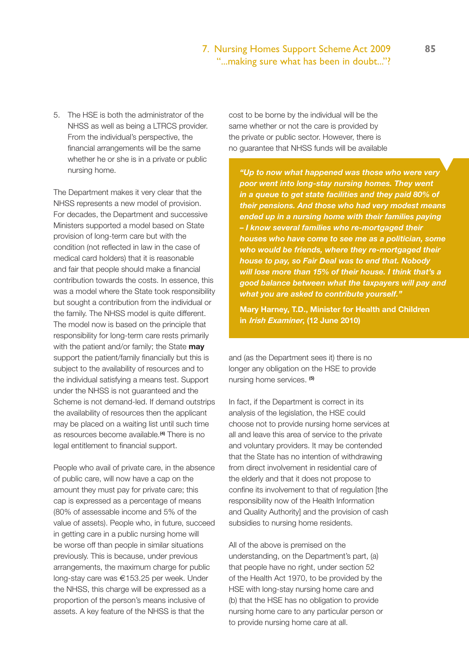### 7. Nursing Homes Support Scheme Act 2009 **85** "...making sure what has been in doubt..."?

5. The HSE is both the administrator of the NHSS as well as being a LTRCS provider. From the individual's perspective, the financial arrangements will be the same whether he or she is in a private or public nursing home.

The Department makes it very clear that the NHSS represents a new model of provision. For decades, the Department and successive Ministers supported a model based on State provision of long-term care but with the condition (not reflected in law in the case of medical card holders) that it is reasonable and fair that people should make a financial contribution towards the costs. In essence, this was a model where the State took responsibility but sought a contribution from the individual or the family. The NHSS model is quite different. The model now is based on the principle that responsibility for long-term care rests primarily with the patient and/or family; the State **may** support the patient/family financially but this is subject to the availability of resources and to the individual satisfying a means test. Support under the NHSS is not guaranteed and the Scheme is not demand-led. If demand outstrips the availability of resources then the applicant may be placed on a waiting list until such time as resources become available.**(4)** There is no legal entitlement to financial support.

People who avail of private care, in the absence of public care, will now have a cap on the amount they must pay for private care; this cap is expressed as a percentage of means (80% of assessable income and 5% of the value of assets). People who, in future, succeed in getting care in a public nursing home will be worse off than people in similar situations previously. This is because, under previous arrangements, the maximum charge for public long-stay care was €153.25 per week. Under the NHSS, this charge will be expressed as a proportion of the person's means inclusive of assets. A key feature of the NHSS is that the

cost to be borne by the individual will be the same whether or not the care is provided by the private or public sector. However, there is no guarantee that NHSS funds will be available

*"Up to now what happened was those who were very poor went into long-stay nursing homes. They went in a queue to get state facilities and they paid 80% of their pensions. And those who had very modest means ended up in a nursing home with their families paying – I know several families who re-mortgaged their houses who have come to see me as a politician, some who would be friends, where they re-mortgaged their house to pay, so Fair Deal was to end that. Nobody will lose more than 15% of their house. I think that's a good balance between what the taxpayers will pay and what you are asked to contribute yourself."*

**Mary Harney, T.D., Minister for Health and Children in Irish Examiner, (12 June 2010)**

and (as the Department sees it) there is no longer any obligation on the HSE to provide nursing home services. **(5)**

In fact, if the Department is correct in its analysis of the legislation, the HSE could choose not to provide nursing home services at all and leave this area of service to the private and voluntary providers. It may be contended that the State has no intention of withdrawing from direct involvement in residential care of the elderly and that it does not propose to confine its involvement to that of regulation [the responsibility now of the Health Information and Quality Authority] and the provision of cash subsidies to nursing home residents.

All of the above is premised on the understanding, on the Department's part, (a) that people have no right, under section 52 of the Health Act 1970, to be provided by the HSE with long-stay nursing home care and (b) that the HSE has no obligation to provide nursing home care to any particular person or to provide nursing home care at all.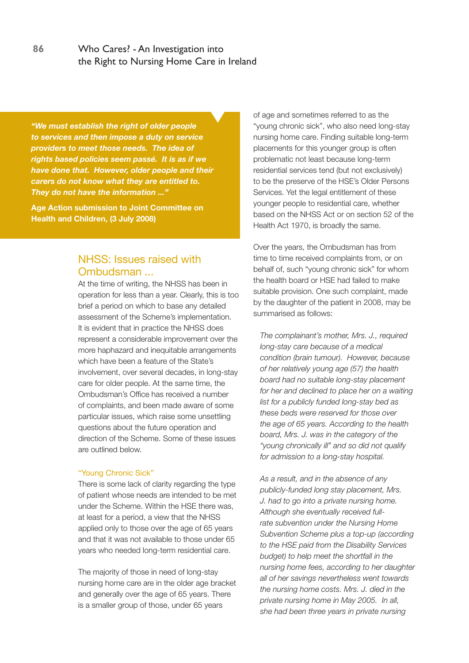*"We must establish the right of older people to services and then impose a duty on service providers to meet those needs. The idea of rights based policies seem passé. It is as if we have done that. However, older people and their carers do not know what they are entitled to. They do not have the information ..."* 

**Age Action submission to Joint Committee on Health and Children, (3 July 2008)**

# NHSS: Issues raised with Ombudsman ...

At the time of writing, the NHSS has been in operation for less than a year. Clearly, this is too brief a period on which to base any detailed assessment of the Scheme's implementation. It is evident that in practice the NHSS does represent a considerable improvement over the more haphazard and inequitable arrangements which have been a feature of the State's involvement, over several decades, in long-stay care for older people. At the same time, the Ombudsman's Office has received a number of complaints, and been made aware of some particular issues, which raise some unsettling questions about the future operation and direction of the Scheme. Some of these issues are outlined below.

#### "Young Chronic Sick"

There is some lack of clarity regarding the type of patient whose needs are intended to be met under the Scheme. Within the HSE there was, at least for a period, a view that the NHSS applied only to those over the age of 65 years and that it was not available to those under 65 years who needed long-term residential care.

The majority of those in need of long-stay nursing home care are in the older age bracket and generally over the age of 65 years. There is a smaller group of those, under 65 years

of age and sometimes referred to as the "young chronic sick", who also need long-stay nursing home care. Finding suitable long-term placements for this younger group is often problematic not least because long-term residential services tend (but not exclusively) to be the preserve of the HSE's Older Persons Services. Yet the legal entitlement of these younger people to residential care, whether based on the NHSS Act or on section 52 of the Health Act 1970, is broadly the same.

Over the years, the Ombudsman has from time to time received complaints from, or on behalf of, such "young chronic sick" for whom the health board or HSE had failed to make suitable provision. One such complaint, made by the daughter of the patient in 2008, may be summarised as follows:

*The complainant's mother, Mrs. J., required long-stay care because of a medical condition (brain tumour). However, because of her relatively young age (57) the health board had no suitable long-stay placement for her and declined to place her on a waiting list for a publicly funded long-stay bed as these beds were reserved for those over the age of 65 years. According to the health board, Mrs. J. was in the category of the "young chronically ill" and so did not qualify for admission to a long-stay hospital.* 

*As a result, and in the absence of any publicly-funded long stay placement, Mrs. J. had to go into a private nursing home. Although she eventually received fullrate subvention under the Nursing Home Subvention Scheme plus a top-up (according to the HSE paid from the Disability Services budget) to help meet the shortfall in the nursing home fees, according to her daughter all of her savings nevertheless went towards the nursing home costs. Mrs. J. died in the private nursing home in May 2005. In all, she had been three years in private nursing*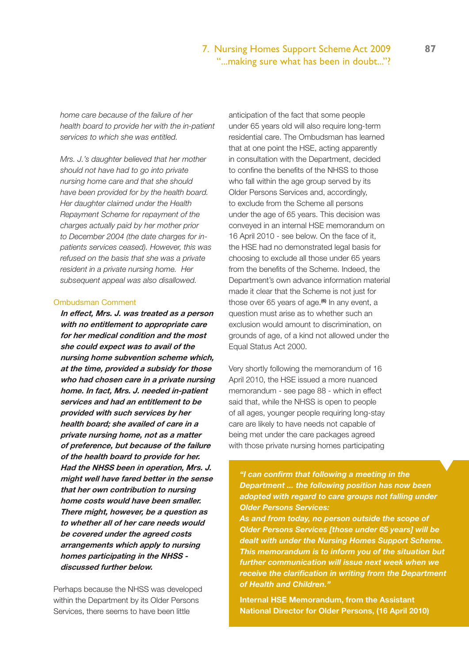### 7. Nursing Homes Support Scheme Act 2009 **87** "...making sure what has been in doubt..."?

*home care because of the failure of her health board to provide her with the in-patient services to which she was entitled.* 

*Mrs. J.'s daughter believed that her mother should not have had to go into private nursing home care and that she should have been provided for by the health board. Her daughter claimed under the Health Repayment Scheme for repayment of the charges actually paid by her mother prior to December 2004 (the date charges for inpatients services ceased). However, this was refused on the basis that she was a private resident in a private nursing home. Her subsequent appeal was also disallowed.*

#### Ombudsman Comment

**In effect, Mrs. J. was treated as a person with no entitlement to appropriate care for her medical condition and the most she could expect was to avail of the nursing home subvention scheme which, at the time, provided a subsidy for those who had chosen care in a private nursing home. In fact, Mrs. J. needed in-patient services and had an entitlement to be provided with such services by her health board; she availed of care in a private nursing home, not as a matter of preference, but because of the failure of the health board to provide for her. Had the NHSS been in operation, Mrs. J. might well have fared better in the sense that her own contribution to nursing home costs would have been smaller. There might, however, be a question as to whether all of her care needs would be covered under the agreed costs arrangements which apply to nursing homes participating in the NHSS discussed further below.**

Perhaps because the NHSS was developed within the Department by its Older Persons Services, there seems to have been little

anticipation of the fact that some people under 65 years old will also require long-term residential care. The Ombudsman has learned that at one point the HSE, acting apparently in consultation with the Department, decided to confine the benefits of the NHSS to those who fall within the age group served by its Older Persons Services and, accordingly, to exclude from the Scheme all persons under the age of 65 years. This decision was conveyed in an internal HSE memorandum on 16 April 2010 - see below. On the face of it, the HSE had no demonstrated legal basis for choosing to exclude all those under 65 years from the benefits of the Scheme. Indeed, the Department's own advance information material made it clear that the Scheme is not just for those over 65 years of age.**(6)** In any event, a question must arise as to whether such an exclusion would amount to discrimination, on grounds of age, of a kind not allowed under the Equal Status Act 2000.

Very shortly following the memorandum of 16 April 2010, the HSE issued a more nuanced memorandum - see page 88 - which in effect said that, while the NHSS is open to people of all ages, younger people requiring long-stay care are likely to have needs not capable of being met under the care packages agreed with those private nursing homes participating

*"I can confirm that following a meeting in the Department ... the following position has now been adopted with regard to care groups not falling under Older Persons Services:*

*As and from today, no person outside the scope of Older Persons Services [those under 65 years] will be dealt with under the Nursing Homes Support Scheme. This memorandum is to inform you of the situation but further communication will issue next week when we receive the clarification in writing from the Department of Health and Children."*

**Internal HSE Memorandum, from the Assistant National Director for Older Persons, (16 April 2010)**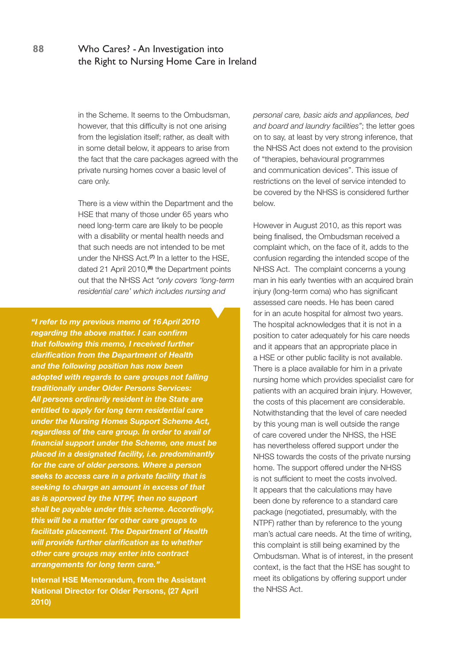in the Scheme. It seems to the Ombudsman, however, that this difficulty is not one arising from the legislation itself; rather, as dealt with in some detail below, it appears to arise from the fact that the care packages agreed with the private nursing homes cover a basic level of care only.

There is a view within the Department and the HSE that many of those under 65 years who need long-term care are likely to be people with a disability or mental health needs and that such needs are not intended to be met under the NHSS Act.**(7)** In a letter to the HSE, dated 21 April 2010,**(8)** the Department points out that the NHSS Act *"only covers 'long-term residential care' which includes nursing and* 

*"I refer to my previous memo of 16April 2010 regarding the above matter. I can confirm that following this memo, I received further clarification from the Department of Health and the following position has now been adopted with regards to care groups not falling traditionally under Older Persons Services: All persons ordinarily resident in the State are entitled to apply for long term residential care under the Nursing Homes Support Scheme Act, regardless of the care group. In order to avail of financial support under the Scheme, one must be placed in a designated facility, i.e. predominantly for the care of older persons. Where a person seeks to access care in a private facility that is seeking to charge an amount in excess of that as is approved by the NTPF, then no support shall be payable under this scheme. Accordingly, this will be a matter for other care groups to facilitate placement. The Department of Health will provide further clarification as to whether other care groups may enter into contract arrangements for long term care."*

**Internal HSE Memorandum, from the Assistant National Director for Older Persons, (27 April 2010)**

*personal care, basic aids and appliances, bed and board and laundry facilities"*; the letter goes on to say, at least by very strong inference, that the NHSS Act does not extend to the provision of "therapies, behavioural programmes and communication devices". This issue of restrictions on the level of service intended to be covered by the NHSS is considered further below.

However in August 2010, as this report was being finalised, the Ombudsman received a complaint which, on the face of it, adds to the confusion regarding the intended scope of the NHSS Act. The complaint concerns a young man in his early twenties with an acquired brain injury (long-term coma) who has significant assessed care needs. He has been cared for in an acute hospital for almost two years. The hospital acknowledges that it is not in a position to cater adequately for his care needs and it appears that an appropriate place in a HSE or other public facility is not available. There is a place available for him in a private nursing home which provides specialist care for patients with an acquired brain injury. However, the costs of this placement are considerable. Notwithstanding that the level of care needed by this young man is well outside the range of care covered under the NHSS, the HSE has nevertheless offered support under the NHSS towards the costs of the private nursing home. The support offered under the NHSS is not sufficient to meet the costs involved. It appears that the calculations may have been done by reference to a standard care package (negotiated, presumably, with the NTPF) rather than by reference to the young man's actual care needs. At the time of writing, this complaint is still being examined by the Ombudsman. What is of interest, in the present context, is the fact that the HSE has sought to meet its obligations by offering support under the NHSS Act.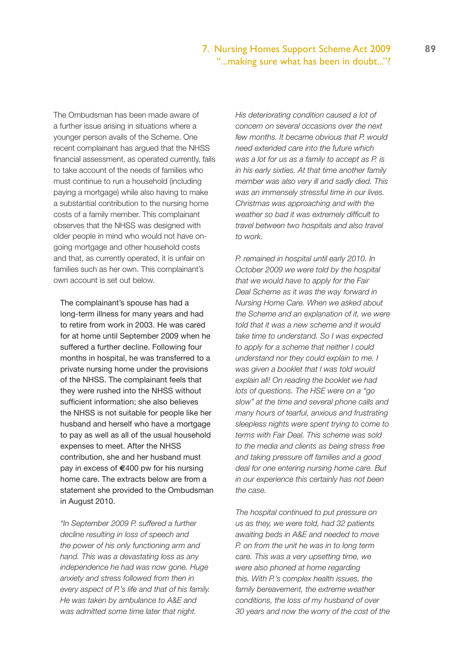#### 7. Nursing Homes Support Scheme Act 2009 **89** "...making sure what has been in doubt..."?

The Ombudsman has been made aware of a further issue arising in situations where a younger person avails of the Scheme. One recent complainant has argued that the NHSS financial assessment, as operated currently, fails to take account of the needs of families who must continue to run a household (including paying a mortgage) while also having to make a substantial contribution to the nursing home costs of a family member. This complainant observes that the NHSS was designed with older people in mind who would not have ongoing mortgage and other household costs and that, as currently operated, it is unfair on families such as her own. This complainant's own account is set out below.

The complainant's spouse has had a long-term illness for many years and had to retire from work in 2003. He was cared for at home until September 2009 when he suffered a further decline. Following four months in hospital, he was transferred to a private nursing home under the provisions of the NHSS. The complainant feels that they were rushed into the NHSS without sufficient information; she also believes the NHSS is not suitable for people like her husband and herself who have a mortgage to pay as well as all of the usual household expenses to meet. After the NHSS contribution, she and her husband must pay in excess of **€**400 pw for his nursing home care. The extracts below are from a statement she provided to the Ombudsman in August 2010.

*"In September 2009 P. suffered a further decline resulting in loss of speech and the power of his only functioning arm and hand. This was a devastating loss as any independence he had was now gone. Huge anxiety and stress followed from then in every aspect of P.'s life and that of his family. He was taken by ambulance to A&E and was admitted some time later that night.* 

*His deteriorating condition caused a lot of concern on several occasions over the next few months. It became obvious that P. would need extended care into the future which was a lot for us as a family to accept as P. is in his early sixties. At that time another family member was also very ill and sadly died. This was an immensely stressful time in our lives. Christmas was approaching and with the weather so bad it was extremely difficult to travel between two hospitals and also travel to work.*

*P. remained in hospital until early 2010. In October 2009 we were told by the hospital that we would have to apply for the Fair Deal Scheme as it was the way forward in Nursing Home Care. When we asked about the Scheme and an explanation of it, we were told that it was a new scheme and it would take time to understand. So I was expected to apply for a scheme that neither I could understand nor they could explain to me. I was given a booklet that I was told would explain all! On reading the booklet we had lots of questions. The HSE were on a "go slow" at the time and several phone calls and many hours of tearful, anxious and frustrating sleepless nights were spent trying to come to terms with Fair Deal. This scheme was sold to the media and clients as being stress free and taking pressure off families and a good deal for one entering nursing home care. But in our experience this certainly has not been the case.*

*The hospital continued to put pressure on us as they, we were told, had 32 patients awaiting beds in A&E and needed to move P. on from the unit he was in to long term care. This was a very upsetting time, we were also phoned at home regarding this. With P.'s complex health issues, the family bereavement, the extreme weather conditions, the loss of my husband of over 30 years and now the worry of the cost of the*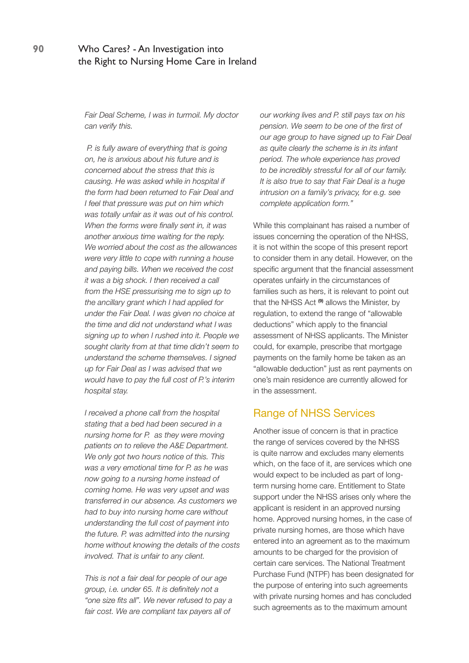*Fair Deal Scheme, I was in turmoil. My doctor can verify this.*

 *P. is fully aware of everything that is going on, he is anxious about his future and is concerned about the stress that this is causing. He was asked while in hospital if the form had been returned to Fair Deal and I feel that pressure was put on him which was totally unfair as it was out of his control. When the forms were finally sent in, it was another anxious time waiting for the reply. We worried about the cost as the allowances were very little to cope with running a house and paying bills. When we received the cost it was a big shock. I then received a call from the HSE pressurising me to sign up to the ancillary grant which I had applied for under the Fair Deal. I was given no choice at the time and did not understand what I was signing up to when I rushed into it. People we sought clarity from at that time didn't seem to understand the scheme themselves. I signed up for Fair Deal as I was advised that we would have to pay the full cost of P.'s interim hospital stay.* 

*I received a phone call from the hospital stating that a bed had been secured in a nursing home for P. as they were moving patients on to relieve the A&E Department. We only got two hours notice of this. This was a very emotional time for P. as he was now going to a nursing home instead of coming home. He was very upset and was transferred in our absence. As customers we had to buy into nursing home care without understanding the full cost of payment into the future. P. was admitted into the nursing home without knowing the details of the costs involved. That is unfair to any client.*

*This is not a fair deal for people of our age group, i.e. under 65. It is definitely not a "one size fits all". We never refused to pay a fair cost. We are compliant tax payers all of* 

*our working lives and P. still pays tax on his pension. We seem to be one of the first of our age group to have signed up to Fair Deal as quite clearly the scheme is in its infant period. The whole experience has proved to be incredibly stressful for all of our family. It is also true to say that Fair Deal is a huge intrusion on a family's privacy, for e.g. see complete application form."*

While this complainant has raised a number of issues concerning the operation of the NHSS, it is not within the scope of this present report to consider them in any detail. However, on the specific argument that the financial assessment operates unfairly in the circumstances of families such as hers, it is relevant to point out that the NHSS Act **(9)** allows the Minister, by regulation, to extend the range of "allowable deductions" which apply to the financial assessment of NHSS applicants. The Minister could, for example, prescribe that mortgage payments on the family home be taken as an "allowable deduction" just as rent payments on one's main residence are currently allowed for in the assessment.

## Range of NHSS Services

Another issue of concern is that in practice the range of services covered by the NHSS is quite narrow and excludes many elements which, on the face of it, are services which one would expect to be included as part of longterm nursing home care. Entitlement to State support under the NHSS arises only where the applicant is resident in an approved nursing home. Approved nursing homes, in the case of private nursing homes, are those which have entered into an agreement as to the maximum amounts to be charged for the provision of certain care services. The National Treatment Purchase Fund (NTPF) has been designated for the purpose of entering into such agreements with private nursing homes and has concluded such agreements as to the maximum amount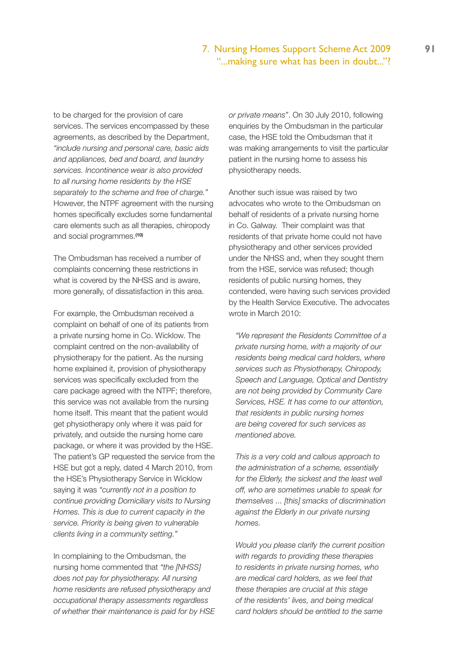## 7. Nursing Homes Support Scheme Act 2009 **91** "...making sure what has been in doubt..."?

to be charged for the provision of care services. The services encompassed by these agreements, as described by the Department, *"include nursing and personal care, basic aids and appliances, bed and board, and laundry services. Incontinence wear is also provided to all nursing home residents by the HSE separately to the scheme and free of charge."* However, the NTPF agreement with the nursing homes specifically excludes some fundamental care elements such as all therapies, chiropody and social programmes.**(10)**

The Ombudsman has received a number of complaints concerning these restrictions in what is covered by the NHSS and is aware, more generally, of dissatisfaction in this area.

For example, the Ombudsman received a complaint on behalf of one of its patients from a private nursing home in Co. Wicklow. The complaint centred on the non-availability of physiotherapy for the patient. As the nursing home explained it, provision of physiotherapy services was specifically excluded from the care package agreed with the NTPF; therefore, this service was not available from the nursing home itself. This meant that the patient would get physiotherapy only where it was paid for privately, and outside the nursing home care package, or where it was provided by the HSE. The patient's GP requested the service from the HSE but got a reply, dated 4 March 2010, from the HSE's Physiotherapy Service in Wicklow saying it was *"currently not in a position to continue providing Domiciliary visits to Nursing Homes. This is due to current capacity in the service. Priority is being given to vulnerable clients living in a community setting."* 

In complaining to the Ombudsman, the nursing home commented that *"the [NHSS] does not pay for physiotherapy. All nursing home residents are refused physiotherapy and occupational therapy assessments regardless of whether their maintenance is paid for by HSE*  *or private means"*. On 30 July 2010, following enquiries by the Ombudsman in the particular case, the HSE told the Ombudsman that it was making arrangements to visit the particular patient in the nursing home to assess his physiotherapy needs.

Another such issue was raised by two advocates who wrote to the Ombudsman on behalf of residents of a private nursing home in Co. Galway. Their complaint was that residents of that private home could not have physiotherapy and other services provided under the NHSS and, when they sought them from the HSE, service was refused; though residents of public nursing homes, they contended, were having such services provided by the Health Service Executive. The advocates wrote in March 2010:

*"We represent the Residents Committee of a private nursing home, with a majority of our residents being medical card holders, where services such as Physiotherapy, Chiropody, Speech and Language, Optical and Dentistry are not being provided by Community Care Services, HSE. It has come to our attention, that residents in public nursing homes are being covered for such services as mentioned above.*

*This is a very cold and callous approach to the administration of a scheme, essentially for the Elderly, the sickest and the least well off, who are sometimes unable to speak for themselves ... [this] smacks of discrimination against the Elderly in our private nursing homes.*

*Would you please clarify the current position with regards to providing these therapies to residents in private nursing homes, who are medical card holders, as we feel that these therapies are crucial at this stage of the residents' lives, and being medical card holders should be entitled to the same*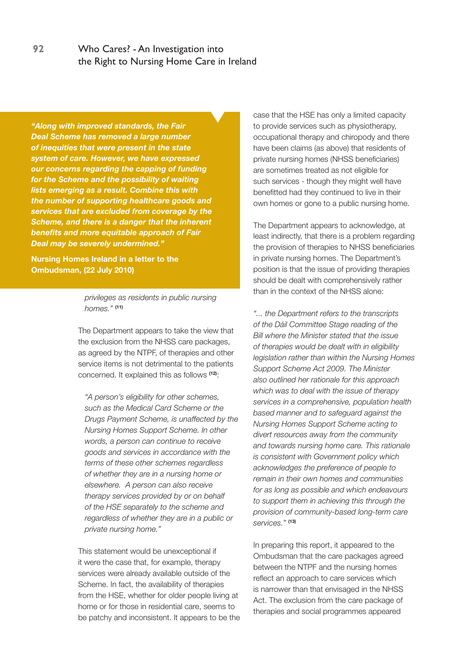*"Along with improved standards, the Fair Deal Scheme has removed a large number of inequities that were present in the state system of care. However, we have expressed our concerns regarding the capping of funding for the Scheme and the possibility of waiting lists emerging as a result. Combine this with the number of supporting healthcare goods and services that are excluded from coverage by the Scheme, and there is a danger that the inherent benefits and more equitable approach of Fair Deal may be severely undermined."*

**Nursing Homes Ireland in a letter to the Ombudsman, (22 July 2010)**

#### *privileges as residents in public nursing homes."* **(11)**

The Department appears to take the view that the exclusion from the NHSS care packages, as agreed by the NTPF, of therapies and other service items is not detrimental to the patients concerned. It explained this as follows **(12)**:

*"A person's eligibility for other schemes, such as the Medical Card Scheme or the Drugs Payment Scheme, is unaffected by the Nursing Homes Support Scheme. In other words, a person can continue to receive goods and services in accordance with the terms of these other schemes regardless of whether they are in a nursing home or elsewhere. A person can also receive therapy services provided by or on behalf of the HSE separately to the scheme and regardless of whether they are in a public or private nursing home."*

This statement would be unexceptional if it were the case that, for example, therapy services were already available outside of the Scheme. In fact, the availability of therapies from the HSE, whether for older people living at home or for those in residential care, seems to be patchy and inconsistent. It appears to be the case that the HSE has only a limited capacity to provide services such as physiotherapy, occupational therapy and chiropody and there have been claims (as above) that residents of private nursing homes (NHSS beneficiaries) are sometimes treated as not eligible for such services - though they might well have benefitted had they continued to live in their own homes or gone to a public nursing home.

The Department appears to acknowledge, at least indirectly, that there is a problem regarding the provision of therapies to NHSS beneficiaries in private nursing homes. The Department's position is that the issue of providing therapies should be dealt with comprehensively rather than in the context of the NHSS alone:

*"... the Department refers to the transcripts of the Dáil Committee Stage reading of the Bill where the Minister stated that the issue of therapies would be dealt with in eligibility legislation rather than within the Nursing Homes Support Scheme Act 2009. The Minister also outlined her rationale for this approach which was to deal with the issue of therapy services in a comprehensive, population health based manner and to safeguard against the Nursing Homes Support Scheme acting to divert resources away from the community and towards nursing home care. This rationale is consistent with Government policy which acknowledges the preference of people to remain in their own homes and communities for as long as possible and which endeavours to support them in achieving this through the provision of community-based long-term care services."* **(13)**

In preparing this report, it appeared to the Ombudsman that the care packages agreed between the NTPF and the nursing homes reflect an approach to care services which is narrower than that envisaged in the NHSS Act. The exclusion from the care package of therapies and social programmes appeared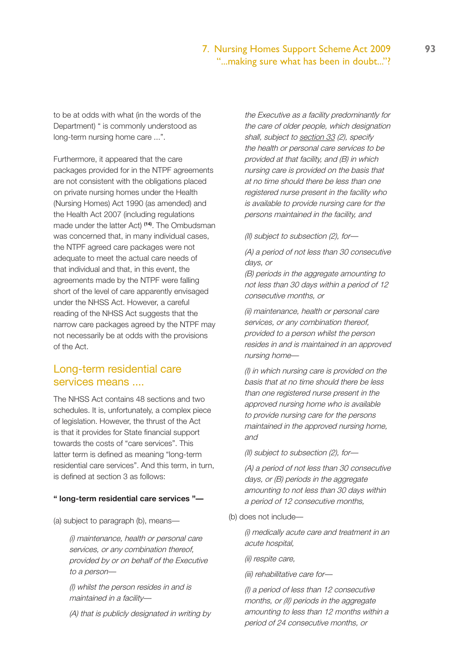#### 7. Nursing Homes Support Scheme Act 2009 **93** "...making sure what has been in doubt..."?

to be at odds with what (in the words of the Department) " is commonly understood as long-term nursing home care ...".

Furthermore, it appeared that the care packages provided for in the NTPF agreements are not consistent with the obligations placed on private nursing homes under the Health (Nursing Homes) Act 1990 (as amended) and the Health Act 2007 (including regulations made under the latter Act) **(14)**. The Ombudsman was concerned that, in many individual cases, the NTPF agreed care packages were not adequate to meet the actual care needs of that individual and that, in this event, the agreements made by the NTPF were falling short of the level of care apparently envisaged under the NHSS Act. However, a careful reading of the NHSS Act suggests that the narrow care packages agreed by the NTPF may not necessarily be at odds with the provisions of the Act.

# Long-term residential care services means ....

The NHSS Act contains 48 sections and two schedules. It is, unfortunately, a complex piece of legislation. However, the thrust of the Act is that it provides for State financial support towards the costs of "care services". This latter term is defined as meaning "long-term residential care services". And this term, in turn, is defined at section 3 as follows:

#### **" long-term residential care services "—**

(a) subject to paragraph (b), means—

(i) maintenance, health or personal care services, or any combination thereof, provided by or on behalf of the Executive to a person—

(I) whilst the person resides in and is maintained in a facility—

(A) that is publicly designated in writing by

the Executive as a facility predominantly for the care of older people, which designation shall, subject to section 33 (2), specify the health or personal care services to be provided at that facility, and (B) in which nursing care is provided on the basis that at no time should there be less than one registered nurse present in the facility who is available to provide nursing care for the persons maintained in the facility, and

(II) subject to subsection (2), for—

(A) a period of not less than 30 consecutive days, or

(B) periods in the aggregate amounting to not less than 30 days within a period of 12 consecutive months, or

(ii) maintenance, health or personal care services, or any combination thereof, provided to a person whilst the person resides in and is maintained in an approved nursing home—

(I) in which nursing care is provided on the basis that at no time should there be less than one registered nurse present in the approved nursing home who is available to provide nursing care for the persons maintained in the approved nursing home, and

(II) subject to subsection (2), for—

(A) a period of not less than 30 consecutive days, or (B) periods in the aggregate amounting to not less than 30 days within a period of 12 consecutive months,

(b) does not include—

(i) medically acute care and treatment in an acute hospital,

(ii) respite care,

(iii) rehabilitative care for—

(I) a period of less than 12 consecutive months, or *(II)* periods in the aggregate amounting to less than 12 months within a period of 24 consecutive months, or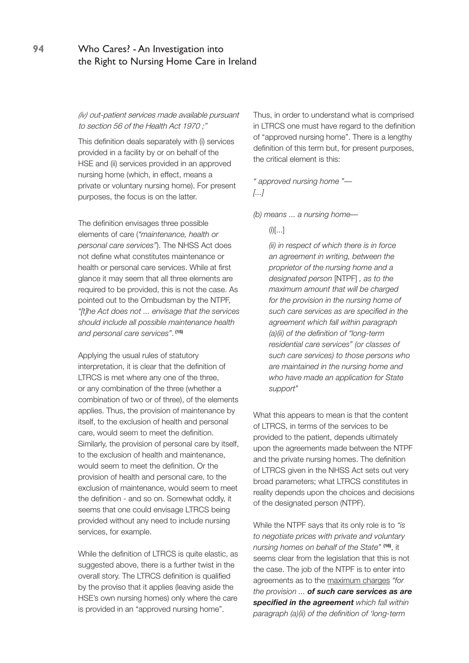*(iv)* out-patient services made available pursuant to section 56 of the Health Act 1970 ;"

This definition deals separately with (i) services provided in a facility by or on behalf of the HSE and (ii) services provided in an approved nursing home (which, in effect, means a private or voluntary nursing home). For present purposes, the focus is on the latter.

The definition envisages three possible elements of care (*"maintenance, health or personal care services"*). The NHSS Act does not define what constitutes maintenance or health or personal care services. While at first glance it may seem that all three elements are required to be provided, this is not the case. As pointed out to the Ombudsman by the NTPF, *"[t]he Act does not ... envisage that the services should include all possible maintenance health and personal care services"*.  **(15)** 

Applying the usual rules of statutory interpretation, it is clear that the definition of LTRCS is met where any one of the three, or any combination of the three (whether a combination of two or of three), of the elements applies. Thus, the provision of maintenance by itself, to the exclusion of health and personal care, would seem to meet the definition. Similarly, the provision of personal care by itself, to the exclusion of health and maintenance, would seem to meet the definition. Or the provision of health and personal care, to the exclusion of maintenance, would seem to meet the definition - and so on. Somewhat oddly, it seems that one could envisage LTRCS being provided without any need to include nursing services, for example.

While the definition of LTRCS is quite elastic, as suggested above, there is a further twist in the overall story. The LTRCS definition is qualified by the proviso that it applies (leaving aside the HSE's own nursing homes) only where the care is provided in an "approved nursing home".

Thus, in order to understand what is comprised in LTRCS one must have regard to the definition of "approved nursing home". There is a lengthy definition of this term but, for present purposes, the critical element is this:

*" approved nursing home "— [...]*

*(b) means ... a nursing home—*

 $(i)[...]$ 

*(ii) in respect of which there is in force an agreement in writing, between the proprietor of the nursing home and a designated person* [NTPF] *, as to the maximum amount that will be charged for the provision in the nursing home of such care services as are specified in the agreement which fall within paragraph (a)(ii) of the definition of "long-term residential care services" (or classes of such care services) to those persons who are maintained in the nursing home and who have made an application for State support"*

What this appears to mean is that the content of LTRCS, in terms of the services to be provided to the patient, depends ultimately upon the agreements made between the NTPF and the private nursing homes. The definition of LTRCS given in the NHSS Act sets out very broad parameters; what LTRCS constitutes in reality depends upon the choices and decisions of the designated person (NTPF).

While the NTPF says that its only role is to *"is to negotiate prices with private and voluntary nursing homes on behalf of the State"* **(16)**, it seems clear from the legislation that this is not the case. The job of the NTPF is to enter into agreements as to the maximum charges *"for the provision ... of such care services as are specified in the agreement which fall within paragraph (a)(ii) of the definition of 'long-term*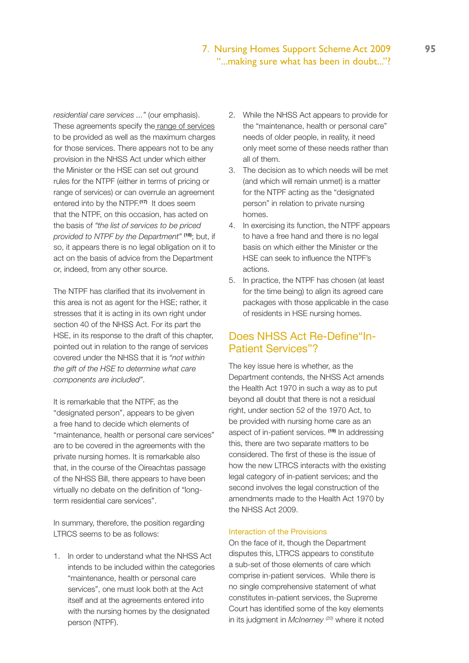# 7. Nursing Homes Support Scheme Act 2009 **95** "...making sure what has been in doubt..."?

*residential care services ..."* (our emphasis). These agreements specify the range of services to be provided as well as the maximum charges for those services. There appears not to be any provision in the NHSS Act under which either the Minister or the HSE can set out ground rules for the NTPF (either in terms of pricing or range of services) or can overrule an agreement entered into by the NTPF.**(17)** It does seem that the NTPF, on this occasion, has acted on the basis of *"the list of services to be priced provided to NTPF by the Department"* **(18)**; but, if so, it appears there is no legal obligation on it to act on the basis of advice from the Department or, indeed, from any other source.

The NTPF has clarified that its involvement in this area is not as agent for the HSE; rather, it stresses that it is acting in its own right under section 40 of the NHSS Act. For its part the HSE, in its response to the draft of this chapter, pointed out in relation to the range of services covered under the NHSS that it is *"not within the gift of the HSE to determine what care components are included"*.

It is remarkable that the NTPF, as the "designated person", appears to be given a free hand to decide which elements of "maintenance, health or personal care services" are to be covered in the agreements with the private nursing homes. It is remarkable also that, in the course of the Oireachtas passage of the NHSS Bill, there appears to have been virtually no debate on the definition of "longterm residential care services".

In summary, therefore, the position regarding LTRCS seems to be as follows:

1. In order to understand what the NHSS Act intends to be included within the categories "maintenance, health or personal care services", one must look both at the Act itself and at the agreements entered into with the nursing homes by the designated person (NTPF).

- 2. While the NHSS Act appears to provide for the "maintenance, health or personal care" needs of older people, in reality, it need only meet some of these needs rather than all of them.
- 3. The decision as to which needs will be met (and which will remain unmet) is a matter for the NTPF acting as the "designated person" in relation to private nursing homes.
- 4. In exercising its function, the NTPF appears to have a free hand and there is no legal basis on which either the Minister or the HSE can seek to influence the NTPF's actions.
- 5. In practice, the NTPF has chosen (at least for the time being) to align its agreed care packages with those applicable in the case of residents in HSE nursing homes.

# Does NHSS Act Re-Define"In-Patient Services"?

The key issue here is whether, as the Department contends, the NHSS Act amends the Health Act 1970 in such a way as to put beyond all doubt that there is not a residual right, under section 52 of the 1970 Act, to be provided with nursing home care as an aspect of in-patient services. **(19)** In addressing this, there are two separate matters to be considered. The first of these is the issue of how the new LTRCS interacts with the existing legal category of in-patient services; and the second involves the legal construction of the amendments made to the Health Act 1970 by the NHSS Act 2009.

#### Interaction of the Provisions

On the face of it, though the Department disputes this, LTRCS appears to constitute a sub-set of those elements of care which comprise in-patient services. While there is no single comprehensive statement of what constitutes in-patient services, the Supreme Court has identified some of the key elements in its judgment in *McInerney (20)* where it noted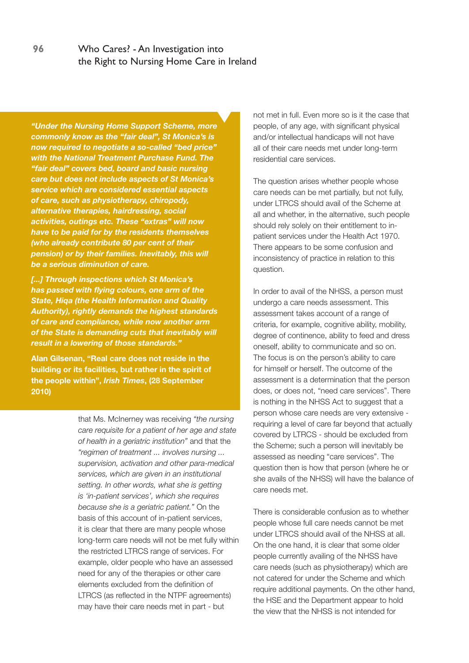*"Under the Nursing Home Support Scheme, more commonly know as the "fair deal", St Monica's is now required to negotiate a so-called "bed price" with the National Treatment Purchase Fund. The "fair deal" covers bed, board and basic nursing care but does not include aspects of St Monica's service which are considered essential aspects of care, such as physiotherapy, chiropody, alternative therapies, hairdressing, social activities, outings etc. These "extras" will now have to be paid for by the residents themselves (who already contribute 80 per cent of their pension) or by their families. Inevitably, this will be a serious diminution of care.*

*[...] Through inspections which St Monica's has passed with flying colours, one arm of the State, Hiqa (the Health Information and Quality Authority), rightly demands the highest standards of care and compliance, while now another arm of the State is demanding cuts that inevitably will result in a lowering of those standards."*

**Alan Gilsenan, "Real care does not reside in the building or its facilities, but rather in the spirit of the people within",** *Irish Times***, (28 September 2010)**

> that Ms. McInerney was receiving *"the nursing care requisite for a patient of her age and state of health in a geriatric institution"* and that the *"regimen of treatment ... involves nursing ... supervision, activation and other para-medical services, which are given in an institutional setting. In other words, what she is getting is 'in-patient services', which she requires because she is a geriatric patient."* On the basis of this account of in-patient services, it is clear that there are many people whose long-term care needs will not be met fully within the restricted LTRCS range of services. For example, older people who have an assessed need for any of the therapies or other care elements excluded from the definition of LTRCS (as reflected in the NTPF agreements) may have their care needs met in part - but

not met in full. Even more so is it the case that people, of any age, with significant physical and/or intellectual handicaps will not have all of their care needs met under long-term residential care services.

The question arises whether people whose care needs can be met partially, but not fully, under LTRCS should avail of the Scheme at all and whether, in the alternative, such people should rely solely on their entitlement to inpatient services under the Health Act 1970. There appears to be some confusion and inconsistency of practice in relation to this question.

In order to avail of the NHSS, a person must undergo a care needs assessment. This assessment takes account of a range of criteria, for example, cognitive ability, mobility, degree of continence, ability to feed and dress oneself, ability to communicate and so on. The focus is on the person's ability to care for himself or herself. The outcome of the assessment is a determination that the person does, or does not, "need care services". There is nothing in the NHSS Act to suggest that a person whose care needs are very extensive requiring a level of care far beyond that actually covered by LTRCS - should be excluded from the Scheme; such a person will inevitably be assessed as needing "care services". The question then is how that person (where he or she avails of the NHSS) will have the balance of care needs met.

There is considerable confusion as to whether people whose full care needs cannot be met under LTRCS should avail of the NHSS at all. On the one hand, it is clear that some older people currently availing of the NHSS have care needs (such as physiotherapy) which are not catered for under the Scheme and which require additional payments. On the other hand, the HSE and the Department appear to hold the view that the NHSS is not intended for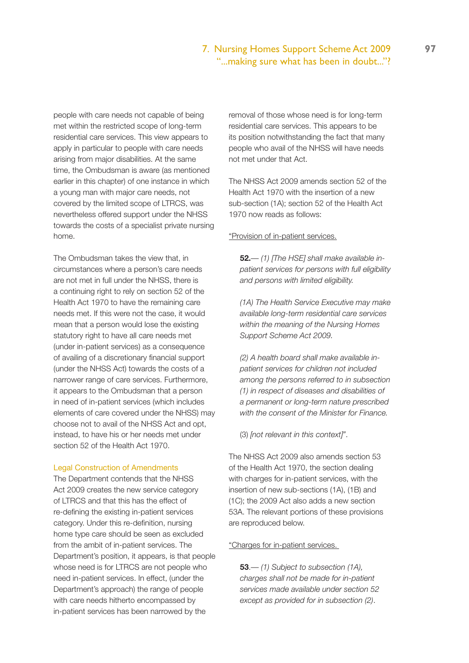# 7. Nursing Homes Support Scheme Act 2009 **97** "...making sure what has been in doubt..."?

people with care needs not capable of being met within the restricted scope of long-term residential care services. This view appears to apply in particular to people with care needs arising from major disabilities. At the same time, the Ombudsman is aware (as mentioned earlier in this chapter) of one instance in which a young man with major care needs, not covered by the limited scope of LTRCS, was nevertheless offered support under the NHSS towards the costs of a specialist private nursing home.

The Ombudsman takes the view that, in circumstances where a person's care needs are not met in full under the NHSS, there is a continuing right to rely on section 52 of the Health Act 1970 to have the remaining care needs met. If this were not the case, it would mean that a person would lose the existing statutory right to have all care needs met (under in-patient services) as a consequence of availing of a discretionary financial support (under the NHSS Act) towards the costs of a narrower range of care services. Furthermore, it appears to the Ombudsman that a person in need of in-patient services (which includes elements of care covered under the NHSS) may choose not to avail of the NHSS Act and opt, instead, to have his or her needs met under section 52 of the Health Act 1970.

#### Legal Construction of Amendments

The Department contends that the NHSS Act 2009 creates the new service category of LTRCS and that this has the effect of re-defining the existing in-patient services category. Under this re-definition, nursing home type care should be seen as excluded from the ambit of in-patient services. The Department's position, it appears, is that people whose need is for LTRCS are not people who need in-patient services. In effect, (under the Department's approach) the range of people with care needs hitherto encompassed by in-patient services has been narrowed by the

removal of those whose need is for long-term residential care services. This appears to be its position notwithstanding the fact that many people who avail of the NHSS will have needs not met under that Act.

The NHSS Act 2009 amends section 52 of the Health Act 1970 with the insertion of a new sub-section (1A); section 52 of the Health Act 1970 now reads as follows:

#### "Provision of in-patient services.

**52.**— *(1) [The HSE] shall make available inpatient services for persons with full eligibility and persons with limited eligibility.*

*(1A) The Health Service Executive may make available long-term residential care services within the meaning of the Nursing Homes Support Scheme Act 2009.*

*(2) A health board shall make available inpatient services for children not included among the persons referred to in subsection (1) in respect of diseases and disabilities of a permanent or long-term nature prescribed with the consent of the Minister for Finance.*

(3) *[not relevant in this context]"*.

The NHSS Act 2009 also amends section 53 of the Health Act 1970, the section dealing with charges for in-patient services, with the insertion of new sub-sections (1A), (1B) and (1C); the 2009 Act also adds a new section 53A. The relevant portions of these provisions are reproduced below.

#### "Charges for in-patient services.

**53**.— *(1) Subject to subsection (1A), charges shall not be made for in-patient services made available under section 52 except as provided for in subsection (2)*.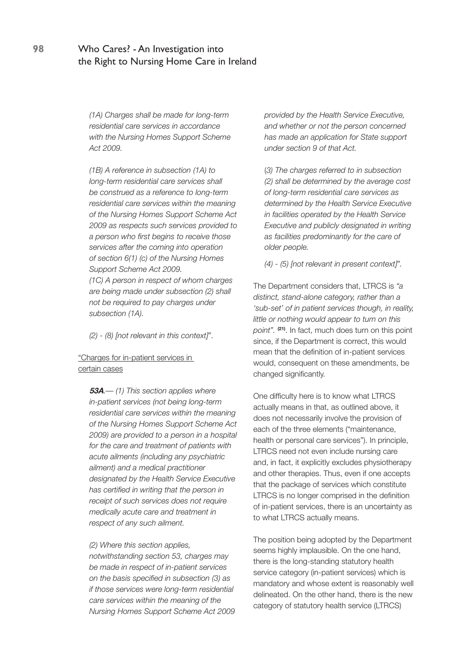*(1A) Charges shall be made for long-term residential care services in accordance with the Nursing Homes Support Scheme Act 2009.* 

*(1B) A reference in subsection (1A) to long-term residential care services shall be construed as a reference to long-term residential care services within the meaning of the Nursing Homes Support Scheme Act 2009 as respects such services provided to a person who first begins to receive those services after the coming into operation of section 6(1) (c) of the Nursing Homes Support Scheme Act 2009.*

*(1C) A person in respect of whom charges are being made under subsection (2) shall not be required to pay charges under subsection (1A).*

*(2) - (8) [not relevant in this context]"*.

#### "Charges for in-patient services in certain cases

**53A**.— *(1) This section applies where in-patient services (not being long-term residential care services within the meaning of the Nursing Homes Support Scheme Act 2009) are provided to a person in a hospital for the care and treatment of patients with acute ailments (including any psychiatric ailment) and a medical practitioner designated by the Health Service Executive has certified in writing that the person in receipt of such services does not require medically acute care and treatment in respect of any such ailment.*

*(2) Where this section applies, notwithstanding section 53, charges may be made in respect of in-patient services on the basis specified in subsection (3) as if those services were long-term residential care services within the meaning of the Nursing Homes Support Scheme Act 2009*  *provided by the Health Service Executive, and whether or not the person concerned has made an application for State support under section 9 of that Act.*

(*3) The charges referred to in subsection (2) shall be determined by the average cost of long-term residential care services as determined by the Health Service Executive in facilities operated by the Health Service Executive and publicly designated in writing as facilities predominantly for the care of older people.*

*(4) - (5) [not relevant in present context]".*

The Department considers that, LTRCS is *"a distinct, stand-alone category, rather than a 'sub-set' of in patient services though, in reality, little or nothing would appear to turn on this point".* **(21)**. In fact, much does turn on this point since, if the Department is correct, this would mean that the definition of in-patient services would, consequent on these amendments, be changed significantly.

One difficulty here is to know what LTRCS actually means in that, as outlined above, it does not necessarily involve the provision of each of the three elements ("maintenance, health or personal care services"). In principle, LTRCS need not even include nursing care and, in fact, it explicitly excludes physiotherapy and other therapies. Thus, even if one accepts that the package of services which constitute LTRCS is no longer comprised in the definition of in-patient services, there is an uncertainty as to what LTRCS actually means.

The position being adopted by the Department seems highly implausible. On the one hand, there is the long-standing statutory health service category (in-patient services) which is mandatory and whose extent is reasonably well delineated. On the other hand, there is the new category of statutory health service (LTRCS)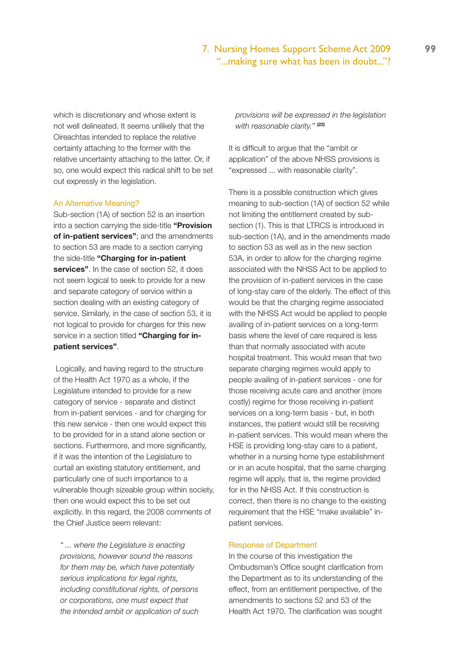## 7. Nursing Homes Support Scheme Act 2009 **99** "...making sure what has been in doubt..."?

which is discretionary and whose extent is not well delineated. It seems unlikely that the Oireachtas intended to replace the relative certainty attaching to the former with the relative uncertainty attaching to the latter. Or, if so, one would expect this radical shift to be set out expressly in the legislation.

#### An Alternative Meaning?

Sub-section (1A) of section 52 is an insertion into a section carrying the side-title **"Provision of in-patient services"**; and the amendments to section 53 are made to a section carrying the side-title **"Charging for in-patient services"**. In the case of section 52, it does not seem logical to seek to provide for a new and separate category of service within a section dealing with an existing category of service. Similarly, in the case of section 53, it is not logical to provide for charges for this new service in a section titled **"Charging for inpatient services"**.

 Logically, and having regard to the structure of the Health Act 1970 as a whole, if the Legislature intended to provide for a new category of service - separate and distinct from in-patient services - and for charging for this new service - then one would expect this to be provided for in a stand alone section or sections. Furthermore, and more significantly, if it was the intention of the Legislature to curtail an existing statutory entitlement, and particularly one of such importance to a vulnerable though sizeable group within society, then one would expect this to be set out explicitly. In this regard, the 2008 comments of the Chief Justice seem relevant:

*" ... where the Legislature is enacting provisions, however sound the reasons for them may be, which have potentially serious implications for legal rights, including constitutional rights, of persons or corporations, one must expect that the intended ambit or application of such*  *provisions will be expressed in the legislation with reasonable clarity."* **(22)**

It is difficult to argue that the "ambit or application" of the above NHSS provisions is "expressed ... with reasonable clarity".

There is a possible construction which gives meaning to sub-section (1A) of section 52 while not limiting the entitlement created by subsection (1). This is that LTRCS is introduced in sub-section (1A), and in the amendments made to section 53 as well as in the new section 53A, in order to allow for the charging regime associated with the NHSS Act to be applied to the provision of in-patient services in the case of long-stay care of the elderly. The effect of this would be that the charging regime associated with the NHSS Act would be applied to people availing of in-patient services on a long-term basis where the level of care required is less than that normally associated with acute hospital treatment. This would mean that two separate charging regimes would apply to people availing of in-patient services - one for those receiving acute care and another (more costly) regime for those receiving in-patient services on a long-term basis - but, in both instances, the patient would still be receiving in-patient services. This would mean where the HSE is providing long-stay care to a patient, whether in a nursing home type establishment or in an acute hospital, that the same charging regime will apply, that is, the regime provided for in the NHSS Act. If this construction is correct, then there is no change to the existing requirement that the HSE "make available" inpatient services.

#### Response of Department

In the course of this investigation the Ombudsman's Office sought clarification from the Department as to its understanding of the effect, from an entitlement perspective, of the amendments to sections 52 and 53 of the Health Act 1970. The clarification was sought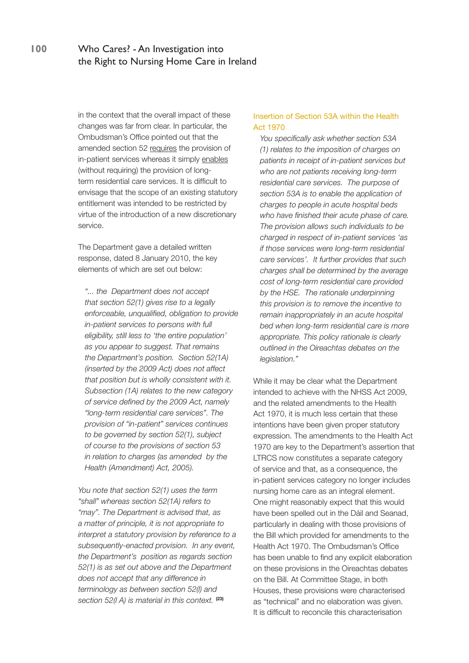in the context that the overall impact of these changes was far from clear. In particular, the Ombudsman's Office pointed out that the amended section 52 requires the provision of in-patient services whereas it simply enables (without requiring) the provision of longterm residential care services. It is difficult to envisage that the scope of an existing statutory entitlement was intended to be restricted by virtue of the introduction of a new discretionary service.

The Department gave a detailed written response, dated 8 January 2010, the key elements of which are set out below:

*"... the Department does not accept that section 52(1) gives rise to a legally enforceable, unqualified, obligation to provide in-patient services to persons with full eligibility, still less to 'the entire population' as you appear to suggest. That remains the Department's position. Section 52(1A) (inserted by the 2009 Act) does not affect that position but is wholly consistent with it. Subsection (1A) relates to the new category of service defined by the 2009 Act, namely "long-term residential care services". The provision of "in-patient" services continues to be governed by section 52(1), subject of course to the provisions of section 53 in relation to charges (as amended by the Health (Amendment) Act, 2005).*

*You note that section 52(1) uses the term "shall" whereas section 52(1A) refers to "may". The Department is advised that, as a matter of principle, it is not appropriate to interpret a statutory provision by reference to a subsequently-enacted provision. In any event, the Department's position as regards section 52(1) is as set out above and the Department does not accept that any difference in terminology as between section 52(l) and section 52(l A) is material in this context.* **(23)**

#### Insertion of Section 53A within the Health Act 1970

*You specifically ask whether section 53A (1) relates to the imposition of charges on patients in receipt of in-patient services but who are not patients receiving long-term residential care services. The purpose of section 53A is to enable the application of charges to people in acute hospital beds who have finished their acute phase of care. The provision allows such individuals to be charged in respect of in-patient services 'as if those services were long-term residential care services'. It further provides that such charges shall be determined by the average cost of long-term residential care provided by the HSE. The rationale underpinning this provision is to remove the incentive to remain inappropriately in an acute hospital bed when long-term residential care is more appropriate. This policy rationale is clearly outlined in the Oireachtas debates on the legislation."*

While it may be clear what the Department intended to achieve with the NHSS Act 2009, and the related amendments to the Health Act 1970, it is much less certain that these intentions have been given proper statutory expression. The amendments to the Health Act 1970 are key to the Department's assertion that LTRCS now constitutes a separate category of service and that, as a consequence, the in-patient services category no longer includes nursing home care as an integral element. One might reasonably expect that this would have been spelled out in the Dáil and Seanad, particularly in dealing with those provisions of the Bill which provided for amendments to the Health Act 1970. The Ombudsman's Office has been unable to find any explicit elaboration on these provisions in the Oireachtas debates on the Bill. At Committee Stage, in both Houses, these provisions were characterised as "technical" and no elaboration was given. It is difficult to reconcile this characterisation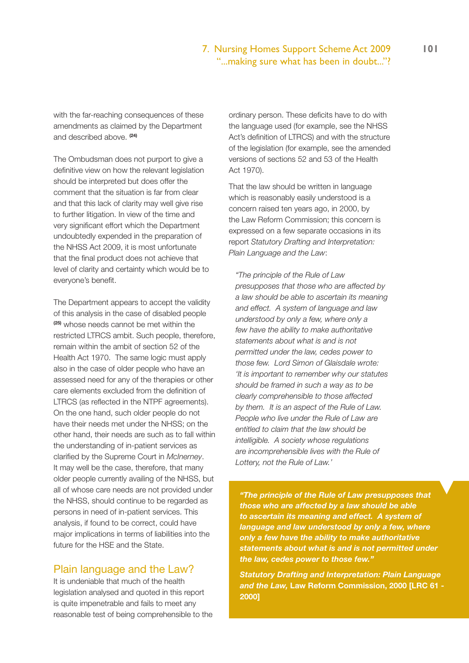### 7. Nursing Homes Support Scheme Act 2009 **101** "...making sure what has been in doubt..."?

with the far-reaching consequences of these amendments as claimed by the Department and described above. **(24)**

The Ombudsman does not purport to give a definitive view on how the relevant legislation should be interpreted but does offer the comment that the situation is far from clear and that this lack of clarity may well give rise to further litigation. In view of the time and very significant effort which the Department undoubtedly expended in the preparation of the NHSS Act 2009, it is most unfortunate that the final product does not achieve that level of clarity and certainty which would be to everyone's benefit.

The Department appears to accept the validity of this analysis in the case of disabled people **(25)** whose needs cannot be met within the restricted LTRCS ambit. Such people, therefore, remain within the ambit of section 52 of the Health Act 1970. The same logic must apply also in the case of older people who have an assessed need for any of the therapies or other care elements excluded from the definition of LTRCS (as reflected in the NTPF agreements). On the one hand, such older people do not have their needs met under the NHSS; on the other hand, their needs are such as to fall within the understanding of in-patient services as clarified by the Supreme Court in *McInerney*. It may well be the case, therefore, that many older people currently availing of the NHSS, but all of whose care needs are not provided under the NHSS, should continue to be regarded as persons in need of in-patient services. This analysis, if found to be correct, could have major implications in terms of liabilities into the future for the HSE and the State.

#### Plain language and the Law?

It is undeniable that much of the health legislation analysed and quoted in this report is quite impenetrable and fails to meet any reasonable test of being comprehensible to the ordinary person. These deficits have to do with the language used (for example, see the NHSS Act's definition of LTRCS) and with the structure of the legislation (for example, see the amended versions of sections 52 and 53 of the Health Act 1970).

That the law should be written in language which is reasonably easily understood is a concern raised ten years ago, in 2000, by the Law Reform Commission; this concern is expressed on a few separate occasions in its report *Statutory Drafting and Interpretation: Plain Language and the Law*:

*"The principle of the Rule of Law presupposes that those who are affected by a law should be able to ascertain its meaning and effect. A system of language and law understood by only a few, where only a few have the ability to make authoritative statements about what is and is not permitted under the law, cedes power to those few. Lord Simon of Glaisdale wrote: 'It is important to remember why our statutes should be framed in such a way as to be clearly comprehensible to those affected by them. It is an aspect of the Rule of Law. People who live under the Rule of Law are entitled to claim that the law should be intelligible. A society whose regulations are incomprehensible lives with the Rule of Lottery, not the Rule of Law.'*

*"The principle of the Rule of Law presupposes that those who are affected by a law should be able to ascertain its meaning and effect. A system of language and law understood by only a few, where only a few have the ability to make authoritative statements about what is and is not permitted under the law, cedes power to those few."*

*Statutory Drafting and Interpretation: Plain Language and the Law,* **Law Reform Commission, 2000 [LRC 61 - 2000]**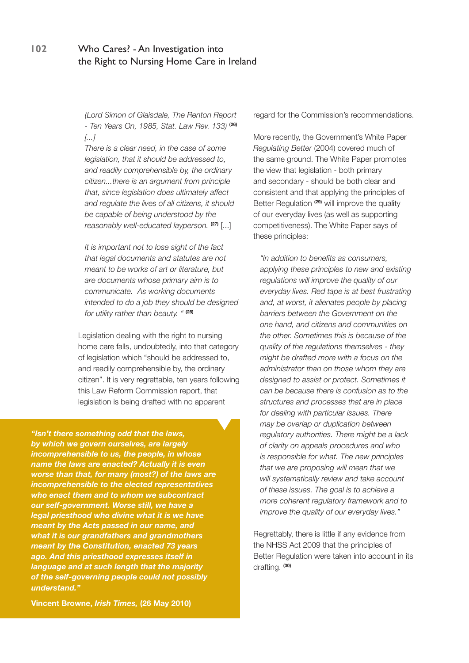*(Lord Simon of Glaisdale, The Renton Report - Ten Years On, 1985, Stat. Law Rev. 133)* **(26)** *[...]*

*There is a clear need, in the case of some legislation, that it should be addressed to, and readily comprehensible by, the ordinary citizen...there is an argument from principle that, since legislation does ultimately affect and regulate the lives of all citizens, it should be capable of being understood by the reasonably well-educated layperson.* **(27)** [...]

*It is important not to lose sight of the fact that legal documents and statutes are not meant to be works of art or literature, but are documents whose primary aim is to communicate. As working documents intended to do a job they should be designed for utility rather than beauty. "* **(28)**

Legislation dealing with the right to nursing home care falls, undoubtedly, into that category of legislation which "should be addressed to, and readily comprehensible by, the ordinary citizen". It is very regrettable, ten years following this Law Reform Commission report, that legislation is being drafted with no apparent

*"Isn't there something odd that the laws, by which we govern ourselves, are largely incomprehensible to us, the people, in whose name the laws are enacted? Actually it is even worse than that, for many (most?) of the laws are incomprehensible to the elected representatives who enact them and to whom we subcontract our self-government. Worse still, we have a legal priesthood who divine what it is we have meant by the Acts passed in our name, and what it is our grandfathers and grandmothers meant by the Constitution, enacted 73 years ago. And this priesthood expresses itself in language and at such length that the majority of the self-governing people could not possibly understand."*

regard for the Commission's recommendations.

More recently, the Government's White Paper *Regulating Better* (2004) covered much of the same ground. The White Paper promotes the view that legislation - both primary and secondary - should be both clear and consistent and that applying the principles of Better Regulation **(29)** will improve the quality of our everyday lives (as well as supporting competitiveness). The White Paper says of these principles:

*"In addition to benefits as consumers, applying these principles to new and existing regulations will improve the quality of our everyday lives. Red tape is at best frustrating and, at worst, it alienates people by placing barriers between the Government on the one hand, and citizens and communities on the other. Sometimes this is because of the quality of the regulations themselves - they might be drafted more with a focus on the administrator than on those whom they are designed to assist or protect. Sometimes it can be because there is confusion as to the structures and processes that are in place for dealing with particular issues. There may be overlap or duplication between regulatory authorities. There might be a lack of clarity on appeals procedures and who is responsible for what. The new principles that we are proposing will mean that we will systematically review and take account of these issues. The goal is to achieve a more coherent regulatory framework and to improve the quality of our everyday lives."*

Regrettably, there is little if any evidence from the NHSS Act 2009 that the principles of Better Regulation were taken into account in its drafting. **(30)**

**Vincent Browne,** *Irish Times,* **(26 May 2010)**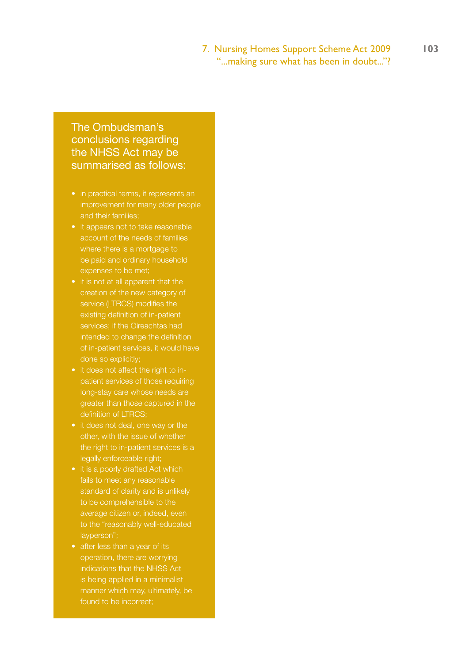# 7. Nursing Homes Support Scheme Act 2009 **103**

"...making sure what has been in doubt..."?

# The Ombudsman's conclusions regarding the NHSS Act may be summarised as follows:

- in practical terms, it represents an improvement for many older people
- it appears not to take reasonable account of the needs of families where there is a mortgage to be paid and ordinary household expenses to be met;
- it is not at all apparent that the creation of the new category of service (LTRCS) modifies the existing definition of in-patient services; if the Oireachtas had intended to change the definition of in-patient services, it would have done so explicitly;
- it does not affect the right to inpatient services of those requiring long-stay care whose needs are greater than those captured in the definition of LTRCS;
- it does not deal, one way or the other, with the issue of whether the right to in-patient services is a legally enforceable right;
- it is a poorly drafted Act which fails to meet any reasonable standard of clarity and is unlikely to be comprehensible to the average citizen or, indeed, even to the "reasonably well-educated layperson";
- operation, there are worrying indications that the NHSS Act is being applied in a minimalist manner which may, ultimately, be found to be incorrect;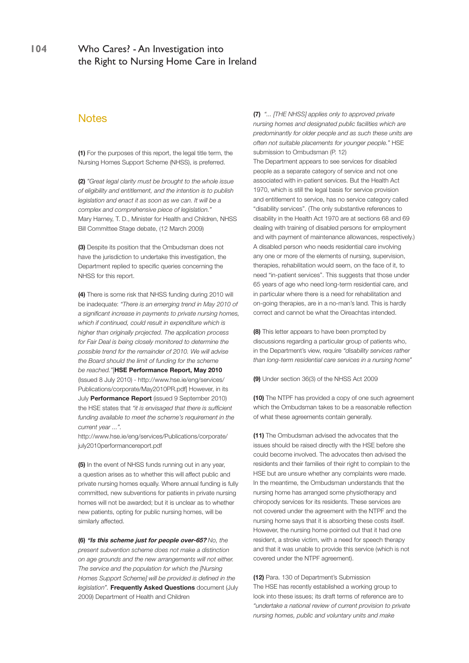## **Notes**

**(1)** For the purposes of this report, the legal title term, the Nursing Homes Support Scheme (NHSS), is preferred.

**(2)** *"Great legal clarity must be brought to the whole issue of eligibility and entitlement, and the intention is to publish legislation and enact it as soon as we can. It will be a complex and comprehensive piece of legislation."*  Mary Harney, T. D., Minister for Health and Children, NHSS Bill Committee Stage debate, (12 March 2009)

**(3)** Despite its position that the Ombudsman does not have the jurisdiction to undertake this investigation, the Department replied to specific queries concerning the NHSS for this report.

**(4)** There is some risk that NHSS funding during 2010 will be inadequate: *"There is an emerging trend in May 2010 of a significant increase in payments to private nursing homes, which if continued, could result in expenditure which is higher than originally projected. The application process for Fair Deal is being closely monitored to determine the possible trend for the remainder of 2010. We will advise the Board should the limit of funding for the scheme be reached."*[**HSE Performance Report, May 2010** (Issued 8 July 2010) - http://www.hse.ie/eng/services/ Publications/corporate/May2010PR.pdf] However, in its July **Performance Report** (issued 9 September 2010) the HSE states that *"it is envisaged that there is sufficient funding available to meet the scheme's requirement in the current year ...".* 

http://www.hse.ie/eng/services/Publications/corporate/ july2010performancereport.pdf

**(5)** In the event of NHSS funds running out in any year, a question arises as to whether this will affect public and private nursing homes equally. Where annual funding is fully committed, new subventions for patients in private nursing homes will not be awarded; but it is unclear as to whether new patients, opting for public nursing homes, will be similarly affected.

**(6) "Is this scheme just for people over-65?** *No, the present subvention scheme does not make a distinction on age grounds and the new arrangements will not either. The service and the population for which the [Nursing Homes Support Scheme] will be provided is defined in the legislation".* **Frequently Asked Questions** document (July 2009) Department of Health and Children

**(7)** *"... [THE NHSS] applies only to approved private nursing homes and designated public facilities which are predominantly for older people and as such these units are often not suitable placements for younger people."* HSE submission to Ombudsman (P. 12)

The Department appears to see services for disabled people as a separate category of service and not one associated with in-patient services. But the Health Act 1970, which is still the legal basis for service provision and entitlement to service, has no service category called "disability services". (The only substantive references to disability in the Health Act 1970 are at sections 68 and 69 dealing with training of disabled persons for employment and with payment of maintenance allowances, respectively.) A disabled person who needs residential care involving any one or more of the elements of nursing, supervision, therapies, rehabilitation would seem, on the face of it, to need "in-patient services". This suggests that those under 65 years of age who need long-term residential care, and in particular where there is a need for rehabilitation and on-going therapies, are in a no-man's land. This is hardly correct and cannot be what the Oireachtas intended.

**(8)** This letter appears to have been prompted by discussions regarding a particular group of patients who, in the Department's view, require *"disability services rather than long-term residential care services in a nursing home"*

**(9)** Under section 36(3) of the NHSS Act 2009

**(10)** The NTPF has provided a copy of one such agreement which the Ombudsman takes to be a reasonable reflection of what these agreements contain generally.

**(11)** The Ombudsman advised the advocates that the issues should be raised directly with the HSE before she could become involved. The advocates then advised the residents and their families of their right to complain to the HSE but are unsure whether any complaints were made. In the meantime, the Ombudsman understands that the nursing home has arranged some physiotherapy and chiropody services for its residents. These services are not covered under the agreement with the NTPF and the nursing home says that it is absorbing these costs itself. However, the nursing home pointed out that it had one resident, a stroke victim, with a need for speech therapy and that it was unable to provide this service (which is not covered under the NTPF agreement).

**(12)** Para. 130 of Department's Submission The HSE has recently established a working group to look into these issues; its draft terms of reference are to *"undertake a national review of current provision to private nursing homes, public and voluntary units and make*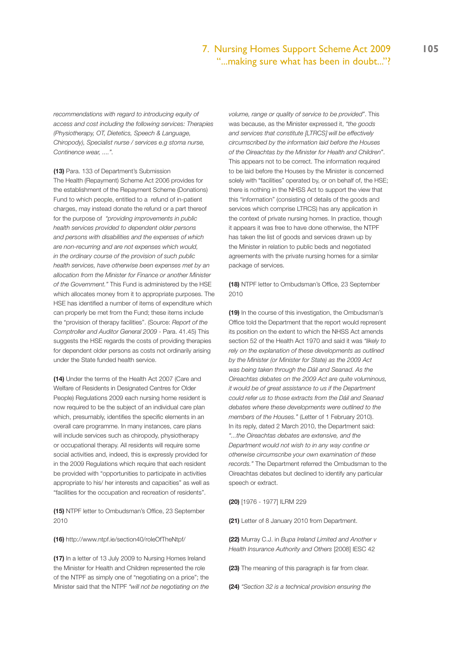#### 7. Nursing Homes Support Scheme Act 2009 **105** "...making sure what has been in doubt..."?

*recommendations with regard to introducing equity of access and cost including the following services: Therapies (Physiotherapy, OT, Dietetics, Speech & Language, Chiropody), Specialist nurse / services e.g stoma nurse, Continence wear, ....".* 

**(13)** Para. 133 of Department's Submission

The Health (Repayment) Scheme Act 2006 provides for the establishment of the Repayment Scheme (Donations) Fund to which people, entitled to a refund of in-patient charges, may instead donate the refund or a part thereof for the purpose of *"providing improvements in public health services provided to dependent older persons and persons with disabilities and the expenses of which are non-recurring and are not expenses which would, in the ordinary course of the provision of such public health services, have otherwise been expenses met by an allocation from the Minister for Finance or another Minister of the Government."* This Fund is administered by the HSE which allocates money from it to appropriate purposes. The HSE has identified a number of items of expenditure which can properly be met from the Fund; these items include the "provision of therapy facilities". (Source: *Report of the Comptroller and Auditor General 2009* - Para. 41.45) This suggests the HSE regards the costs of providing therapies for dependent older persons as costs not ordinarily arising under the State funded health service.

**(14)** Under the terms of the Health Act 2007 (Care and Welfare of Residents in Designated Centres for Older People) Regulations 2009 each nursing home resident is now required to be the subject of an individual care plan which, presumably, identifies the specific elements in an overall care programme. In many instances, care plans will include services such as chiropody, physiotherapy or occupational therapy. All residents will require some social activities and, indeed, this is expressly provided for in the 2009 Regulations which require that each resident be provided with "opportunities to participate in activities appropriate to his/ her interests and capacities" as well as "facilities for the occupation and recreation of residents".

**(15)** NTPF letter to Ombudsman's Office, 23 September 2010

**(16)** http://www.ntpf.ie/section40/roleOfTheNtpf/

**(17)** In a letter of 13 July 2009 to Nursing Homes Ireland the Minister for Health and Children represented the role of the NTPF as simply one of "negotiating on a price"; the Minister said that the NTPF *"will not be negotiating on the* 

*volume, range or quality of service to be provided"*. This was because, as the Minister expressed it, *"the goods and services that constitute [LTRCS] will be effectively circumscribed by the information laid before the Houses of the Oireachtas by the Minister for Health and Children"*. This appears not to be correct. The information required to be laid before the Houses by the Minister is concerned solely with "facilities" operated by, or on behalf of, the HSE; there is nothing in the NHSS Act to support the view that this "information" (consisting of details of the goods and services which comprise LTRCS) has any application in the context of private nursing homes. In practice, though it appears it was free to have done otherwise, the NTPF has taken the list of goods and services drawn up by the Minister in relation to public beds and negotiated agreements with the private nursing homes for a similar package of services.

**(18)** NTPF letter to Ombudsman's Office, 23 September 2010

**(19)** In the course of this investigation, the Ombudsman's Office told the Department that the report would represent its position on the extent to which the NHSS Act amends section 52 of the Health Act 1970 and said it was *"likely to rely on the explanation of these developments as outlined by the Minister (or Minister for State) as the 2009 Act was being taken through the Dáil and Seanad. As the Oireachtas debates on the 2009 Act are quite voluminous, it would be of great assistance to us if the Department could refer us to those extracts from the Dáil and Seanad debates where these developments were outlined to the members of the Houses."* (Letter of 1 February 2010). In its reply, dated 2 March 2010, the Department said: *"...the Oireachtas debates are extensive, and the Department would not wish to in any way confine or otherwise circumscribe your own examination of these records."* The Department referred the Ombudsman to the Oireachtas debates but declined to identify any particular speech or extract.

**(20)** [1976 - 1977] ILRM 229

**(21)** Letter of 8 January 2010 from Department.

**(22)** Murray C.J. in *Bupa Ireland Limited and Another v Health Insurance Authority and Others* [2008] IESC 42

**(23)** The meaning of this paragraph is far from clear.

**(24)** *"Section 32 is a technical provision ensuring the*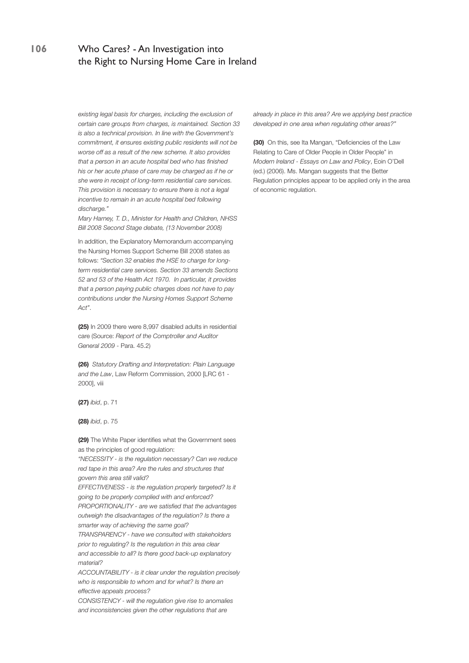*existing legal basis for charges, including the exclusion of certain care groups from charges, is maintained. Section 33 is also a technical provision. In line with the Government's commitment, it ensures existing public residents will not be worse off as a result of the new scheme. It also provides that a person in an acute hospital bed who has finished his or her acute phase of care may be charged as if he or she were in receipt of long-term residential care services. This provision is necessary to ensure there is not a legal incentive to remain in an acute hospital bed following discharge."* 

*Mary Harney, T. D., Minister for Health and Children, NHSS Bill 2008 Second Stage debate, (13 November 2008)*

In addition, the Explanatory Memorandum accompanying the Nursing Homes Support Scheme Bill 2008 states as follows: *"Section 32 enables the HSE to charge for longterm residential care services. Section 33 amends Sections 52 and 53 of the Health Act 1970. In particular, it provides that a person paying public charges does not have to pay contributions under the Nursing Homes Support Scheme Act"*.

**(25)** In 2009 there were 8,997 disabled adults in residential care (Source: *Report of the Comptroller and Auditor General 2009* - Para. 45.2)

**(26)** *Statutory Drafting and Interpretation: Plain Language and the Law*, Law Reform Commission, 2000 [LRC 61 - 2000], viii

**(27)** *ibid*, p. 71

**(28)** *ibid*, p. 75

**(29)** The White Paper identifies what the Government sees as the principles of good regulation:

*"NECESSITY - is the regulation necessary? Can we reduce red tape in this area? Are the rules and structures that govern this area still valid?*

*EFFECTIVENESS - is the regulation properly targeted? Is it going to be properly complied with and enforced? PROPORTIONALITY - are we satisfied that the advantages outweigh the disadvantages of the regulation? Is there a* 

*smarter way of achieving the same goal? TRANSPARENCY - have we consulted with stakeholders* 

*prior to regulating? Is the regulation in this area clear and accessible to all? Is there good back-up explanatory material?*

*ACCOUNTABILITY - is it clear under the regulation precisely who is responsible to whom and for what? Is there an effective appeals process?*

*CONSISTENCY - will the regulation give rise to anomalies and inconsistencies given the other regulations that are* 

*already in place in this area? Are we applying best practice developed in one area when regulating other areas?"*

**(30)** On this, see Ita Mangan, "Deficiencies of the Law Relating to Care of Older People in Older People" in *Modern Ireland - Essays on Law and Policy*, Eoin O'Dell (ed.) (2006). Ms. Mangan suggests that the Better Regulation principles appear to be applied only in the area of economic regulation.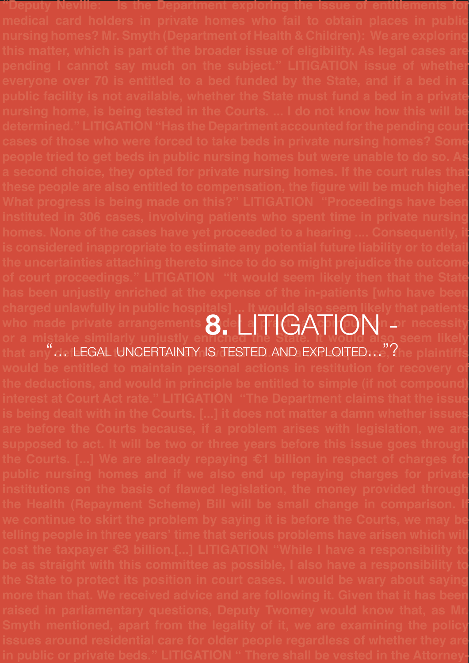**"Deputy Neville: Is the Department exploring the issue of entitlements for medical card holders in private homes who fail to obtain places in public nursing homes? Mr. Smyth (Department of Health & Children): We are exploring this matter, which is part of the broader issue of eligibility. As legal cases are pending I cannot say much on the subject." LITIGATION issue of whether everyone over 70 is entitled to a bed funded by the State, and if a bed in a public facility is not available, whether the State must fund a bed in a private nursing home, is being tested in the Courts. ... I do not know how this will be determined." LITIGATION "Has the Department accounted for the pending court cases of those who were forced to take beds in private nursing homes? Some people tried to get beds in public nursing homes but were unable to do so. As a second choice, they opted for private nursing homes. If the court rules that these people are also entitled to compensation, the figure will be much higher. What progress is being made on this?" LITIGATION "Proceedings have been instituted in 306 cases, involving patients who spent time in private nursing homes. None of the cases have yet proceeded to a hearing .... Consequently, it is considered inappropriate to estimate any potential future liability or to detail the uncertainties attaching thereto since to do so might prejudice the outcome of court proceedings." LITIGATION "It would seem likely then that the State has been unjustly enriched at the expense of the in-patients [who have been charged unlawfully in public hospitals] ... It would also seem likely that patients**  who made private arrangements  $\mathbf{R}$ der a pra $(\cup\mathbf{A}\cap\mathbf{C})\mathbf{N}$ n or necessity **or a mistake similarly unjustly enriched the State. It would also seem likely**  that any  $\dots$  LEGAL UNCERTAINTY IS TESTED AND EXPLOITED…. The plaintiffs **would be entitled to maintain personal actions in restitution for recovery of the deductions, and would in principle be entitled to simple (if not compound) interest at Court Act rate." LITIGATION "The Department claims that the issue is being dealt with in the Courts. [...] it does not matter a damn whether issues are before the Courts because, if a problem arises with legislation, we are supposed to act. It will be two or three years before this issue goes through the Courts. [...] We are already repaying €1 billion in respect of charges for public nursing homes and if we also end up repaying charges for private institutions on the basis of flawed legislation, the money provided through the Health (Repayment Scheme) Bill will be small change in comparison. If we continue to skirt the problem by saying it is before the Courts, we may be telling people in three years' time that serious problems have arisen which will cost the taxpayer €3 billion.[...] LITIGATION "While I have a responsibility to be as straight with this committee as possible, I also have a responsibility to the State to protect its position in court cases. I would be wary about saying more than that. We received advice and are following it. Given that it has been raised in parliamentary questions, Deputy Twomey would know that, as Mr. Smyth mentioned, apart from the legality of it, we are examining the policy issues around residential care for older people regardless of whether they are 8.** Litigation - "... LEGAL UNCERTAINTY IS TESTED AND EXPLOITED..."?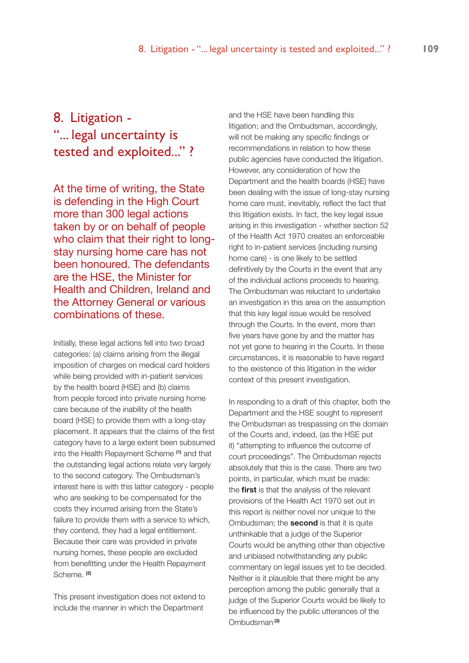# 8. Litigation - "... legal uncertainty is tested and exploited..." ?

At the time of writing, the State is defending in the High Court more than 300 legal actions taken by or on behalf of people who claim that their right to longstay nursing home care has not been honoured. The defendants are the HSE, the Minister for Health and Children, Ireland and the Attorney General or various combinations of these.

Initially, these legal actions fell into two broad categories: (a) claims arising from the illegal imposition of charges on medical card holders while being provided with in-patient services by the health board (HSE) and (b) claims from people forced into private nursing home care because of the inability of the health board (HSE) to provide them with a long-stay placement. It appears that the claims of the first category have to a large extent been subsumed into the Health Repayment Scheme **(1)** and that the outstanding legal actions relate very largely to the second category. The Ombudsman's interest here is with this latter category - people who are seeking to be compensated for the costs they incurred arising from the State's failure to provide them with a service to which, they contend, they had a legal entitlement. Because their care was provided in private nursing homes, these people are excluded from benefitting under the Health Repayment Scheme. **(2)**

This present investigation does not extend to include the manner in which the Department

and the HSE have been handling this litigation; and the Ombudsman, accordingly, will not be making any specific findings or recommendations in relation to how these public agencies have conducted the litigation. However, any consideration of how the Department and the health boards (HSE) have been dealing with the issue of long-stay nursing home care must, inevitably, reflect the fact that this litigation exists. In fact, the key legal issue arising in this investigation - whether section 52 of the Health Act 1970 creates an enforceable right to in-patient services (including nursing home care) - is one likely to be settled definitively by the Courts in the event that any of the individual actions proceeds to hearing. The Ombudsman was reluctant to undertake an investigation in this area on the assumption that this key legal issue would be resolved through the Courts. In the event, more than five years have gone by and the matter has not yet gone to hearing in the Courts. In these circumstances, it is reasonable to have regard to the existence of this litigation in the wider context of this present investigation.

In responding to a draft of this chapter, both the Department and the HSE sought to represent the Ombudsman as trespassing on the domain of the Courts and, indeed, (as the HSE put it) "attempting to influence the outcome of court proceedings". The Ombudsman rejects absolutely that this is the case. There are two points, in particular, which must be made: the **first** is that the analysis of the relevant provisions of the Health Act 1970 set out in this report is neither novel nor unique to the Ombudsman; the **second** is that it is quite unthinkable that a judge of the Superior Courts would be anything other than objective and unbiased notwithstanding any public commentary on legal issues yet to be decided. Neither is it plausible that there might be any perception among the public generally that a judge of the Superior Courts would be likely to be influenced by the public utterances of the Ombudsman.**(3)**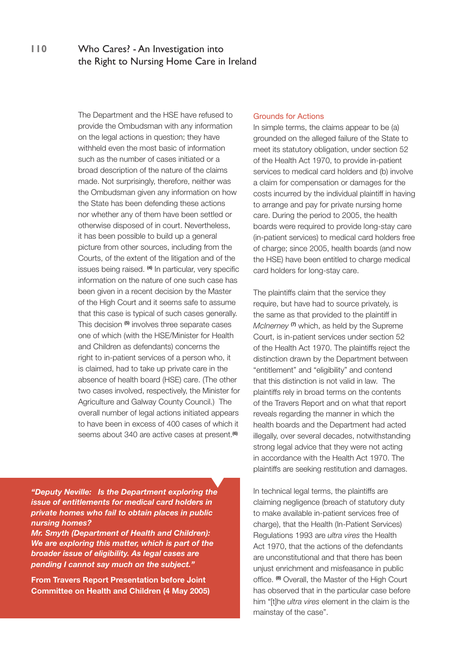The Department and the HSE have refused to provide the Ombudsman with any information on the legal actions in question; they have withheld even the most basic of information such as the number of cases initiated or a broad description of the nature of the claims made. Not surprisingly, therefore, neither was the Ombudsman given any information on how the State has been defending these actions nor whether any of them have been settled or otherwise disposed of in court. Nevertheless, it has been possible to build up a general picture from other sources, including from the Courts, of the extent of the litigation and of the issues being raised. **(4)** In particular, very specific information on the nature of one such case has been given in a recent decision by the Master of the High Court and it seems safe to assume that this case is typical of such cases generally. This decision **(5)** involves three separate cases one of which (with the HSE/Minister for Health and Children as defendants) concerns the right to in-patient services of a person who, it is claimed, had to take up private care in the absence of health board (HSE) care. (The other two cases involved, respectively, the Minister for Agriculture and Galway County Council.) The overall number of legal actions initiated appears to have been in excess of 400 cases of which it seems about 340 are active cases at present.**(6)**

*"Deputy Neville: Is the Department exploring the issue of entitlements for medical card holders in private homes who fail to obtain places in public nursing homes?*

*Mr. Smyth (Department of Health and Children): We are exploring this matter, which is part of the broader issue of eligibility. As legal cases are pending I cannot say much on the subject."*

**From Travers Report Presentation before Joint Committee on Health and Children (4 May 2005)**

#### Grounds for Actions

In simple terms, the claims appear to be (a) grounded on the alleged failure of the State to meet its statutory obligation, under section 52 of the Health Act 1970, to provide in-patient services to medical card holders and (b) involve a claim for compensation or damages for the costs incurred by the individual plaintiff in having to arrange and pay for private nursing home care. During the period to 2005, the health boards were required to provide long-stay care (in-patient services) to medical card holders free of charge; since 2005, health boards (and now the HSE) have been entitled to charge medical card holders for long-stay care.

The plaintiffs claim that the service they require, but have had to source privately, is the same as that provided to the plaintiff in *McInerney* **(7)** which, as held by the Supreme Court, is in-patient services under section 52 of the Health Act 1970. The plaintiffs reject the distinction drawn by the Department between "entitlement" and "eligibility" and contend that this distinction is not valid in law. The plaintiffs rely in broad terms on the contents of the Travers Report and on what that report reveals regarding the manner in which the health boards and the Department had acted illegally, over several decades, notwithstanding strong legal advice that they were not acting in accordance with the Health Act 1970. The plaintiffs are seeking restitution and damages.

In technical legal terms, the plaintiffs are claiming negligence (breach of statutory duty to make available in-patient services free of charge), that the Health (In-Patient Services) Regulations 1993 are *ultra vires* the Health Act 1970, that the actions of the defendants are unconstitutional and that there has been unjust enrichment and misfeasance in public office. **(8)** Overall, the Master of the High Court has observed that in the particular case before him "[t]he *ultra vires* element in the claim is the mainstay of the case".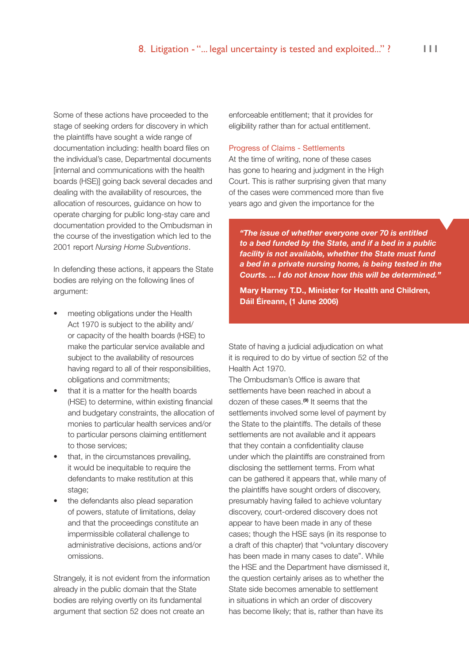Some of these actions have proceeded to the stage of seeking orders for discovery in which the plaintiffs have sought a wide range of documentation including: health board files on the individual's case, Departmental documents [internal and communications with the health boards (HSE)] going back several decades and dealing with the availability of resources, the allocation of resources, guidance on how to operate charging for public long-stay care and documentation provided to the Ombudsman in the course of the investigation which led to the 2001 report *Nursing Home Subventions*.

In defending these actions, it appears the State bodies are relying on the following lines of argument:

- meeting obligations under the Health Act 1970 is subject to the ability and/ or capacity of the health boards (HSE) to make the particular service available and subject to the availability of resources having regard to all of their responsibilities, obligations and commitments;
- that it is a matter for the health boards (HSE) to determine, within existing financial and budgetary constraints, the allocation of monies to particular health services and/or to particular persons claiming entitlement to those services;
- that, in the circumstances prevailing, it would be inequitable to require the defendants to make restitution at this stage:
- the defendants also plead separation of powers, statute of limitations, delay and that the proceedings constitute an impermissible collateral challenge to administrative decisions, actions and/or omissions.

Strangely, it is not evident from the information already in the public domain that the State bodies are relying overtly on its fundamental argument that section 52 does not create an

enforceable entitlement; that it provides for eligibility rather than for actual entitlement.

#### Progress of Claims - Settlements

At the time of writing, none of these cases has gone to hearing and judgment in the High Court. This is rather surprising given that many of the cases were commenced more than five years ago and given the importance for the

*"The issue of whether everyone over 70 is entitled to a bed funded by the State, and if a bed in a public facility is not available, whether the State must fund a bed in a private nursing home, is being tested in the Courts. ... I do not know how this will be determined."* 

**Mary Harney T.D., Minister for Health and Children, Dáil Éireann, (1 June 2006)**

State of having a judicial adjudication on what it is required to do by virtue of section 52 of the Health Act 1970.

The Ombudsman's Office is aware that settlements have been reached in about a dozen of these cases.**(9)** It seems that the settlements involved some level of payment by the State to the plaintiffs. The details of these settlements are not available and it appears that they contain a confidentiality clause under which the plaintiffs are constrained from disclosing the settlement terms. From what can be gathered it appears that, while many of the plaintiffs have sought orders of discovery, presumably having failed to achieve voluntary discovery, court-ordered discovery does not appear to have been made in any of these cases; though the HSE says (in its response to a draft of this chapter) that "voluntary discovery has been made in many cases to date". While the HSE and the Department have dismissed it, the question certainly arises as to whether the State side becomes amenable to settlement in situations in which an order of discovery has become likely; that is, rather than have its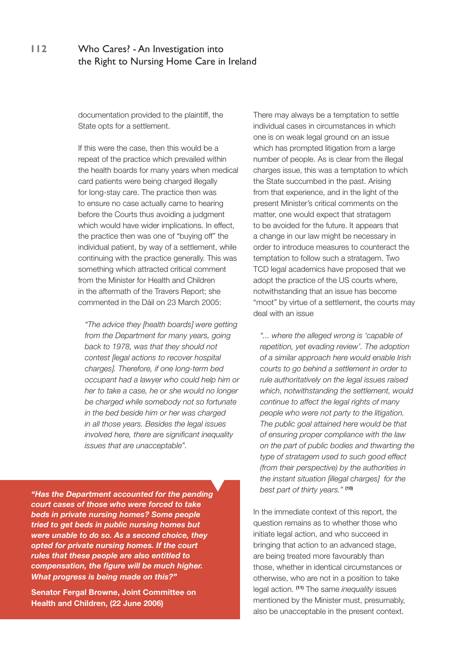documentation provided to the plaintiff, the State opts for a settlement.

If this were the case, then this would be a repeat of the practice which prevailed within the health boards for many years when medical card patients were being charged illegally for long-stay care. The practice then was to ensure no case actually came to hearing before the Courts thus avoiding a judgment which would have wider implications. In effect, the practice then was one of "buying off" the individual patient, by way of a settlement, while continuing with the practice generally. This was something which attracted critical comment from the Minister for Health and Children in the aftermath of the Travers Report; she commented in the Dáil on 23 March 2005:

*"The advice they [health boards] were getting from the Department for many years, going back to 1978, was that they should not contest [legal actions to recover hospital charges]. Therefore, if one long-term bed occupant had a lawyer who could help him or her to take a case, he or she would no longer be charged while somebody not so fortunate in the bed beside him or her was charged in all those years. Besides the legal issues involved here, there are significant inequality issues that are unacceptable".*

*"Has the Department accounted for the pending court cases of those who were forced to take beds in private nursing homes? Some people tried to get beds in public nursing homes but were unable to do so. As a second choice, they opted for private nursing homes. If the court rules that these people are also entitled to compensation, the figure will be much higher. What progress is being made on this?"*

**Senator Fergal Browne, Joint Committee on Health and Children, (22 June 2006)**

There may always be a temptation to settle individual cases in circumstances in which one is on weak legal ground on an issue which has prompted litigation from a large number of people. As is clear from the illegal charges issue, this was a temptation to which the State succumbed in the past. Arising from that experience, and in the light of the present Minister's critical comments on the matter, one would expect that stratagem to be avoided for the future. It appears that a change in our law might be necessary in order to introduce measures to counteract the temptation to follow such a stratagem. Two TCD legal academics have proposed that we adopt the practice of the US courts where, notwithstanding that an issue has become "moot" by virtue of a settlement, the courts may deal with an issue

*"... where the alleged wrong is 'capable of repetition, yet evading review'. The adoption of a similar approach here would enable Irish courts to go behind a settlement in order to rule authoritatively on the legal issues raised which, notwithstanding the settlement, would continue to affect the legal rights of many people who were not party to the litigation. The public goal attained here would be that of ensuring proper compliance with the law on the part of public bodies and thwarting the type of stratagem used to such good effect (from their perspective) by the authorities in the instant situation [illegal charges] for the best part of thirty years."* **(10)**

In the immediate context of this report, the question remains as to whether those who initiate legal action, and who succeed in bringing that action to an advanced stage, are being treated more favourably than those, whether in identical circumstances or otherwise, who are not in a position to take legal action. **(11)** The same *inequality* issues mentioned by the Minister must, presumably, also be unacceptable in the present context.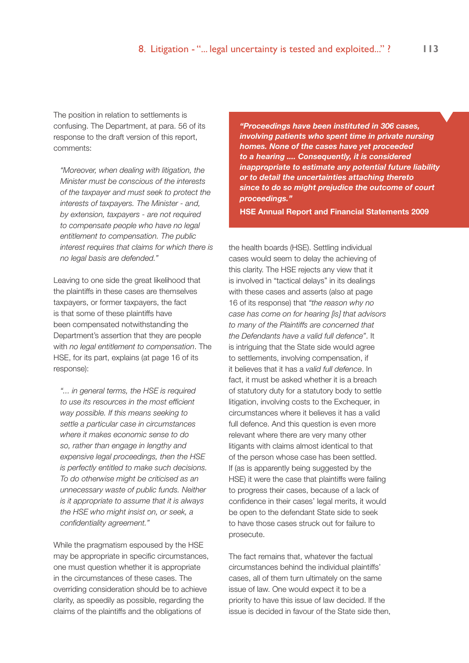The position in relation to settlements is confusing. The Department, at para. 56 of its response to the draft version of this report, comments:

*"Moreover, when dealing with litigation, the Minister must be conscious of the interests of the taxpayer and must seek to protect the interests of taxpayers. The Minister - and, by extension, taxpayers - are not required to compensate people who have no legal entitlement to compensation. The public interest requires that claims for which there is no legal basis are defended."* 

Leaving to one side the great likelihood that the plaintiffs in these cases are themselves taxpayers, or former taxpayers, the fact is that some of these plaintiffs have been compensated notwithstanding the Department's assertion that they are people with *no legal entitlement to compensation*. The HSE, for its part, explains (at page 16 of its response):

*"... in general terms, the HSE is required to use its resources in the most efficient way possible. If this means seeking to settle a particular case in circumstances where it makes economic sense to do so, rather than engage in lengthy and expensive legal proceedings, then the HSE is perfectly entitled to make such decisions. To do otherwise might be criticised as an unnecessary waste of public funds. Neither is it appropriate to assume that it is always the HSE who might insist on, or seek, a confidentiality agreement."* 

While the pragmatism espoused by the HSE may be appropriate in specific circumstances, one must question whether it is appropriate in the circumstances of these cases. The overriding consideration should be to achieve clarity, as speedily as possible, regarding the claims of the plaintiffs and the obligations of

*"Proceedings have been instituted in 306 cases, involving patients who spent time in private nursing homes. None of the cases have yet proceeded to a hearing .... Consequently, it is considered inappropriate to estimate any potential future liability or to detail the uncertainties attaching thereto since to do so might prejudice the outcome of court proceedings."*

**HSE Annual Report and Financial Statements 2009** 

the health boards (HSE). Settling individual cases would seem to delay the achieving of this clarity. The HSE rejects any view that it is involved in "tactical delays" in its dealings with these cases and asserts (also at page 16 of its response) that *"the reason why no case has come on for hearing [is] that advisors to many of the Plaintiffs are concerned that the Defendants have a valid full defence"*. It is intriguing that the State side would agree to settlements, involving compensation, if it believes that it has a *valid full defence*. In fact, it must be asked whether it is a breach of statutory duty for a statutory body to settle litigation, involving costs to the Exchequer, in circumstances where it believes it has a valid full defence. And this question is even more relevant where there are very many other litigants with claims almost identical to that of the person whose case has been settled. If (as is apparently being suggested by the HSE) it were the case that plaintiffs were failing to progress their cases, because of a lack of confidence in their cases' legal merits, it would be open to the defendant State side to seek to have those cases struck out for failure to prosecute.

The fact remains that, whatever the factual circumstances behind the individual plaintiffs' cases, all of them turn ultimately on the same issue of law. One would expect it to be a priority to have this issue of law decided. If the issue is decided in favour of the State side then,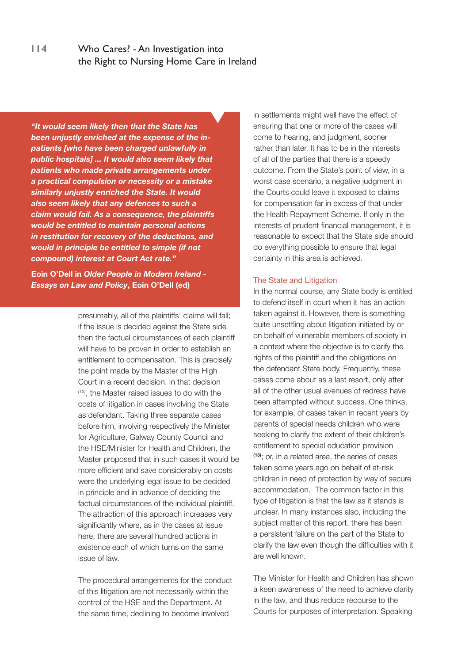*"It would seem likely then that the State has been unjustly enriched at the expense of the inpatients [who have been charged unlawfully in public hospitals] ... It would also seem likely that patients who made private arrangements under a practical compulsion or necessity or a mistake similarly unjustly enriched the State. It would also seem likely that any defences to such a claim would fail. As a consequence, the plaintiffs would be entitled to maintain personal actions in restitution for recovery of the deductions, and would in principle be entitled to simple (if not compound) interest at Court Act rate."*

**Eoin O'Dell in** *Older People in Modern Ireland - Essays on Law and Policy***, Eoin O'Dell (ed)**

> presumably, all of the plaintiffs' claims will fall; if the issue is decided against the State side then the factual circumstances of each plaintiff will have to be proven in order to establish an entitlement to compensation. This is precisely the point made by the Master of the High Court in a recent decision. In that decision *(12)*, the Master raised issues to do with the costs of litigation in cases involving the State as defendant. Taking three separate cases before him, involving respectively the Minister for Agriculture, Galway County Council and the HSE/Minister for Health and Children, the Master proposed that in such cases it would be more efficient and save considerably on costs were the underlying legal issue to be decided in principle and in advance of deciding the factual circumstances of the individual plaintiff. The attraction of this approach increases very significantly where, as in the cases at issue here, there are several hundred actions in existence each of which turns on the same issue of law.

The procedural arrangements for the conduct of this litigation are not necessarily within the control of the HSE and the Department. At the same time, declining to become involved

in settlements might well have the effect of ensuring that one or more of the cases will come to hearing, and judgment, sooner rather than later. It has to be in the interests of all of the parties that there is a speedy outcome. From the State's point of view, in a worst case scenario, a negative judgment in the Courts could leave it exposed to claims for compensation far in excess of that under the Health Repayment Scheme. If only in the interests of prudent financial management, it is reasonable to expect that the State side should do everything possible to ensure that legal certainty in this area is achieved.

#### The State and Litigation

In the normal course, any State body is entitled to defend itself in court when it has an action taken against it. However, there is something quite unsettling about litigation initiated by or on behalf of vulnerable members of society in a context where the objective is to clarify the rights of the plaintiff and the obligations on the defendant State body. Frequently, these cases come about as a last resort, only after all of the other usual avenues of redress have been attempted without success. One thinks, for example, of cases taken in recent years by parents of special needs children who were seeking to clarify the extent of their children's entitlement to special education provision **(13)**; or, in a related area, the series of cases taken some years ago on behalf of at-risk children in need of protection by way of secure accommodation. The common factor in this type of litigation is that the law as it stands is unclear. In many instances also, including the subject matter of this report, there has been a persistent failure on the part of the State to clarify the law even though the difficulties with it are well known.

The Minister for Health and Children has shown a keen awareness of the need to achieve clarity in the law, and thus reduce recourse to the Courts for purposes of interpretation. Speaking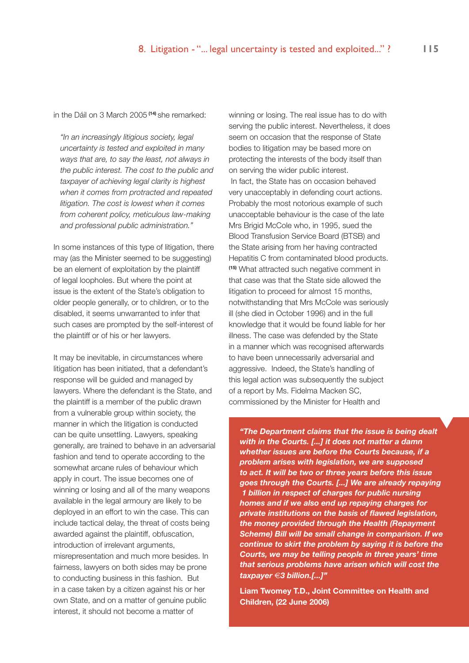in the Dáil on 3 March 2005 **(14)** she remarked:

*"In an increasingly litigious society, legal uncertainty is tested and exploited in many ways that are, to say the least, not always in the public interest. The cost to the public and taxpayer of achieving legal clarity is highest when it comes from protracted and repeated litigation. The cost is lowest when it comes from coherent policy, meticulous law-making and professional public administration."* 

In some instances of this type of litigation, there may (as the Minister seemed to be suggesting) be an element of exploitation by the plaintiff of legal loopholes. But where the point at issue is the extent of the State's obligation to older people generally, or to children, or to the disabled, it seems unwarranted to infer that such cases are prompted by the self-interest of the plaintiff or of his or her lawyers.

It may be inevitable, in circumstances where litigation has been initiated, that a defendant's response will be guided and managed by lawyers. Where the defendant is the State, and the plaintiff is a member of the public drawn from a vulnerable group within society, the manner in which the litigation is conducted can be quite unsettling. Lawyers, speaking generally, are trained to behave in an adversarial fashion and tend to operate according to the somewhat arcane rules of behaviour which apply in court. The issue becomes one of winning or losing and all of the many weapons available in the legal armoury are likely to be deployed in an effort to win the case. This can include tactical delay, the threat of costs being awarded against the plaintiff, obfuscation, introduction of irrelevant arguments, misrepresentation and much more besides. In fairness, lawyers on both sides may be prone to conducting business in this fashion. But in a case taken by a citizen against his or her own State, and on a matter of genuine public interest, it should not become a matter of

winning or losing. The real issue has to do with serving the public interest. Nevertheless, it does seem on occasion that the response of State bodies to litigation may be based more on protecting the interests of the body itself than on serving the wider public interest. In fact, the State has on occasion behaved very unacceptably in defending court actions. Probably the most notorious example of such unacceptable behaviour is the case of the late Mrs Brigid McCole who, in 1995, sued the Blood Transfusion Service Board (BTSB) and the State arising from her having contracted Hepatitis C from contaminated blood products. **(15)** What attracted such negative comment in that case was that the State side allowed the litigation to proceed for almost 15 months, notwithstanding that Mrs McCole was seriously ill (she died in October 1996) and in the full knowledge that it would be found liable for her illness. The case was defended by the State in a manner which was recognised afterwards to have been unnecessarily adversarial and aggressive. Indeed, the State's handling of this legal action was subsequently the subject of a report by Ms. Fidelma Macken SC, commissioned by the Minister for Health and

*"The Department claims that the issue is being dealt with in the Courts. [...] it does not matter a damn whether issues are before the Courts because, if a problem arises with legislation, we are supposed to act. It will be two or three years before this issue goes through the Courts. [...] We are already repaying €1 billion in respect of charges for public nursing homes and if we also end up repaying charges for private institutions on the basis of flawed legislation, the money provided through the Health (Repayment Scheme) Bill will be small change in comparison. If we continue to skirt the problem by saying it is before the Courts, we may be telling people in three years' time that serious problems have arisen which will cost the taxpayer* €*3 billion.[...]"*

**Liam Twomey T.D., Joint Committee on Health and Children, (22 June 2006)**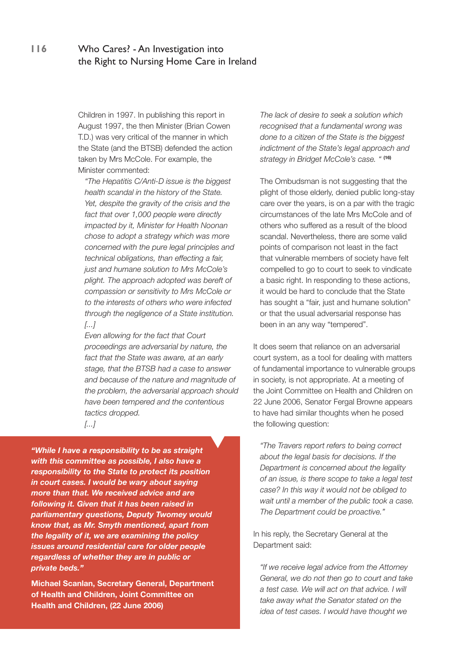Children in 1997. In publishing this report in August 1997, the then Minister (Brian Cowen T.D.) was very critical of the manner in which the State (and the BTSB) defended the action taken by Mrs McCole. For example, the Minister commented:

*"The Hepatitis C/Anti-D issue is the biggest health scandal in the history of the State. Yet, despite the gravity of the crisis and the fact that over 1,000 people were directly impacted by it, Minister for Health Noonan chose to adopt a strategy which was more concerned with the pure legal principles and technical obligations, than effecting a fair, just and humane solution to Mrs McCole's plight. The approach adopted was bereft of compassion or sensitivity to Mrs McCole or to the interests of others who were infected through the negligence of a State institution. [...]*

*Even allowing for the fact that Court proceedings are adversarial by nature, the fact that the State was aware, at an early stage, that the BTSB had a case to answer and because of the nature and magnitude of the problem, the adversarial approach should have been tempered and the contentious tactics dropped.* 

*[...]*

*"While I have a responsibility to be as straight with this committee as possible, I also have a responsibility to the State to protect its position in court cases. I would be wary about saying more than that. We received advice and are following it. Given that it has been raised in parliamentary questions, Deputy Twomey would know that, as Mr. Smyth mentioned, apart from the legality of it, we are examining the policy issues around residential care for older people regardless of whether they are in public or private beds."*

**Michael Scanlan, Secretary General, Department of Health and Children, Joint Committee on Health and Children, (22 June 2006)**

*The lack of desire to seek a solution which recognised that a fundamental wrong was done to a citizen of the State is the biggest indictment of the State's legal approach and strategy in Bridget McCole's case. "* **(16)**

The Ombudsman is not suggesting that the plight of those elderly, denied public long-stay care over the years, is on a par with the tragic circumstances of the late Mrs McCole and of others who suffered as a result of the blood scandal. Nevertheless, there are some valid points of comparison not least in the fact that vulnerable members of society have felt compelled to go to court to seek to vindicate a basic right. In responding to these actions, it would be hard to conclude that the State has sought a "fair, just and humane solution" or that the usual adversarial response has been in an any way "tempered".

It does seem that reliance on an adversarial court system, as a tool for dealing with matters of fundamental importance to vulnerable groups in society, is not appropriate. At a meeting of the Joint Committee on Health and Children on 22 June 2006, Senator Fergal Browne appears to have had similar thoughts when he posed the following question:

*"The Travers report refers to being correct about the legal basis for decisions. If the Department is concerned about the legality of an issue, is there scope to take a legal test case? In this way it would not be obliged to wait until a member of the public took a case. The Department could be proactive."*

In his reply, the Secretary General at the Department said:

*"If we receive legal advice from the Attorney General, we do not then go to court and take a test case. We will act on that advice. I will take away what the Senator stated on the idea of test cases. I would have thought we*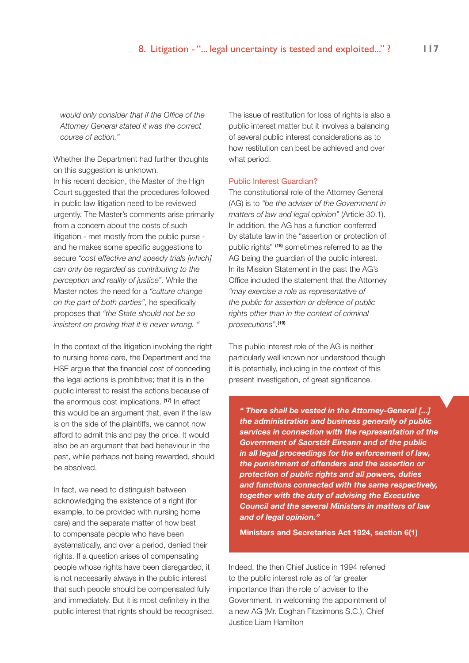*would only consider that if the Office of the Attorney General stated it was the correct course of action."*

Whether the Department had further thoughts on this suggestion is unknown.

In his recent decision, the Master of the High Court suggested that the procedures followed in public law litigation need to be reviewed urgently. The Master's comments arise primarily from a concern about the costs of such litigation - met mostly from the public purse and he makes some specific suggestions to secure *"cost effective and speedy trials [which] can only be regarded as contributing to the perception and reality of justice".* While the Master notes the need for a *"culture change on the part of both parties"*, he specifically proposes that *"the State should not be so insistent on proving that it is never wrong. "*

In the context of the litigation involving the right to nursing home care, the Department and the HSE argue that the financial cost of conceding the legal actions is prohibitive; that it is in the public interest to resist the actions because of the enormous cost implications. **(17)** In effect this would be an argument that, even if the law is on the side of the plaintiffs, we cannot now afford to admit this and pay the price. It would also be an argument that bad behaviour in the past, while perhaps not being rewarded, should be absolved.

In fact, we need to distinguish between acknowledging the existence of a right (for example, to be provided with nursing home care) and the separate matter of how best to compensate people who have been systematically, and over a period, denied their rights. If a question arises of compensating people whose rights have been disregarded, it is not necessarily always in the public interest that such people should be compensated fully and immediately. But it is most definitely in the public interest that rights should be recognised.

The issue of restitution for loss of rights is also a public interest matter but it involves a balancing of several public interest considerations as to how restitution can best be achieved and over what period.

#### Public Interest Guardian?

The constitutional role of the Attorney General (AG) is to *"be the adviser of the Government in matters of law and legal opinion"* (Article 30.1). In addition, the AG has a function conferred by statute law in the "assertion or protection of public rights" **(18)** sometimes referred to as the AG being the guardian of the public interest. In its Mission Statement in the past the AG's Office included the statement that the Attorney *"may exercise a role as representative of the public for assertion or defence of public rights other than in the context of criminal prosecutions"*. **(19)**

This public interest role of the AG is neither particularly well known nor understood though it is potentially, including in the context of this present investigation, of great significance.

*" There shall be vested in the Attorney-General [...] the administration and business generally of public services in connection with the representation of the Government of Saorstát Eireann and of the public in all legal proceedings for the enforcement of law, the punishment of offenders and the assertion or protection of public rights and all powers, duties and functions connected with the same respectively, together with the duty of advising the Executive Council and the several Ministers in matters of law and of legal opinion."*

**Ministers and Secretaries Act 1924, section 6(1)**

Indeed, the then Chief Justice in 1994 referred to the public interest role as of far greater importance than the role of adviser to the Government. In welcoming the appointment of a new AG (Mr. Eoghan Fitzsimons S.C.), Chief Justice Liam Hamilton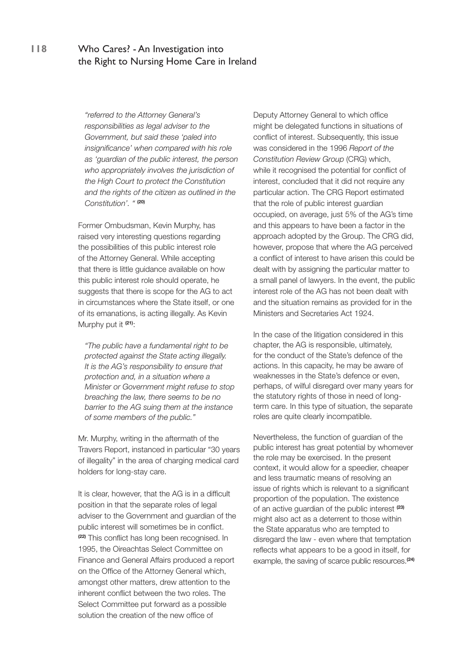*"referred to the Attorney General's responsibilities as legal adviser to the Government, but said these 'paled into insignificance' when compared with his role as 'guardian of the public interest, the person who appropriately involves the jurisdiction of the High Court to protect the Constitution and the rights of the citizen as outlined in the Constitution'. "* **(20)**

Former Ombudsman, Kevin Murphy, has raised very interesting questions regarding the possibilities of this public interest role of the Attorney General. While accepting that there is little guidance available on how this public interest role should operate, he suggests that there is scope for the AG to act in circumstances where the State itself, or one of its emanations, is acting illegally. As Kevin Murphy put it **(21)**:

*"The public have a fundamental right to be protected against the State acting illegally. It is the AG's responsibility to ensure that protection and, in a situation where a Minister or Government might refuse to stop breaching the law, there seems to be no barrier to the AG suing them at the instance of some members of the public."*

Mr. Murphy, writing in the aftermath of the Travers Report, instanced in particular "30 years of illegality" in the area of charging medical card holders for long-stay care.

It is clear, however, that the AG is in a difficult position in that the separate roles of legal adviser to the Government and guardian of the public interest will sometimes be in conflict. **(22)** This conflict has long been recognised. In 1995, the Oireachtas Select Committee on Finance and General Affairs produced a report on the Office of the Attorney General which, amongst other matters, drew attention to the inherent conflict between the two roles. The Select Committee put forward as a possible solution the creation of the new office of

Deputy Attorney General to which office might be delegated functions in situations of conflict of interest. Subsequently, this issue was considered in the 1996 *Report of the Constitution Review Group* (CRG) which, while it recognised the potential for conflict of interest, concluded that it did not require any particular action. The CRG Report estimated that the role of public interest guardian occupied, on average, just 5% of the AG's time and this appears to have been a factor in the approach adopted by the Group. The CRG did, however, propose that where the AG perceived a conflict of interest to have arisen this could be dealt with by assigning the particular matter to a small panel of lawyers. In the event, the public interest role of the AG has not been dealt with and the situation remains as provided for in the Ministers and Secretaries Act 1924.

In the case of the litigation considered in this chapter, the AG is responsible, ultimately, for the conduct of the State's defence of the actions. In this capacity, he may be aware of weaknesses in the State's defence or even, perhaps, of wilful disregard over many years for the statutory rights of those in need of longterm care. In this type of situation, the separate roles are quite clearly incompatible.

Nevertheless, the function of guardian of the public interest has great potential by whomever the role may be exercised. In the present context, it would allow for a speedier, cheaper and less traumatic means of resolving an issue of rights which is relevant to a significant proportion of the population. The existence of an active guardian of the public interest **(23)**  might also act as a deterrent to those within the State apparatus who are tempted to disregard the law - even where that temptation reflects what appears to be a good in itself, for example, the saving of scarce public resources.**(24)**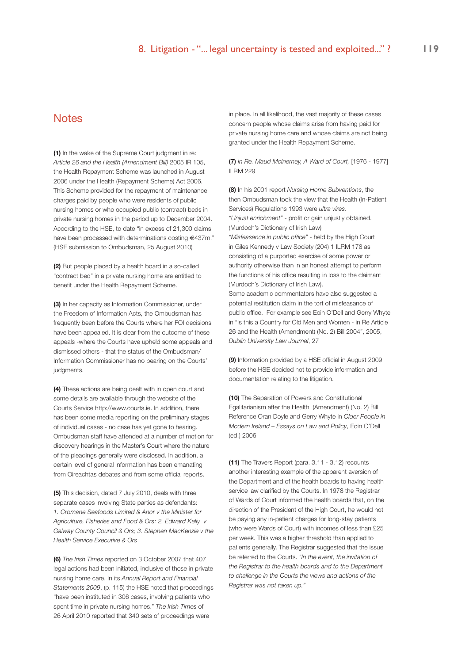#### **Notes**

**(1)** In the wake of the Supreme Court judgment in re: *Article 26 and the Health (Amendment Bill)* 2005 IR 105, the Health Repayment Scheme was launched in August 2006 under the Health (Repayment Scheme) Act 2006. This Scheme provided for the repayment of maintenance charges paid by people who were residents of public nursing homes or who occupied public (contract) beds in private nursing homes in the period up to December 2004. According to the HSE, to date "in excess of 21,300 claims have been processed with determinations costing €437m." (HSE submission to Ombudsman, 25 August 2010)

**(2)** But people placed by a health board in a so-called "contract bed" in a private nursing home are entitled to benefit under the Health Repayment Scheme.

**(3)** In her capacity as Information Commissioner, under the Freedom of Information Acts, the Ombudsman has frequently been before the Courts where her FOI decisions have been appealed. It is clear from the outcome of these appeals -where the Courts have upheld some appeals and dismissed others - that the status of the Ombudsman/ Information Commissioner has no bearing on the Courts' judgments.

**(4)** These actions are being dealt with in open court and some details are available through the website of the Courts Service http://www.courts.ie. In addition, there has been some media reporting on the preliminary stages of individual cases - no case has yet gone to hearing. Ombudsman staff have attended at a number of motion for discovery hearings in the Master's Court where the nature of the pleadings generally were disclosed. In addition, a certain level of general information has been emanating from Oireachtas debates and from some official reports.

**(5)** This decision, dated 7 July 2010, deals with three separate cases involving State parties as defendants: *1. Cromane Seafoods Limited & Anor v the Minister for Agriculture, Fisheries and Food & Ors; 2. Edward Kelly v Galway County Council & Ors; 3. Stephen MacKenzie v the Health Service Executive & Ors*

**(6)** *The Irish Times* reported on 3 October 2007 that 407 legal actions had been initiated, inclusive of those in private nursing home care. In its *Annual Report and Financial Statements 2009*, (p. 115) the HSE noted that proceedings "have been instituted in 306 cases, involving patients who spent time in private nursing homes." *The Irish Times* of 26 April 2010 reported that 340 sets of proceedings were

in place. In all likelihood, the vast majority of these cases concern people whose claims arise from having paid for private nursing home care and whose claims are not being granted under the Health Repayment Scheme.

**(7)** *In Re. Maud McInerney, A Ward of Court,* [1976 - 1977] ILRM 229

**(8)** In his 2001 report *Nursing Home Subventions*, the then Ombudsman took the view that the Health (In-Patient Services) Regulations 1993 were *ultra vires*. *"Unjust enrichment"* - profit or gain unjustly obtained. (Murdoch's Dictionary of Irish Law)

*"Misfeasance in public office"* - held by the High Court in Giles Kennedy v Law Society (204) 1 ILRM 178 as consisting of a purported exercise of some power or authority otherwise than in an honest attempt to perform the functions of his office resulting in loss to the claimant (Murdoch's Dictionary of Irish Law).

Some academic commentators have also suggested a potential restitution claim in the tort of misfeasance of public office. For example see Eoin O'Dell and Gerry Whyte in "Is this a Country for Old Men and Women - in Re Article 26 and the Health (Amendment) (No. 2) Bill 2004", 2005, *Dublin University Law Journal*, 27

**(9)** Information provided by a HSE official in August 2009 before the HSE decided not to provide information and documentation relating to the litigation.

**(10)** The Separation of Powers and Constitutional Egalitarianism after the Health (Amendment) (No. 2) Bill Reference Oran Doyle and Gerry Whyte in *Older People in Modern Ireland – Essays on Law and Policy*, Eoin O'Dell (ed.) 2006

**(11)** The Travers Report (para. 3.11 - 3.12) recounts another interesting example of the apparent aversion of the Department and of the health boards to having health service law clarified by the Courts. In 1978 the Registrar of Wards of Court informed the health boards that, on the direction of the President of the High Court, he would not be paying any in-patient charges for long-stay patients (who were Wards of Court) with incomes of less than £25 per week. This was a higher threshold than applied to patients generally. The Registrar suggested that the issue be referred to the Courts. *"In the event, the invitation of the Registrar to the health boards and to the Department to challenge in the Courts the views and actions of the Registrar was not taken up."*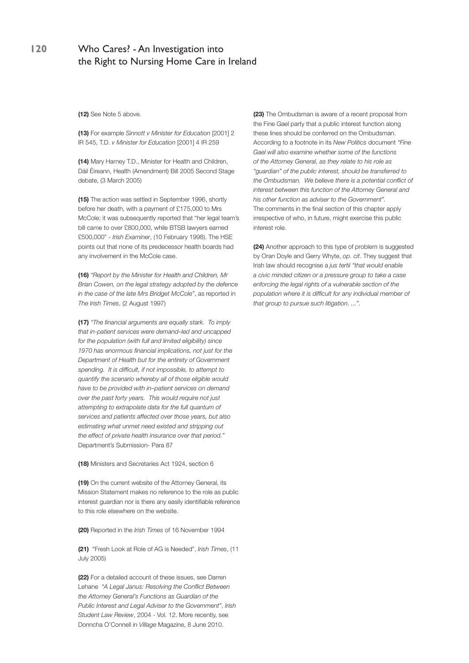**(12)** See Note 5 above.

**(13)** For example *Sinnott v Minister for Education* [2001] 2 IR 545, T.D. *v Minister for Education* [2001] 4 IR 259

**(14)** Mary Harney T.D., Minister for Health and Children, Dáil Éireann, Health (Amendment) Bill 2005 Second Stage debate, (3 March 2005)

**(15)** The action was settled in September 1996, shortly before her death, with a payment of £175,000 to Mrs McCole; it was subsequently reported that "her legal team's bill came to over £800,000, while BTSB lawyers earned £500,000" - *Irish Examiner*, (10 February 1998). The HSE points out that none of its predecessor health boards had any involvement in the McCole case.

**(16)** *"Report by the Minister for Health and Children, Mr Brian Cowen, on the legal strategy adopted by the defence in the case of the late Mrs Bridget McCole"*, as reported in *The Irish Times*, (2 August 1997)

**(17)** *"The financial arguments are equally stark. To imply that in-patient services were demand–led and uncapped for the population (with full and limited eligibility) since 1970 has enormous financial implications, not just for the Department of Health but for the entirety of Government spending. It is difficult, if not impossible, to attempt to quantify the scenario whereby all of those eligible would have to be provided with in–patient services on demand over the past forty years. This would require not just attempting to extrapolate data for the full quantum of services and patients affected over those years, but also estimating what unmet need existed and stripping out the effect of private health insurance over that period."* Department's Submission- Para 87

**(18)** Ministers and Secretaries Act 1924, section 6

**(19)** On the current website of the Attorney General, its Mission Statement makes no reference to the role as public interest guardian nor is there any easily identifiable reference to this role elsewhere on the website.

**(20)** Reported in the *Irish Times* of 16 November 1994

**(21)** "Fresh Look at Role of AG is Needed", *Irish Times*, (11 July 2005)

**(22)** For a detailed account of these issues, see Darren Lehane *"A Legal Janus: Resolving the Conflict Between the Attorney General's Functions as Guardian of the Public Interest and Legal Adviser to the Government"*, *Irish Student Law Review*, 2004 - Vol. 12. More recently, see Donncha O'Connell in *Village* Magazine, 8 June 2010.

**(23)** The Ombudsman is aware of a recent proposal from the Fine Gael party that a public interest function along these lines should be conferred on the Ombudsman. According to a footnote in its *New Politics* document *"Fine Gael will also examine whether some of the functions of the Attorney General, as they relate to his role as "guardian" of the public interest, should be transferred to the Ombudsman. We believe there is a potential conflict of interest between this function of the Attorney General and his other function as adviser to the Government".*  The comments in the final section of this chapter apply irrespective of who, in future, might exercise this public interest role.

**(24)** Another approach to this type of problem is suggested by Oran Doyle and Gerry Whyte, *op. cit*. They suggest that Irish law should recognise a *jus tertii "that would enable a civic minded citizen or a pressure group to take a case enforcing the legal rights of a vulnerable section of the population where it is difficult for any individual member of that group to pursue such litigation. ...".*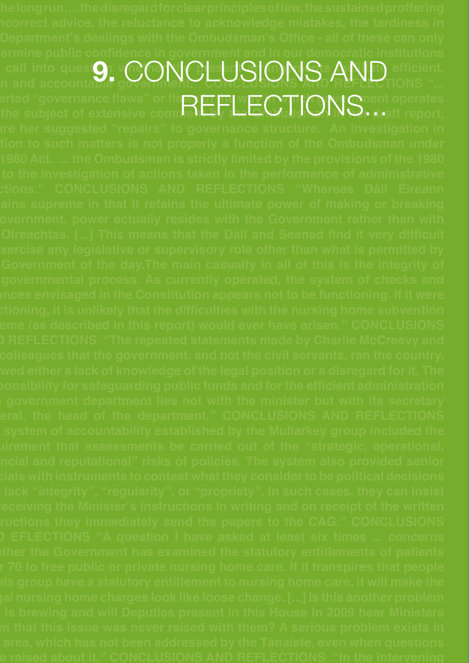**call into queston whenefold are present arrangements for**  $\mathbf{C}$  $\mathbf{C}$  **arrangements facilitate efficient,** call into quest**9. CONCLUSIONS AND** efficient, **asserted "governance flaws" or flaws in the way in which government operates**  erted "governance flaws" or fla<mark>m EFFI wIV C.TIONS. Just</mark> report,<br>the subject of extensive commet EFFI the COTIONS. Just report,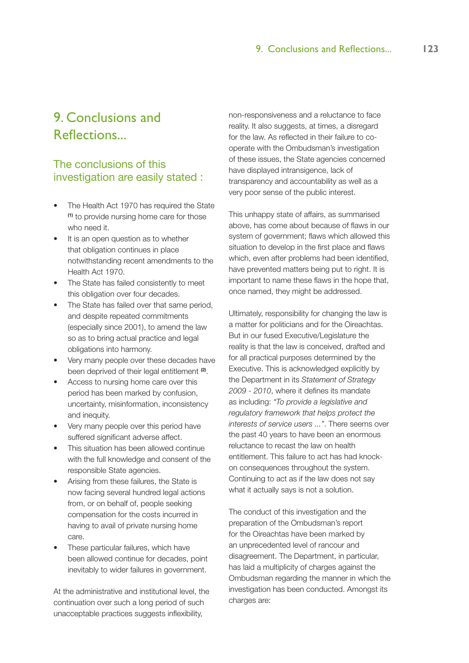# 9. Conclusions and Reflections...

# The conclusions of this investigation are easily stated :

- The Health Act 1970 has required the State **(1)** to provide nursing home care for those who need it.
- It is an open question as to whether that obligation continues in place notwithstanding recent amendments to the Health Act 1970.
- The State has failed consistently to meet this obligation over four decades.
- The State has failed over that same period, and despite repeated commitments (especially since 2001), to amend the law so as to bring actual practice and legal obligations into harmony.
- Very many people over these decades have been deprived of their legal entitlement **(2)**.
- Access to nursing home care over this period has been marked by confusion, uncertainty, misinformation, inconsistency and inequity.
- Very many people over this period have suffered significant adverse affect.
- This situation has been allowed continue with the full knowledge and consent of the responsible State agencies.
- Arising from these failures, the State is now facing several hundred legal actions from, or on behalf of, people seeking compensation for the costs incurred in having to avail of private nursing home care.
- These particular failures, which have been allowed continue for decades, point inevitably to wider failures in government.

At the administrative and institutional level, the continuation over such a long period of such unacceptable practices suggests inflexibility,

non-responsiveness and a reluctance to face reality. It also suggests, at times, a disregard for the law. As reflected in their failure to cooperate with the Ombudsman's investigation of these issues, the State agencies concerned have displayed intransigence, lack of transparency and accountability as well as a very poor sense of the public interest.

This unhappy state of affairs, as summarised above, has come about because of flaws in our system of government; flaws which allowed this situation to develop in the first place and flaws which, even after problems had been identified, have prevented matters being put to right. It is important to name these flaws in the hope that, once named, they might be addressed.

Ultimately, responsibility for changing the law is a matter for politicians and for the Oireachtas. But in our fused Executive/Legislature the reality is that the law is conceived, drafted and for all practical purposes determined by the Executive. This is acknowledged explicitly by the Department in its *Statement of Strategy 2009 - 2010*, where it defines its mandate as including: *"To provide a legislative and regulatory framework that helps protect the interests of service users ..."*. There seems over the past 40 years to have been an enormous reluctance to recast the law on health entitlement. This failure to act has had knockon consequences throughout the system. Continuing to act as if the law does not say what it actually says is not a solution.

The conduct of this investigation and the preparation of the Ombudsman's report for the Oireachtas have been marked by an unprecedented level of rancour and disagreement. The Department, in particular, has laid a multiplicity of charges against the Ombudsman regarding the manner in which the investigation has been conducted. Amongst its charges are: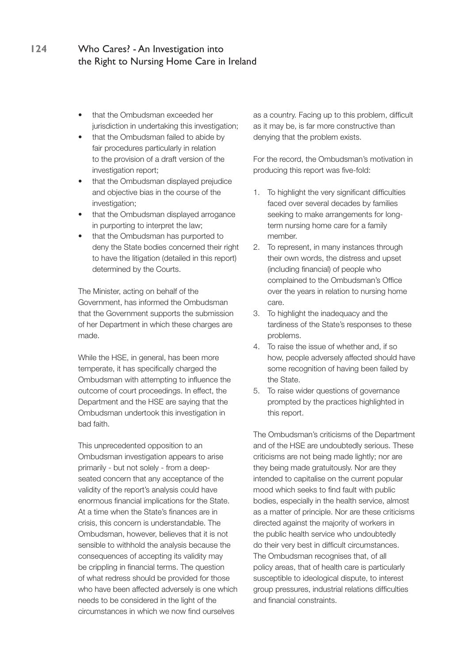- that the Ombudsman exceeded her jurisdiction in undertaking this investigation;
- that the Ombudsman failed to abide by fair procedures particularly in relation to the provision of a draft version of the investigation report;
- that the Ombudsman displayed prejudice and objective bias in the course of the investigation;
- that the Ombudsman displayed arrogance in purporting to interpret the law;
- that the Ombudsman has purported to deny the State bodies concerned their right to have the litigation (detailed in this report) determined by the Courts.

The Minister, acting on behalf of the Government, has informed the Ombudsman that the Government supports the submission of her Department in which these charges are made.

While the HSE, in general, has been more temperate, it has specifically charged the Ombudsman with attempting to influence the outcome of court proceedings. In effect, the Department and the HSE are saying that the Ombudsman undertook this investigation in bad faith.

This unprecedented opposition to an Ombudsman investigation appears to arise primarily - but not solely - from a deepseated concern that any acceptance of the validity of the report's analysis could have enormous financial implications for the State. At a time when the State's finances are in crisis, this concern is understandable. The Ombudsman, however, believes that it is not sensible to withhold the analysis because the consequences of accepting its validity may be crippling in financial terms. The question of what redress should be provided for those who have been affected adversely is one which needs to be considered in the light of the circumstances in which we now find ourselves

as a country. Facing up to this problem, difficult as it may be, is far more constructive than denying that the problem exists.

For the record, the Ombudsman's motivation in producing this report was five-fold:

- 1. To highlight the very significant difficulties faced over several decades by families seeking to make arrangements for longterm nursing home care for a family member.
- 2. To represent, in many instances through their own words, the distress and upset (including financial) of people who complained to the Ombudsman's Office over the years in relation to nursing home care.
- 3. To highlight the inadequacy and the tardiness of the State's responses to these problems.
- 4. To raise the issue of whether and, if so how, people adversely affected should have some recognition of having been failed by the State.
- 5. To raise wider questions of governance prompted by the practices highlighted in this report.

The Ombudsman's criticisms of the Department and of the HSE are undoubtedly serious. These criticisms are not being made lightly; nor are they being made gratuitously. Nor are they intended to capitalise on the current popular mood which seeks to find fault with public bodies, especially in the health service, almost as a matter of principle. Nor are these criticisms directed against the majority of workers in the public health service who undoubtedly do their very best in difficult circumstances. The Ombudsman recognises that, of all policy areas, that of health care is particularly susceptible to ideological dispute, to interest group pressures, industrial relations difficulties and financial constraints.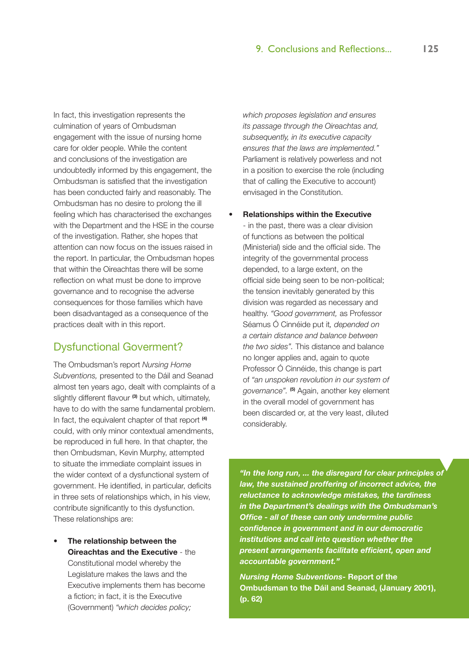In fact, this investigation represents the culmination of years of Ombudsman engagement with the issue of nursing home care for older people. While the content and conclusions of the investigation are undoubtedly informed by this engagement, the Ombudsman is satisfied that the investigation has been conducted fairly and reasonably. The Ombudsman has no desire to prolong the ill feeling which has characterised the exchanges with the Department and the HSE in the course of the investigation. Rather, she hopes that attention can now focus on the issues raised in the report. In particular, the Ombudsman hopes that within the Oireachtas there will be some reflection on what must be done to improve governance and to recognise the adverse consequences for those families which have been disadvantaged as a consequence of the practices dealt with in this report.

# Dysfunctional Goverment?

The Ombudsman's report *Nursing Home Subventions,* presented to the Dáil and Seanad almost ten years ago, dealt with complaints of a slightly different flavour **(3)** but which, ultimately, have to do with the same fundamental problem. In fact, the equivalent chapter of that report **(4)** could, with only minor contextual amendments, be reproduced in full here. In that chapter, the then Ombudsman, Kevin Murphy, attempted to situate the immediate complaint issues in the wider context of a dysfunctional system of government. He identified, in particular, deficits in three sets of relationships which, in his view, contribute significantly to this dysfunction. These relationships are:

**The relationship between the Oireachtas and the Executive** - the Constitutional model whereby the Legislature makes the laws and the Executive implements them has become a fiction; in fact, it is the Executive (Government) *"which decides policy;* 

*which proposes legislation and ensures its passage through the Oireachtas and, subsequently, in its executive capacity ensures that the laws are implemented."* Parliament is relatively powerless and not in a position to exercise the role (including that of calling the Executive to account) envisaged in the Constitution.

**Relationships within the Executive** 

- in the past, there was a clear division of functions as between the political (Ministerial) side and the official side. The integrity of the governmental process depended, to a large extent, on the official side being seen to be non-political; the tension inevitably generated by this division was regarded as necessary and healthy. *"Good government,* as Professor Séamus Ó Cinnéide put it*, depended on a certain distance and balance between the two sides".* This distance and balance no longer applies and, again to quote Professor Ó Cinnéide, this change is part of *"an unspoken revolution in our system of governance".* **(5)** Again, another key element in the overall model of government has been discarded or, at the very least, diluted considerably.

*"In the long run, ... the disregard for clear principles of law, the sustained proffering of incorrect advice, the reluctance to acknowledge mistakes, the tardiness in the Department's dealings with the Ombudsman's Office - all of these can only undermine public confidence in government and in our democratic institutions and call into question whether the present arrangements facilitate efficient, open and accountable government."*

*Nursing Home Subventions***- Report of the Ombudsman to the Dáil and Seanad, (January 2001), (p. 62)**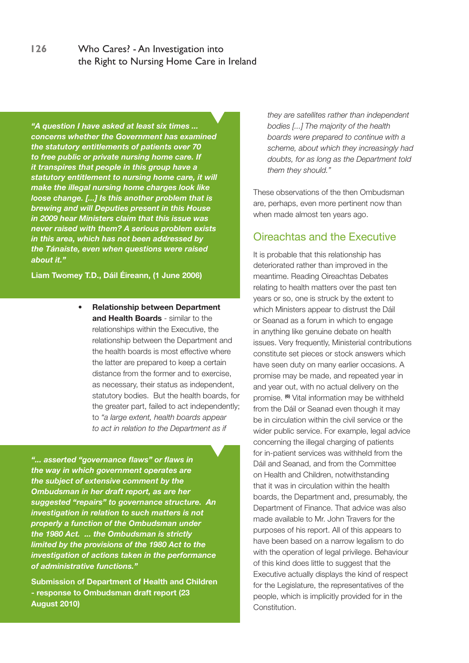*"A question I have asked at least six times ... concerns whether the Government has examined the statutory entitlements of patients over 70 to free public or private nursing home care. If it transpires that people in this group have a statutory entitlement to nursing home care, it will make the illegal nursing home charges look like loose change. [...] Is this another problem that is brewing and will Deputies present in this House in 2009 hear Ministers claim that this issue was never raised with them? A serious problem exists in this area, which has not been addressed by the Tánaiste, even when questions were raised about it."*

**Liam Twomey T.D., Dáil Éireann, (1 June 2006)**

**• Relationship between Department and Health Boards** - similar to the relationships within the Executive, the relationship between the Department and the health boards is most effective where the latter are prepared to keep a certain distance from the former and to exercise, as necessary, their status as independent, statutory bodies. But the health boards, for the greater part, failed to act independently; to *"a large extent, health boards appear to act in relation to the Department as if* 

*"... asserted "governance flaws" or flaws in the way in which government operates are the subject of extensive comment by the Ombudsman in her draft report, as are her suggested "repairs" to governance structure. An investigation in relation to such matters is not properly a function of the Ombudsman under the 1980 Act. ... the Ombudsman is strictly limited by the provisions of the 1980 Act to the investigation of actions taken in the performance of administrative functions."*

**Submission of Department of Health and Children - response to Ombudsman draft report (23 August 2010)**

*they are satellites rather than independent bodies [...] The majority of the health boards were prepared to continue with a scheme, about which they increasingly had doubts, for as long as the Department told them they should."*

These observations of the then Ombudsman are, perhaps, even more pertinent now than when made almost ten years ago.

### Oireachtas and the Executive

It is probable that this relationship has deteriorated rather than improved in the meantime. Reading Oireachtas Debates relating to health matters over the past ten years or so, one is struck by the extent to which Ministers appear to distrust the Dáil or Seanad as a forum in which to engage in anything like genuine debate on health issues. Very frequently, Ministerial contributions constitute set pieces or stock answers which have seen duty on many earlier occasions. A promise may be made, and repeated year in and year out, with no actual delivery on the promise. **(6)** Vital information may be withheld from the Dáil or Seanad even though it may be in circulation within the civil service or the wider public service. For example, legal advice concerning the illegal charging of patients for in-patient services was withheld from the Dáil and Seanad, and from the Committee on Health and Children, notwithstanding that it was in circulation within the health boards, the Department and, presumably, the Department of Finance. That advice was also made available to Mr. John Travers for the purposes of his report. All of this appears to have been based on a narrow legalism to do with the operation of legal privilege. Behaviour of this kind does little to suggest that the Executive actually displays the kind of respect for the Legislature, the representatives of the people, which is implicitly provided for in the Constitution.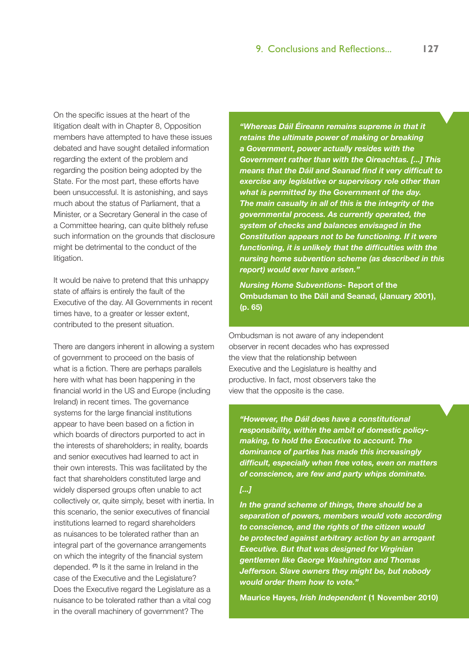On the specific issues at the heart of the litigation dealt with in Chapter 8, Opposition members have attempted to have these issues debated and have sought detailed information regarding the extent of the problem and regarding the position being adopted by the State. For the most part, these efforts have been unsuccessful. It is astonishing, and says much about the status of Parliament, that a Minister, or a Secretary General in the case of a Committee hearing, can quite blithely refuse such information on the grounds that disclosure might be detrimental to the conduct of the litigation.

It would be naive to pretend that this unhappy state of affairs is entirely the fault of the Executive of the day. All Governments in recent times have, to a greater or lesser extent, contributed to the present situation.

There are dangers inherent in allowing a system of government to proceed on the basis of what is a fiction. There are perhaps parallels here with what has been happening in the financial world in the US and Europe (including Ireland) in recent times. The governance systems for the large financial institutions appear to have been based on a fiction in which boards of directors purported to act in the interests of shareholders; in reality, boards and senior executives had learned to act in their own interests. This was facilitated by the fact that shareholders constituted large and widely dispersed groups often unable to act collectively or, quite simply, beset with inertia. In this scenario, the senior executives of financial institutions learned to regard shareholders as nuisances to be tolerated rather than an integral part of the governance arrangements on which the integrity of the financial system depended. **(7)** Is it the same in Ireland in the case of the Executive and the Legislature? Does the Executive regard the Legislature as a nuisance to be tolerated rather than a vital cog in the overall machinery of government? The

*"Whereas Dáil Éireann remains supreme in that it retains the ultimate power of making or breaking a Government, power actually resides with the Government rather than with the Oireachtas. [...] This means that the Dáil and Seanad find it very difficult to exercise any legislative or supervisory role other than what is permitted by the Government of the day. The main casualty in all of this is the integrity of the governmental process. As currently operated, the system of checks and balances envisaged in the Constitution appears not to be functioning. If it were functioning, it is unlikely that the difficulties with the nursing home subvention scheme (as described in this report) would ever have arisen."* 

*Nursing Home Subventions***- Report of the Ombudsman to the Dáil and Seanad, (January 2001), (p. 65)**

Ombudsman is not aware of any independent observer in recent decades who has expressed the view that the relationship between Executive and the Legislature is healthy and productive. In fact, most observers take the view that the opposite is the case.

*"However, the Dáil does have a constitutional responsibility, within the ambit of domestic policymaking, to hold the Executive to account. The dominance of parties has made this increasingly difficult, especially when free votes, even on matters of conscience, are few and party whips dominate.* 

#### *[...]*

*In the grand scheme of things, there should be a separation of powers, members would vote according to conscience, and the rights of the citizen would be protected against arbitrary action by an arrogant Executive. But that was designed for Virginian gentlemen like George Washington and Thomas Jefferson. Slave owners they might be, but nobody would order them how to vote."*

**Maurice Hayes,** *Irish Independent* **(1 November 2010)**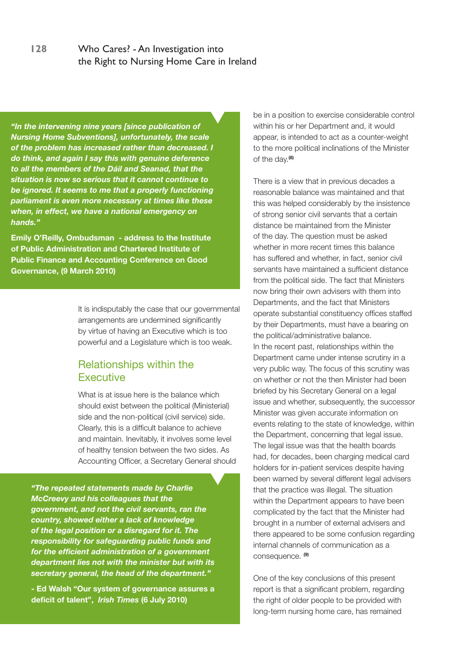*"In the intervening nine years [since publication of Nursing Home Subventions], unfortunately, the scale of the problem has increased rather than decreased. I do think, and again I say this with genuine deference to all the members of the Dáil and Seanad, that the situation is now so serious that it cannot continue to be ignored. It seems to me that a properly functioning parliament is even more necessary at times like these when, in effect, we have a national emergency on hands."* 

**Emily O'Reilly, Ombudsman - address to the Institute of Public Administration and Chartered Institute of Public Finance and Accounting Conference on Good Governance, (9 March 2010)**

> It is indisputably the case that our governmental arrangements are undermined significantly by virtue of having an Executive which is too powerful and a Legislature which is too weak.

### Relationships within the **Executive**

What is at issue here is the balance which should exist between the political (Ministerial) side and the non-political (civil service) side. Clearly, this is a difficult balance to achieve and maintain. Inevitably, it involves some level of healthy tension between the two sides. As Accounting Officer, a Secretary General should

*"The repeated statements made by Charlie McCreevy and his colleagues that the government, and not the civil servants, ran the country, showed either a lack of knowledge of the legal position or a disregard for it. The responsibility for safeguarding public funds and for the efficient administration of a government department lies not with the minister but with its secretary general, the head of the department."*

**- Ed Walsh "Our system of governance assures a deficit of talent",** *Irish Times* **(6 July 2010)**

be in a position to exercise considerable control within his or her Department and, it would appear, is intended to act as a counter-weight to the more political inclinations of the Minister of the day.**(8)**

There is a view that in previous decades a reasonable balance was maintained and that this was helped considerably by the insistence of strong senior civil servants that a certain distance be maintained from the Minister of the day. The question must be asked whether in more recent times this balance has suffered and whether, in fact, senior civil servants have maintained a sufficient distance from the political side. The fact that Ministers now bring their own advisers with them into Departments, and the fact that Ministers operate substantial constituency offices staffed by their Departments, must have a bearing on the political/administrative balance. In the recent past, relationships within the Department came under intense scrutiny in a very public way. The focus of this scrutiny was on whether or not the then Minister had been briefed by his Secretary General on a legal issue and whether, subsequently, the successor Minister was given accurate information on events relating to the state of knowledge, within the Department, concerning that legal issue. The legal issue was that the health boards had, for decades, been charging medical card holders for in-patient services despite having been warned by several different legal advisers that the practice was illegal. The situation within the Department appears to have been complicated by the fact that the Minister had brought in a number of external advisers and there appeared to be some confusion regarding internal channels of communication as a consequence. **(9)**

One of the key conclusions of this present report is that a significant problem, regarding the right of older people to be provided with long-term nursing home care, has remained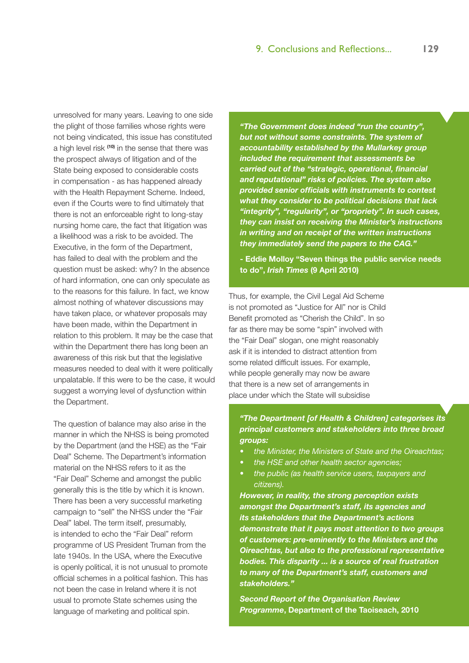unresolved for many years. Leaving to one side the plight of those families whose rights were not being vindicated, this issue has constituted a high level risk **(10)** in the sense that there was the prospect always of litigation and of the State being exposed to considerable costs in compensation - as has happened already with the Health Repayment Scheme. Indeed, even if the Courts were to find ultimately that there is not an enforceable right to long-stay nursing home care, the fact that litigation was a likelihood was a risk to be avoided. The Executive, in the form of the Department, has failed to deal with the problem and the question must be asked: why? In the absence of hard information, one can only speculate as to the reasons for this failure. In fact, we know almost nothing of whatever discussions may have taken place, or whatever proposals may have been made, within the Department in relation to this problem. It may be the case that within the Department there has long been an awareness of this risk but that the legislative measures needed to deal with it were politically unpalatable. If this were to be the case, it would suggest a worrying level of dysfunction within the Department.

The question of balance may also arise in the manner in which the NHSS is being promoted by the Department (and the HSE) as the "Fair Deal" Scheme. The Department's information material on the NHSS refers to it as the "Fair Deal" Scheme and amongst the public generally this is the title by which it is known. There has been a very successful marketing campaign to "sell" the NHSS under the "Fair Deal" label. The term itself, presumably, is intended to echo the "Fair Deal" reform programme of US President Truman from the late 1940s. In the USA, where the Executive is openly political, it is not unusual to promote official schemes in a political fashion. This has not been the case in Ireland where it is not usual to promote State schemes using the language of marketing and political spin.

*"The Government does indeed "run the country", but not without some constraints. The system of accountability established by the Mullarkey group included the requirement that assessments be carried out of the "strategic, operational, financial and reputational" risks of policies. The system also provided senior officials with instruments to contest what they consider to be political decisions that lack "integrity", "regularity", or "propriety". In such cases, they can insist on receiving the Minister's instructions in writing and on receipt of the written instructions they immediately send the papers to the CAG."*

**- Eddie Molloy "Seven things the public service needs to do",** *Irish Times* **(9 April 2010)**

Thus, for example, the Civil Legal Aid Scheme is not promoted as "Justice for All" nor is Child Benefit promoted as "Cherish the Child". In so far as there may be some "spin" involved with the "Fair Deal" slogan, one might reasonably ask if it is intended to distract attention from some related difficult issues. For example, while people generally may now be aware that there is a new set of arrangements in place under which the State will subsidise

#### *"The Department [of Health & Children] categorises its principal customers and stakeholders into three broad groups:*

- *• the Minister, the Ministers of State and the Oireachtas;*
- *• the HSE and other health sector agencies;*
- *• the public (as health service users, taxpayers and citizens).*

*However, in reality, the strong perception exists amongst the Department's staff, its agencies and its stakeholders that the Department's actions demonstrate that it pays most attention to two groups of customers: pre-eminently to the Ministers and the Oireachtas, but also to the professional representative bodies. This disparity ... is a source of real frustration to many of the Department's staff, customers and stakeholders."* 

*Second Report of the Organisation Review Programme***, Department of the Taoiseach, 2010**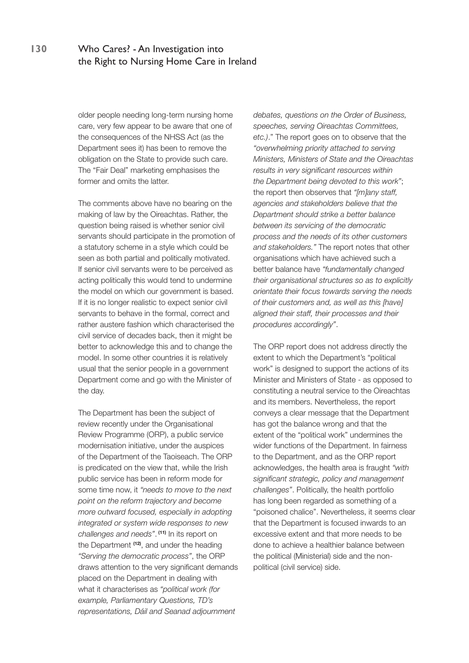older people needing long-term nursing home care, very few appear to be aware that one of the consequences of the NHSS Act (as the Department sees it) has been to remove the obligation on the State to provide such care. The "Fair Deal" marketing emphasises the former and omits the latter.

The comments above have no bearing on the making of law by the Oireachtas. Rather, the question being raised is whether senior civil servants should participate in the promotion of a statutory scheme in a style which could be seen as both partial and politically motivated. If senior civil servants were to be perceived as acting politically this would tend to undermine the model on which our government is based. If it is no longer realistic to expect senior civil servants to behave in the formal, correct and rather austere fashion which characterised the civil service of decades back, then it might be better to acknowledge this and to change the model. In some other countries it is relatively usual that the senior people in a government Department come and go with the Minister of the day.

The Department has been the subject of review recently under the Organisational Review Programme (ORP), a public service modernisation initiative, under the auspices of the Department of the Taoiseach. The ORP is predicated on the view that, while the Irish public service has been in reform mode for some time now, it *"needs to move to the next point on the reform trajectory and become more outward focused, especially in adopting integrated or system wide responses to new challenges and needs"*.  **(11)** In its report on the Department **(12)**, and under the heading *"Serving the democratic process"*, the ORP draws attention to the very significant demands placed on the Department in dealing with what it characterises as *"political work (for example, Parliamentary Questions, TD's representations, Dáil and Seanad adjournment* 

*debates, questions on the Order of Business, speeches, serving Oireachtas Committees, etc.)*." The report goes on to observe that the *"overwhelming priority attached to serving Ministers, Ministers of State and the Oireachtas results in very significant resources within the Department being devoted to this work"*; the report then observes that *"[m]any staff, agencies and stakeholders believe that the Department should strike a better balance between its servicing of the democratic process and the needs of its other customers and stakeholders."* The report notes that other organisations which have achieved such a better balance have *"fundamentally changed their organisational structures so as to explicitly orientate their focus towards serving the needs of their customers and, as well as this [have] aligned their staff, their processes and their procedures accordingly"*.

The ORP report does not address directly the extent to which the Department's "political work" is designed to support the actions of its Minister and Ministers of State - as opposed to constituting a neutral service to the Oireachtas and its members. Nevertheless, the report conveys a clear message that the Department has got the balance wrong and that the extent of the "political work" undermines the wider functions of the Department. In fairness to the Department, and as the ORP report acknowledges, the health area is fraught *"with significant strategic, policy and management challenges"*. Politically, the health portfolio has long been regarded as something of a "poisoned chalice". Nevertheless, it seems clear that the Department is focused inwards to an excessive extent and that more needs to be done to achieve a healthier balance between the political (Ministerial) side and the nonpolitical (civil service) side.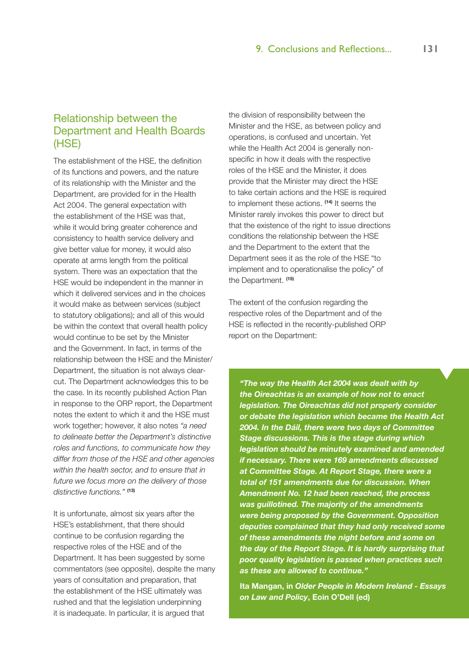# Relationship between the Department and Health Boards (HSE)

The establishment of the HSE, the definition of its functions and powers, and the nature of its relationship with the Minister and the Department, are provided for in the Health Act 2004. The general expectation with the establishment of the HSE was that, while it would bring greater coherence and consistency to health service delivery and give better value for money, it would also operate at arms length from the political system. There was an expectation that the HSE would be independent in the manner in which it delivered services and in the choices it would make as between services (subject to statutory obligations); and all of this would be within the context that overall health policy would continue to be set by the Minister and the Government. In fact, in terms of the relationship between the HSE and the Minister/ Department, the situation is not always clearcut. The Department acknowledges this to be the case. In its recently published Action Plan in response to the ORP report, the Department notes the extent to which it and the HSE must work together; however, it also notes *"a need to delineate better the Department's distinctive roles and functions, to communicate how they differ from those of the HSE and other agencies within the health sector, and to ensure that in future we focus more on the delivery of those distinctive functions."* **(13)**

It is unfortunate, almost six years after the HSE's establishment, that there should continue to be confusion regarding the respective roles of the HSE and of the Department. It has been suggested by some commentators (see opposite), despite the many years of consultation and preparation, that the establishment of the HSE ultimately was rushed and that the legislation underpinning it is inadequate. In particular, it is argued that

the division of responsibility between the Minister and the HSE, as between policy and operations, is confused and uncertain. Yet while the Health Act 2004 is generally nonspecific in how it deals with the respective roles of the HSE and the Minister, it does provide that the Minister may direct the HSE to take certain actions and the HSE is required to implement these actions. **(14)** It seems the Minister rarely invokes this power to direct but that the existence of the right to issue directions conditions the relationship between the HSE and the Department to the extent that the Department sees it as the role of the HSE "to implement and to operationalise the policy" of the Department. **(15)**

The extent of the confusion regarding the respective roles of the Department and of the HSE is reflected in the recently-published ORP report on the Department:

*"The way the Health Act 2004 was dealt with by the Oireachtas is an example of how not to enact legislation. The Oireachtas did not properly consider or debate the legislation which became the Health Act 2004. In the Dáil, there were two days of Committee Stage discussions. This is the stage during which legislation should be minutely examined and amended if necessary. There were 169 amendments discussed at Committee Stage. At Report Stage, there were a total of 151 amendments due for discussion. When Amendment No. 12 had been reached, the process was guillotined. The majority of the amendments were being proposed by the Government. Opposition deputies complained that they had only received some of these amendments the night before and some on the day of the Report Stage. It is hardly surprising that poor quality legislation is passed when practices such as these are allowed to continue."*

**Ita Mangan, in** *Older People in Modern Ireland - Essays on Law and Policy***, Eoin O'Dell (ed)**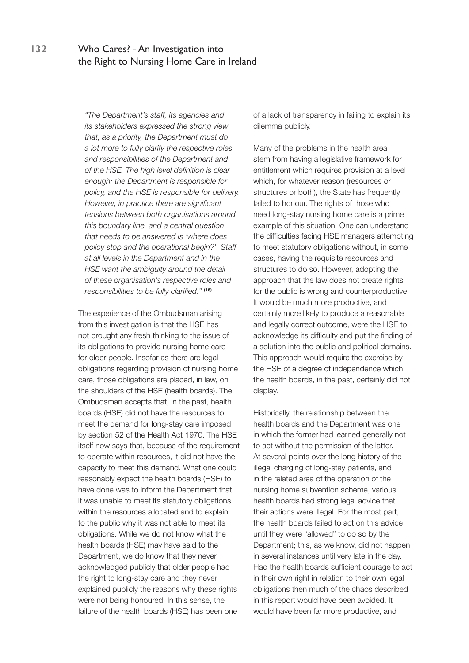*"The Department's staff, its agencies and its stakeholders expressed the strong view that, as a priority, the Department must do a lot more to fully clarify the respective roles and responsibilities of the Department and of the HSE. The high level definition is clear enough: the Department is responsible for policy, and the HSE is responsible for delivery. However, in practice there are significant tensions between both organisations around this boundary line, and a central question that needs to be answered is 'where does policy stop and the operational begin?'. Staff at all levels in the Department and in the HSE want the ambiguity around the detail of these organisation's respective roles and responsibilities to be fully clarified."* **(16)**

The experience of the Ombudsman arising from this investigation is that the HSE has not brought any fresh thinking to the issue of its obligations to provide nursing home care for older people. Insofar as there are legal obligations regarding provision of nursing home care, those obligations are placed, in law, on the shoulders of the HSE (health boards). The Ombudsman accepts that, in the past, health boards (HSE) did not have the resources to meet the demand for long-stay care imposed by section 52 of the Health Act 1970. The HSE itself now says that, because of the requirement to operate within resources, it did not have the capacity to meet this demand. What one could reasonably expect the health boards (HSE) to have done was to inform the Department that it was unable to meet its statutory obligations within the resources allocated and to explain to the public why it was not able to meet its obligations. While we do not know what the health boards (HSE) may have said to the Department, we do know that they never acknowledged publicly that older people had the right to long-stay care and they never explained publicly the reasons why these rights were not being honoured. In this sense, the failure of the health boards (HSE) has been one

of a lack of transparency in failing to explain its dilemma publicly.

Many of the problems in the health area stem from having a legislative framework for entitlement which requires provision at a level which, for whatever reason (resources or structures or both), the State has frequently failed to honour. The rights of those who need long-stay nursing home care is a prime example of this situation. One can understand the difficulties facing HSE managers attempting to meet statutory obligations without, in some cases, having the requisite resources and structures to do so. However, adopting the approach that the law does not create rights for the public is wrong and counterproductive. It would be much more productive, and certainly more likely to produce a reasonable and legally correct outcome, were the HSE to acknowledge its difficulty and put the finding of a solution into the public and political domains. This approach would require the exercise by the HSE of a degree of independence which the health boards, in the past, certainly did not display.

Historically, the relationship between the health boards and the Department was one in which the former had learned generally not to act without the permission of the latter. At several points over the long history of the illegal charging of long-stay patients, and in the related area of the operation of the nursing home subvention scheme, various health boards had strong legal advice that their actions were illegal. For the most part, the health boards failed to act on this advice until they were "allowed" to do so by the Department; this, as we know, did not happen in several instances until very late in the day. Had the health boards sufficient courage to act in their own right in relation to their own legal obligations then much of the chaos described in this report would have been avoided. It would have been far more productive, and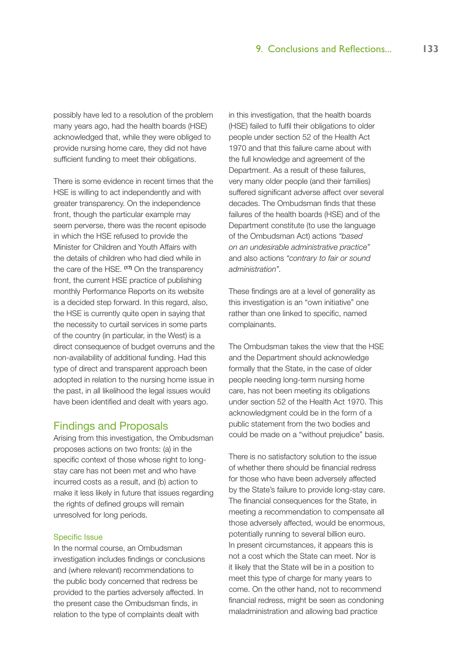possibly have led to a resolution of the problem many years ago, had the health boards (HSE) acknowledged that, while they were obliged to provide nursing home care, they did not have sufficient funding to meet their obligations.

There is some evidence in recent times that the HSE is willing to act independently and with greater transparency. On the independence front, though the particular example may seem perverse, there was the recent episode in which the HSE refused to provide the Minister for Children and Youth Affairs with the details of children who had died while in the care of the HSE. **(17)** On the transparency front, the current HSE practice of publishing monthly Performance Reports on its website is a decided step forward. In this regard, also, the HSE is currently quite open in saying that the necessity to curtail services in some parts of the country (in particular, in the West) is a direct consequence of budget overruns and the non-availability of additional funding. Had this type of direct and transparent approach been adopted in relation to the nursing home issue in the past, in all likelihood the legal issues would have been identified and dealt with years ago.

#### Findings and Proposals

Arising from this investigation, the Ombudsman proposes actions on two fronts: (a) in the specific context of those whose right to longstay care has not been met and who have incurred costs as a result, and (b) action to make it less likely in future that issues regarding the rights of defined groups will remain unresolved for long periods.

#### Specific Issue

In the normal course, an Ombudsman investigation includes findings or conclusions and (where relevant) recommendations to the public body concerned that redress be provided to the parties adversely affected. In the present case the Ombudsman finds, in relation to the type of complaints dealt with

in this investigation, that the health boards (HSE) failed to fulfil their obligations to older people under section 52 of the Health Act 1970 and that this failure came about with the full knowledge and agreement of the Department. As a result of these failures, very many older people (and their families) suffered significant adverse affect over several decades. The Ombudsman finds that these failures of the health boards (HSE) and of the Department constitute (to use the language of the Ombudsman Act) actions *"based on an undesirable administrative practice"*  and also actions *"contrary to fair or sound administration".* 

These findings are at a level of generality as this investigation is an "own initiative" one rather than one linked to specific, named complainants.

The Ombudsman takes the view that the HSE and the Department should acknowledge formally that the State, in the case of older people needing long-term nursing home care, has not been meeting its obligations under section 52 of the Health Act 1970. This acknowledgment could be in the form of a public statement from the two bodies and could be made on a "without prejudice" basis.

There is no satisfactory solution to the issue of whether there should be financial redress for those who have been adversely affected by the State's failure to provide long-stay care. The financial consequences for the State, in meeting a recommendation to compensate all those adversely affected, would be enormous, potentially running to several billion euro. In present circumstances, it appears this is not a cost which the State can meet. Nor is it likely that the State will be in a position to meet this type of charge for many years to come. On the other hand, not to recommend financial redress, might be seen as condoning maladministration and allowing bad practice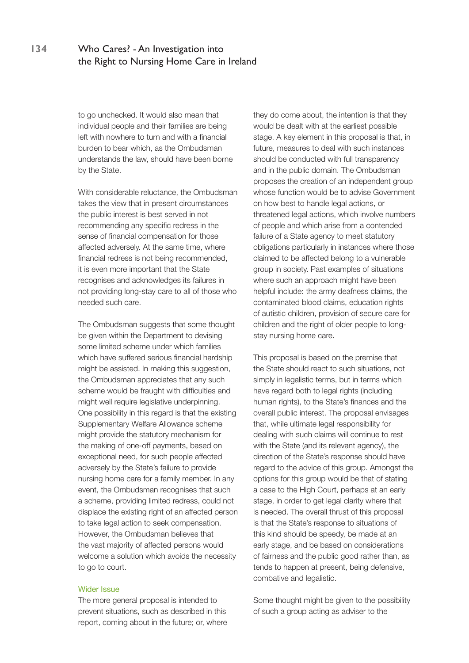to go unchecked. It would also mean that individual people and their families are being left with nowhere to turn and with a financial burden to bear which, as the Ombudsman understands the law, should have been borne by the State.

With considerable reluctance, the Ombudsman takes the view that in present circumstances the public interest is best served in not recommending any specific redress in the sense of financial compensation for those affected adversely. At the same time, where financial redress is not being recommended, it is even more important that the State recognises and acknowledges its failures in not providing long-stay care to all of those who needed such care.

The Ombudsman suggests that some thought be given within the Department to devising some limited scheme under which families which have suffered serious financial hardship might be assisted. In making this suggestion, the Ombudsman appreciates that any such scheme would be fraught with difficulties and might well require legislative underpinning. One possibility in this regard is that the existing Supplementary Welfare Allowance scheme might provide the statutory mechanism for the making of one-off payments, based on exceptional need, for such people affected adversely by the State's failure to provide nursing home care for a family member. In any event, the Ombudsman recognises that such a scheme, providing limited redress, could not displace the existing right of an affected person to take legal action to seek compensation. However, the Ombudsman believes that the vast majority of affected persons would welcome a solution which avoids the necessity to go to court.

#### Wider Issue

The more general proposal is intended to prevent situations, such as described in this report, coming about in the future; or, where they do come about, the intention is that they would be dealt with at the earliest possible stage. A key element in this proposal is that, in future, measures to deal with such instances should be conducted with full transparency and in the public domain. The Ombudsman proposes the creation of an independent group whose function would be to advise Government on how best to handle legal actions, or threatened legal actions, which involve numbers of people and which arise from a contended failure of a State agency to meet statutory obligations particularly in instances where those claimed to be affected belong to a vulnerable group in society. Past examples of situations where such an approach might have been helpful include: the army deafness claims, the contaminated blood claims, education rights of autistic children, provision of secure care for children and the right of older people to longstay nursing home care.

This proposal is based on the premise that the State should react to such situations, not simply in legalistic terms, but in terms which have regard both to legal rights (including human rights), to the State's finances and the overall public interest. The proposal envisages that, while ultimate legal responsibility for dealing with such claims will continue to rest with the State (and its relevant agency), the direction of the State's response should have regard to the advice of this group. Amongst the options for this group would be that of stating a case to the High Court, perhaps at an early stage, in order to get legal clarity where that is needed. The overall thrust of this proposal is that the State's response to situations of this kind should be speedy, be made at an early stage, and be based on considerations of fairness and the public good rather than, as tends to happen at present, being defensive, combative and legalistic.

Some thought might be given to the possibility of such a group acting as adviser to the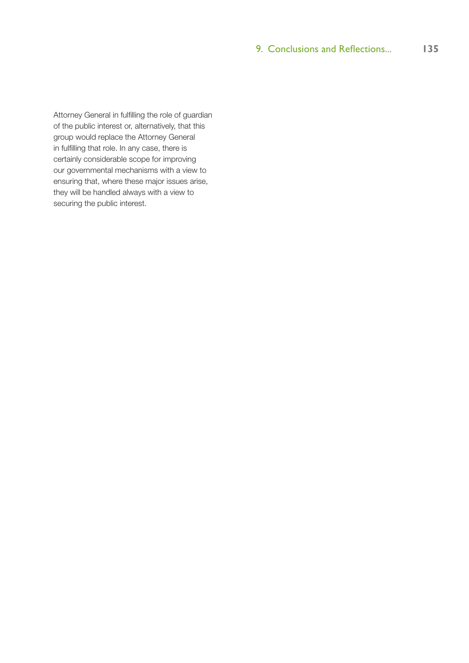Attorney General in fulfilling the role of guardian of the public interest or, alternatively, that this group would replace the Attorney General in fulfilling that role. In any case, there is certainly considerable scope for improving our governmental mechanisms with a view to ensuring that, where these major issues arise, they will be handled always with a view to securing the public interest.